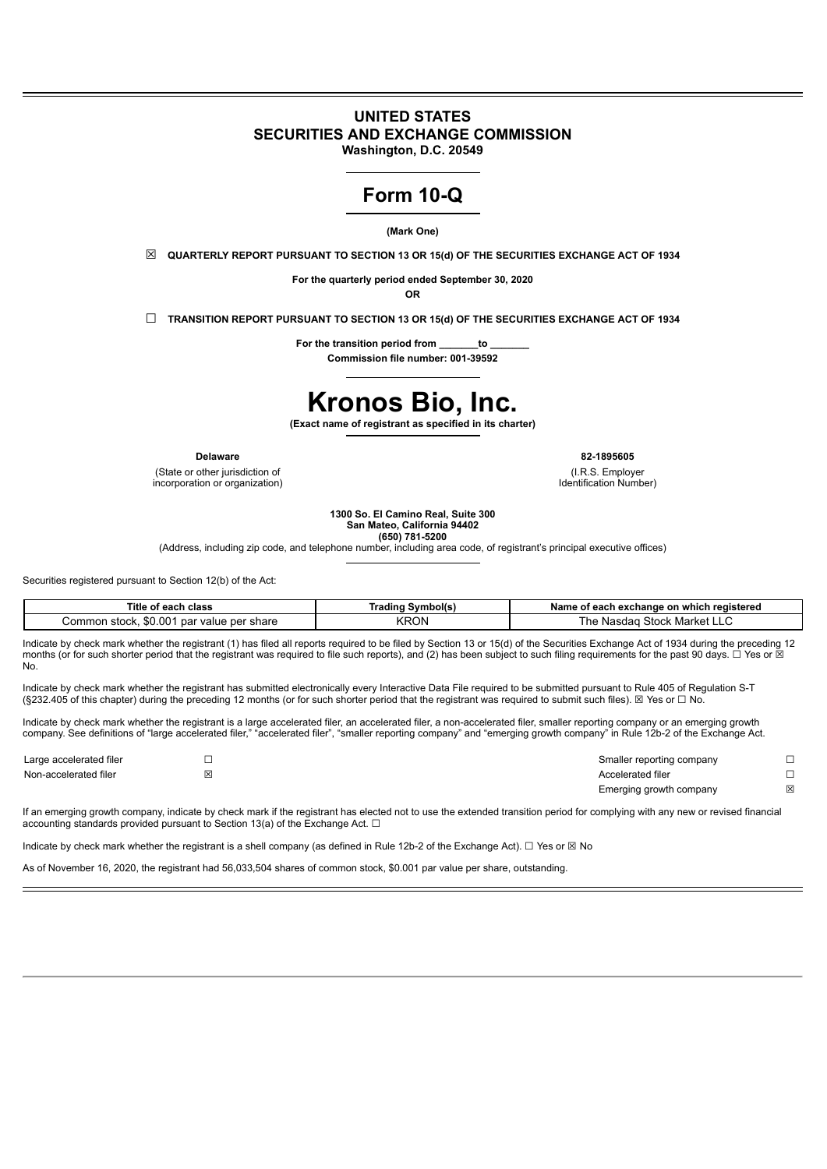# **UNITED STATES SECURITIES AND EXCHANGE COMMISSION**

**Washington, D.C. 20549**

# **Form 10-Q**

**(Mark One)**

☒ **QUARTERLY REPORT PURSUANT TO SECTION 13 OR 15(d) OF THE SECURITIES EXCHANGE ACT OF 1934**

**For the quarterly period ended September 30, 2020**

**OR**

☐ **TRANSITION REPORT PURSUANT TO SECTION 13 OR 15(d) OF THE SECURITIES EXCHANGE ACT OF 1934**

**For the transition period from \_\_\_\_\_\_\_to \_\_\_\_\_\_\_ Commission file number: 001-39592**

# **Kronos Bio, Inc.**

**(Exact name of registrant as specified in its charter)**

(State or other jurisdiction of incorporation or organization)

**Delaware 82-1895605**

(I.R.S. Employer Identification Number)

**1300 So. El Camino Real, Suite 300 San Mateo, California 94402**

**(650) 781-5200**

(Address, including zip code, and telephone number, including area code, of registrant's principal executive offices)

Securities registered pursuant to Section 12(b) of the Act:

| Title<br>' each<br><b>class</b><br>от                            | Svmbol(s)<br>radina | h exchange on which registered<br>Name<br>t each<br>0Ť. |
|------------------------------------------------------------------|---------------------|---------------------------------------------------------|
| \$0.00<br>∴ommor<br>≅share<br>5500<br>par value per<br>'I SLUCK. | <b>KRON</b>         | Stock<br>Market<br>'ne<br>Nasdad<br>- L                 |

Indicate by check mark whether the registrant (1) has filed all reports required to be filed by Section 13 or 15(d) of the Securities Exchange Act of 1934 during the preceding 12 months (or for such shorter period that the registrant was required to file such reports), and (2) has been subject to such filing requirements for the past 90 days. □ Yes or D No.

Indicate by check mark whether the registrant has submitted electronically every Interactive Data File required to be submitted pursuant to Rule 405 of Regulation S-T (§232.405 of this chapter) during the preceding 12 months (or for such shorter period that the registrant was required to submit such files). ☒ Yes or ☐ No.

Indicate by check mark whether the registrant is a large accelerated filer, an accelerated filer, a non-accelerated filer, smaller reporting company or an emerging growth company. See definitions of "large accelerated filer," "accelerated filer", "smaller reporting company" and "emerging growth company" in Rule 12b-2 of the Exchange Act.

| Large accelerated filer | Smaller reporting company |   |
|-------------------------|---------------------------|---|
| Non-accelerated filer   | Accelerated filer         |   |
|                         | Emerging growth company   | X |

If an emerging growth company, indicate by check mark if the registrant has elected not to use the extended transition period for complying with any new or revised financial accounting standards provided pursuant to Section 13(a) of the Exchange Act.  $\Box$ 

Indicate by check mark whether the registrant is a shell company (as defined in Rule 12b-2 of the Exchange Act). □ Yes or ⊠ No

As of November 16, 2020, the registrant had 56,033,504 shares of common stock, \$0.001 par value per share, outstanding.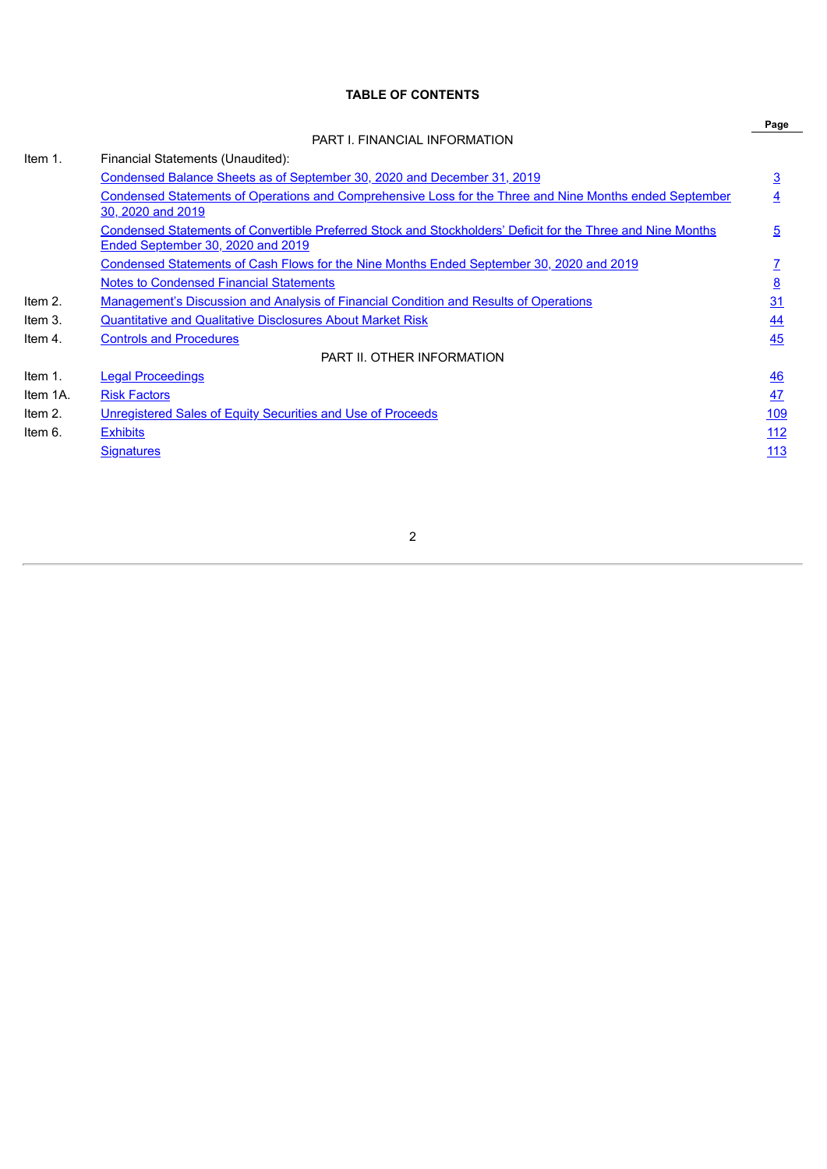# **TABLE OF CONTENTS**

|            |                                                                                                                                                         | Page           |
|------------|---------------------------------------------------------------------------------------------------------------------------------------------------------|----------------|
|            | PART I. FINANCIAL INFORMATION                                                                                                                           |                |
| Item 1.    | Financial Statements (Unaudited):                                                                                                                       |                |
|            | Condensed Balance Sheets as of September 30, 2020 and December 31, 2019                                                                                 | $\overline{3}$ |
|            | Condensed Statements of Operations and Comprehensive Loss for the Three and Nine Months ended September<br>30, 2020 and 2019                            | 4              |
|            | <b>Condensed Statements of Convertible Preferred Stock and Stockholders' Deficit for the Three and Nine Months</b><br>Ended September 30, 2020 and 2019 | 5              |
|            | <u>Condensed Statements of Cash Flows for the Nine Months Ended September 30, 2020 and 2019</u>                                                         |                |
|            | <b>Notes to Condensed Financial Statements</b>                                                                                                          | 8              |
| Item 2.    | <b>Management's Discussion and Analysis of Financial Condition and Results of Operations</b>                                                            | 31             |
| Item 3.    | <b>Quantitative and Qualitative Disclosures About Market Risk</b>                                                                                       | 44             |
| Item 4.    | <b>Controls and Procedures</b>                                                                                                                          | 45             |
|            | PART II. OTHER INFORMATION                                                                                                                              |                |
| Item $1$ . | <b>Legal Proceedings</b>                                                                                                                                | 46             |
| Item 1A.   | <b>Risk Factors</b>                                                                                                                                     | 47             |
| Item 2.    | Unregistered Sales of Equity Securities and Use of Proceeds                                                                                             | 109            |
| Item 6.    | <b>Exhibits</b>                                                                                                                                         | 112            |
|            | <b>Signatures</b>                                                                                                                                       | 113            |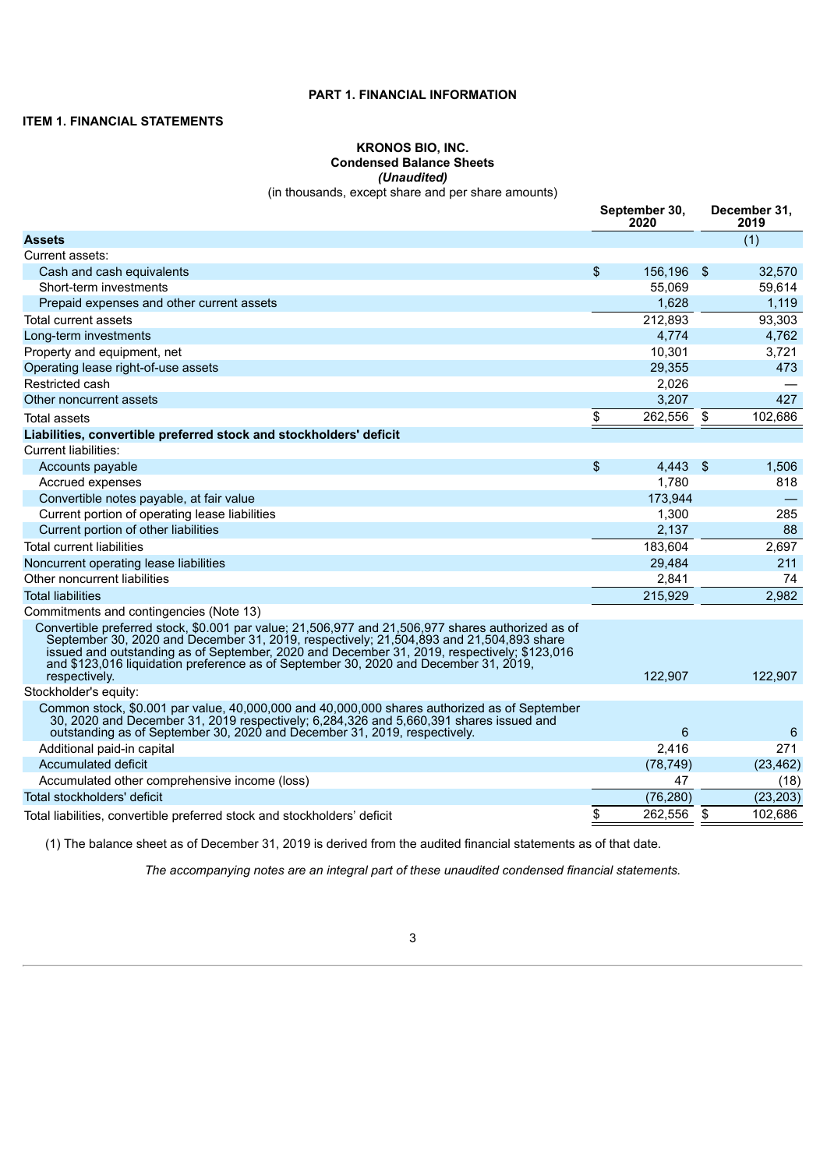# **PART 1. FINANCIAL INFORMATION**

# <span id="page-2-0"></span>**ITEM 1. FINANCIAL STATEMENTS**

# **KRONOS BIO, INC. Condensed Balance Sheets** *(Unaudited)*

(in thousands, except share and per share amounts)

|                                                                                                                                                                                                                                                                                                                                                                                                      |                | September 30,<br>2020 |      | December 31,<br>2019 |
|------------------------------------------------------------------------------------------------------------------------------------------------------------------------------------------------------------------------------------------------------------------------------------------------------------------------------------------------------------------------------------------------------|----------------|-----------------------|------|----------------------|
| <b>Assets</b>                                                                                                                                                                                                                                                                                                                                                                                        |                |                       |      | (1)                  |
| Current assets:                                                                                                                                                                                                                                                                                                                                                                                      |                |                       |      |                      |
| Cash and cash equivalents                                                                                                                                                                                                                                                                                                                                                                            | \$             | 156,196               | - \$ | 32,570               |
| Short-term investments                                                                                                                                                                                                                                                                                                                                                                               |                | 55,069                |      | 59,614               |
| Prepaid expenses and other current assets                                                                                                                                                                                                                                                                                                                                                            |                | 1,628                 |      | 1,119                |
| Total current assets                                                                                                                                                                                                                                                                                                                                                                                 |                | 212,893               |      | 93,303               |
| Long-term investments                                                                                                                                                                                                                                                                                                                                                                                |                | 4,774                 |      | 4,762                |
| Property and equipment, net                                                                                                                                                                                                                                                                                                                                                                          |                | 10,301                |      | 3,721                |
| Operating lease right-of-use assets                                                                                                                                                                                                                                                                                                                                                                  |                | 29,355                |      | 473                  |
| Restricted cash                                                                                                                                                                                                                                                                                                                                                                                      |                | 2,026                 |      |                      |
| Other noncurrent assets                                                                                                                                                                                                                                                                                                                                                                              |                | 3.207                 |      | 427                  |
| Total assets                                                                                                                                                                                                                                                                                                                                                                                         | \$             | 262,556               | \$   | 102.686              |
| Liabilities, convertible preferred stock and stockholders' deficit                                                                                                                                                                                                                                                                                                                                   |                |                       |      |                      |
| Current liabilities:                                                                                                                                                                                                                                                                                                                                                                                 |                |                       |      |                      |
| Accounts payable                                                                                                                                                                                                                                                                                                                                                                                     | $\mathfrak{S}$ | 4,443                 | -\$  | 1.506                |
| Accrued expenses                                                                                                                                                                                                                                                                                                                                                                                     |                | 1.780                 |      | 818                  |
| Convertible notes payable, at fair value                                                                                                                                                                                                                                                                                                                                                             |                | 173,944               |      |                      |
| Current portion of operating lease liabilities                                                                                                                                                                                                                                                                                                                                                       |                | 1,300                 |      | 285                  |
| Current portion of other liabilities                                                                                                                                                                                                                                                                                                                                                                 |                | 2,137                 |      | 88                   |
| <b>Total current liabilities</b>                                                                                                                                                                                                                                                                                                                                                                     |                | 183,604               |      | 2,697                |
| Noncurrent operating lease liabilities                                                                                                                                                                                                                                                                                                                                                               |                | 29.484                |      | 211                  |
| Other noncurrent liabilities                                                                                                                                                                                                                                                                                                                                                                         |                | 2,841                 |      | 74                   |
| <b>Total liabilities</b>                                                                                                                                                                                                                                                                                                                                                                             |                | 215,929               |      | 2,982                |
| Commitments and contingencies (Note 13)                                                                                                                                                                                                                                                                                                                                                              |                |                       |      |                      |
| Convertible preferred stock, \$0.001 par value; 21,506,977 and 21,506,977 shares authorized as of<br>September 30, 2020 and December 31, 2019, respectively; 21,504,893 and 21,504,893 share<br>issued and outstanding as of September, 2020 and December 31, 2019, respectively; \$123,016<br>and \$123,016 liquidation preference as of September 30, 2020 and December 31, 2019,<br>respectively. |                | 122,907               |      | 122,907              |
| Stockholder's equity:                                                                                                                                                                                                                                                                                                                                                                                |                |                       |      |                      |
| Common stock, \$0.001 par value, 40,000,000 and 40,000,000 shares authorized as of September<br>30, 2020 and December 31, 2019 respectively; 6,284,326 and 5,660,391 shares issued and<br>outstanding as of September 30, 2020 and December 31, 2019, respectively.                                                                                                                                  |                | 6                     |      | 6                    |
| Additional paid-in capital                                                                                                                                                                                                                                                                                                                                                                           |                | 2,416                 |      | 271                  |
| Accumulated deficit                                                                                                                                                                                                                                                                                                                                                                                  |                | (78, 749)             |      | (23, 462)            |
| Accumulated other comprehensive income (loss)                                                                                                                                                                                                                                                                                                                                                        |                | 47                    |      | (18)                 |
| Total stockholders' deficit                                                                                                                                                                                                                                                                                                                                                                          |                | (76, 280)             |      | (23, 203)            |
| Total liabilities, convertible preferred stock and stockholders' deficit                                                                                                                                                                                                                                                                                                                             | \$             | 262,556               | \$   | 102,686              |

<span id="page-2-1"></span>(1) The balance sheet as of December 31, 2019 is derived from the audited financial statements as of that date.

*The accompanying notes are an integral part of these unaudited condensed financial statements.*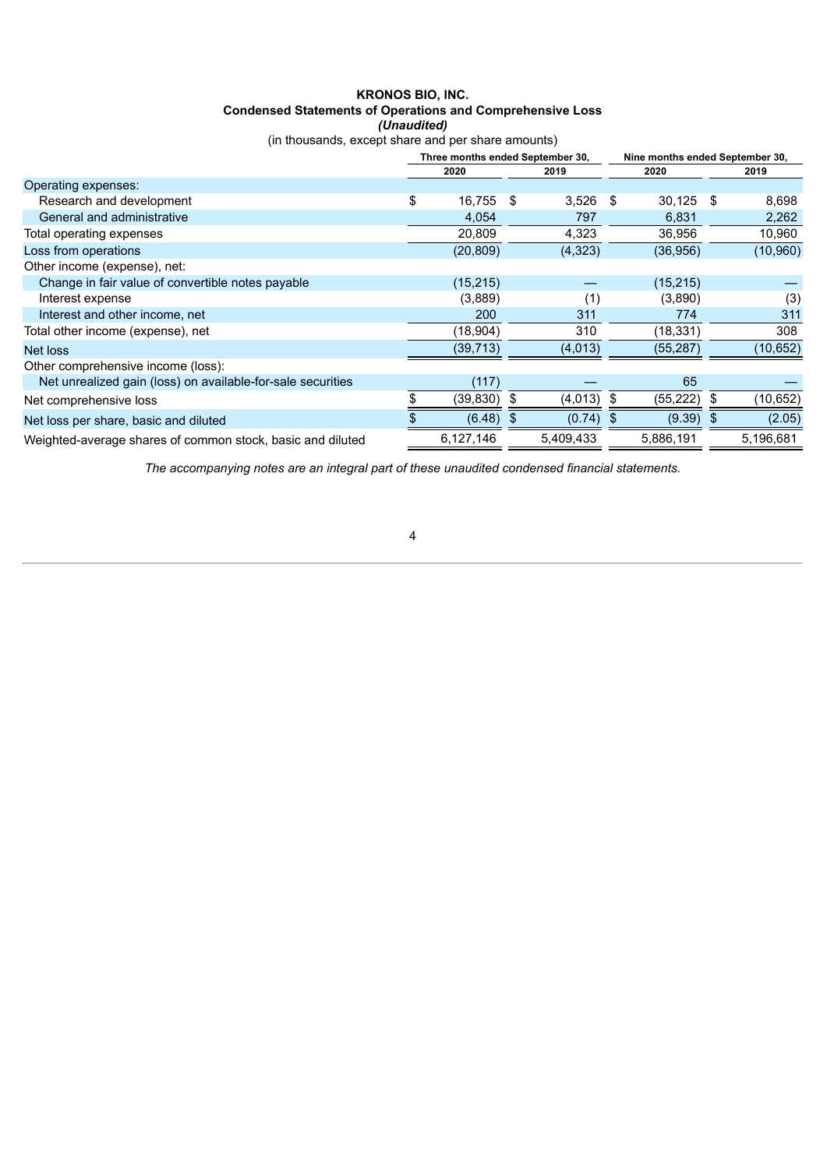# **KRONOS BIO, INC. Condensed Statements of Operations and Comprehensive Loss** *(Unaudited)*

(in thousands, except share and per share amounts)

|                                                             | Three months ended September 30, |     |           |      | Nine months ended September 30, |     |           |
|-------------------------------------------------------------|----------------------------------|-----|-----------|------|---------------------------------|-----|-----------|
|                                                             | 2020                             |     | 2019      |      | 2020                            |     | 2019      |
| Operating expenses:                                         |                                  |     |           |      |                                 |     |           |
| Research and development                                    | \$<br>16,755                     | -\$ | 3,526     | \$   | $30,125$ \$                     |     | 8,698     |
| General and administrative                                  | 4,054                            |     | 797       |      | 6,831                           |     | 2,262     |
| Total operating expenses                                    | 20,809                           |     | 4,323     |      | 36,956                          |     | 10,960    |
| Loss from operations                                        | (20, 809)                        |     | (4,323)   |      | (36, 956)                       |     | (10, 960) |
| Other income (expense), net:                                |                                  |     |           |      |                                 |     |           |
| Change in fair value of convertible notes payable           | (15, 215)                        |     |           |      | (15, 215)                       |     |           |
| Interest expense                                            | (3,889)                          |     | (1)       |      | (3,890)                         |     | (3)       |
| Interest and other income, net                              | 200                              |     | 311       |      | 774                             |     | 311       |
| Total other income (expense), net                           | (18,904)                         |     | 310       |      | (18, 331)                       |     | 308       |
| Net loss                                                    | (39, 713)                        |     | (4,013)   |      | (55, 287)                       |     | (10, 652) |
| Other comprehensive income (loss):                          |                                  |     |           |      |                                 |     |           |
| Net unrealized gain (loss) on available-for-sale securities | (117)                            |     |           |      | 65                              |     |           |
| Net comprehensive loss                                      | (39, 830)                        | S   | (4,013)   | -\$  | (55, 222)                       | \$  | (10, 652) |
| Net loss per share, basic and diluted                       | (6.48)                           | \$  | (0.74)    | - \$ | (9.39)                          | -\$ | (2.05)    |
| Weighted-average shares of common stock, basic and diluted  | 6,127,146                        |     | 5,409,433 |      | 5,886,191                       |     | 5,196,681 |

<span id="page-3-0"></span>*The accompanying notes are an integral part of these unaudited condensed financial statements.*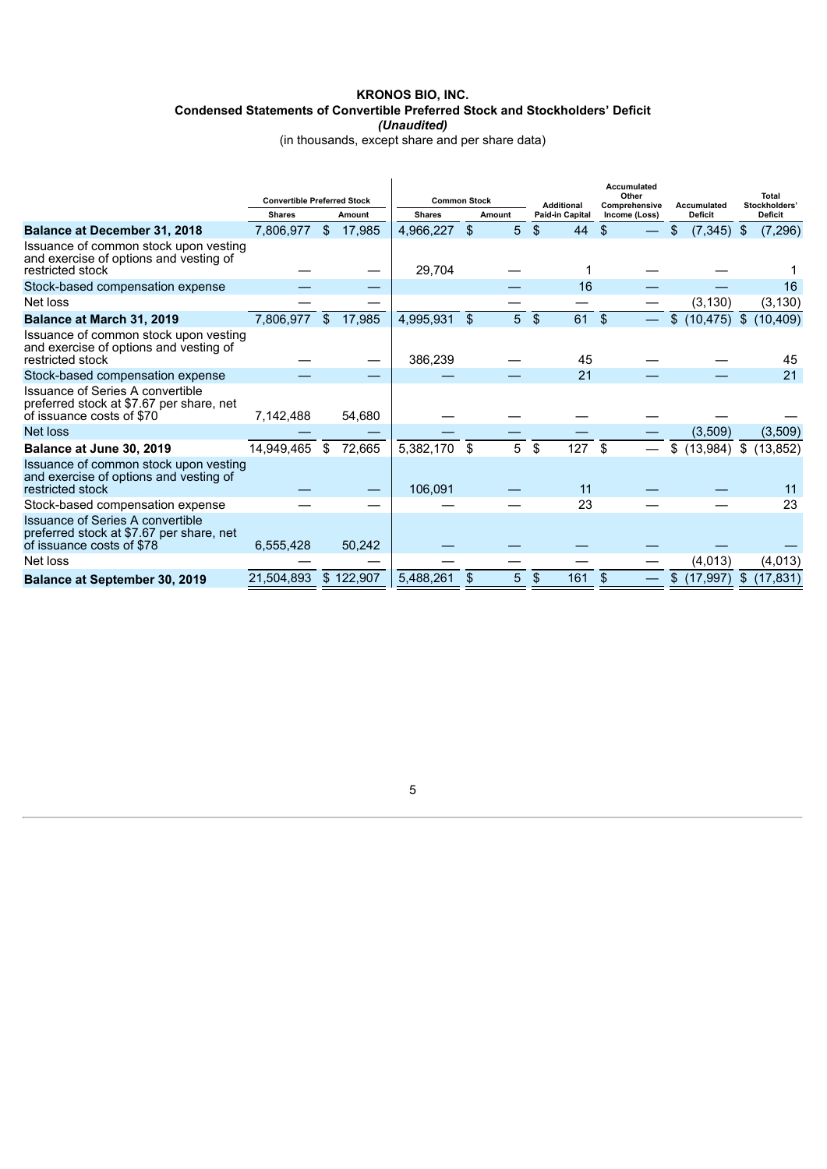# **KRONOS BIO, INC. Condensed Statements of Convertible Preferred Stock and Stockholders' Deficit** *(Unaudited)*

(in thousands, except share and per share data)

|                                                                                                           | <b>Convertible Preferred Stock</b> |              |           | <b>Common Stock</b> |        |   | Accumulated<br>Other<br><b>Additional</b><br>Comprehensive<br><b>Accumulated</b> |                 |               |    |                | <b>Total</b><br>Stockholders' |           |  |
|-----------------------------------------------------------------------------------------------------------|------------------------------------|--------------|-----------|---------------------|--------|---|----------------------------------------------------------------------------------|-----------------|---------------|----|----------------|-------------------------------|-----------|--|
|                                                                                                           | <b>Shares</b>                      |              | Amount    | <b>Shares</b>       | Amount |   |                                                                                  | Paid-in Capital | Income (Loss) |    | <b>Deficit</b> | <b>Deficit</b>                |           |  |
| <b>Balance at December 31, 2018</b>                                                                       | 7.806.977                          | $\mathbb{S}$ | 17.985    | 4.966.227           | \$     | 5 | $\mathfrak{L}$                                                                   | 44              | \$.           | S  | (7, 345)       | - \$                          | (7, 296)  |  |
| Issuance of common stock upon vesting<br>and exercise of options and vesting of<br>restricted stock       |                                    |              |           | 29,704              |        |   |                                                                                  |                 |               |    |                |                               |           |  |
| Stock-based compensation expense                                                                          |                                    |              |           |                     |        |   |                                                                                  | 16              |               |    |                |                               | 16        |  |
| Net loss                                                                                                  |                                    |              |           |                     |        |   |                                                                                  |                 |               |    | (3, 130)       |                               | (3, 130)  |  |
| Balance at March 31, 2019                                                                                 | 7,806,977                          | $\mathbb{S}$ | 17,985    | 4,995,931           | \$     | 5 | $\mathcal{S}$                                                                    | 61              | $\mathbf{s}$  | \$ | (10, 475)      | $\mathfrak{F}$                | (10,409)  |  |
| Issuance of common stock upon vesting<br>and exercise of options and vesting of<br>restricted stock       |                                    |              |           | 386,239             |        |   |                                                                                  | 45              |               |    |                |                               | 45        |  |
| Stock-based compensation expense                                                                          |                                    |              |           |                     |        |   |                                                                                  | 21              |               |    |                |                               | 21        |  |
| Issuance of Series A convertible<br>preferred stock at \$7.67 per share, net<br>of issuance costs of \$70 | 7,142,488                          |              | 54,680    |                     |        |   |                                                                                  |                 |               |    |                |                               |           |  |
| Net loss                                                                                                  |                                    |              |           |                     |        |   |                                                                                  |                 |               |    | (3,509)        |                               | (3,509)   |  |
| Balance at June 30, 2019                                                                                  | 14,949,465                         | \$           | 72,665    | 5,382,170           | \$     | 5 | \$                                                                               | 127             | \$            | \$ | (13,984)       | \$                            | (13, 852) |  |
| Issuance of common stock upon vesting<br>and exercise of options and vesting of<br>restricted stock       |                                    |              |           | 106,091             |        |   |                                                                                  | 11              |               |    |                |                               | 11        |  |
| Stock-based compensation expense                                                                          |                                    |              |           |                     |        |   |                                                                                  | 23              |               |    |                |                               | 23        |  |
| Issuance of Series A convertible<br>preferred stock at \$7.67 per share, net<br>of issuance costs of \$78 | 6,555,428                          |              | 50,242    |                     |        |   |                                                                                  |                 |               |    |                |                               |           |  |
| Net loss                                                                                                  |                                    |              |           |                     |        |   |                                                                                  |                 |               |    | (4,013)        |                               | (4,013)   |  |
| <b>Balance at September 30, 2019</b>                                                                      | 21.504.893                         |              | \$122,907 | 5,488,261           |        | 5 | \$                                                                               | 161             | $\mathbf{s}$  | \$ | (17, 997)      | \$                            | (17, 831) |  |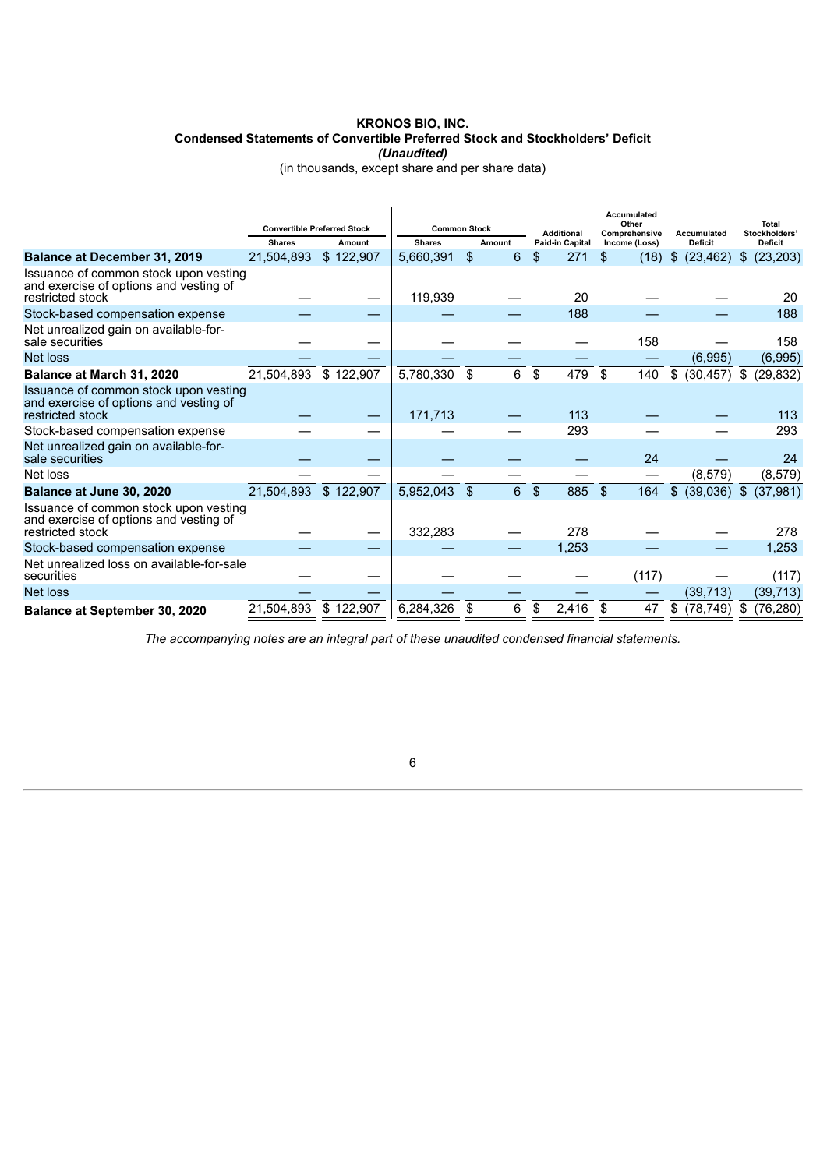# **KRONOS BIO, INC. Condensed Statements of Convertible Preferred Stock and Stockholders' Deficit** *(Unaudited)*

(in thousands, except share and per share data)

|                                                                                                     | <b>Convertible Preferred Stock</b> |           | <b>Common Stock</b> |         | <b>Additional</b>     | <b>Accumulated</b><br>Other<br>Comprehensive | Accumulated     | <b>Total</b><br>Stockholders' |
|-----------------------------------------------------------------------------------------------------|------------------------------------|-----------|---------------------|---------|-----------------------|----------------------------------------------|-----------------|-------------------------------|
|                                                                                                     | <b>Shares</b>                      | Amount    | <b>Shares</b>       | Amount  | Paid-in Capital       | Income (Loss)                                | <b>Deficit</b>  | <b>Deficit</b>                |
| <b>Balance at December 31, 2019</b>                                                                 | 21,504,893                         | \$122,907 | 5,660,391           | \$<br>6 | \$<br>271             | (18)<br>\$.                                  | (23, 462)<br>\$ | (23, 203)<br>\$               |
| Issuance of common stock upon vesting<br>and exercise of options and vesting of<br>restricted stock |                                    |           | 119,939             |         | 20                    |                                              |                 | 20                            |
| Stock-based compensation expense                                                                    |                                    |           |                     |         | 188                   |                                              |                 | 188                           |
| Net unrealized gain on available-for-<br>sale securities                                            |                                    |           |                     |         |                       | 158                                          |                 | 158                           |
| Net loss                                                                                            |                                    |           |                     |         |                       |                                              | (6,995)         | (6,995)                       |
| Balance at March 31, 2020                                                                           | 21,504,893                         | \$122,907 | 5,780,330           | \$<br>6 | \$<br>479             | \$<br>140                                    | (30, 457)<br>\$ | \$<br>(29, 832)               |
| Issuance of common stock upon vesting<br>and exercise of options and vesting of<br>restricted stock |                                    |           | 171,713             |         | 113                   |                                              |                 | 113                           |
| Stock-based compensation expense                                                                    |                                    |           |                     |         | 293                   |                                              |                 | 293                           |
| Net unrealized gain on available-for-<br>sale securities                                            |                                    |           |                     |         |                       | 24                                           |                 | 24                            |
| Net loss                                                                                            |                                    |           |                     |         |                       | —                                            | (8,579)         | (8, 579)                      |
| Balance at June 30, 2020                                                                            | 21,504,893                         | \$122,907 | 5,952,043           | \$<br>6 | $\mathfrak{F}$<br>885 | -\$<br>164                                   | (39,036)<br>\$  | $\mathfrak{F}$<br>(37, 981)   |
| Issuance of common stock upon vesting<br>and exercise of options and vesting of<br>restricted stock |                                    |           | 332,283             |         | 278                   |                                              |                 | 278                           |
| Stock-based compensation expense                                                                    |                                    |           |                     |         | 1,253                 |                                              |                 | 1,253                         |
| Net unrealized loss on available-for-sale<br>securities                                             |                                    |           |                     |         |                       | (117)                                        |                 | (117)                         |
| Net loss                                                                                            |                                    |           |                     |         |                       |                                              | (39, 713)       | (39, 713)                     |
| Balance at September 30, 2020                                                                       | 21,504,893                         | \$122,907 | 6,284,326           | 6       | \$<br>2,416           | 47                                           | (78, 749)<br>\$ | \$<br>(76, 280)               |

<span id="page-5-0"></span>*The accompanying notes are an integral part of these unaudited condensed financial statements.*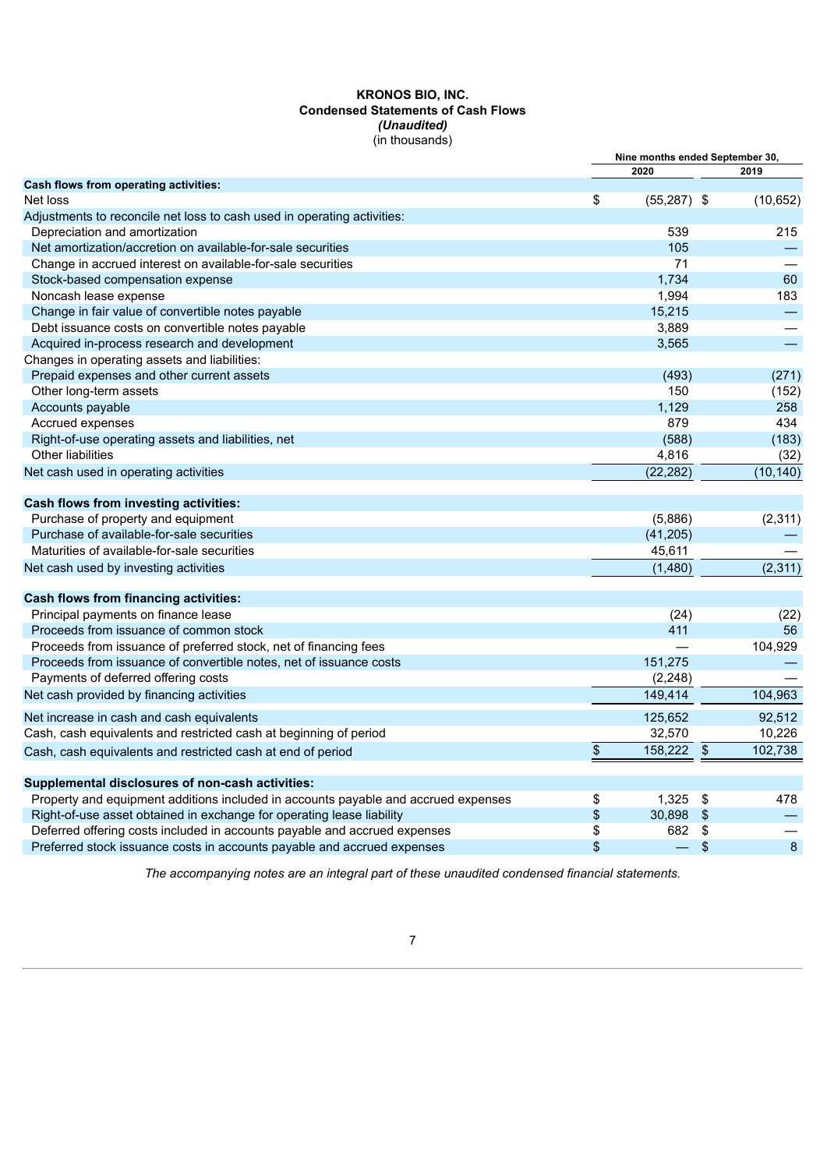# **KRONOS BIO, INC. Condensed Statements of Cash Flows** *(Unaudited)* (in thousands)

|                                                                                    |      | Nine months ended September 30, |                            |           |
|------------------------------------------------------------------------------------|------|---------------------------------|----------------------------|-----------|
|                                                                                    |      | 2020                            |                            | 2019      |
| Cash flows from operating activities:                                              |      |                                 |                            |           |
| Net loss                                                                           | \$   | $(55,287)$ \$                   |                            | (10, 652) |
| Adjustments to reconcile net loss to cash used in operating activities:            |      |                                 |                            |           |
| Depreciation and amortization                                                      |      | 539                             |                            | 215       |
| Net amortization/accretion on available-for-sale securities                        |      | 105                             |                            |           |
| Change in accrued interest on available-for-sale securities                        |      | 71                              |                            |           |
| Stock-based compensation expense                                                   |      | 1,734                           |                            | 60        |
| Noncash lease expense                                                              |      | 1,994                           |                            | 183       |
| Change in fair value of convertible notes payable                                  |      | 15,215                          |                            |           |
| Debt issuance costs on convertible notes payable                                   |      | 3,889                           |                            |           |
| Acquired in-process research and development                                       |      | 3,565                           |                            |           |
| Changes in operating assets and liabilities:                                       |      |                                 |                            |           |
| Prepaid expenses and other current assets                                          |      | (493)                           |                            | (271)     |
| Other long-term assets                                                             |      | 150                             |                            | (152)     |
| Accounts payable                                                                   |      | 1,129                           |                            | 258       |
| Accrued expenses                                                                   |      | 879                             |                            | 434       |
| Right-of-use operating assets and liabilities, net                                 |      | (588)                           |                            | (183)     |
| Other liabilities                                                                  |      | 4,816                           |                            | (32)      |
| Net cash used in operating activities                                              |      | (22, 282)                       |                            | (10, 140) |
| <b>Cash flows from investing activities:</b>                                       |      |                                 |                            |           |
| Purchase of property and equipment                                                 |      | (5,886)                         |                            | (2, 311)  |
| Purchase of available-for-sale securities                                          |      | (41, 205)                       |                            |           |
| Maturities of available-for-sale securities                                        |      | 45,611                          |                            |           |
| Net cash used by investing activities                                              |      | (1,480)                         |                            | (2, 311)  |
|                                                                                    |      |                                 |                            |           |
| Cash flows from financing activities:                                              |      |                                 |                            |           |
| Principal payments on finance lease                                                |      | (24)                            |                            | (22)      |
| Proceeds from issuance of common stock                                             |      | 411                             |                            | 56        |
| Proceeds from issuance of preferred stock, net of financing fees                   |      |                                 |                            | 104,929   |
| Proceeds from issuance of convertible notes, net of issuance costs                 |      | 151,275                         |                            |           |
| Payments of deferred offering costs                                                |      | (2, 248)                        |                            |           |
| Net cash provided by financing activities                                          |      | 149,414                         |                            | 104,963   |
| Net increase in cash and cash equivalents                                          |      | 125,652                         |                            | 92,512    |
| Cash, cash equivalents and restricted cash at beginning of period                  |      | 32,570                          |                            | 10,226    |
| Cash, cash equivalents and restricted cash at end of period                        | $\,$ | 158,222                         | $\boldsymbol{\mathsf{\$}}$ | 102,738   |
| Supplemental disclosures of non-cash activities:                                   |      |                                 |                            |           |
| Property and equipment additions included in accounts payable and accrued expenses | \$   | 1,325                           | \$                         | 478       |
| Right-of-use asset obtained in exchange for operating lease liability              | \$   | 30,898                          | $\mathfrak{F}$             |           |
| Deferred offering costs included in accounts payable and accrued expenses          | \$   | 682                             | \$                         |           |
| Preferred stock issuance costs in accounts payable and accrued expenses            | \$   | $\equiv$                        | \$                         | 8         |
|                                                                                    |      |                                 |                            |           |

<span id="page-6-0"></span>*The accompanying notes are an integral part of these unaudited condensed financial statements.*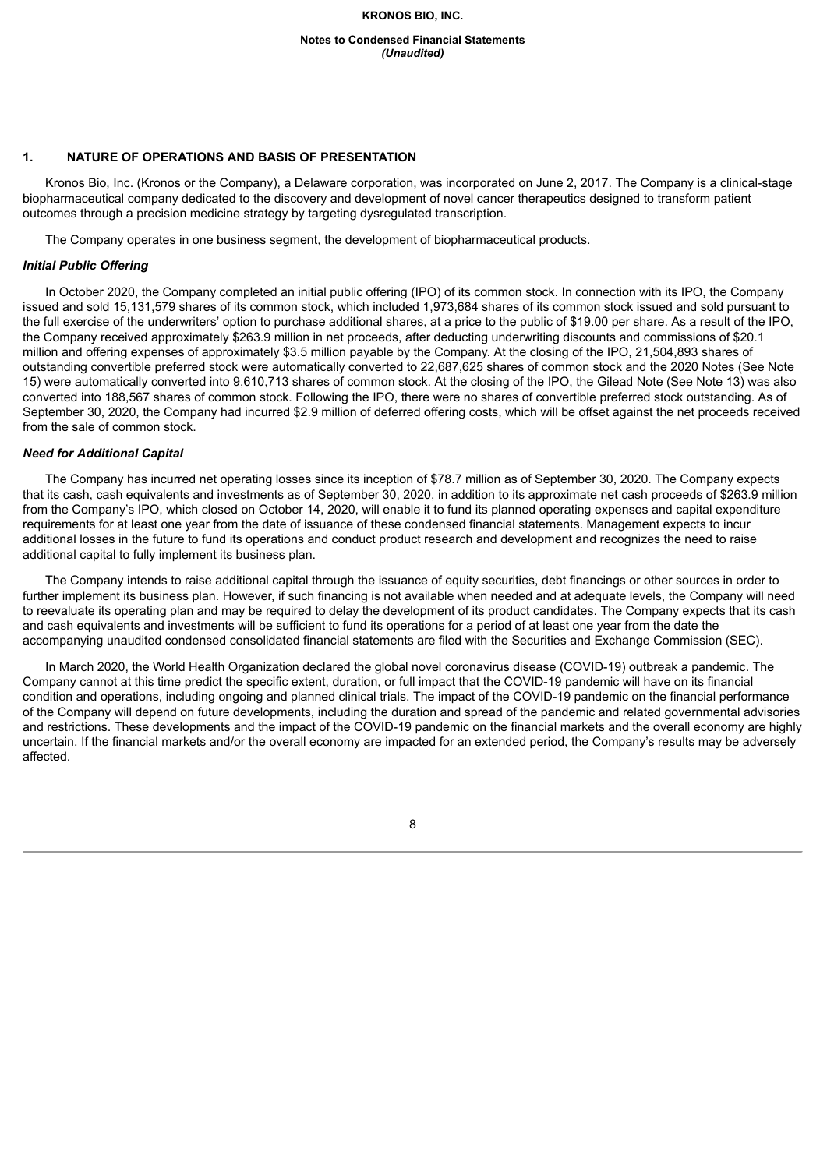**Notes to Condensed Financial Statements** *(Unaudited)*

#### **1. NATURE OF OPERATIONS AND BASIS OF PRESENTATION**

Kronos Bio, Inc. (Kronos or the Company), a Delaware corporation, was incorporated on June 2, 2017. The Company is a clinical-stage biopharmaceutical company dedicated to the discovery and development of novel cancer therapeutics designed to transform patient outcomes through a precision medicine strategy by targeting dysregulated transcription.

The Company operates in one business segment, the development of biopharmaceutical products.

# *Initial Public Offering*

In October 2020, the Company completed an initial public offering (IPO) of its common stock. In connection with its IPO, the Company issued and sold 15,131,579 shares of its common stock, which included 1,973,684 shares of its common stock issued and sold pursuant to the full exercise of the underwriters' option to purchase additional shares, at a price to the public of \$19.00 per share. As a result of the IPO, the Company received approximately \$263.9 million in net proceeds, after deducting underwriting discounts and commissions of \$20.1 million and offering expenses of approximately \$3.5 million payable by the Company. At the closing of the IPO, 21,504,893 shares of outstanding convertible preferred stock were automatically converted to 22,687,625 shares of common stock and the 2020 Notes (See Note 15) were automatically converted into 9,610,713 shares of common stock. At the closing of the IPO, the Gilead Note (See Note 13) was also converted into 188,567 shares of common stock. Following the IPO, there were no shares of convertible preferred stock outstanding. As of September 30, 2020, the Company had incurred \$2.9 million of deferred offering costs, which will be offset against the net proceeds received from the sale of common stock.

#### *Need for Additional Capital*

The Company has incurred net operating losses since its inception of \$78.7 million as of September 30, 2020. The Company expects that its cash, cash equivalents and investments as of September 30, 2020, in addition to its approximate net cash proceeds of \$263.9 million from the Company's IPO, which closed on October 14, 2020, will enable it to fund its planned operating expenses and capital expenditure requirements for at least one year from the date of issuance of these condensed financial statements. Management expects to incur additional losses in the future to fund its operations and conduct product research and development and recognizes the need to raise additional capital to fully implement its business plan.

The Company intends to raise additional capital through the issuance of equity securities, debt financings or other sources in order to further implement its business plan. However, if such financing is not available when needed and at adequate levels, the Company will need to reevaluate its operating plan and may be required to delay the development of its product candidates. The Company expects that its cash and cash equivalents and investments will be sufficient to fund its operations for a period of at least one year from the date the accompanying unaudited condensed consolidated financial statements are filed with the Securities and Exchange Commission (SEC).

In March 2020, the World Health Organization declared the global novel coronavirus disease (COVID-19) outbreak a pandemic. The Company cannot at this time predict the specific extent, duration, or full impact that the COVID-19 pandemic will have on its financial condition and operations, including ongoing and planned clinical trials. The impact of the COVID-19 pandemic on the financial performance of the Company will depend on future developments, including the duration and spread of the pandemic and related governmental advisories and restrictions. These developments and the impact of the COVID-19 pandemic on the financial markets and the overall economy are highly uncertain. If the financial markets and/or the overall economy are impacted for an extended period, the Company's results may be adversely affected.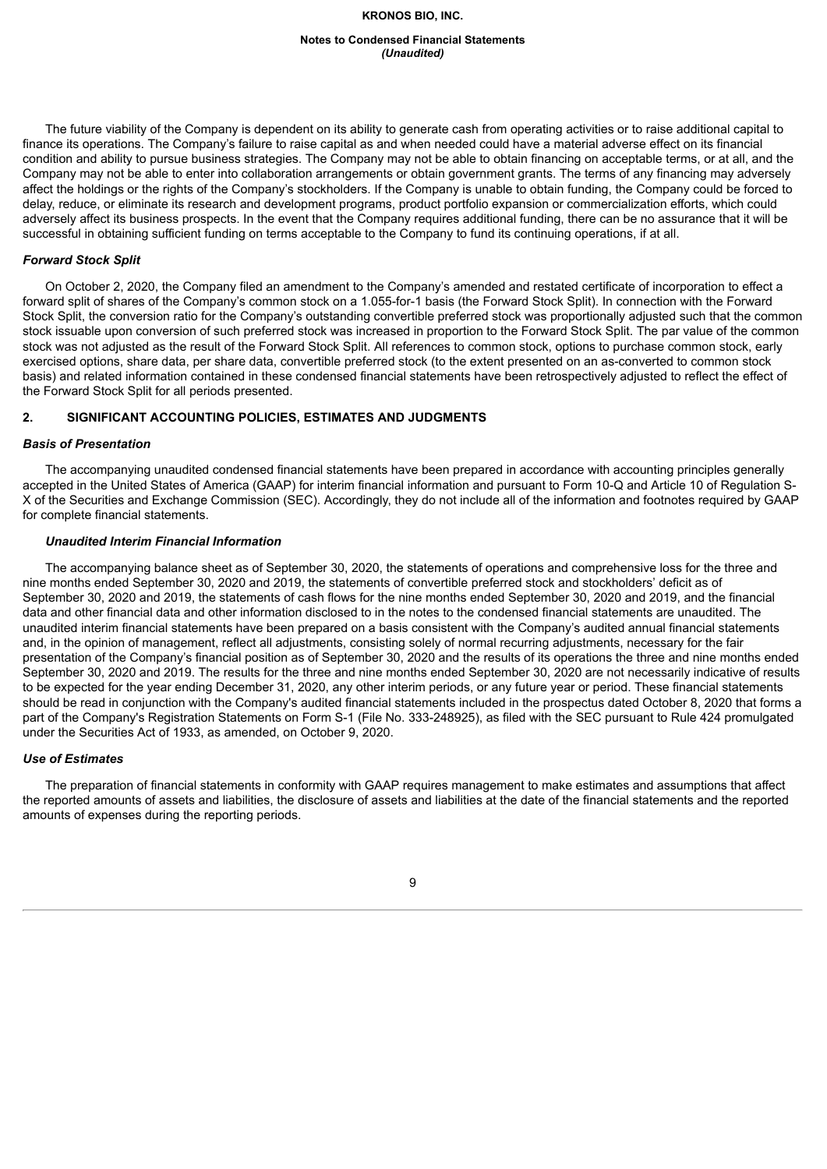#### **Notes to Condensed Financial Statements** *(Unaudited)*

The future viability of the Company is dependent on its ability to generate cash from operating activities or to raise additional capital to finance its operations. The Company's failure to raise capital as and when needed could have a material adverse effect on its financial condition and ability to pursue business strategies. The Company may not be able to obtain financing on acceptable terms, or at all, and the Company may not be able to enter into collaboration arrangements or obtain government grants. The terms of any financing may adversely affect the holdings or the rights of the Company's stockholders. If the Company is unable to obtain funding, the Company could be forced to delay, reduce, or eliminate its research and development programs, product portfolio expansion or commercialization efforts, which could adversely affect its business prospects. In the event that the Company requires additional funding, there can be no assurance that it will be successful in obtaining sufficient funding on terms acceptable to the Company to fund its continuing operations, if at all.

# *Forward Stock Split*

On October 2, 2020, the Company filed an amendment to the Company's amended and restated certificate of incorporation to effect a forward split of shares of the Company's common stock on a 1.055-for-1 basis (the Forward Stock Split). In connection with the Forward Stock Split, the conversion ratio for the Company's outstanding convertible preferred stock was proportionally adjusted such that the common stock issuable upon conversion of such preferred stock was increased in proportion to the Forward Stock Split. The par value of the common stock was not adjusted as the result of the Forward Stock Split. All references to common stock, options to purchase common stock, early exercised options, share data, per share data, convertible preferred stock (to the extent presented on an as-converted to common stock basis) and related information contained in these condensed financial statements have been retrospectively adjusted to reflect the effect of the Forward Stock Split for all periods presented.

# **2. SIGNIFICANT ACCOUNTING POLICIES, ESTIMATES AND JUDGMENTS**

#### *Basis of Presentation*

The accompanying unaudited condensed financial statements have been prepared in accordance with accounting principles generally accepted in the United States of America (GAAP) for interim financial information and pursuant to Form 10-Q and Article 10 of Regulation S-X of the Securities and Exchange Commission (SEC). Accordingly, they do not include all of the information and footnotes required by GAAP for complete financial statements.

#### *Unaudited Interim Financial Information*

The accompanying balance sheet as of September 30, 2020, the statements of operations and comprehensive loss for the three and nine months ended September 30, 2020 and 2019, the statements of convertible preferred stock and stockholders' deficit as of September 30, 2020 and 2019, the statements of cash flows for the nine months ended September 30, 2020 and 2019, and the financial data and other financial data and other information disclosed to in the notes to the condensed financial statements are unaudited. The unaudited interim financial statements have been prepared on a basis consistent with the Company's audited annual financial statements and, in the opinion of management, reflect all adjustments, consisting solely of normal recurring adjustments, necessary for the fair presentation of the Company's financial position as of September 30, 2020 and the results of its operations the three and nine months ended September 30, 2020 and 2019. The results for the three and nine months ended September 30, 2020 are not necessarily indicative of results to be expected for the year ending December 31, 2020, any other interim periods, or any future year or period. These financial statements should be read in conjunction with the Company's audited financial statements included in the prospectus dated October 8, 2020 that forms a part of the Company's Registration Statements on Form S-1 (File No. 333-248925), as filed with the SEC pursuant to Rule 424 promulgated under the Securities Act of 1933, as amended, on October 9, 2020.

#### *Use of Estimates*

The preparation of financial statements in conformity with GAAP requires management to make estimates and assumptions that affect the reported amounts of assets and liabilities, the disclosure of assets and liabilities at the date of the financial statements and the reported amounts of expenses during the reporting periods.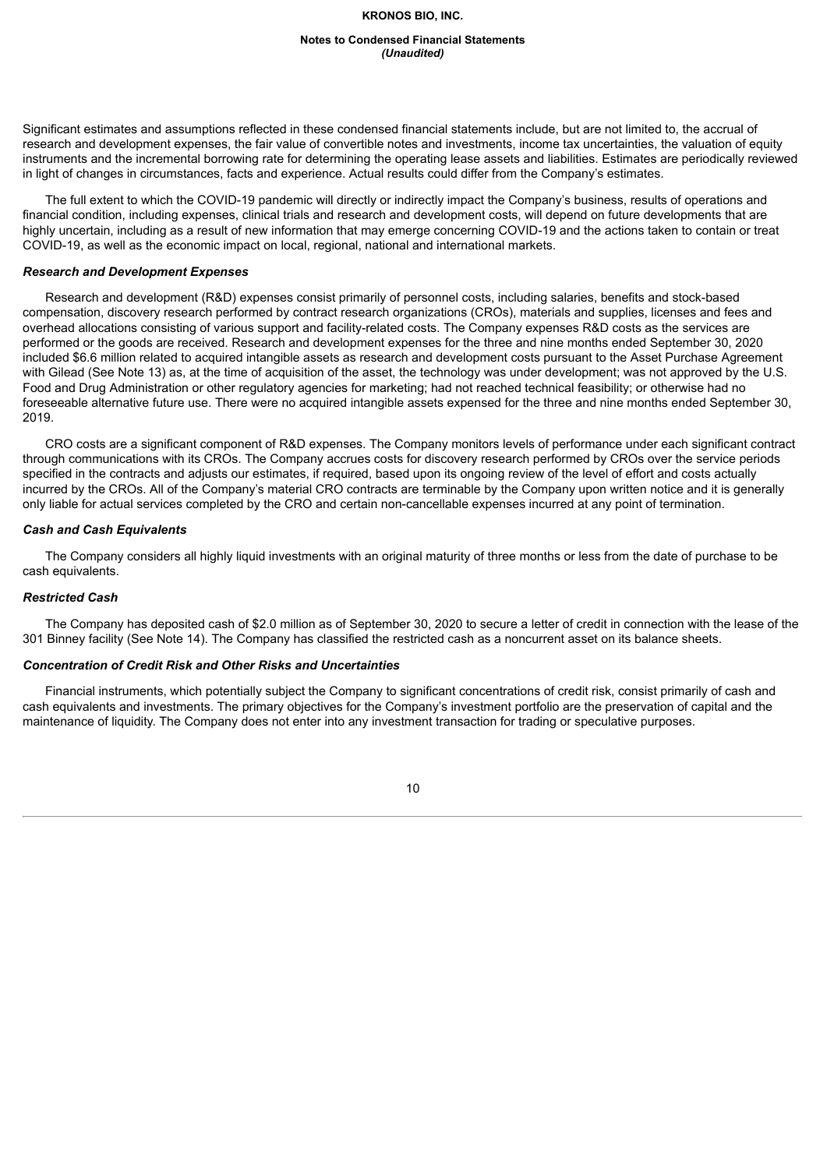#### **Notes to Condensed Financial Statements** *(Unaudited)*

Significant estimates and assumptions reflected in these condensed financial statements include, but are not limited to, the accrual of research and development expenses, the fair value of convertible notes and investments, income tax uncertainties, the valuation of equity instruments and the incremental borrowing rate for determining the operating lease assets and liabilities. Estimates are periodically reviewed in light of changes in circumstances, facts and experience. Actual results could differ from the Company's estimates.

The full extent to which the COVID-19 pandemic will directly or indirectly impact the Company's business, results of operations and financial condition, including expenses, clinical trials and research and development costs, will depend on future developments that are highly uncertain, including as a result of new information that may emerge concerning COVID-19 and the actions taken to contain or treat COVID-19, as well as the economic impact on local, regional, national and international markets.

#### *Research and Development Expenses*

Research and development (R&D) expenses consist primarily of personnel costs, including salaries, benefits and stock-based compensation, discovery research performed by contract research organizations (CROs), materials and supplies, licenses and fees and overhead allocations consisting of various support and facility-related costs. The Company expenses R&D costs as the services are performed or the goods are received. Research and development expenses for the three and nine months ended September 30, 2020 included \$6.6 million related to acquired intangible assets as research and development costs pursuant to the Asset Purchase Agreement with Gilead (See Note 13) as, at the time of acquisition of the asset, the technology was under development; was not approved by the U.S. Food and Drug Administration or other regulatory agencies for marketing; had not reached technical feasibility; or otherwise had no foreseeable alternative future use. There were no acquired intangible assets expensed for the three and nine months ended September 30, 2019.

CRO costs are a significant component of R&D expenses. The Company monitors levels of performance under each significant contract through communications with its CROs. The Company accrues costs for discovery research performed by CROs over the service periods specified in the contracts and adjusts our estimates, if required, based upon its ongoing review of the level of effort and costs actually incurred by the CROs. All of the Company's material CRO contracts are terminable by the Company upon written notice and it is generally only liable for actual services completed by the CRO and certain non-cancellable expenses incurred at any point of termination.

#### *Cash and Cash Equivalents*

The Company considers all highly liquid investments with an original maturity of three months or less from the date of purchase to be cash equivalents.

#### *Restricted Cash*

The Company has deposited cash of \$2.0 million as of September 30, 2020 to secure a letter of credit in connection with the lease of the 301 Binney facility (See Note 14). The Company has classified the restricted cash as a noncurrent asset on its balance sheets.

# *Concentration of Credit Risk and Other Risks and Uncertainties*

Financial instruments, which potentially subject the Company to significant concentrations of credit risk, consist primarily of cash and cash equivalents and investments. The primary objectives for the Company's investment portfolio are the preservation of capital and the maintenance of liquidity. The Company does not enter into any investment transaction for trading or speculative purposes.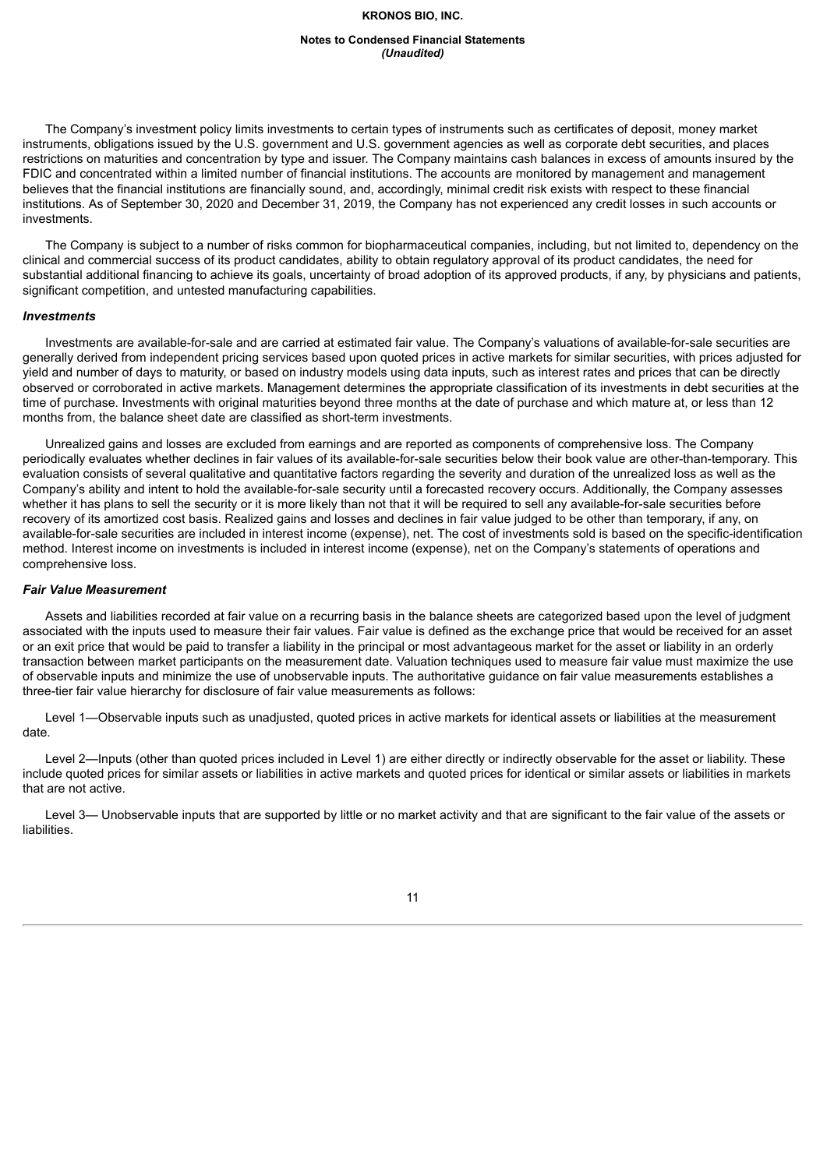#### **Notes to Condensed Financial Statements** *(Unaudited)*

The Company's investment policy limits investments to certain types of instruments such as certificates of deposit, money market instruments, obligations issued by the U.S. government and U.S. government agencies as well as corporate debt securities, and places restrictions on maturities and concentration by type and issuer. The Company maintains cash balances in excess of amounts insured by the FDIC and concentrated within a limited number of financial institutions. The accounts are monitored by management and management believes that the financial institutions are financially sound, and, accordingly, minimal credit risk exists with respect to these financial institutions. As of September 30, 2020 and December 31, 2019, the Company has not experienced any credit losses in such accounts or investments.

The Company is subject to a number of risks common for biopharmaceutical companies, including, but not limited to, dependency on the clinical and commercial success of its product candidates, ability to obtain regulatory approval of its product candidates, the need for substantial additional financing to achieve its goals, uncertainty of broad adoption of its approved products, if any, by physicians and patients, significant competition, and untested manufacturing capabilities.

#### *Investments*

Investments are available-for-sale and are carried at estimated fair value. The Company's valuations of available-for-sale securities are generally derived from independent pricing services based upon quoted prices in active markets for similar securities, with prices adjusted for yield and number of days to maturity, or based on industry models using data inputs, such as interest rates and prices that can be directly observed or corroborated in active markets. Management determines the appropriate classification of its investments in debt securities at the time of purchase. Investments with original maturities beyond three months at the date of purchase and which mature at, or less than 12 months from, the balance sheet date are classified as short-term investments.

Unrealized gains and losses are excluded from earnings and are reported as components of comprehensive loss. The Company periodically evaluates whether declines in fair values of its available-for-sale securities below their book value are other-than-temporary. This evaluation consists of several qualitative and quantitative factors regarding the severity and duration of the unrealized loss as well as the Company's ability and intent to hold the available-for-sale security until a forecasted recovery occurs. Additionally, the Company assesses whether it has plans to sell the security or it is more likely than not that it will be required to sell any available-for-sale securities before recovery of its amortized cost basis. Realized gains and losses and declines in fair value judged to be other than temporary, if any, on available-for-sale securities are included in interest income (expense), net. The cost of investments sold is based on the specific-identification method. Interest income on investments is included in interest income (expense), net on the Company's statements of operations and comprehensive loss.

#### *Fair Value Measurement*

Assets and liabilities recorded at fair value on a recurring basis in the balance sheets are categorized based upon the level of judgment associated with the inputs used to measure their fair values. Fair value is defined as the exchange price that would be received for an asset or an exit price that would be paid to transfer a liability in the principal or most advantageous market for the asset or liability in an orderly transaction between market participants on the measurement date. Valuation techniques used to measure fair value must maximize the use of observable inputs and minimize the use of unobservable inputs. The authoritative guidance on fair value measurements establishes a three-tier fair value hierarchy for disclosure of fair value measurements as follows:

Level 1—Observable inputs such as unadjusted, quoted prices in active markets for identical assets or liabilities at the measurement date.

Level 2—Inputs (other than quoted prices included in Level 1) are either directly or indirectly observable for the asset or liability. These include quoted prices for similar assets or liabilities in active markets and quoted prices for identical or similar assets or liabilities in markets that are not active.

Level 3— Unobservable inputs that are supported by little or no market activity and that are significant to the fair value of the assets or liabilities.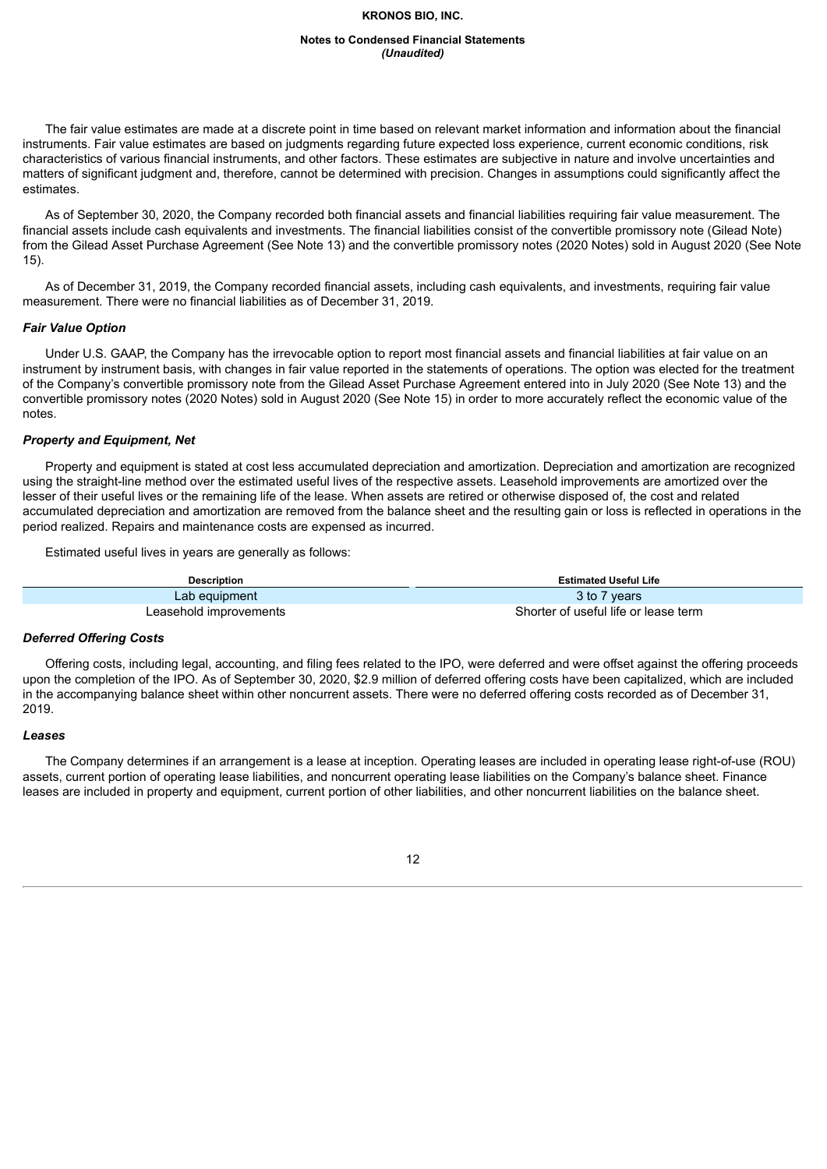#### **Notes to Condensed Financial Statements** *(Unaudited)*

The fair value estimates are made at a discrete point in time based on relevant market information and information about the financial instruments. Fair value estimates are based on judgments regarding future expected loss experience, current economic conditions, risk characteristics of various financial instruments, and other factors. These estimates are subjective in nature and involve uncertainties and matters of significant judgment and, therefore, cannot be determined with precision. Changes in assumptions could significantly affect the estimates.

As of September 30, 2020, the Company recorded both financial assets and financial liabilities requiring fair value measurement. The financial assets include cash equivalents and investments. The financial liabilities consist of the convertible promissory note (Gilead Note) from the Gilead Asset Purchase Agreement (See Note 13) and the convertible promissory notes (2020 Notes) sold in August 2020 (See Note 15).

As of December 31, 2019, the Company recorded financial assets, including cash equivalents, and investments, requiring fair value measurement. There were no financial liabilities as of December 31, 2019.

#### *Fair Value Option*

Under U.S. GAAP, the Company has the irrevocable option to report most financial assets and financial liabilities at fair value on an instrument by instrument basis, with changes in fair value reported in the statements of operations. The option was elected for the treatment of the Company's convertible promissory note from the Gilead Asset Purchase Agreement entered into in July 2020 (See Note 13) and the convertible promissory notes (2020 Notes) sold in August 2020 (See Note 15) in order to more accurately reflect the economic value of the notes.

#### *Property and Equipment, Net*

Property and equipment is stated at cost less accumulated depreciation and amortization. Depreciation and amortization are recognized using the straight-line method over the estimated useful lives of the respective assets. Leasehold improvements are amortized over the lesser of their useful lives or the remaining life of the lease. When assets are retired or otherwise disposed of, the cost and related accumulated depreciation and amortization are removed from the balance sheet and the resulting gain or loss is reflected in operations in the period realized. Repairs and maintenance costs are expensed as incurred.

Estimated useful lives in years are generally as follows:

| <b>Description</b>     | <b>Estimated Useful Life</b>         |
|------------------------|--------------------------------------|
| Lab equipment          | 3 to 7 years                         |
| Leasehold improvements | Shorter of useful life or lease term |

#### *Deferred Offering Costs*

Offering costs, including legal, accounting, and filing fees related to the IPO, were deferred and were offset against the offering proceeds upon the completion of the IPO. As of September 30, 2020, \$2.9 million of deferred offering costs have been capitalized, which are included in the accompanying balance sheet within other noncurrent assets. There were no deferred offering costs recorded as of December 31, 2019.

#### *Leases*

The Company determines if an arrangement is a lease at inception. Operating leases are included in operating lease right-of-use (ROU) assets, current portion of operating lease liabilities, and noncurrent operating lease liabilities on the Company's balance sheet. Finance leases are included in property and equipment, current portion of other liabilities, and other noncurrent liabilities on the balance sheet.

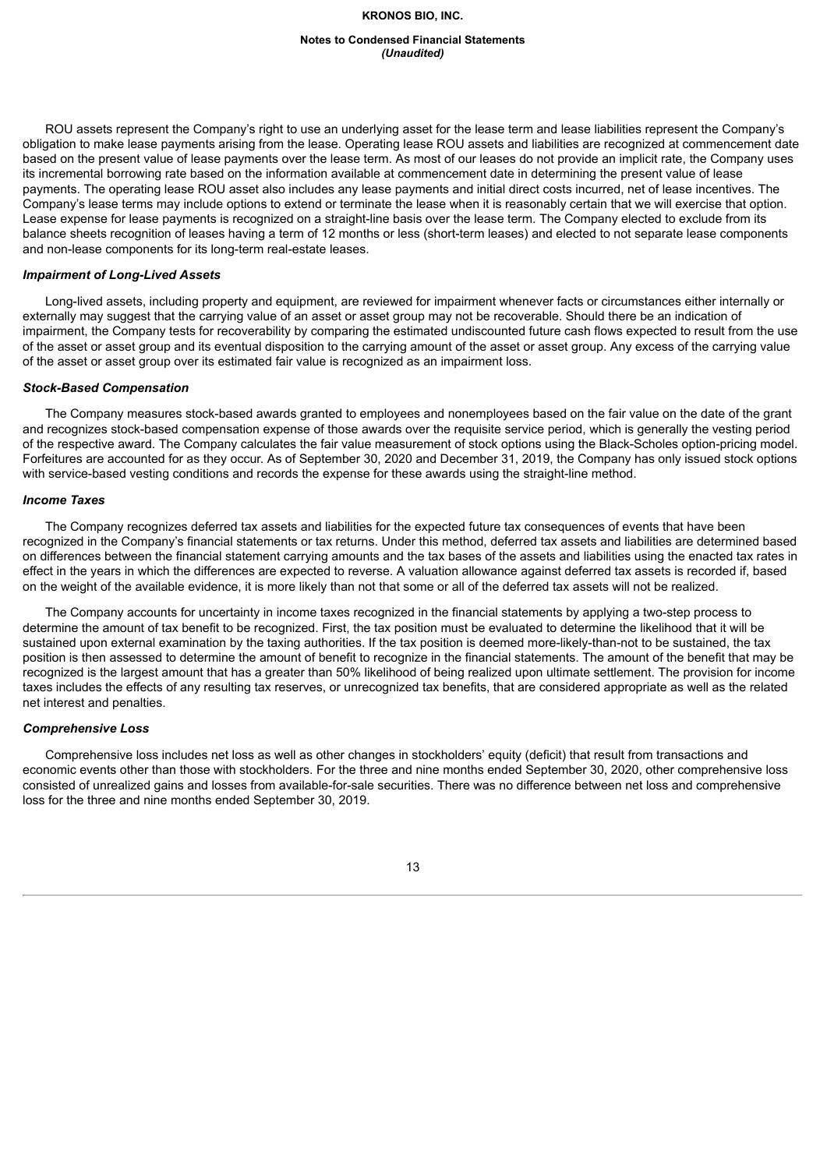#### **Notes to Condensed Financial Statements** *(Unaudited)*

ROU assets represent the Company's right to use an underlying asset for the lease term and lease liabilities represent the Company's obligation to make lease payments arising from the lease. Operating lease ROU assets and liabilities are recognized at commencement date based on the present value of lease payments over the lease term. As most of our leases do not provide an implicit rate, the Company uses its incremental borrowing rate based on the information available at commencement date in determining the present value of lease payments. The operating lease ROU asset also includes any lease payments and initial direct costs incurred, net of lease incentives. The Company's lease terms may include options to extend or terminate the lease when it is reasonably certain that we will exercise that option. Lease expense for lease payments is recognized on a straight-line basis over the lease term. The Company elected to exclude from its balance sheets recognition of leases having a term of 12 months or less (short-term leases) and elected to not separate lease components and non-lease components for its long-term real-estate leases.

#### *Impairment of Long-Lived Assets*

Long-lived assets, including property and equipment, are reviewed for impairment whenever facts or circumstances either internally or externally may suggest that the carrying value of an asset or asset group may not be recoverable. Should there be an indication of impairment, the Company tests for recoverability by comparing the estimated undiscounted future cash flows expected to result from the use of the asset or asset group and its eventual disposition to the carrying amount of the asset or asset group. Any excess of the carrying value of the asset or asset group over its estimated fair value is recognized as an impairment loss.

#### *Stock-Based Compensation*

The Company measures stock-based awards granted to employees and nonemployees based on the fair value on the date of the grant and recognizes stock-based compensation expense of those awards over the requisite service period, which is generally the vesting period of the respective award. The Company calculates the fair value measurement of stock options using the Black-Scholes option-pricing model. Forfeitures are accounted for as they occur. As of September 30, 2020 and December 31, 2019, the Company has only issued stock options with service-based vesting conditions and records the expense for these awards using the straight-line method.

#### *Income Taxes*

The Company recognizes deferred tax assets and liabilities for the expected future tax consequences of events that have been recognized in the Company's financial statements or tax returns. Under this method, deferred tax assets and liabilities are determined based on differences between the financial statement carrying amounts and the tax bases of the assets and liabilities using the enacted tax rates in effect in the years in which the differences are expected to reverse. A valuation allowance against deferred tax assets is recorded if, based on the weight of the available evidence, it is more likely than not that some or all of the deferred tax assets will not be realized.

The Company accounts for uncertainty in income taxes recognized in the financial statements by applying a two-step process to determine the amount of tax benefit to be recognized. First, the tax position must be evaluated to determine the likelihood that it will be sustained upon external examination by the taxing authorities. If the tax position is deemed more-likely-than-not to be sustained, the tax position is then assessed to determine the amount of benefit to recognize in the financial statements. The amount of the benefit that may be recognized is the largest amount that has a greater than 50% likelihood of being realized upon ultimate settlement. The provision for income taxes includes the effects of any resulting tax reserves, or unrecognized tax benefits, that are considered appropriate as well as the related net interest and penalties.

#### *Comprehensive Loss*

Comprehensive loss includes net loss as well as other changes in stockholders' equity (deficit) that result from transactions and economic events other than those with stockholders. For the three and nine months ended September 30, 2020, other comprehensive loss consisted of unrealized gains and losses from available-for-sale securities. There was no difference between net loss and comprehensive loss for the three and nine months ended September 30, 2019.

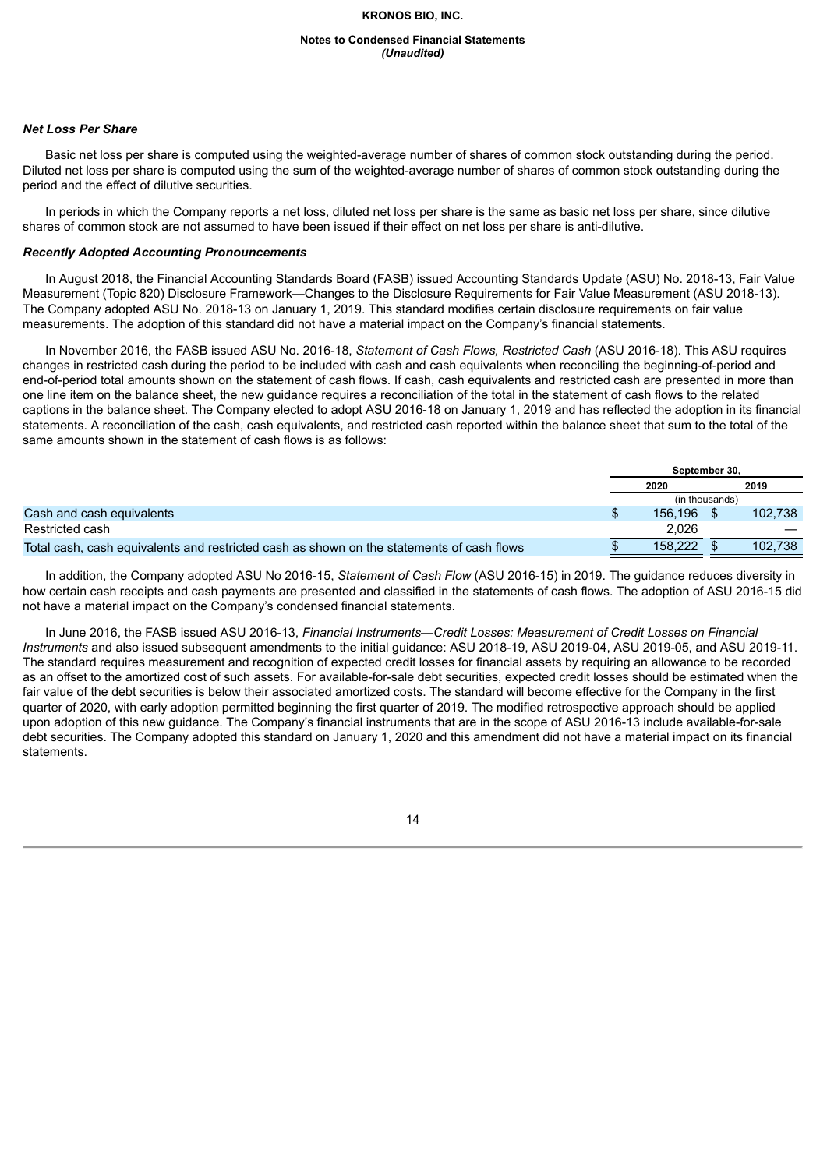#### **Notes to Condensed Financial Statements** *(Unaudited)*

# *Net Loss Per Share*

Basic net loss per share is computed using the weighted-average number of shares of common stock outstanding during the period. Diluted net loss per share is computed using the sum of the weighted-average number of shares of common stock outstanding during the period and the effect of dilutive securities.

In periods in which the Company reports a net loss, diluted net loss per share is the same as basic net loss per share, since dilutive shares of common stock are not assumed to have been issued if their effect on net loss per share is anti-dilutive.

#### *Recently Adopted Accounting Pronouncements*

In August 2018, the Financial Accounting Standards Board (FASB) issued Accounting Standards Update (ASU) No. 2018-13, Fair Value Measurement (Topic 820) Disclosure Framework—Changes to the Disclosure Requirements for Fair Value Measurement (ASU 2018-13). The Company adopted ASU No. 2018-13 on January 1, 2019. This standard modifies certain disclosure requirements on fair value measurements. The adoption of this standard did not have a material impact on the Company's financial statements.

In November 2016, the FASB issued ASU No. 2016-18, *Statement of Cash Flows, Restricted Cash* (ASU 2016-18). This ASU requires changes in restricted cash during the period to be included with cash and cash equivalents when reconciling the beginning-of-period and end-of-period total amounts shown on the statement of cash flows. If cash, cash equivalents and restricted cash are presented in more than one line item on the balance sheet, the new guidance requires a reconciliation of the total in the statement of cash flows to the related captions in the balance sheet. The Company elected to adopt ASU 2016-18 on January 1, 2019 and has reflected the adoption in its financial statements. A reconciliation of the cash, cash equivalents, and restricted cash reported within the balance sheet that sum to the total of the same amounts shown in the statement of cash flows is as follows:

|                                                                                           | September 30.  |         |
|-------------------------------------------------------------------------------------------|----------------|---------|
|                                                                                           | 2020           | 2019    |
|                                                                                           | (in thousands) |         |
| Cash and cash equivalents                                                                 | 156.196        | 102.738 |
| Restricted cash                                                                           | 2.026          | __      |
| Total cash, cash equivalents and restricted cash as shown on the statements of cash flows | 158,222        | 102.738 |

In addition, the Company adopted ASU No 2016-15, *Statement of Cash Flow* (ASU 2016-15) in 2019. The guidance reduces diversity in how certain cash receipts and cash payments are presented and classified in the statements of cash flows. The adoption of ASU 2016-15 did not have a material impact on the Company's condensed financial statements.

In June 2016, the FASB issued ASU 2016-13, *Financial Instruments—Credit Losses: Measurement of Credit Losses on Financial Instruments* and also issued subsequent amendments to the initial guidance: ASU 2018-19, ASU 2019-04, ASU 2019-05, and ASU 2019-11. The standard requires measurement and recognition of expected credit losses for financial assets by requiring an allowance to be recorded as an offset to the amortized cost of such assets. For available-for-sale debt securities, expected credit losses should be estimated when the fair value of the debt securities is below their associated amortized costs. The standard will become effective for the Company in the first quarter of 2020, with early adoption permitted beginning the first quarter of 2019. The modified retrospective approach should be applied upon adoption of this new guidance. The Company's financial instruments that are in the scope of ASU 2016-13 include available-for-sale debt securities. The Company adopted this standard on January 1, 2020 and this amendment did not have a material impact on its financial statements.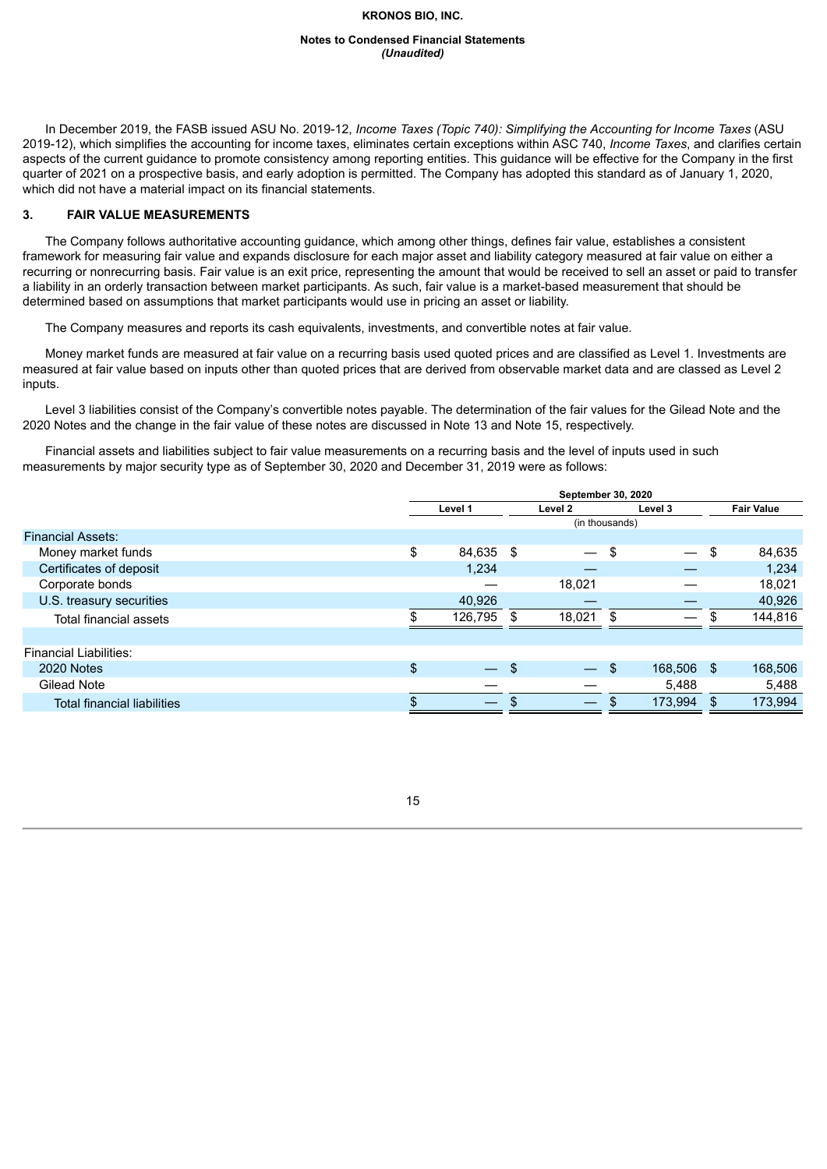#### **Notes to Condensed Financial Statements** *(Unaudited)*

In December 2019, the FASB issued ASU No. 2019-12, *Income Taxes (Topic 740): Simplifying the Accounting for Income Taxes* (ASU 2019-12), which simplifies the accounting for income taxes, eliminates certain exceptions within ASC 740, *Income Taxes*, and clarifies certain aspects of the current guidance to promote consistency among reporting entities. This guidance will be effective for the Company in the first quarter of 2021 on a prospective basis, and early adoption is permitted. The Company has adopted this standard as of January 1, 2020, which did not have a material impact on its financial statements.

# **3. FAIR VALUE MEASUREMENTS**

The Company follows authoritative accounting guidance, which among other things, defines fair value, establishes a consistent framework for measuring fair value and expands disclosure for each major asset and liability category measured at fair value on either a recurring or nonrecurring basis. Fair value is an exit price, representing the amount that would be received to sell an asset or paid to transfer a liability in an orderly transaction between market participants. As such, fair value is a market-based measurement that should be determined based on assumptions that market participants would use in pricing an asset or liability.

The Company measures and reports its cash equivalents, investments, and convertible notes at fair value.

Money market funds are measured at fair value on a recurring basis used quoted prices and are classified as Level 1. Investments are measured at fair value based on inputs other than quoted prices that are derived from observable market data and are classed as Level 2 inputs.

Level 3 liabilities consist of the Company's convertible notes payable. The determination of the fair values for the Gilead Note and the 2020 Notes and the change in the fair value of these notes are discussed in Note 13 and Note 15, respectively.

Financial assets and liabilities subject to fair value measurements on a recurring basis and the level of inputs used in such measurements by major security type as of September 30, 2020 and December 31, 2019 were as follows:

|                                    | September 30, 2020 |                          |     |                          |     |            |     |                   |
|------------------------------------|--------------------|--------------------------|-----|--------------------------|-----|------------|-----|-------------------|
|                                    |                    | Level 1                  |     | Level 2                  |     | Level 3    |     | <b>Fair Value</b> |
|                                    |                    |                          |     | (in thousands)           |     |            |     |                   |
| <b>Financial Assets:</b>           |                    |                          |     |                          |     |            |     |                   |
| Money market funds                 | \$                 | 84,635 \$                |     | $\qquad \qquad -$        | -\$ |            | \$  | 84,635            |
| Certificates of deposit            |                    | 1,234                    |     |                          |     |            |     | 1,234             |
| Corporate bonds                    |                    |                          |     | 18.021                   |     |            |     | 18.021            |
| U.S. treasury securities           |                    | 40,926                   |     |                          |     |            |     | 40,926            |
| Total financial assets             |                    | 126,795                  | \$. | 18,021                   |     |            | \$  | 144,816           |
|                                    |                    |                          |     |                          |     |            |     |                   |
| <b>Financial Liabilities:</b>      |                    |                          |     |                          |     |            |     |                   |
| 2020 Notes                         | \$                 | $\overline{\phantom{a}}$ | \$  | $\overline{\phantom{0}}$ | \$  | 168,506 \$ |     | 168,506           |
| Gilead Note                        |                    |                          |     |                          |     | 5,488      |     | 5,488             |
| <b>Total financial liabilities</b> | \$                 |                          |     | $\overline{\phantom{0}}$ |     | 173,994    | \$. | 173,994           |
|                                    |                    |                          |     |                          |     |            |     |                   |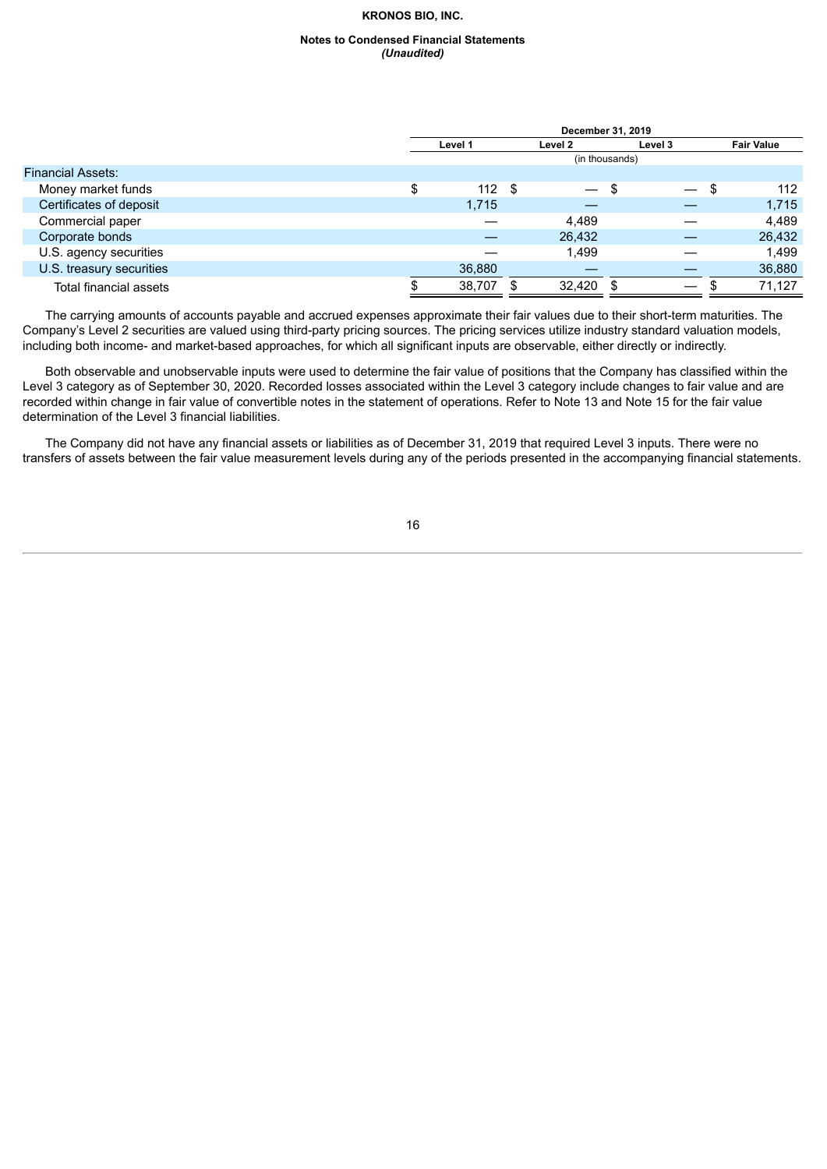#### **Notes to Condensed Financial Statements** *(Unaudited)*

|                          | December 31, 2019 |         |    |                          |                |         |    |                   |
|--------------------------|-------------------|---------|----|--------------------------|----------------|---------|----|-------------------|
|                          |                   | Level 1 |    | Level 2                  |                | Level 3 |    | <b>Fair Value</b> |
|                          |                   |         |    |                          | (in thousands) |         |    |                   |
| <b>Financial Assets:</b> |                   |         |    |                          |                |         |    |                   |
| Money market funds       | Φ<br>J            | 112     | \$ | $\overline{\phantom{0}}$ | - \$           |         | \$ | 112               |
| Certificates of deposit  |                   | 1,715   |    |                          |                |         |    | 1,715             |
| Commercial paper         |                   |         |    | 4.489                    |                |         |    | 4.489             |
| Corporate bonds          |                   |         |    | 26,432                   |                |         |    | 26,432            |
| U.S. agency securities   |                   |         |    | 1.499                    |                |         |    | 1.499             |
| U.S. treasury securities |                   | 36,880  |    |                          |                |         |    | 36,880            |
| Total financial assets   |                   | 38,707  |    | $32,420$ \$              |                |         |    | 71,127            |

The carrying amounts of accounts payable and accrued expenses approximate their fair values due to their short-term maturities. The Company's Level 2 securities are valued using third-party pricing sources. The pricing services utilize industry standard valuation models, including both income- and market-based approaches, for which all significant inputs are observable, either directly or indirectly.

Both observable and unobservable inputs were used to determine the fair value of positions that the Company has classified within the Level 3 category as of September 30, 2020. Recorded losses associated within the Level 3 category include changes to fair value and are recorded within change in fair value of convertible notes in the statement of operations. Refer to Note 13 and Note 15 for the fair value determination of the Level 3 financial liabilities.

The Company did not have any financial assets or liabilities as of December 31, 2019 that required Level 3 inputs. There were no transfers of assets between the fair value measurement levels during any of the periods presented in the accompanying financial statements.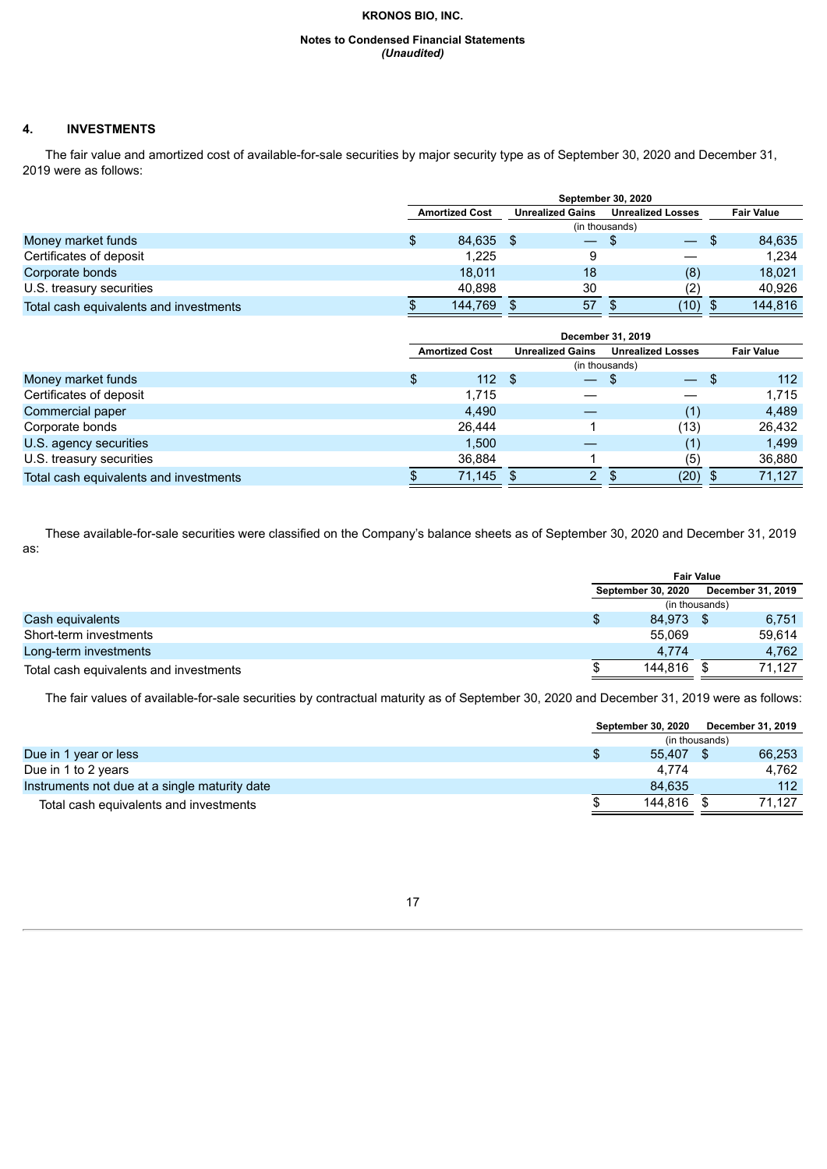#### **Notes to Condensed Financial Statements** *(Unaudited)*

# **4. INVESTMENTS**

The fair value and amortized cost of available-for-sale securities by major security type as of September 30, 2020 and December 31, 2019 were as follows:

|                                        | <b>September 30, 2020</b> |         |                         |    |                          |      |      |                   |  |
|----------------------------------------|---------------------------|---------|-------------------------|----|--------------------------|------|------|-------------------|--|
|                                        | <b>Amortized Cost</b>     |         | <b>Unrealized Gains</b> |    | <b>Unrealized Losses</b> |      |      | <b>Fair Value</b> |  |
|                                        |                           |         |                         |    | (in thousands)           |      |      |                   |  |
| Money market funds                     |                           | 84,635  |                         |    | - \$                     |      | - \$ | 84,635            |  |
| Certificates of deposit                |                           | 1.225   |                         |    |                          |      |      | 1.234             |  |
| Corporate bonds                        |                           | 18.011  |                         | 18 |                          | (8)  |      | 18.021            |  |
| U.S. treasury securities               |                           | 40.898  |                         | 30 |                          | (2)  |      | 40.926            |  |
| Total cash equivalents and investments |                           | 144.769 |                         | 57 |                          | (10) | - \$ | 144.816           |  |

|                                        | December 31, 2019     |        |                         |                          |                          |      |      |                   |
|----------------------------------------|-----------------------|--------|-------------------------|--------------------------|--------------------------|------|------|-------------------|
|                                        | <b>Amortized Cost</b> |        | <b>Unrealized Gains</b> |                          | <b>Unrealized Losses</b> |      |      | <b>Fair Value</b> |
|                                        |                       |        |                         |                          | (in thousands)           |      |      |                   |
| Money market funds                     | \$                    | 112    | - \$                    | $\overline{\phantom{0}}$ | - 5                      |      | - \$ | 112               |
| Certificates of deposit                |                       | 1.715  |                         |                          |                          |      |      | 1.715             |
| Commercial paper                       |                       | 4,490  |                         |                          |                          | (1)  |      | 4,489             |
| Corporate bonds                        |                       | 26.444 |                         |                          |                          | (13) |      | 26,432            |
| U.S. agency securities                 |                       | 1.500  |                         |                          |                          | (1)  |      | 1,499             |
| U.S. treasury securities               |                       | 36.884 |                         |                          |                          | (5)  |      | 36,880            |
| Total cash equivalents and investments |                       | 71,145 |                         | $\overline{2}$           | $\mathbf{3}$             | (20) |      | 71.127            |

These available-for-sale securities were classified on the Company's balance sheets as of September 30, 2020 and December 31, 2019 as:

|                                        | <b>Fair Value</b> |                           |                |                   |  |
|----------------------------------------|-------------------|---------------------------|----------------|-------------------|--|
|                                        |                   | <b>September 30, 2020</b> |                | December 31, 2019 |  |
|                                        |                   |                           | (in thousands) |                   |  |
| Cash equivalents                       |                   | 84.973 \$                 |                | 6.751             |  |
| Short-term investments                 |                   | 55.069                    |                | 59.614            |  |
| Long-term investments                  |                   | 4.774                     |                | 4.762             |  |
| Total cash equivalents and investments |                   | 144.816                   |                | 71.127            |  |

The fair values of available-for-sale securities by contractual maturity as of September 30, 2020 and December 31, 2019 were as follows:

|                                               | <b>September 30, 2020</b> |                | December 31, 2019 |
|-----------------------------------------------|---------------------------|----------------|-------------------|
|                                               |                           | (in thousands) |                   |
| Due in 1 year or less                         | 55.407                    |                | 66,253            |
| Due in 1 to 2 years                           | 4.774                     |                | 4.762             |
| Instruments not due at a single maturity date | 84.635                    |                | 112               |
| Total cash equivalents and investments        | 144.816                   |                | 71.127            |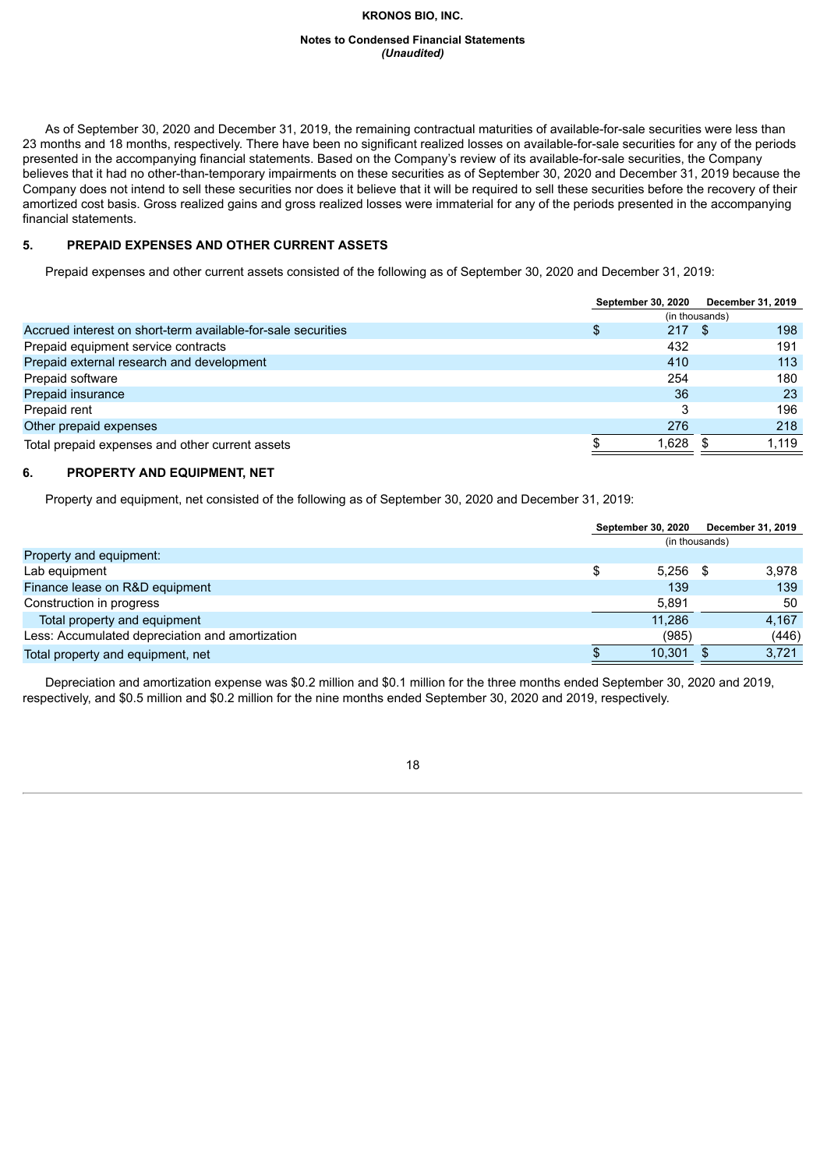#### **Notes to Condensed Financial Statements** *(Unaudited)*

As of September 30, 2020 and December 31, 2019, the remaining contractual maturities of available-for-sale securities were less than 23 months and 18 months, respectively. There have been no significant realized losses on available-for-sale securities for any of the periods presented in the accompanying financial statements. Based on the Company's review of its available-for-sale securities, the Company believes that it had no other-than-temporary impairments on these securities as of September 30, 2020 and December 31, 2019 because the Company does not intend to sell these securities nor does it believe that it will be required to sell these securities before the recovery of their amortized cost basis. Gross realized gains and gross realized losses were immaterial for any of the periods presented in the accompanying financial statements.

# **5. PREPAID EXPENSES AND OTHER CURRENT ASSETS**

Prepaid expenses and other current assets consisted of the following as of September 30, 2020 and December 31, 2019:

|                                                              | <b>September 30, 2020</b> |      | December 31, 2019 |
|--------------------------------------------------------------|---------------------------|------|-------------------|
|                                                              | (in thousands)            |      |                   |
| Accrued interest on short-term available-for-sale securities | 217                       | - \$ | 198               |
| Prepaid equipment service contracts                          | 432                       |      | 191               |
| Prepaid external research and development                    | 410                       |      | 113               |
| Prepaid software                                             | 254                       |      | 180               |
| Prepaid insurance                                            | 36                        |      | 23                |
| Prepaid rent                                                 | 3                         |      | 196               |
| Other prepaid expenses                                       | 276                       |      | 218               |
| Total prepaid expenses and other current assets              | 1.628                     |      | 1.119             |

# **6. PROPERTY AND EQUIPMENT, NET**

Property and equipment, net consisted of the following as of September 30, 2020 and December 31, 2019:

|                                                 | <b>September 30, 2020</b> |        |                | December 31, 2019 |
|-------------------------------------------------|---------------------------|--------|----------------|-------------------|
|                                                 |                           |        | (in thousands) |                   |
| Property and equipment:                         |                           |        |                |                   |
| Lab equipment                                   |                           | 5.256  | - \$           | 3,978             |
| Finance lease on R&D equipment                  |                           | 139    |                | 139               |
| Construction in progress                        |                           | 5.891  |                | 50                |
| Total property and equipment                    |                           | 11.286 |                | 4,167             |
| Less: Accumulated depreciation and amortization |                           | (985)  |                | (446)             |
| Total property and equipment, net               |                           | 10.301 |                | 3.721             |

Depreciation and amortization expense was \$0.2 million and \$0.1 million for the three months ended September 30, 2020 and 2019, respectively, and \$0.5 million and \$0.2 million for the nine months ended September 30, 2020 and 2019, respectively.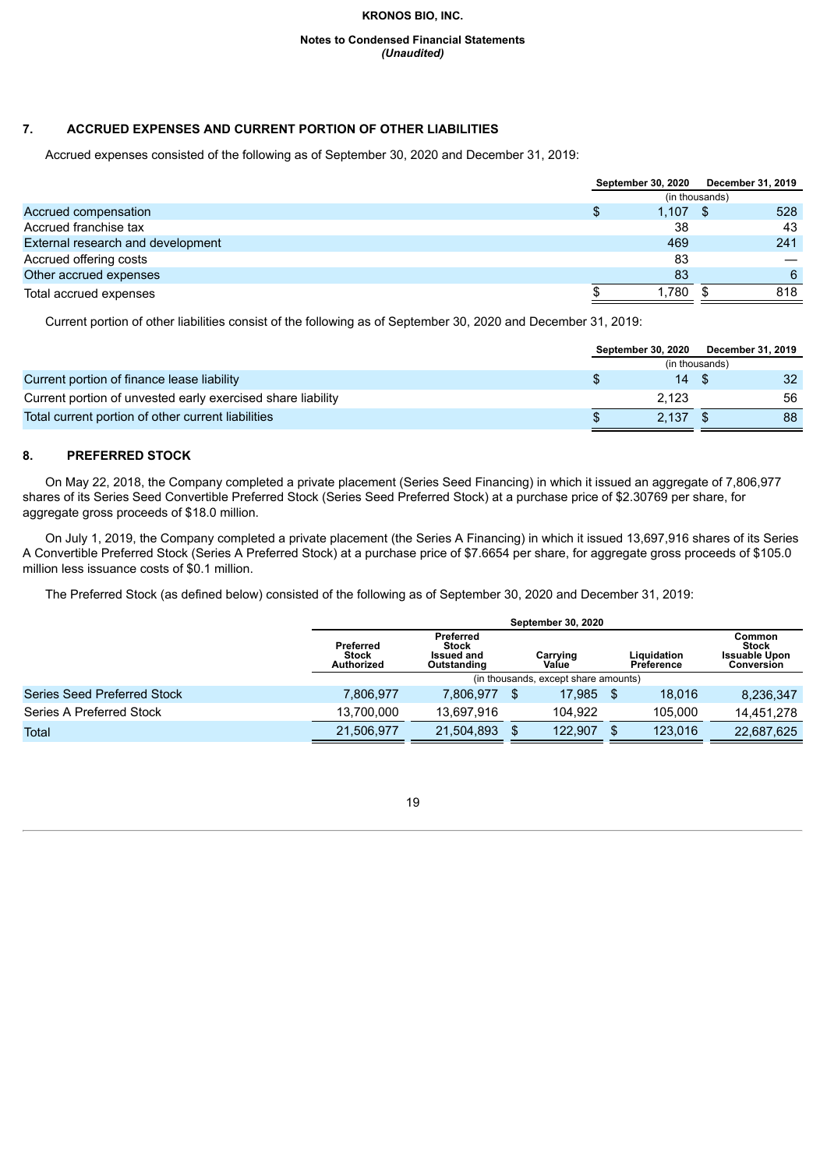#### **Notes to Condensed Financial Statements** *(Unaudited)*

# **7. ACCRUED EXPENSES AND CURRENT PORTION OF OTHER LIABILITIES**

Accrued expenses consisted of the following as of September 30, 2020 and December 31, 2019:

|                                   | <b>September 30, 2020</b> |                | December 31, 2019 |
|-----------------------------------|---------------------------|----------------|-------------------|
|                                   |                           | (in thousands) |                   |
| Accrued compensation              | 1.107                     | -S             | 528               |
| Accrued franchise tax             | 38                        |                | 43                |
| External research and development | 469                       |                | 241               |
| Accrued offering costs            | 83                        |                |                   |
| Other accrued expenses            | -83                       |                | 6                 |
| Total accrued expenses            | 1.780                     | S.             | 818               |
|                                   |                           |                |                   |

Current portion of other liabilities consist of the following as of September 30, 2020 and December 31, 2019:

|                                                             | <b>September 30, 2020</b> |                | December 31, 2019 |    |
|-------------------------------------------------------------|---------------------------|----------------|-------------------|----|
|                                                             |                           | (in thousands) |                   |    |
| Current portion of finance lease liability                  |                           |                |                   | 32 |
| Current portion of unvested early exercised share liability |                           | 2.123          |                   | 56 |
| Total current portion of other current liabilities          |                           | 2.137          |                   | 88 |

#### **8. PREFERRED STOCK**

On May 22, 2018, the Company completed a private placement (Series Seed Financing) in which it issued an aggregate of 7,806,977 shares of its Series Seed Convertible Preferred Stock (Series Seed Preferred Stock) at a purchase price of \$2.30769 per share, for aggregate gross proceeds of \$18.0 million.

On July 1, 2019, the Company completed a private placement (the Series A Financing) in which it issued 13,697,916 shares of its Series A Convertible Preferred Stock (Series A Preferred Stock) at a purchase price of \$7.6654 per share, for aggregate gross proceeds of \$105.0 million less issuance costs of \$0.1 million.

The Preferred Stock (as defined below) consisted of the following as of September 30, 2020 and December 31, 2019:

|                                    | <b>September 30, 2020</b>                      |                                                               |  |                                      |  |                           |                                                              |  |  |  |  |
|------------------------------------|------------------------------------------------|---------------------------------------------------------------|--|--------------------------------------|--|---------------------------|--------------------------------------------------------------|--|--|--|--|
|                                    | Preferred<br><b>Stock</b><br><b>Authorized</b> | Preferred<br><b>Stock</b><br><b>Issued and</b><br>Outstanding |  | Carrying<br>Value                    |  | Liauidation<br>Preference | Common<br><b>Stock</b><br><b>Issuable Upon</b><br>Conversion |  |  |  |  |
|                                    |                                                |                                                               |  | (in thousands, except share amounts) |  |                           |                                                              |  |  |  |  |
| <b>Series Seed Preferred Stock</b> | 7.806.977                                      | 7.806.977                                                     |  | 17.985                               |  | 18.016                    | 8,236,347                                                    |  |  |  |  |
| Series A Preferred Stock           | 13.700.000                                     | 13.697.916                                                    |  | 104.922                              |  | 105.000                   | 14.451.278                                                   |  |  |  |  |
| Total                              | 21.506.977                                     | 21.504.893                                                    |  | 122.907                              |  | 123.016                   | 22,687,625                                                   |  |  |  |  |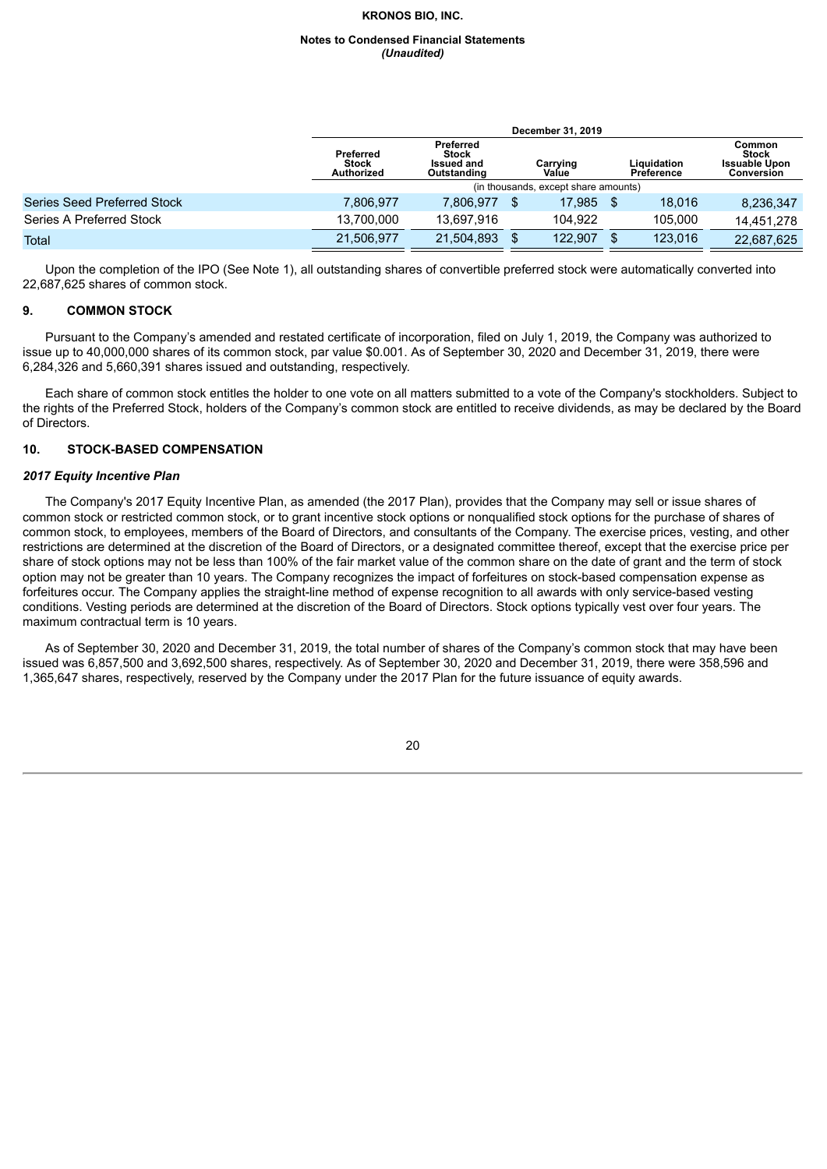#### **Notes to Condensed Financial Statements** *(Unaudited)*

|                             | December 31, 2019                       |                                                                                                                        |  |                                      |      |                                                              |            |  |  |  |  |
|-----------------------------|-----------------------------------------|------------------------------------------------------------------------------------------------------------------------|--|--------------------------------------|------|--------------------------------------------------------------|------------|--|--|--|--|
|                             | Preferred<br><b>Stock</b><br>Authorized | Preferred<br><b>Stock</b><br>Liquidation<br>Carrying<br><b>Issued and</b><br>Value<br>Outstanding<br><b>Preference</b> |  |                                      |      | Common<br><b>Stock</b><br><b>Issuable Upon</b><br>Conversion |            |  |  |  |  |
|                             |                                         |                                                                                                                        |  | (in thousands, except share amounts) |      |                                                              |            |  |  |  |  |
| Series Seed Preferred Stock | 7.806.977                               | 7.806.977                                                                                                              |  | 17.985                               | - \$ | 18.016                                                       | 8,236,347  |  |  |  |  |
| Series A Preferred Stock    | 13.700.000                              | 13,697,916                                                                                                             |  | 104.922                              |      | 105.000                                                      | 14.451.278 |  |  |  |  |
| Total                       | 21,506,977                              | 21,504,893                                                                                                             |  | 122.907                              |      | 123,016                                                      | 22,687,625 |  |  |  |  |

Upon the completion of the IPO (See Note 1), all outstanding shares of convertible preferred stock were automatically converted into 22,687,625 shares of common stock.

# **9. COMMON STOCK**

Pursuant to the Company's amended and restated certificate of incorporation, filed on July 1, 2019, the Company was authorized to issue up to 40,000,000 shares of its common stock, par value \$0.001. As of September 30, 2020 and December 31, 2019, there were 6,284,326 and 5,660,391 shares issued and outstanding, respectively.

Each share of common stock entitles the holder to one vote on all matters submitted to a vote of the Company's stockholders. Subject to the rights of the Preferred Stock, holders of the Company's common stock are entitled to receive dividends, as may be declared by the Board of Directors.

# **10. STOCK-BASED COMPENSATION**

#### *2017 Equity Incentive Plan*

The Company's 2017 Equity Incentive Plan, as amended (the 2017 Plan), provides that the Company may sell or issue shares of common stock or restricted common stock, or to grant incentive stock options or nonqualified stock options for the purchase of shares of common stock, to employees, members of the Board of Directors, and consultants of the Company. The exercise prices, vesting, and other restrictions are determined at the discretion of the Board of Directors, or a designated committee thereof, except that the exercise price per share of stock options may not be less than 100% of the fair market value of the common share on the date of grant and the term of stock option may not be greater than 10 years. The Company recognizes the impact of forfeitures on stock-based compensation expense as forfeitures occur. The Company applies the straight-line method of expense recognition to all awards with only service-based vesting conditions. Vesting periods are determined at the discretion of the Board of Directors. Stock options typically vest over four years. The maximum contractual term is 10 years.

As of September 30, 2020 and December 31, 2019, the total number of shares of the Company's common stock that may have been issued was 6,857,500 and 3,692,500 shares, respectively. As of September 30, 2020 and December 31, 2019, there were 358,596 and 1,365,647 shares, respectively, reserved by the Company under the 2017 Plan for the future issuance of equity awards.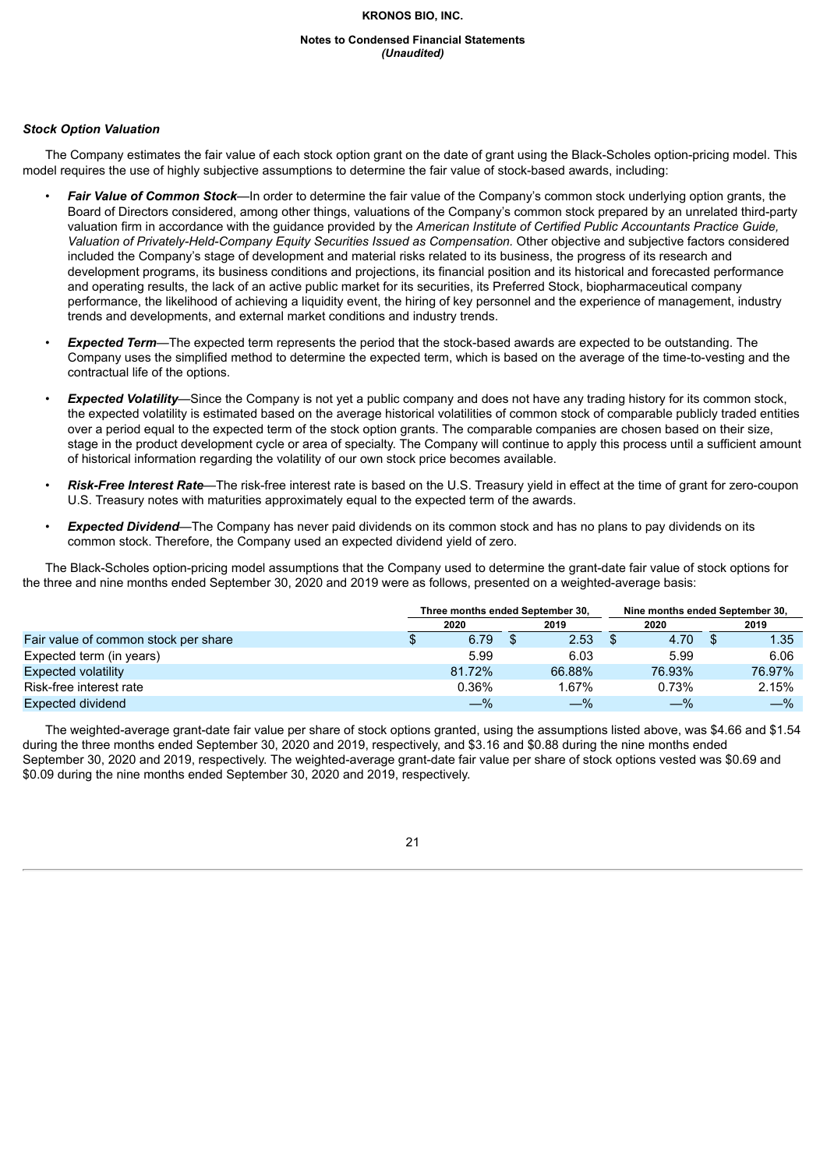#### **Notes to Condensed Financial Statements** *(Unaudited)*

# *Stock Option Valuation*

The Company estimates the fair value of each stock option grant on the date of grant using the Black-Scholes option-pricing model. This model requires the use of highly subjective assumptions to determine the fair value of stock-based awards, including:

- *Fair Value of Common Stock*—In order to determine the fair value of the Company's common stock underlying option grants, the Board of Directors considered, among other things, valuations of the Company's common stock prepared by an unrelated third-party valuation firm in accordance with the guidance provided by the *American Institute of Certified Public Accountants Practice Guide, Valuation of Privately-Held-Company Equity Securities Issued as Compensation.* Other objective and subjective factors considered included the Company's stage of development and material risks related to its business, the progress of its research and development programs, its business conditions and projections, its financial position and its historical and forecasted performance and operating results, the lack of an active public market for its securities, its Preferred Stock, biopharmaceutical company performance, the likelihood of achieving a liquidity event, the hiring of key personnel and the experience of management, industry trends and developments, and external market conditions and industry trends.
- *Expected Term*—The expected term represents the period that the stock-based awards are expected to be outstanding. The Company uses the simplified method to determine the expected term, which is based on the average of the time-to-vesting and the contractual life of the options.
- **Expected Volatility**—Since the Company is not yet a public company and does not have any trading history for its common stock, the expected volatility is estimated based on the average historical volatilities of common stock of comparable publicly traded entities over a period equal to the expected term of the stock option grants. The comparable companies are chosen based on their size, stage in the product development cycle or area of specialty. The Company will continue to apply this process until a sufficient amount of historical information regarding the volatility of our own stock price becomes available.
- *Risk-Free Interest Rate*—The risk-free interest rate is based on the U.S. Treasury yield in effect at the time of grant for zero-coupon U.S. Treasury notes with maturities approximately equal to the expected term of the awards.
- *Expected Dividend*—The Company has never paid dividends on its common stock and has no plans to pay dividends on its common stock. Therefore, the Company used an expected dividend yield of zero.

The Black-Scholes option-pricing model assumptions that the Company used to determine the grant-date fair value of stock options for the three and nine months ended September 30, 2020 and 2019 were as follows, presented on a weighted-average basis:

|                                      | Three months ended September 30, |          |  |        | Nine months ended September 30. |        |  |        |  |
|--------------------------------------|----------------------------------|----------|--|--------|---------------------------------|--------|--|--------|--|
|                                      |                                  | 2020     |  | 2019   |                                 | 2020   |  | 2019   |  |
| Fair value of common stock per share |                                  | 6.79     |  | 2.53   |                                 | 4.70   |  | 1.35   |  |
| Expected term (in years)             |                                  | 5.99     |  | 6.03   |                                 | 5.99   |  | 6.06   |  |
| Expected volatility                  |                                  | 81.72%   |  | 66.88% |                                 | 76.93% |  | 76.97% |  |
| Risk-free interest rate              |                                  | $0.36\%$ |  | 1.67%  |                                 | 0.73%  |  | 2.15%  |  |
| Expected dividend                    |                                  | $-$ %    |  | $-\%$  |                                 | $-\%$  |  | $-\%$  |  |

The weighted-average grant-date fair value per share of stock options granted, using the assumptions listed above, was \$4.66 and \$1.54 during the three months ended September 30, 2020 and 2019, respectively, and \$3.16 and \$0.88 during the nine months ended September 30, 2020 and 2019, respectively. The weighted-average grant-date fair value per share of stock options vested was \$0.69 and \$0.09 during the nine months ended September 30, 2020 and 2019, respectively.

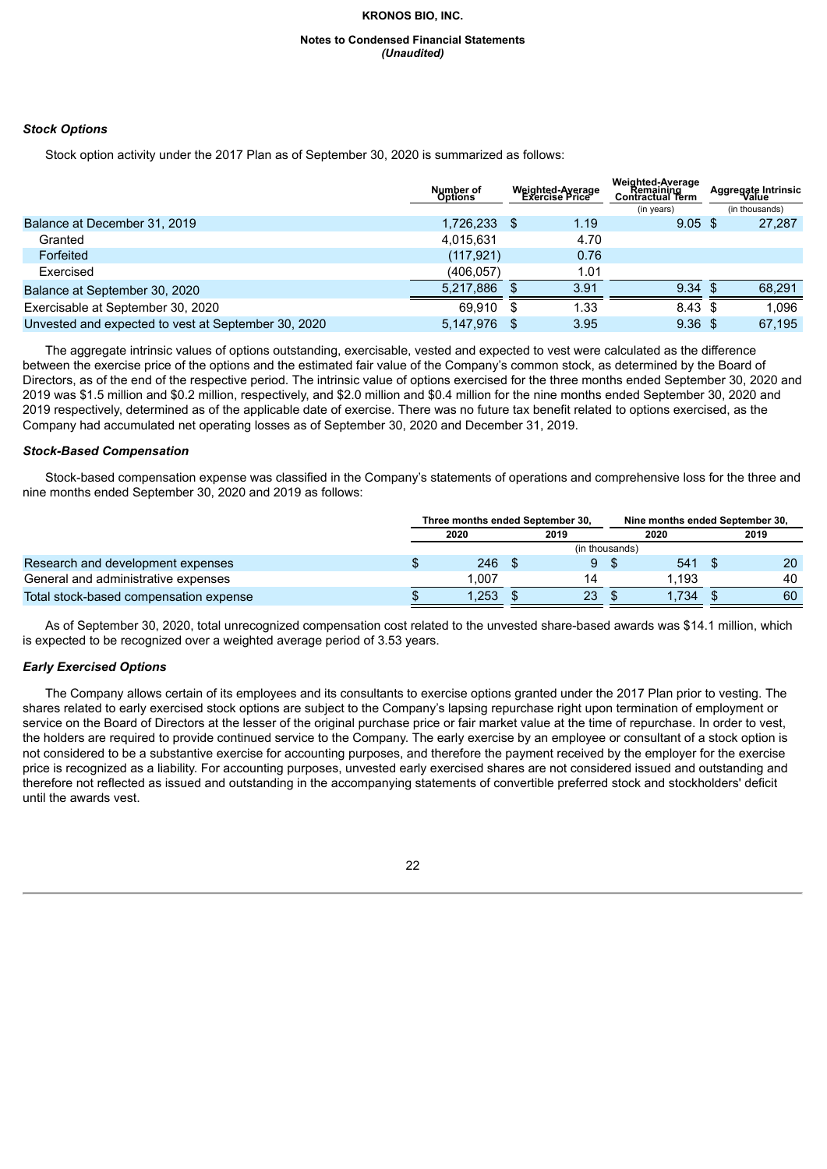#### **Notes to Condensed Financial Statements** *(Unaudited)*

#### *Stock Options*

Stock option activity under the 2017 Plan as of September 30, 2020 is summarized as follows:

|                                                     | Number of<br><b>Options</b> | Weighted-Average<br><b>Exercise Price</b> |      |                    |  |        |  |  |  |  |  |  |  |  |  |  |  |  |  |  |  |  |  | <b>Weighted-Average</b><br>Remaining<br><b>Contractual Term</b><br>(in years) |  | Aggregate Intrinsic<br>Value<br>(in thousands) |
|-----------------------------------------------------|-----------------------------|-------------------------------------------|------|--------------------|--|--------|--|--|--|--|--|--|--|--|--|--|--|--|--|--|--|--|--|-------------------------------------------------------------------------------|--|------------------------------------------------|
| Balance at December 31, 2019                        | 1,726,233                   |                                           | 1.19 | $9.05 \text{ } $s$ |  | 27,287 |  |  |  |  |  |  |  |  |  |  |  |  |  |  |  |  |  |                                                                               |  |                                                |
| Granted                                             | 4,015,631                   |                                           | 4.70 |                    |  |        |  |  |  |  |  |  |  |  |  |  |  |  |  |  |  |  |  |                                                                               |  |                                                |
| Forfeited                                           | (117, 921)                  |                                           | 0.76 |                    |  |        |  |  |  |  |  |  |  |  |  |  |  |  |  |  |  |  |  |                                                                               |  |                                                |
| Exercised                                           | (406.057)                   |                                           | 1.01 |                    |  |        |  |  |  |  |  |  |  |  |  |  |  |  |  |  |  |  |  |                                                                               |  |                                                |
| Balance at September 30, 2020                       | 5.217.886                   |                                           | 3.91 | $9.34 \text{ } $s$ |  | 68.291 |  |  |  |  |  |  |  |  |  |  |  |  |  |  |  |  |  |                                                                               |  |                                                |
| Exercisable at September 30, 2020                   | 69.910                      |                                           | 1.33 | $8.43 \text{ } $$  |  | 1.096  |  |  |  |  |  |  |  |  |  |  |  |  |  |  |  |  |  |                                                                               |  |                                                |
| Unvested and expected to vest at September 30, 2020 | 5.147.976                   |                                           | 3.95 | 9.36 <sup>5</sup>  |  | 67.195 |  |  |  |  |  |  |  |  |  |  |  |  |  |  |  |  |  |                                                                               |  |                                                |

The aggregate intrinsic values of options outstanding, exercisable, vested and expected to vest were calculated as the difference between the exercise price of the options and the estimated fair value of the Company's common stock, as determined by the Board of Directors, as of the end of the respective period. The intrinsic value of options exercised for the three months ended September 30, 2020 and 2019 was \$1.5 million and \$0.2 million, respectively, and \$2.0 million and \$0.4 million for the nine months ended September 30, 2020 and 2019 respectively, determined as of the applicable date of exercise. There was no future tax benefit related to options exercised, as the Company had accumulated net operating losses as of September 30, 2020 and December 31, 2019.

#### *Stock-Based Compensation*

Stock-based compensation expense was classified in the Company's statements of operations and comprehensive loss for the three and nine months ended September 30, 2020 and 2019 as follows:

|                                        | Three months ended September 30, |       |  | Nine months ended September 30, |  |       |  |                 |
|----------------------------------------|----------------------------------|-------|--|---------------------------------|--|-------|--|-----------------|
|                                        |                                  | 2020  |  | 2019                            |  | 2020  |  | 2019            |
|                                        |                                  |       |  | (in thousands)                  |  |       |  |                 |
| Research and development expenses      |                                  | 246   |  |                                 |  | 541   |  | 20 <sup>°</sup> |
| General and administrative expenses    |                                  | 1.007 |  | 14                              |  | 1.193 |  | 40              |
| Total stock-based compensation expense |                                  | 1.253 |  | 23                              |  | .734  |  | 60              |

As of September 30, 2020, total unrecognized compensation cost related to the unvested share-based awards was \$14.1 million, which is expected to be recognized over a weighted average period of 3.53 years.

# *Early Exercised Options*

The Company allows certain of its employees and its consultants to exercise options granted under the 2017 Plan prior to vesting. The shares related to early exercised stock options are subject to the Company's lapsing repurchase right upon termination of employment or service on the Board of Directors at the lesser of the original purchase price or fair market value at the time of repurchase. In order to vest, the holders are required to provide continued service to the Company. The early exercise by an employee or consultant of a stock option is not considered to be a substantive exercise for accounting purposes, and therefore the payment received by the employer for the exercise price is recognized as a liability. For accounting purposes, unvested early exercised shares are not considered issued and outstanding and therefore not reflected as issued and outstanding in the accompanying statements of convertible preferred stock and stockholders' deficit until the awards vest.

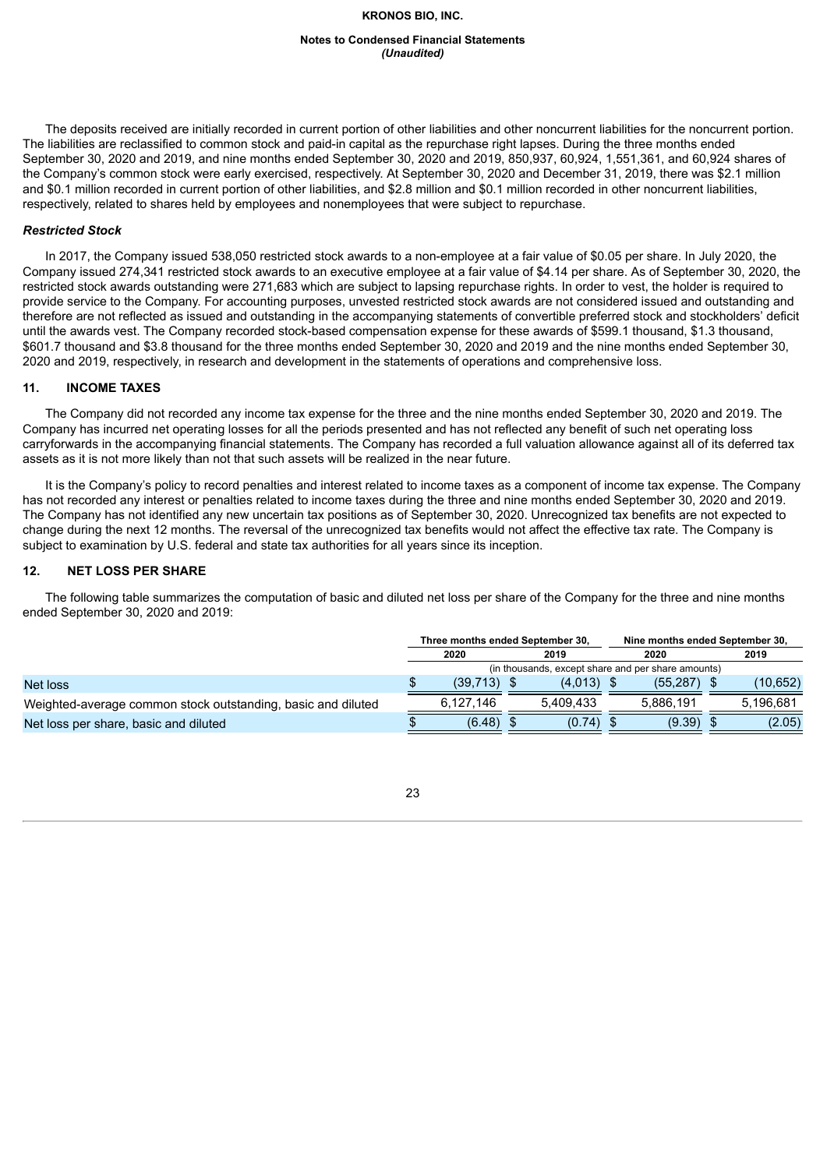#### **Notes to Condensed Financial Statements** *(Unaudited)*

The deposits received are initially recorded in current portion of other liabilities and other noncurrent liabilities for the noncurrent portion. The liabilities are reclassified to common stock and paid-in capital as the repurchase right lapses. During the three months ended September 30, 2020 and 2019, and nine months ended September 30, 2020 and 2019, 850,937, 60,924, 1,551,361, and 60,924 shares of the Company's common stock were early exercised, respectively. At September 30, 2020 and December 31, 2019, there was \$2.1 million and \$0.1 million recorded in current portion of other liabilities, and \$2.8 million and \$0.1 million recorded in other noncurrent liabilities, respectively, related to shares held by employees and nonemployees that were subject to repurchase.

# *Restricted Stock*

In 2017, the Company issued 538,050 restricted stock awards to a non-employee at a fair value of \$0.05 per share. In July 2020, the Company issued 274,341 restricted stock awards to an executive employee at a fair value of \$4.14 per share. As of September 30, 2020, the restricted stock awards outstanding were 271,683 which are subject to lapsing repurchase rights. In order to vest, the holder is required to provide service to the Company. For accounting purposes, unvested restricted stock awards are not considered issued and outstanding and therefore are not reflected as issued and outstanding in the accompanying statements of convertible preferred stock and stockholders' deficit until the awards vest. The Company recorded stock-based compensation expense for these awards of \$599.1 thousand, \$1.3 thousand, \$601.7 thousand and \$3.8 thousand for the three months ended September 30, 2020 and 2019 and the nine months ended September 30, 2020 and 2019, respectively, in research and development in the statements of operations and comprehensive loss.

# **11. INCOME TAXES**

The Company did not recorded any income tax expense for the three and the nine months ended September 30, 2020 and 2019. The Company has incurred net operating losses for all the periods presented and has not reflected any benefit of such net operating loss carryforwards in the accompanying financial statements. The Company has recorded a full valuation allowance against all of its deferred tax assets as it is not more likely than not that such assets will be realized in the near future.

It is the Company's policy to record penalties and interest related to income taxes as a component of income tax expense. The Company has not recorded any interest or penalties related to income taxes during the three and nine months ended September 30, 2020 and 2019. The Company has not identified any new uncertain tax positions as of September 30, 2020. Unrecognized tax benefits are not expected to change during the next 12 months. The reversal of the unrecognized tax benefits would not affect the effective tax rate. The Company is subject to examination by U.S. federal and state tax authorities for all years since its inception.

# **12. NET LOSS PER SHARE**

The following table summarizes the computation of basic and diluted net loss per share of the Company for the three and nine months ended September 30, 2020 and 2019:

|                                                              |                                                    | Three months ended September 30. |  |              | Nine months ended September 30, |           |  |           |
|--------------------------------------------------------------|----------------------------------------------------|----------------------------------|--|--------------|---------------------------------|-----------|--|-----------|
|                                                              |                                                    | 2020                             |  | 2019         |                                 | 2020      |  | 2019      |
|                                                              | (in thousands, except share and per share amounts) |                                  |  |              |                                 |           |  |           |
| Net loss                                                     |                                                    | (39.713)                         |  | $(4.013)$ \$ |                                 | (55.287)  |  | (10,652)  |
| Weighted-average common stock outstanding, basic and diluted |                                                    | 6.127.146                        |  | 5.409.433    |                                 | 5.886.191 |  | 5.196.681 |
| Net loss per share, basic and diluted                        |                                                    | (6.48)                           |  | (0.74)       |                                 | (9.39)    |  | (2.05)    |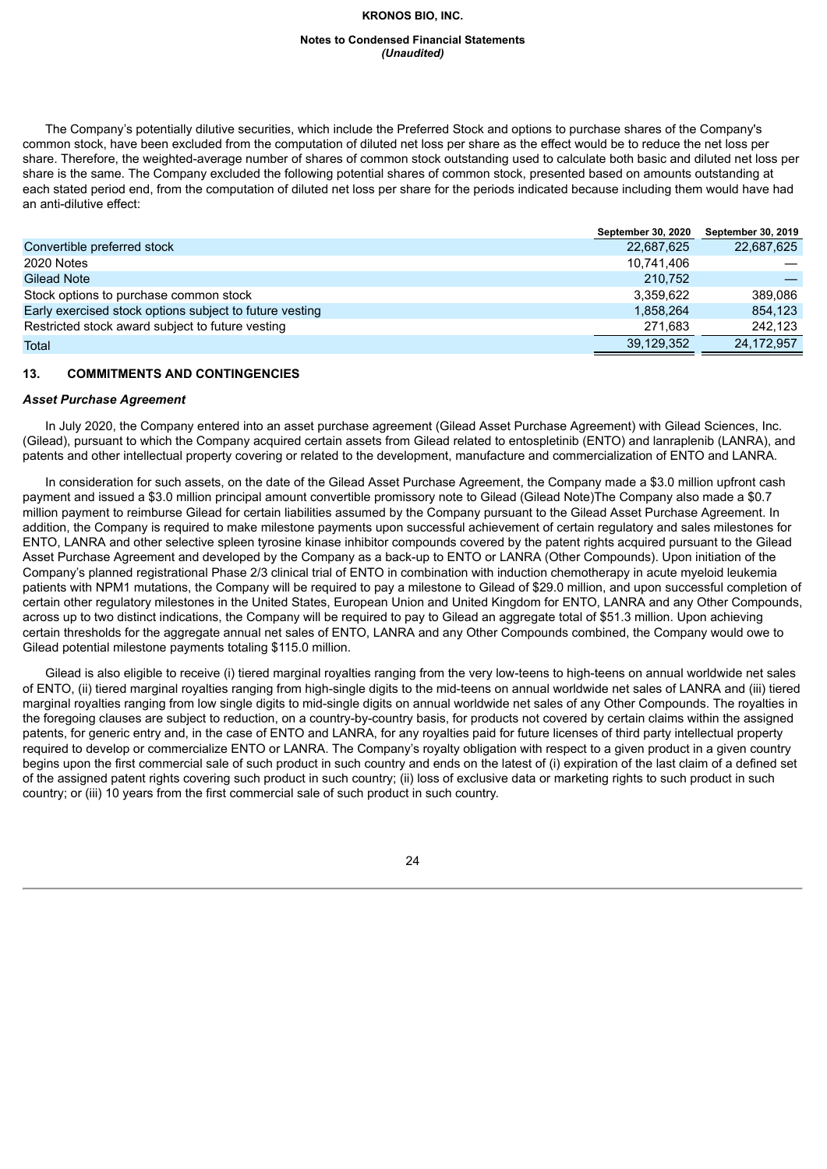#### **Notes to Condensed Financial Statements** *(Unaudited)*

The Company's potentially dilutive securities, which include the Preferred Stock and options to purchase shares of the Company's common stock, have been excluded from the computation of diluted net loss per share as the effect would be to reduce the net loss per share. Therefore, the weighted-average number of shares of common stock outstanding used to calculate both basic and diluted net loss per share is the same. The Company excluded the following potential shares of common stock, presented based on amounts outstanding at each stated period end, from the computation of diluted net loss per share for the periods indicated because including them would have had an anti-dilutive effect:

|                                                         | <b>September 30, 2020</b> | <b>September 30, 2019</b> |
|---------------------------------------------------------|---------------------------|---------------------------|
| Convertible preferred stock                             | 22,687,625                | 22,687,625                |
| 2020 Notes                                              | 10,741,406                |                           |
| Gilead Note                                             | 210.752                   |                           |
| Stock options to purchase common stock                  | 3.359.622                 | 389.086                   |
| Early exercised stock options subject to future vesting | 1.858.264                 | 854.123                   |
| Restricted stock award subject to future vesting        | 271.683                   | 242.123                   |
| Total                                                   | 39,129,352                | 24,172,957                |

# **13. COMMITMENTS AND CONTINGENCIES**

#### *Asset Purchase Agreement*

In July 2020, the Company entered into an asset purchase agreement (Gilead Asset Purchase Agreement) with Gilead Sciences, Inc. (Gilead), pursuant to which the Company acquired certain assets from Gilead related to entospletinib (ENTO) and lanraplenib (LANRA), and patents and other intellectual property covering or related to the development, manufacture and commercialization of ENTO and LANRA.

In consideration for such assets, on the date of the Gilead Asset Purchase Agreement, the Company made a \$3.0 million upfront cash payment and issued a \$3.0 million principal amount convertible promissory note to Gilead (Gilead Note)The Company also made a \$0.7 million payment to reimburse Gilead for certain liabilities assumed by the Company pursuant to the Gilead Asset Purchase Agreement. In addition, the Company is required to make milestone payments upon successful achievement of certain regulatory and sales milestones for ENTO, LANRA and other selective spleen tyrosine kinase inhibitor compounds covered by the patent rights acquired pursuant to the Gilead Asset Purchase Agreement and developed by the Company as a back-up to ENTO or LANRA (Other Compounds). Upon initiation of the Company's planned registrational Phase 2/3 clinical trial of ENTO in combination with induction chemotherapy in acute myeloid leukemia patients with NPM1 mutations, the Company will be required to pay a milestone to Gilead of \$29.0 million, and upon successful completion of certain other regulatory milestones in the United States, European Union and United Kingdom for ENTO, LANRA and any Other Compounds, across up to two distinct indications, the Company will be required to pay to Gilead an aggregate total of \$51.3 million. Upon achieving certain thresholds for the aggregate annual net sales of ENTO, LANRA and any Other Compounds combined, the Company would owe to Gilead potential milestone payments totaling \$115.0 million.

Gilead is also eligible to receive (i) tiered marginal royalties ranging from the very low-teens to high-teens on annual worldwide net sales of ENTO, (ii) tiered marginal royalties ranging from high-single digits to the mid-teens on annual worldwide net sales of LANRA and (iii) tiered marginal royalties ranging from low single digits to mid-single digits on annual worldwide net sales of any Other Compounds. The royalties in the foregoing clauses are subject to reduction, on a country-by-country basis, for products not covered by certain claims within the assigned patents, for generic entry and, in the case of ENTO and LANRA, for any royalties paid for future licenses of third party intellectual property required to develop or commercialize ENTO or LANRA. The Company's royalty obligation with respect to a given product in a given country begins upon the first commercial sale of such product in such country and ends on the latest of (i) expiration of the last claim of a defined set of the assigned patent rights covering such product in such country; (ii) loss of exclusive data or marketing rights to such product in such country; or (iii) 10 years from the first commercial sale of such product in such country.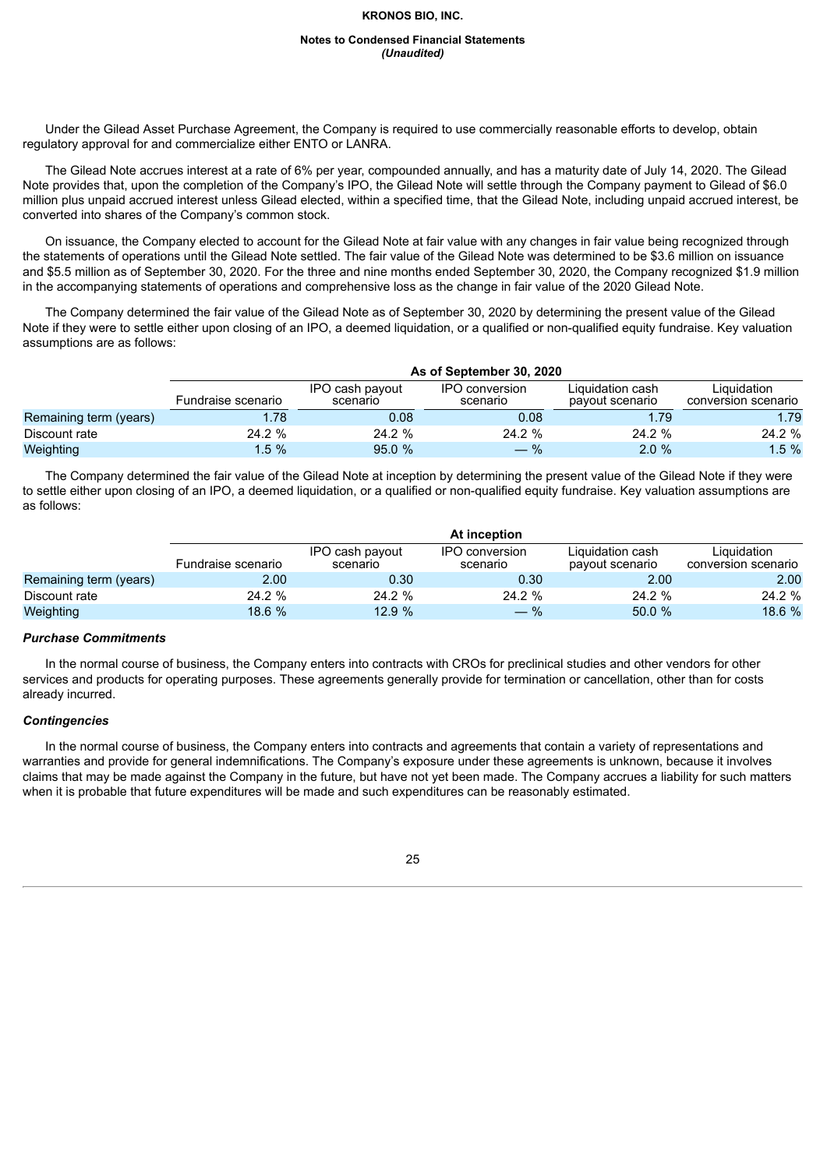#### **Notes to Condensed Financial Statements** *(Unaudited)*

Under the Gilead Asset Purchase Agreement, the Company is required to use commercially reasonable efforts to develop, obtain regulatory approval for and commercialize either ENTO or LANRA.

The Gilead Note accrues interest at a rate of 6% per year, compounded annually, and has a maturity date of July 14, 2020. The Gilead Note provides that, upon the completion of the Company's IPO, the Gilead Note will settle through the Company payment to Gilead of \$6.0 million plus unpaid accrued interest unless Gilead elected, within a specified time, that the Gilead Note, including unpaid accrued interest, be converted into shares of the Company's common stock.

On issuance, the Company elected to account for the Gilead Note at fair value with any changes in fair value being recognized through the statements of operations until the Gilead Note settled. The fair value of the Gilead Note was determined to be \$3.6 million on issuance and \$5.5 million as of September 30, 2020. For the three and nine months ended September 30, 2020, the Company recognized \$1.9 million in the accompanying statements of operations and comprehensive loss as the change in fair value of the 2020 Gilead Note.

The Company determined the fair value of the Gilead Note as of September 30, 2020 by determining the present value of the Gilead Note if they were to settle either upon closing of an IPO, a deemed liquidation, or a qualified or non-qualified equity fundraise. Key valuation assumptions are as follows:

|                        | As of September 30, 2020 |                             |                            |                                     |                                    |  |  |  |  |  |  |
|------------------------|--------------------------|-----------------------------|----------------------------|-------------------------------------|------------------------------------|--|--|--|--|--|--|
|                        | Fundraise scenario       | IPO cash payout<br>scenario | IPO conversion<br>scenario | Liguidation cash<br>pavout scenario | Liquidation<br>conversion scenario |  |  |  |  |  |  |
| Remaining term (years) | 1.78                     | 0.08                        | 0.08                       | 1.79                                | 1.79                               |  |  |  |  |  |  |
| Discount rate          | $24.2 \%$                | 24.2 %                      | 24.2 %                     | 24.2 %                              | 24.2 %                             |  |  |  |  |  |  |
| Weighting              | $1.5 \%$                 | 95.0%                       | $-$ %                      | 2.0%                                | $1.5 \%$                           |  |  |  |  |  |  |

The Company determined the fair value of the Gilead Note at inception by determining the present value of the Gilead Note if they were to settle either upon closing of an IPO, a deemed liquidation, or a qualified or non-qualified equity fundraise. Key valuation assumptions are as follows:

|                        | At inception       |                             |                            |                                     |                                    |  |  |  |  |
|------------------------|--------------------|-----------------------------|----------------------------|-------------------------------------|------------------------------------|--|--|--|--|
|                        | Fundraise scenario | IPO cash payout<br>scenario | IPO conversion<br>scenario | Liguidation cash<br>payout scenario | Liguidation<br>conversion scenario |  |  |  |  |
| Remaining term (years) | 2.00               | 0.30                        | 0.30                       | 2.00                                | 2.00                               |  |  |  |  |
| Discount rate          | 24.2%              | $24.2 \%$                   | $24.2 \%$                  | 24.2 %                              | 24.2%                              |  |  |  |  |
| Weighting              | 18.6%              | 12.9%                       | $-$ %                      | 50.0%                               | 18.6 %                             |  |  |  |  |

# *Purchase Commitments*

In the normal course of business, the Company enters into contracts with CROs for preclinical studies and other vendors for other services and products for operating purposes. These agreements generally provide for termination or cancellation, other than for costs already incurred.

# *Contingencies*

In the normal course of business, the Company enters into contracts and agreements that contain a variety of representations and warranties and provide for general indemnifications. The Company's exposure under these agreements is unknown, because it involves claims that may be made against the Company in the future, but have not yet been made. The Company accrues a liability for such matters when it is probable that future expenditures will be made and such expenditures can be reasonably estimated.

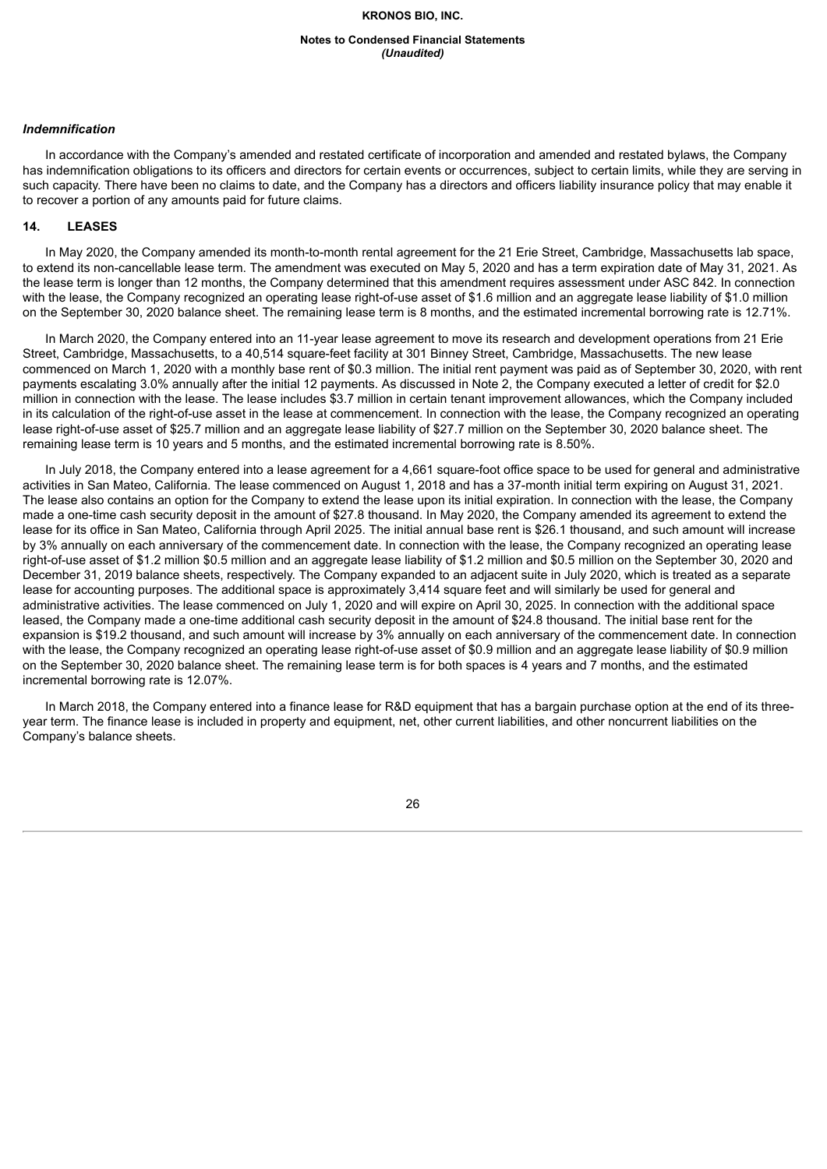#### **Notes to Condensed Financial Statements** *(Unaudited)*

#### *Indemnification*

In accordance with the Company's amended and restated certificate of incorporation and amended and restated bylaws, the Company has indemnification obligations to its officers and directors for certain events or occurrences, subject to certain limits, while they are serving in such capacity. There have been no claims to date, and the Company has a directors and officers liability insurance policy that may enable it to recover a portion of any amounts paid for future claims.

# **14. LEASES**

In May 2020, the Company amended its month-to-month rental agreement for the 21 Erie Street, Cambridge, Massachusetts lab space, to extend its non-cancellable lease term. The amendment was executed on May 5, 2020 and has a term expiration date of May 31, 2021. As the lease term is longer than 12 months, the Company determined that this amendment requires assessment under ASC 842. In connection with the lease, the Company recognized an operating lease right-of-use asset of \$1.6 million and an aggregate lease liability of \$1.0 million on the September 30, 2020 balance sheet. The remaining lease term is 8 months, and the estimated incremental borrowing rate is 12.71%.

In March 2020, the Company entered into an 11-year lease agreement to move its research and development operations from 21 Erie Street, Cambridge, Massachusetts, to a 40,514 square-feet facility at 301 Binney Street, Cambridge, Massachusetts. The new lease commenced on March 1, 2020 with a monthly base rent of \$0.3 million. The initial rent payment was paid as of September 30, 2020, with rent payments escalating 3.0% annually after the initial 12 payments. As discussed in Note 2, the Company executed a letter of credit for \$2.0 million in connection with the lease. The lease includes \$3.7 million in certain tenant improvement allowances, which the Company included in its calculation of the right-of-use asset in the lease at commencement. In connection with the lease, the Company recognized an operating lease right-of-use asset of \$25.7 million and an aggregate lease liability of \$27.7 million on the September 30, 2020 balance sheet. The remaining lease term is 10 years and 5 months, and the estimated incremental borrowing rate is 8.50%.

In July 2018, the Company entered into a lease agreement for a 4,661 square-foot office space to be used for general and administrative activities in San Mateo, California. The lease commenced on August 1, 2018 and has a 37-month initial term expiring on August 31, 2021. The lease also contains an option for the Company to extend the lease upon its initial expiration. In connection with the lease, the Company made a one-time cash security deposit in the amount of \$27.8 thousand. In May 2020, the Company amended its agreement to extend the lease for its office in San Mateo, California through April 2025. The initial annual base rent is \$26.1 thousand, and such amount will increase by 3% annually on each anniversary of the commencement date. In connection with the lease, the Company recognized an operating lease right-of-use asset of \$1.2 million \$0.5 million and an aggregate lease liability of \$1.2 million and \$0.5 million on the September 30, 2020 and December 31, 2019 balance sheets, respectively. The Company expanded to an adjacent suite in July 2020, which is treated as a separate lease for accounting purposes. The additional space is approximately 3,414 square feet and will similarly be used for general and administrative activities. The lease commenced on July 1, 2020 and will expire on April 30, 2025. In connection with the additional space leased, the Company made a one-time additional cash security deposit in the amount of \$24.8 thousand. The initial base rent for the expansion is \$19.2 thousand, and such amount will increase by 3% annually on each anniversary of the commencement date. In connection with the lease, the Company recognized an operating lease right-of-use asset of \$0.9 million and an aggregate lease liability of \$0.9 million on the September 30, 2020 balance sheet. The remaining lease term is for both spaces is 4 years and 7 months, and the estimated incremental borrowing rate is 12.07%.

In March 2018, the Company entered into a finance lease for R&D equipment that has a bargain purchase option at the end of its threeyear term. The finance lease is included in property and equipment, net, other current liabilities, and other noncurrent liabilities on the Company's balance sheets.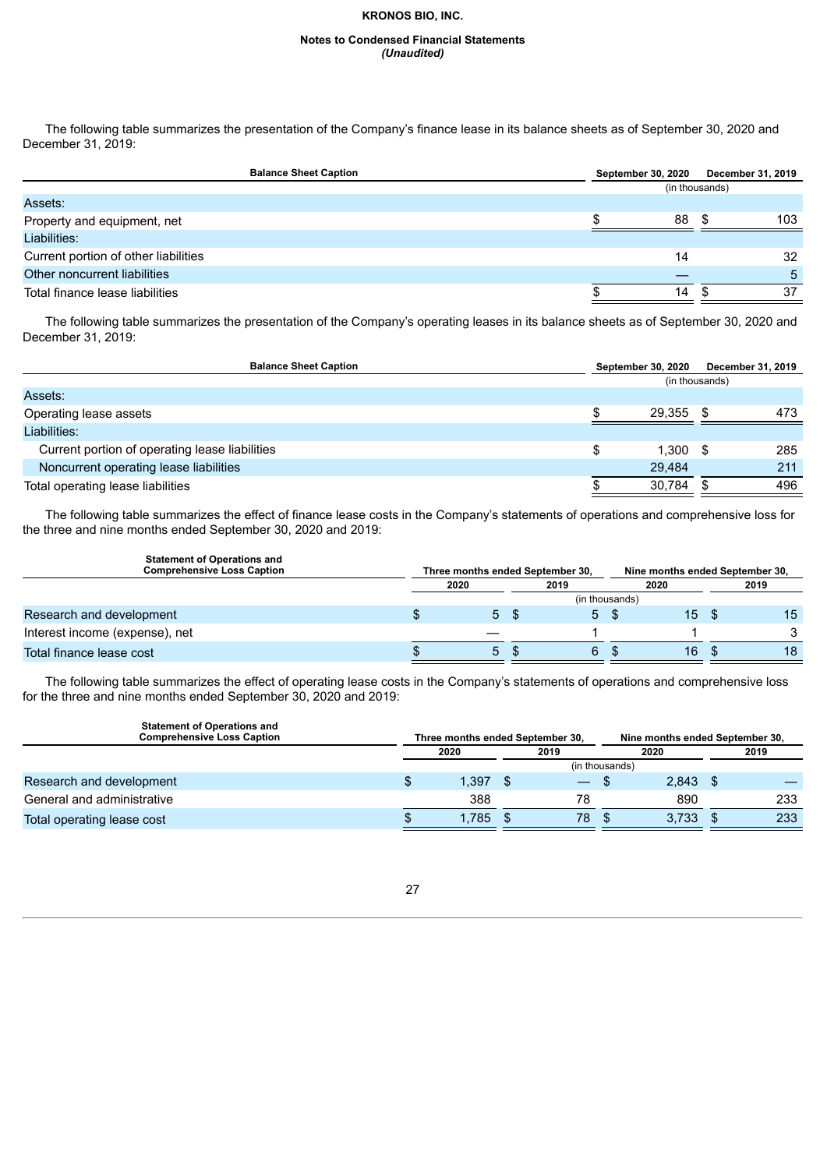#### **Notes to Condensed Financial Statements** *(Unaudited)*

The following table summarizes the presentation of the Company's finance lease in its balance sheets as of September 30, 2020 and December 31, 2019:

| <b>Balance Sheet Caption</b>         | <b>September 30, 2020</b> | December 31, 2019 |
|--------------------------------------|---------------------------|-------------------|
|                                      |                           | (in thousands)    |
| Assets:                              |                           |                   |
| Property and equipment, net          | 88                        | 103               |
| Liabilities:                         |                           |                   |
| Current portion of other liabilities | 14                        | 32                |
| Other noncurrent liabilities         |                           | 5                 |
| Total finance lease liabilities      | 14                        | 37                |
|                                      |                           |                   |

The following table summarizes the presentation of the Company's operating leases in its balance sheets as of September 30, 2020 and December 31, 2019:

| <b>Balance Sheet Caption</b>                   |                | <b>September 30, 2020</b> |      | December 31, 2019 |
|------------------------------------------------|----------------|---------------------------|------|-------------------|
|                                                | (in thousands) |                           |      |                   |
| Assets:                                        |                |                           |      |                   |
| Operating lease assets                         |                | 29.355                    | -S   | 473               |
| Liabilities:                                   |                |                           |      |                   |
| Current portion of operating lease liabilities | S              | 1.300                     | - \$ | 285               |
| Noncurrent operating lease liabilities         |                | 29.484                    |      | 211               |
| Total operating lease liabilities              |                | 30.784                    |      | 496               |

The following table summarizes the effect of finance lease costs in the Company's statements of operations and comprehensive loss for the three and nine months ended September 30, 2020 and 2019:

| <b>Statement of Operations and</b><br><b>Comprehensive Loss Caption</b> | Three months ended September 30,<br>Nine months ended September 30, |    |      |                |      |                 |      |    |
|-------------------------------------------------------------------------|---------------------------------------------------------------------|----|------|----------------|------|-----------------|------|----|
|                                                                         | 2020                                                                |    |      | 2019           | 2020 |                 | 2019 |    |
|                                                                         |                                                                     |    |      | (in thousands) |      |                 |      |    |
| Research and development                                                |                                                                     | 5S |      | 5S             |      | 15 <sup>1</sup> |      | 15 |
| Interest income (expense), net                                          |                                                                     |    |      |                |      |                 |      |    |
| Total finance lease cost                                                |                                                                     | 5  | - \$ | 6.             | - \$ | 16              |      | 18 |

The following table summarizes the effect of operating lease costs in the Company's statements of operations and comprehensive loss for the three and nine months ended September 30, 2020 and 2019:

| <b>Statement of Operations and</b><br><b>Comprehensive Loss Caption</b> | Three months ended September 30, |       |  |                          | Nine months ended September 30, |       |  |      |
|-------------------------------------------------------------------------|----------------------------------|-------|--|--------------------------|---------------------------------|-------|--|------|
|                                                                         |                                  | 2020  |  | 2019                     |                                 | 2020  |  | 2019 |
|                                                                         |                                  |       |  | (in thousands)           |                                 |       |  |      |
| Research and development                                                |                                  | l.397 |  | $\overline{\phantom{0}}$ |                                 | 2.843 |  |      |
| General and administrative                                              |                                  | 388   |  | 78                       |                                 | 890   |  | 233  |
| Total operating lease cost                                              |                                  | 1.785 |  | 78                       |                                 | 3,733 |  | 233  |

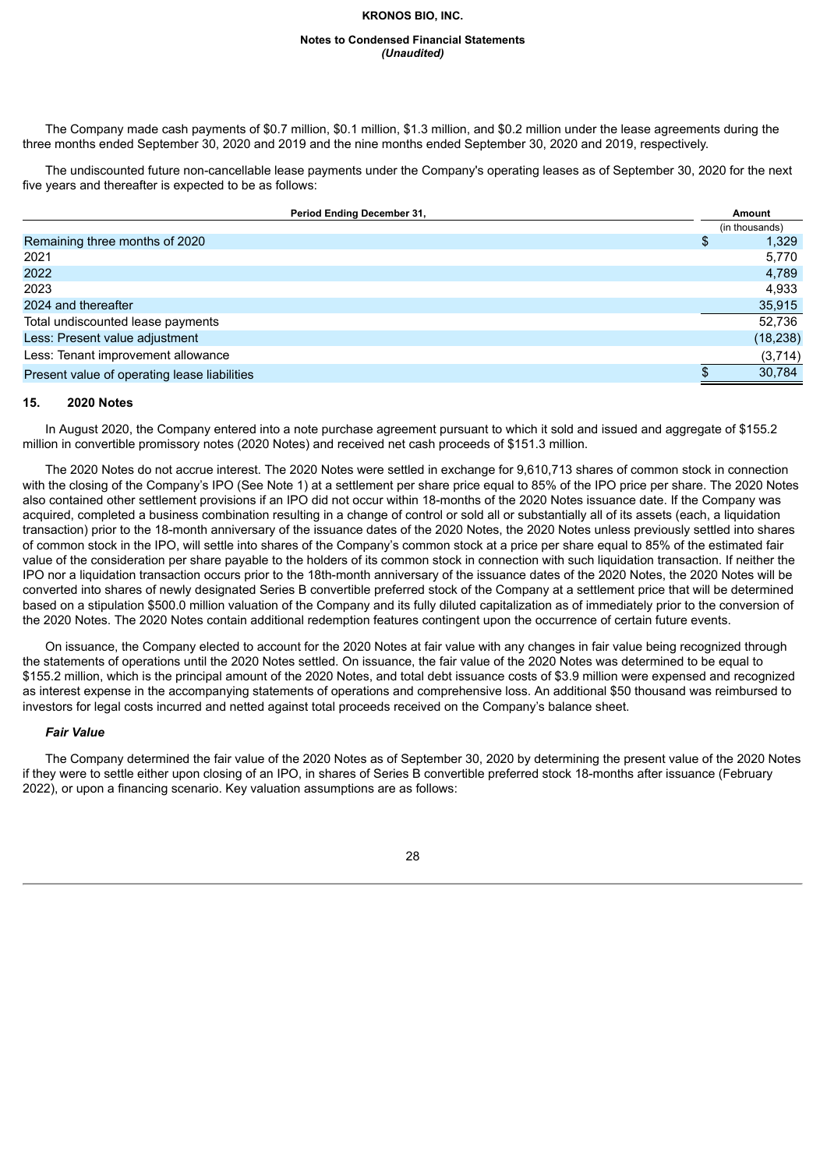#### **Notes to Condensed Financial Statements** *(Unaudited)*

The Company made cash payments of \$0.7 million, \$0.1 million, \$1.3 million, and \$0.2 million under the lease agreements during the three months ended September 30, 2020 and 2019 and the nine months ended September 30, 2020 and 2019, respectively.

The undiscounted future non-cancellable lease payments under the Company's operating leases as of September 30, 2020 for the next five years and thereafter is expected to be as follows:

| Period Ending December 31,                   | Amount         |
|----------------------------------------------|----------------|
|                                              | (in thousands) |
| Remaining three months of 2020               | 1,329<br>\$    |
| 2021                                         | 5,770          |
| 2022                                         | 4,789          |
| 2023                                         | 4,933          |
| 2024 and thereafter                          | 35,915         |
| Total undiscounted lease payments            | 52.736         |
| Less: Present value adjustment               | (18, 238)      |
| Less: Tenant improvement allowance           | (3,714)        |
| Present value of operating lease liabilities | 30,784         |
|                                              |                |

#### **15. 2020 Notes**

In August 2020, the Company entered into a note purchase agreement pursuant to which it sold and issued and aggregate of \$155.2 million in convertible promissory notes (2020 Notes) and received net cash proceeds of \$151.3 million.

The 2020 Notes do not accrue interest. The 2020 Notes were settled in exchange for 9,610,713 shares of common stock in connection with the closing of the Company's IPO (See Note 1) at a settlement per share price equal to 85% of the IPO price per share. The 2020 Notes also contained other settlement provisions if an IPO did not occur within 18-months of the 2020 Notes issuance date. If the Company was acquired, completed a business combination resulting in a change of control or sold all or substantially all of its assets (each, a liquidation transaction) prior to the 18-month anniversary of the issuance dates of the 2020 Notes, the 2020 Notes unless previously settled into shares of common stock in the IPO, will settle into shares of the Company's common stock at a price per share equal to 85% of the estimated fair value of the consideration per share payable to the holders of its common stock in connection with such liquidation transaction. If neither the IPO nor a liquidation transaction occurs prior to the 18th-month anniversary of the issuance dates of the 2020 Notes, the 2020 Notes will be converted into shares of newly designated Series B convertible preferred stock of the Company at a settlement price that will be determined based on a stipulation \$500.0 million valuation of the Company and its fully diluted capitalization as of immediately prior to the conversion of the 2020 Notes. The 2020 Notes contain additional redemption features contingent upon the occurrence of certain future events.

On issuance, the Company elected to account for the 2020 Notes at fair value with any changes in fair value being recognized through the statements of operations until the 2020 Notes settled. On issuance, the fair value of the 2020 Notes was determined to be equal to \$155.2 million, which is the principal amount of the 2020 Notes, and total debt issuance costs of \$3.9 million were expensed and recognized as interest expense in the accompanying statements of operations and comprehensive loss. An additional \$50 thousand was reimbursed to investors for legal costs incurred and netted against total proceeds received on the Company's balance sheet.

#### *Fair Value*

The Company determined the fair value of the 2020 Notes as of September 30, 2020 by determining the present value of the 2020 Notes if they were to settle either upon closing of an IPO, in shares of Series B convertible preferred stock 18-months after issuance (February 2022), or upon a financing scenario. Key valuation assumptions are as follows:

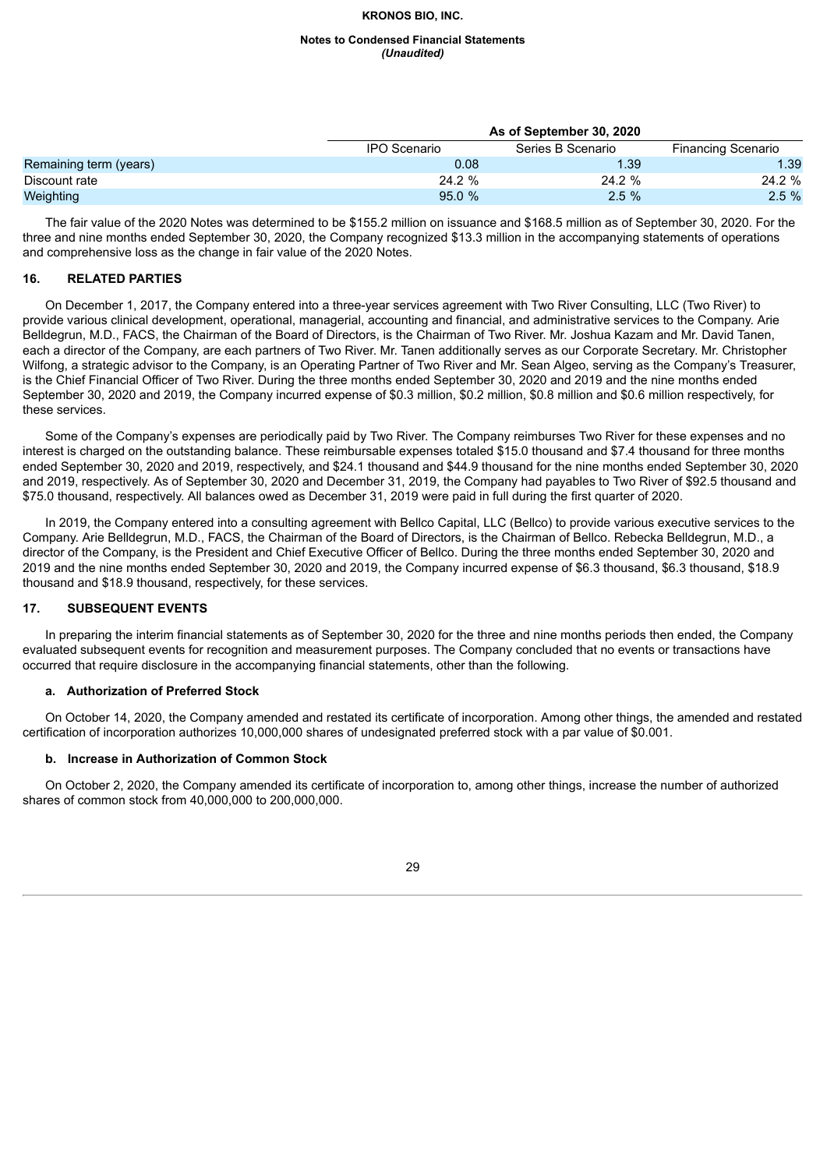#### **Notes to Condensed Financial Statements** *(Unaudited)*

|                        |              | As of September 30, 2020 |                           |  |  |  |  |  |
|------------------------|--------------|--------------------------|---------------------------|--|--|--|--|--|
|                        | IPO Scenario | Series B Scenario        | <b>Financing Scenario</b> |  |  |  |  |  |
| Remaining term (years) | 0.08         | 1.39                     | 1.39                      |  |  |  |  |  |
| Discount rate          | $24.2 \%$    | 24.2 %                   | 24.2 %                    |  |  |  |  |  |
| Weighting              | 95.0%        | 2.5%                     | $2.5\%$                   |  |  |  |  |  |

The fair value of the 2020 Notes was determined to be \$155.2 million on issuance and \$168.5 million as of September 30, 2020. For the three and nine months ended September 30, 2020, the Company recognized \$13.3 million in the accompanying statements of operations and comprehensive loss as the change in fair value of the 2020 Notes.

# **16. RELATED PARTIES**

On December 1, 2017, the Company entered into a three-year services agreement with Two River Consulting, LLC (Two River) to provide various clinical development, operational, managerial, accounting and financial, and administrative services to the Company. Arie Belldegrun, M.D., FACS, the Chairman of the Board of Directors, is the Chairman of Two River. Mr. Joshua Kazam and Mr. David Tanen, each a director of the Company, are each partners of Two River. Mr. Tanen additionally serves as our Corporate Secretary. Mr. Christopher Wilfong, a strategic advisor to the Company, is an Operating Partner of Two River and Mr. Sean Algeo, serving as the Company's Treasurer, is the Chief Financial Officer of Two River. During the three months ended September 30, 2020 and 2019 and the nine months ended September 30, 2020 and 2019, the Company incurred expense of \$0.3 million, \$0.2 million, \$0.8 million and \$0.6 million respectively, for these services.

Some of the Company's expenses are periodically paid by Two River. The Company reimburses Two River for these expenses and no interest is charged on the outstanding balance. These reimbursable expenses totaled \$15.0 thousand and \$7.4 thousand for three months ended September 30, 2020 and 2019, respectively, and \$24.1 thousand and \$44.9 thousand for the nine months ended September 30, 2020 and 2019, respectively. As of September 30, 2020 and December 31, 2019, the Company had payables to Two River of \$92.5 thousand and \$75.0 thousand, respectively. All balances owed as December 31, 2019 were paid in full during the first quarter of 2020.

In 2019, the Company entered into a consulting agreement with Bellco Capital, LLC (Bellco) to provide various executive services to the Company. Arie Belldegrun, M.D., FACS, the Chairman of the Board of Directors, is the Chairman of Bellco. Rebecka Belldegrun, M.D., a director of the Company, is the President and Chief Executive Officer of Bellco. During the three months ended September 30, 2020 and 2019 and the nine months ended September 30, 2020 and 2019, the Company incurred expense of \$6.3 thousand, \$6.3 thousand, \$18.9 thousand and \$18.9 thousand, respectively, for these services.

# **17. SUBSEQUENT EVENTS**

In preparing the interim financial statements as of September 30, 2020 for the three and nine months periods then ended, the Company evaluated subsequent events for recognition and measurement purposes. The Company concluded that no events or transactions have occurred that require disclosure in the accompanying financial statements, other than the following.

# **a. Authorization of Preferred Stock**

On October 14, 2020, the Company amended and restated its certificate of incorporation. Among other things, the amended and restated certification of incorporation authorizes 10,000,000 shares of undesignated preferred stock with a par value of \$0.001.

# **b. Increase in Authorization of Common Stock**

On October 2, 2020, the Company amended its certificate of incorporation to, among other things, increase the number of authorized shares of common stock from 40,000,000 to 200,000,000.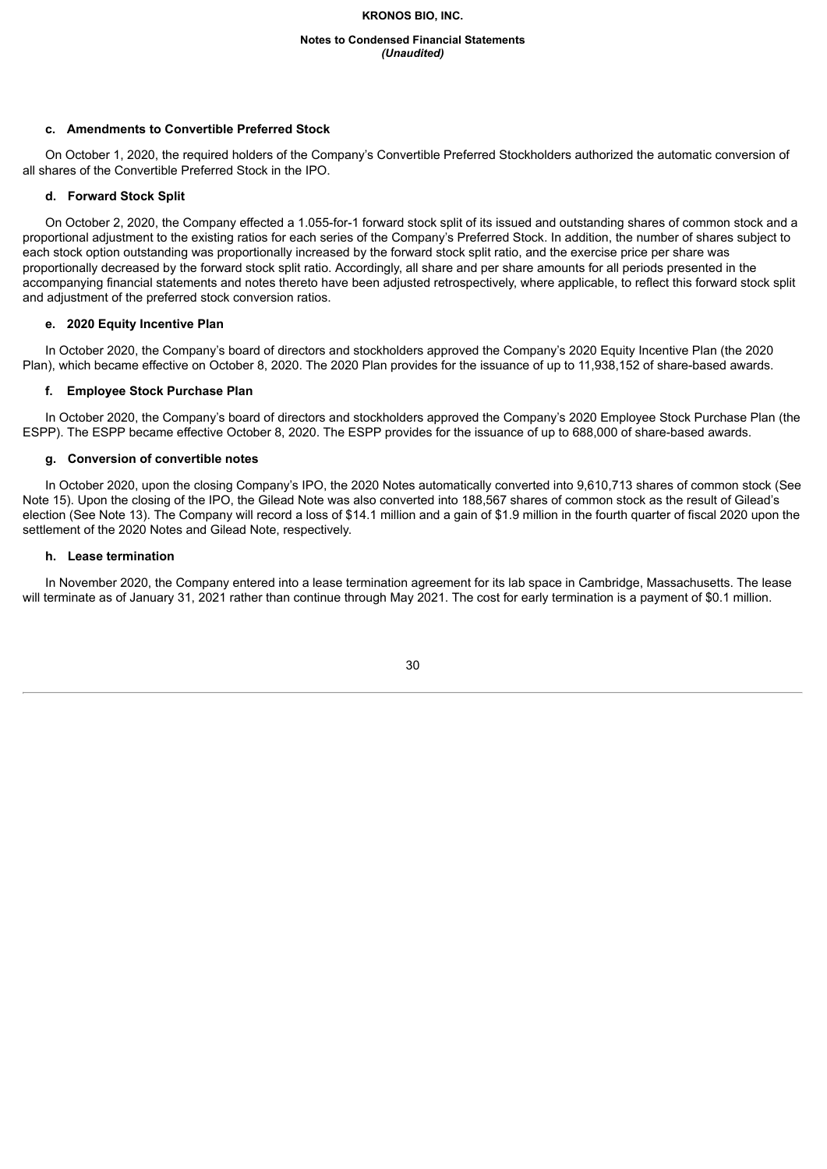#### **Notes to Condensed Financial Statements** *(Unaudited)*

### **c. Amendments to Convertible Preferred Stock**

On October 1, 2020, the required holders of the Company's Convertible Preferred Stockholders authorized the automatic conversion of all shares of the Convertible Preferred Stock in the IPO.

#### **d. Forward Stock Split**

On October 2, 2020, the Company effected a 1.055-for-1 forward stock split of its issued and outstanding shares of common stock and a proportional adjustment to the existing ratios for each series of the Company's Preferred Stock. In addition, the number of shares subject to each stock option outstanding was proportionally increased by the forward stock split ratio, and the exercise price per share was proportionally decreased by the forward stock split ratio. Accordingly, all share and per share amounts for all periods presented in the accompanying financial statements and notes thereto have been adjusted retrospectively, where applicable, to reflect this forward stock split and adjustment of the preferred stock conversion ratios.

#### **e. 2020 Equity Incentive Plan**

In October 2020, the Company's board of directors and stockholders approved the Company's 2020 Equity Incentive Plan (the 2020 Plan), which became effective on October 8, 2020. The 2020 Plan provides for the issuance of up to 11,938,152 of share-based awards.

#### **f. Employee Stock Purchase Plan**

In October 2020, the Company's board of directors and stockholders approved the Company's 2020 Employee Stock Purchase Plan (the ESPP). The ESPP became effective October 8, 2020. The ESPP provides for the issuance of up to 688,000 of share-based awards.

#### **g. Conversion of convertible notes**

In October 2020, upon the closing Company's IPO, the 2020 Notes automatically converted into 9,610,713 shares of common stock (See Note 15). Upon the closing of the IPO, the Gilead Note was also converted into 188,567 shares of common stock as the result of Gilead's election (See Note 13). The Company will record a loss of \$14.1 million and a gain of \$1.9 million in the fourth quarter of fiscal 2020 upon the settlement of the 2020 Notes and Gilead Note, respectively.

#### **h. Lease termination**

<span id="page-29-0"></span>In November 2020, the Company entered into a lease termination agreement for its lab space in Cambridge, Massachusetts. The lease will terminate as of January 31, 2021 rather than continue through May 2021. The cost for early termination is a payment of \$0.1 million.

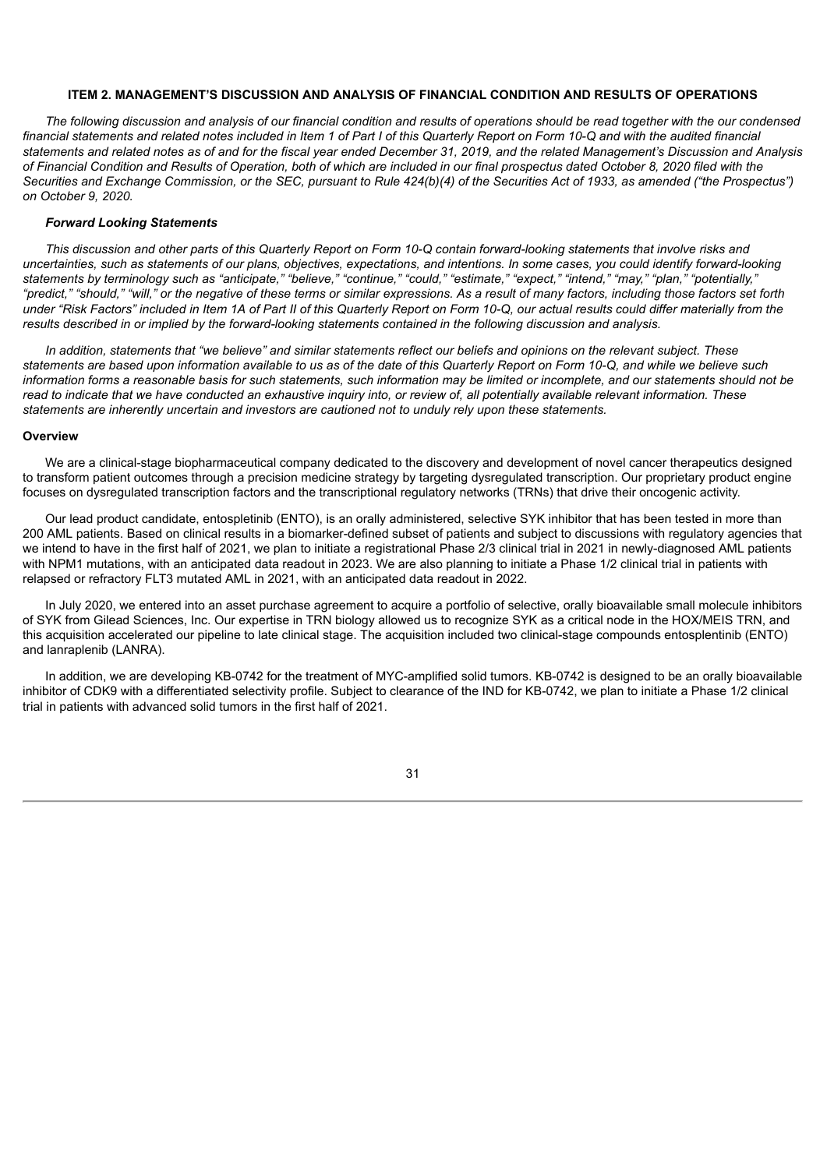#### **ITEM 2. MANAGEMENT'S DISCUSSION AND ANALYSIS OF FINANCIAL CONDITION AND RESULTS OF OPERATIONS**

The following discussion and analysis of our financial condition and results of operations should be read together with the our condensed financial statements and related notes included in Item 1 of Part I of this Quarterly Report on Form 10-Q and with the audited financial statements and related notes as of and for the fiscal year ended December 31, 2019, and the related Management's Discussion and Analysis of Financial Condition and Results of Operation, both of which are included in our final prospectus dated October 8, 2020 filed with the Securities and Exchange Commission, or the SEC, pursuant to Rule 424(b)(4) of the Securities Act of 1933, as amended ("the Prospectus") *on October 9, 2020.*

#### *Forward Looking Statements*

This discussion and other parts of this Quarterly Report on Form 10-Q contain forward-looking statements that involve risks and uncertainties, such as statements of our plans, objectives, expectations, and intentions. In some cases, you could identify forward-looking statements by terminology such as "anticipate," "believe," "continue," "could," "estimate," "expect," "intend," "may," "plan," "potentially," "predict," "should," "will," or the negative of these terms or similar expressions. As a result of many factors, including those factors set forth under "Risk Factors" included in Item 1A of Part II of this Quarterly Report on Form 10-Q, our actual results could differ materially from the results described in or implied by the forward-looking statements contained in the following discussion and analysis.

In addition, statements that "we believe" and similar statements reflect our beliefs and opinions on the relevant subject. These statements are based upon information available to us as of the date of this Quarterly Report on Form 10-Q, and while we believe such information forms a reasonable basis for such statements, such information may be limited or incomplete, and our statements should not be read to indicate that we have conducted an exhaustive inquiry into, or review of, all potentially available relevant information. These *statements are inherently uncertain and investors are cautioned not to unduly rely upon these statements.*

#### **Overview**

We are a clinical-stage biopharmaceutical company dedicated to the discovery and development of novel cancer therapeutics designed to transform patient outcomes through a precision medicine strategy by targeting dysregulated transcription. Our proprietary product engine focuses on dysregulated transcription factors and the transcriptional regulatory networks (TRNs) that drive their oncogenic activity.

Our lead product candidate, entospletinib (ENTO), is an orally administered, selective SYK inhibitor that has been tested in more than 200 AML patients. Based on clinical results in a biomarker-defined subset of patients and subject to discussions with regulatory agencies that we intend to have in the first half of 2021, we plan to initiate a registrational Phase 2/3 clinical trial in 2021 in newly-diagnosed AML patients with NPM1 mutations, with an anticipated data readout in 2023. We are also planning to initiate a Phase 1/2 clinical trial in patients with relapsed or refractory FLT3 mutated AML in 2021, with an anticipated data readout in 2022.

In July 2020, we entered into an asset purchase agreement to acquire a portfolio of selective, orally bioavailable small molecule inhibitors of SYK from Gilead Sciences, Inc. Our expertise in TRN biology allowed us to recognize SYK as a critical node in the HOX/MEIS TRN, and this acquisition accelerated our pipeline to late clinical stage. The acquisition included two clinical-stage compounds entosplentinib (ENTO) and lanraplenib (LANRA).

In addition, we are developing KB-0742 for the treatment of MYC-amplified solid tumors. KB-0742 is designed to be an orally bioavailable inhibitor of CDK9 with a differentiated selectivity profile. Subject to clearance of the IND for KB-0742, we plan to initiate a Phase 1/2 clinical trial in patients with advanced solid tumors in the first half of 2021.

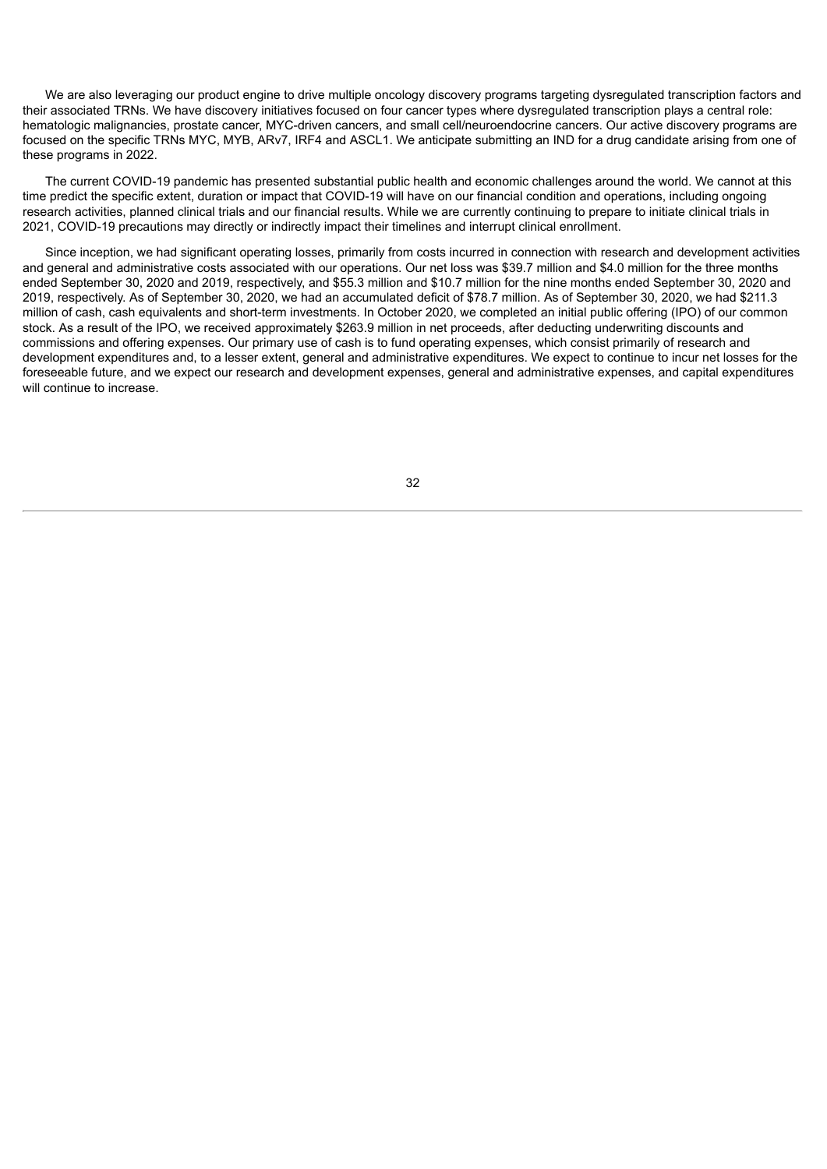We are also leveraging our product engine to drive multiple oncology discovery programs targeting dysregulated transcription factors and their associated TRNs. We have discovery initiatives focused on four cancer types where dysregulated transcription plays a central role: hematologic malignancies, prostate cancer, MYC-driven cancers, and small cell/neuroendocrine cancers. Our active discovery programs are focused on the specific TRNs MYC, MYB, ARv7, IRF4 and ASCL1. We anticipate submitting an IND for a drug candidate arising from one of these programs in 2022.

The current COVID-19 pandemic has presented substantial public health and economic challenges around the world. We cannot at this time predict the specific extent, duration or impact that COVID-19 will have on our financial condition and operations, including ongoing research activities, planned clinical trials and our financial results. While we are currently continuing to prepare to initiate clinical trials in 2021, COVID-19 precautions may directly or indirectly impact their timelines and interrupt clinical enrollment.

Since inception, we had significant operating losses, primarily from costs incurred in connection with research and development activities and general and administrative costs associated with our operations. Our net loss was \$39.7 million and \$4.0 million for the three months ended September 30, 2020 and 2019, respectively, and \$55.3 million and \$10.7 million for the nine months ended September 30, 2020 and 2019, respectively. As of September 30, 2020, we had an accumulated deficit of \$78.7 million. As of September 30, 2020, we had \$211.3 million of cash, cash equivalents and short-term investments. In October 2020, we completed an initial public offering (IPO) of our common stock. As a result of the IPO, we received approximately \$263.9 million in net proceeds, after deducting underwriting discounts and commissions and offering expenses. Our primary use of cash is to fund operating expenses, which consist primarily of research and development expenditures and, to a lesser extent, general and administrative expenditures. We expect to continue to incur net losses for the foreseeable future, and we expect our research and development expenses, general and administrative expenses, and capital expenditures will continue to increase.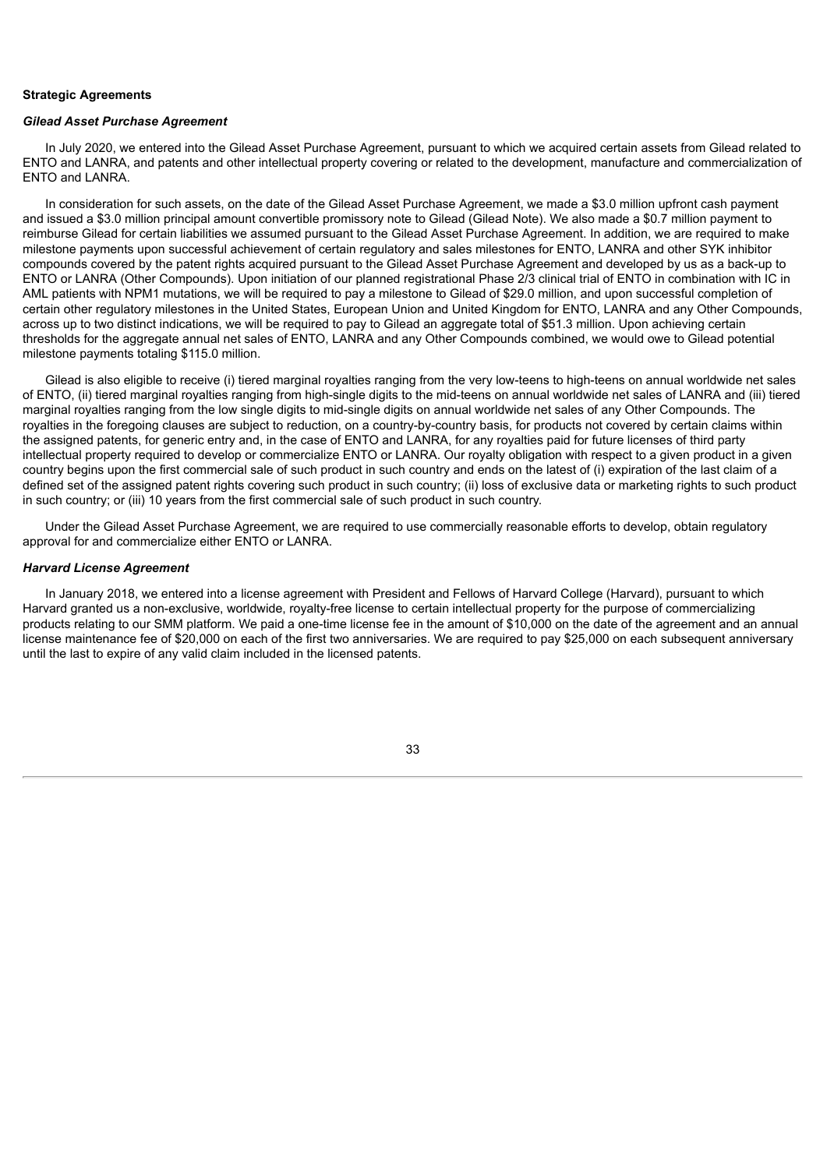#### **Strategic Agreements**

#### *Gilead Asset Purchase Agreement*

In July 2020, we entered into the Gilead Asset Purchase Agreement, pursuant to which we acquired certain assets from Gilead related to ENTO and LANRA, and patents and other intellectual property covering or related to the development, manufacture and commercialization of ENTO and LANRA.

In consideration for such assets, on the date of the Gilead Asset Purchase Agreement, we made a \$3.0 million upfront cash payment and issued a \$3.0 million principal amount convertible promissory note to Gilead (Gilead Note). We also made a \$0.7 million payment to reimburse Gilead for certain liabilities we assumed pursuant to the Gilead Asset Purchase Agreement. In addition, we are required to make milestone payments upon successful achievement of certain regulatory and sales milestones for ENTO, LANRA and other SYK inhibitor compounds covered by the patent rights acquired pursuant to the Gilead Asset Purchase Agreement and developed by us as a back-up to ENTO or LANRA (Other Compounds). Upon initiation of our planned registrational Phase 2/3 clinical trial of ENTO in combination with IC in AML patients with NPM1 mutations, we will be required to pay a milestone to Gilead of \$29.0 million, and upon successful completion of certain other regulatory milestones in the United States, European Union and United Kingdom for ENTO, LANRA and any Other Compounds, across up to two distinct indications, we will be required to pay to Gilead an aggregate total of \$51.3 million. Upon achieving certain thresholds for the aggregate annual net sales of ENTO, LANRA and any Other Compounds combined, we would owe to Gilead potential milestone payments totaling \$115.0 million.

Gilead is also eligible to receive (i) tiered marginal royalties ranging from the very low-teens to high-teens on annual worldwide net sales of ENTO, (ii) tiered marginal royalties ranging from high-single digits to the mid-teens on annual worldwide net sales of LANRA and (iii) tiered marginal royalties ranging from the low single digits to mid-single digits on annual worldwide net sales of any Other Compounds. The royalties in the foregoing clauses are subject to reduction, on a country-by-country basis, for products not covered by certain claims within the assigned patents, for generic entry and, in the case of ENTO and LANRA, for any royalties paid for future licenses of third party intellectual property required to develop or commercialize ENTO or LANRA. Our royalty obligation with respect to a given product in a given country begins upon the first commercial sale of such product in such country and ends on the latest of (i) expiration of the last claim of a defined set of the assigned patent rights covering such product in such country; (ii) loss of exclusive data or marketing rights to such product in such country; or (iii) 10 years from the first commercial sale of such product in such country.

Under the Gilead Asset Purchase Agreement, we are required to use commercially reasonable efforts to develop, obtain regulatory approval for and commercialize either ENTO or LANRA.

#### *Harvard License Agreement*

In January 2018, we entered into a license agreement with President and Fellows of Harvard College (Harvard), pursuant to which Harvard granted us a non-exclusive, worldwide, royalty-free license to certain intellectual property for the purpose of commercializing products relating to our SMM platform. We paid a one-time license fee in the amount of \$10,000 on the date of the agreement and an annual license maintenance fee of \$20,000 on each of the first two anniversaries. We are required to pay \$25,000 on each subsequent anniversary until the last to expire of any valid claim included in the licensed patents.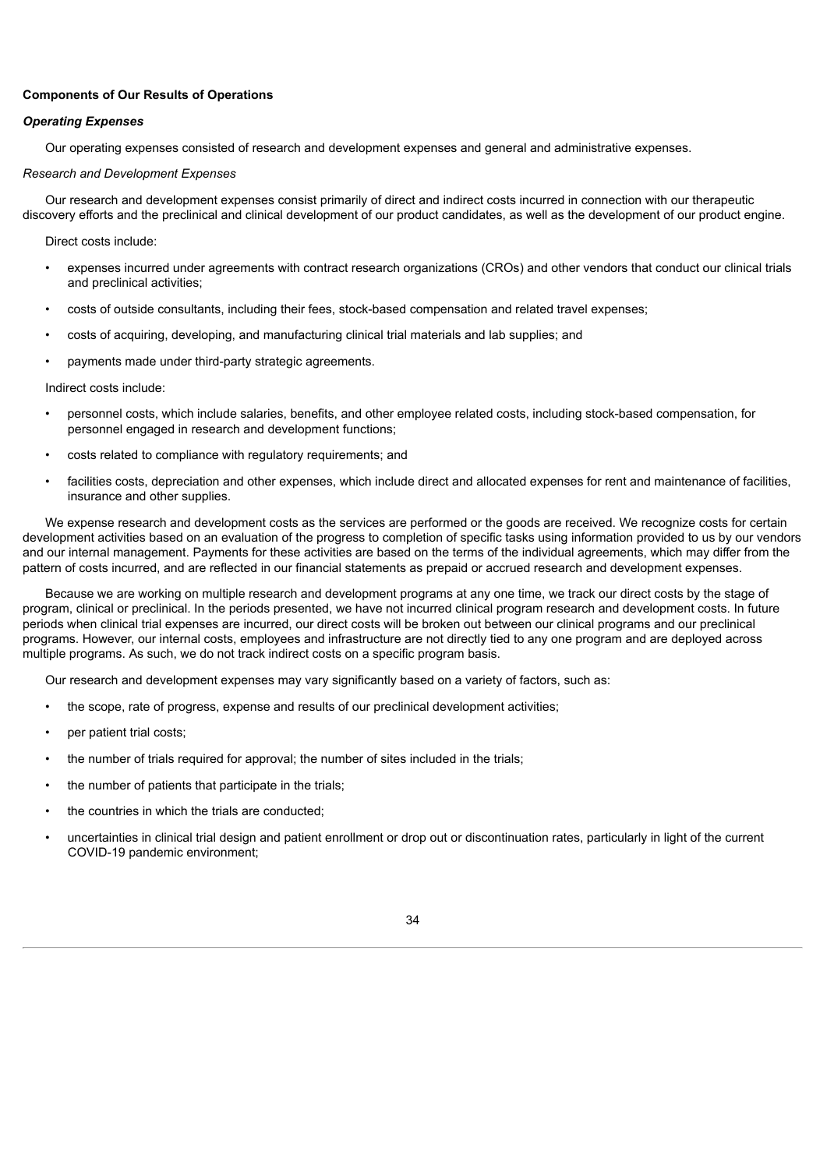# **Components of Our Results of Operations**

# *Operating Expenses*

Our operating expenses consisted of research and development expenses and general and administrative expenses.

#### *Research and Development Expenses*

Our research and development expenses consist primarily of direct and indirect costs incurred in connection with our therapeutic discovery efforts and the preclinical and clinical development of our product candidates, as well as the development of our product engine.

Direct costs include:

- expenses incurred under agreements with contract research organizations (CROs) and other vendors that conduct our clinical trials and preclinical activities;
- costs of outside consultants, including their fees, stock-based compensation and related travel expenses;
- costs of acquiring, developing, and manufacturing clinical trial materials and lab supplies; and
- payments made under third-party strategic agreements.

Indirect costs include:

- personnel costs, which include salaries, benefits, and other employee related costs, including stock-based compensation, for personnel engaged in research and development functions;
- costs related to compliance with regulatory requirements; and
- facilities costs, depreciation and other expenses, which include direct and allocated expenses for rent and maintenance of facilities, insurance and other supplies.

We expense research and development costs as the services are performed or the goods are received. We recognize costs for certain development activities based on an evaluation of the progress to completion of specific tasks using information provided to us by our vendors and our internal management. Payments for these activities are based on the terms of the individual agreements, which may differ from the pattern of costs incurred, and are reflected in our financial statements as prepaid or accrued research and development expenses.

Because we are working on multiple research and development programs at any one time, we track our direct costs by the stage of program, clinical or preclinical. In the periods presented, we have not incurred clinical program research and development costs. In future periods when clinical trial expenses are incurred, our direct costs will be broken out between our clinical programs and our preclinical programs. However, our internal costs, employees and infrastructure are not directly tied to any one program and are deployed across multiple programs. As such, we do not track indirect costs on a specific program basis.

Our research and development expenses may vary significantly based on a variety of factors, such as:

- the scope, rate of progress, expense and results of our preclinical development activities;
- per patient trial costs;
- the number of trials required for approval; the number of sites included in the trials;
- the number of patients that participate in the trials;
- the countries in which the trials are conducted;
- uncertainties in clinical trial design and patient enrollment or drop out or discontinuation rates, particularly in light of the current COVID-19 pandemic environment;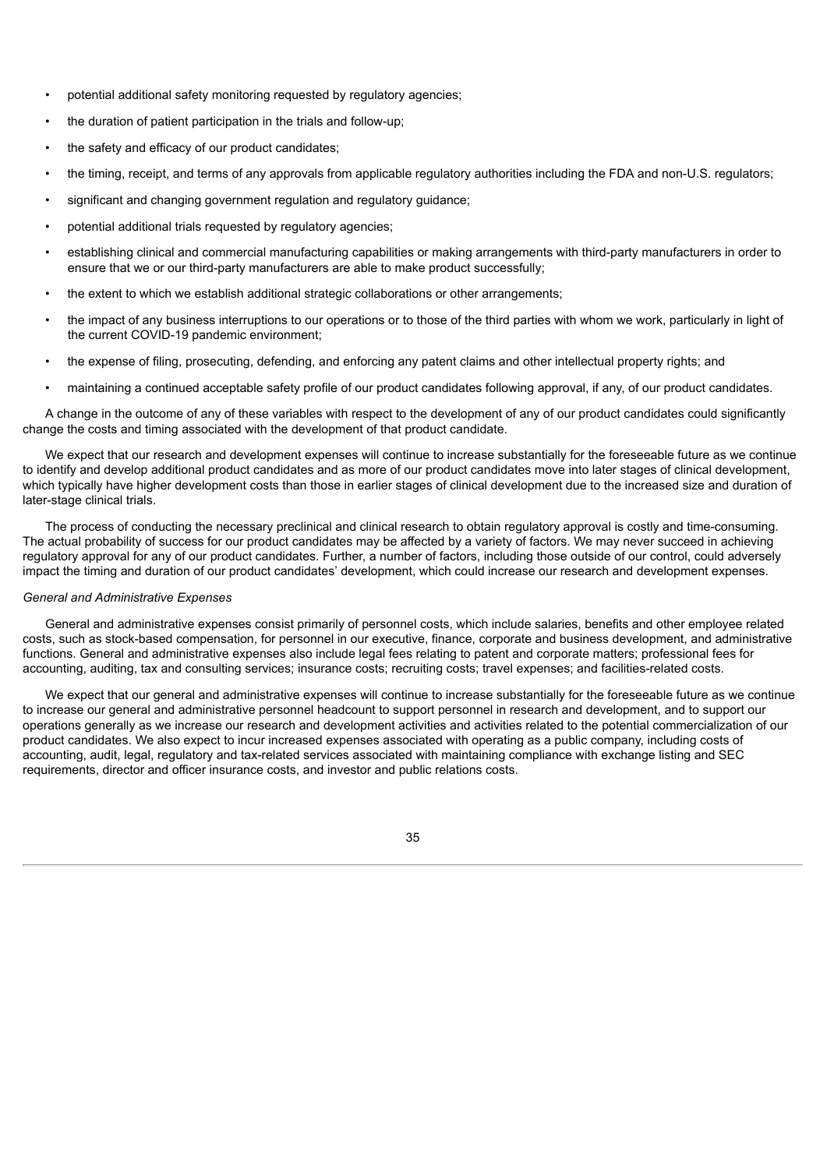- potential additional safety monitoring requested by regulatory agencies;
- the duration of patient participation in the trials and follow-up;
- the safety and efficacy of our product candidates;
- the timing, receipt, and terms of any approvals from applicable regulatory authorities including the FDA and non-U.S. regulators;
- significant and changing government regulation and regulatory guidance;
- potential additional trials requested by regulatory agencies;
- establishing clinical and commercial manufacturing capabilities or making arrangements with third-party manufacturers in order to ensure that we or our third-party manufacturers are able to make product successfully;
- the extent to which we establish additional strategic collaborations or other arrangements;
- the impact of any business interruptions to our operations or to those of the third parties with whom we work, particularly in light of the current COVID-19 pandemic environment;
- the expense of filing, prosecuting, defending, and enforcing any patent claims and other intellectual property rights; and
- maintaining a continued acceptable safety profile of our product candidates following approval, if any, of our product candidates.

A change in the outcome of any of these variables with respect to the development of any of our product candidates could significantly change the costs and timing associated with the development of that product candidate.

We expect that our research and development expenses will continue to increase substantially for the foreseeable future as we continue to identify and develop additional product candidates and as more of our product candidates move into later stages of clinical development, which typically have higher development costs than those in earlier stages of clinical development due to the increased size and duration of later-stage clinical trials.

The process of conducting the necessary preclinical and clinical research to obtain regulatory approval is costly and time-consuming. The actual probability of success for our product candidates may be affected by a variety of factors. We may never succeed in achieving regulatory approval for any of our product candidates. Further, a number of factors, including those outside of our control, could adversely impact the timing and duration of our product candidates' development, which could increase our research and development expenses.

#### *General and Administrative Expenses*

General and administrative expenses consist primarily of personnel costs, which include salaries, benefits and other employee related costs, such as stock-based compensation, for personnel in our executive, finance, corporate and business development, and administrative functions. General and administrative expenses also include legal fees relating to patent and corporate matters; professional fees for accounting, auditing, tax and consulting services; insurance costs; recruiting costs; travel expenses; and facilities-related costs.

We expect that our general and administrative expenses will continue to increase substantially for the foreseeable future as we continue to increase our general and administrative personnel headcount to support personnel in research and development, and to support our operations generally as we increase our research and development activities and activities related to the potential commercialization of our product candidates. We also expect to incur increased expenses associated with operating as a public company, including costs of accounting, audit, legal, regulatory and tax-related services associated with maintaining compliance with exchange listing and SEC requirements, director and officer insurance costs, and investor and public relations costs.

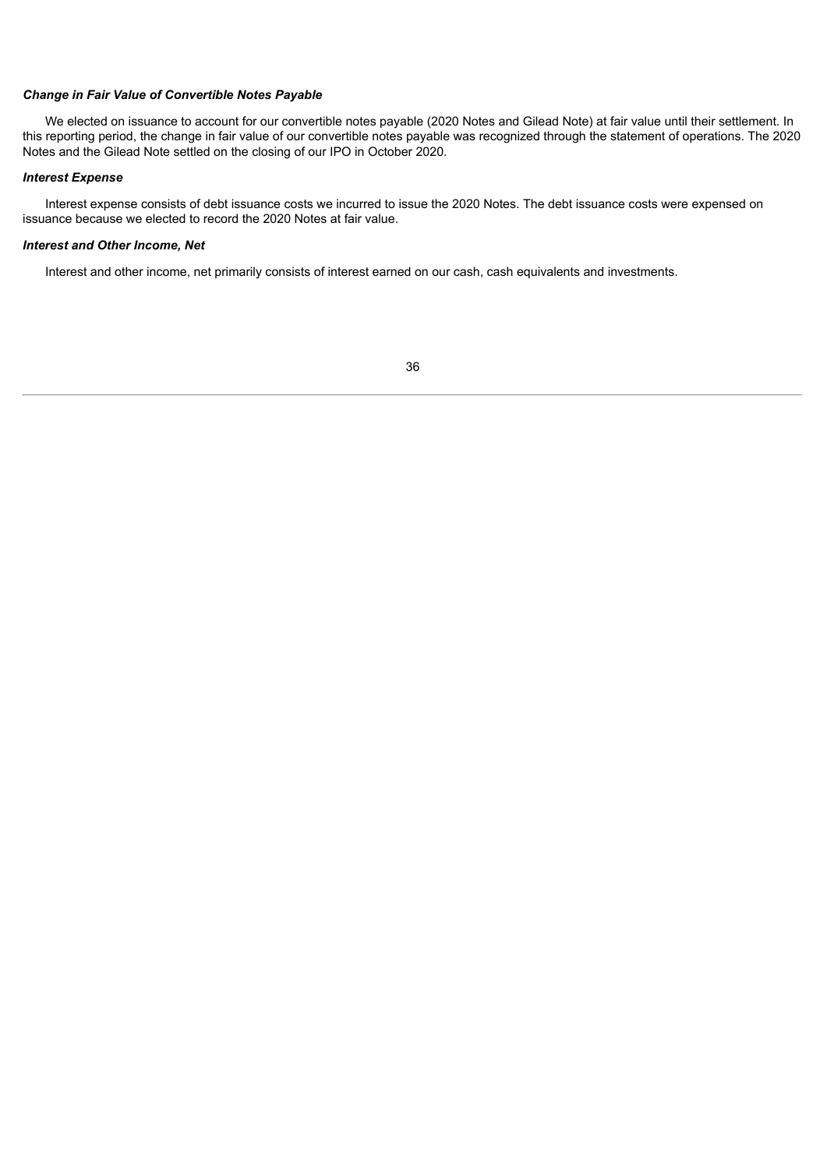# *Change in Fair Value of Convertible Notes Payable*

We elected on issuance to account for our convertible notes payable (2020 Notes and Gilead Note) at fair value until their settlement. In this reporting period, the change in fair value of our convertible notes payable was recognized through the statement of operations. The 2020 Notes and the Gilead Note settled on the closing of our IPO in October 2020.

# *Interest Expense*

Interest expense consists of debt issuance costs we incurred to issue the 2020 Notes. The debt issuance costs were expensed on issuance because we elected to record the 2020 Notes at fair value.

#### *Interest and Other Income, Net*

Interest and other income, net primarily consists of interest earned on our cash, cash equivalents and investments.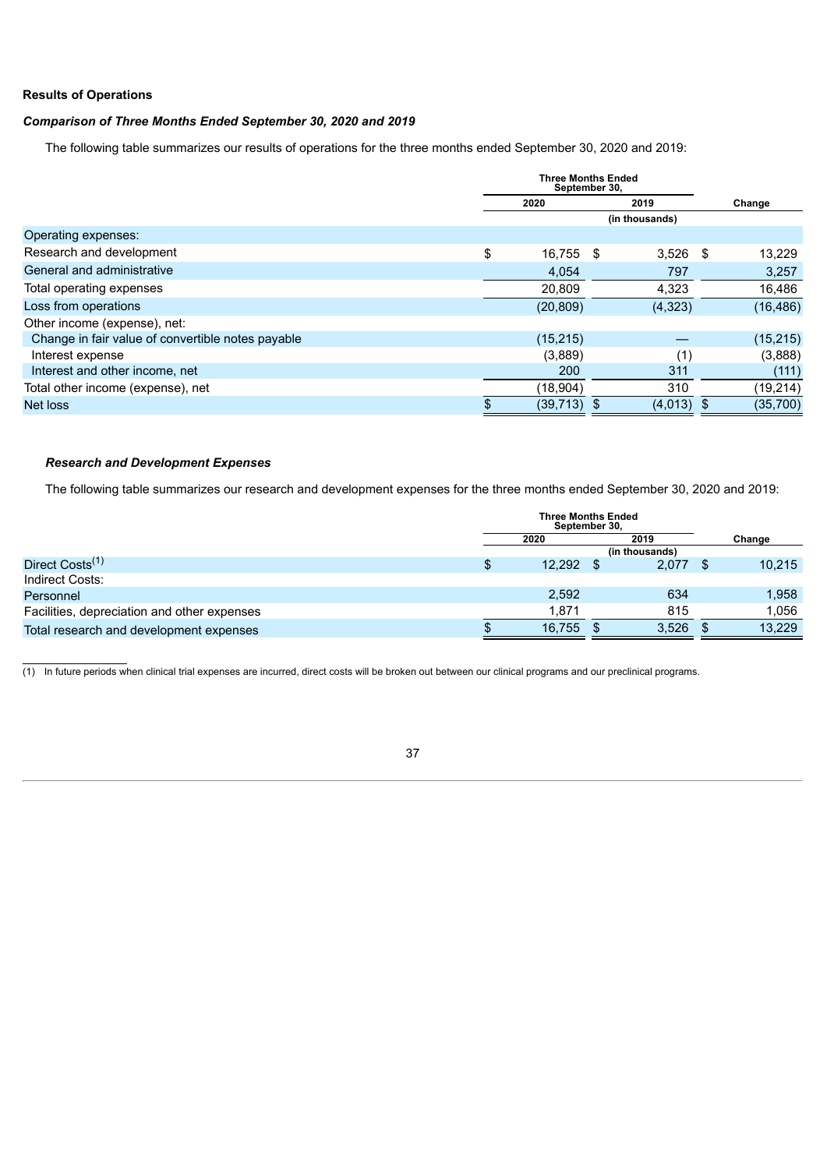# **Results of Operations**

# *Comparison of Three Months Ended September 30, 2020 and 2019*

The following table summarizes our results of operations for the three months ended September 30, 2020 and 2019:

|                                                   | <b>Three Months Ended</b><br>September 30, |              |      |           |
|---------------------------------------------------|--------------------------------------------|--------------|------|-----------|
|                                                   | 2020                                       | 2019         |      | Change    |
|                                                   |                                            |              |      |           |
| Operating expenses:                               |                                            |              |      |           |
| Research and development                          | \$<br>16,755 \$                            | 3,526        | - \$ | 13,229    |
| General and administrative                        | 4,054                                      | 797          |      | 3,257     |
| Total operating expenses                          | 20,809                                     | 4,323        |      | 16,486    |
| Loss from operations                              | (20, 809)                                  | (4,323)      |      | (16, 486) |
| Other income (expense), net:                      |                                            |              |      |           |
| Change in fair value of convertible notes payable | (15, 215)                                  |              |      | (15, 215) |
| Interest expense                                  | (3,889)                                    | (1)          |      | (3,888)   |
| Interest and other income, net                    | 200                                        | 311          |      | (111)     |
| Total other income (expense), net                 | (18,904)                                   | 310          |      | (19, 214) |
| Net loss                                          | $(39,713)$ \$                              | $(4,013)$ \$ |      | (35,700)  |
|                                                   |                                            |              |      |           |

# *Research and Development Expenses*

 $\frac{1}{2}$ 

The following table summarizes our research and development expenses for the three months ended September 30, 2020 and 2019:

|                                             | <b>Three Months Ended</b><br>September 30, |        |  |                |     |        |
|---------------------------------------------|--------------------------------------------|--------|--|----------------|-----|--------|
|                                             | 2020                                       |        |  | 2019           |     | Change |
|                                             |                                            |        |  | (in thousands) |     |        |
| Direct Costs <sup>(1)</sup>                 | \$                                         | 12,292 |  | 2.077          | \$. | 10,215 |
| Indirect Costs:                             |                                            |        |  |                |     |        |
| Personnel                                   |                                            | 2,592  |  | 634            |     | 1,958  |
| Facilities, depreciation and other expenses |                                            | 1.871  |  | 815            |     | 1,056  |
| Total research and development expenses     |                                            | 16,755 |  | 3.526          |     | 13,229 |

(1) In future periods when clinical trial expenses are incurred, direct costs will be broken out between our clinical programs and our preclinical programs.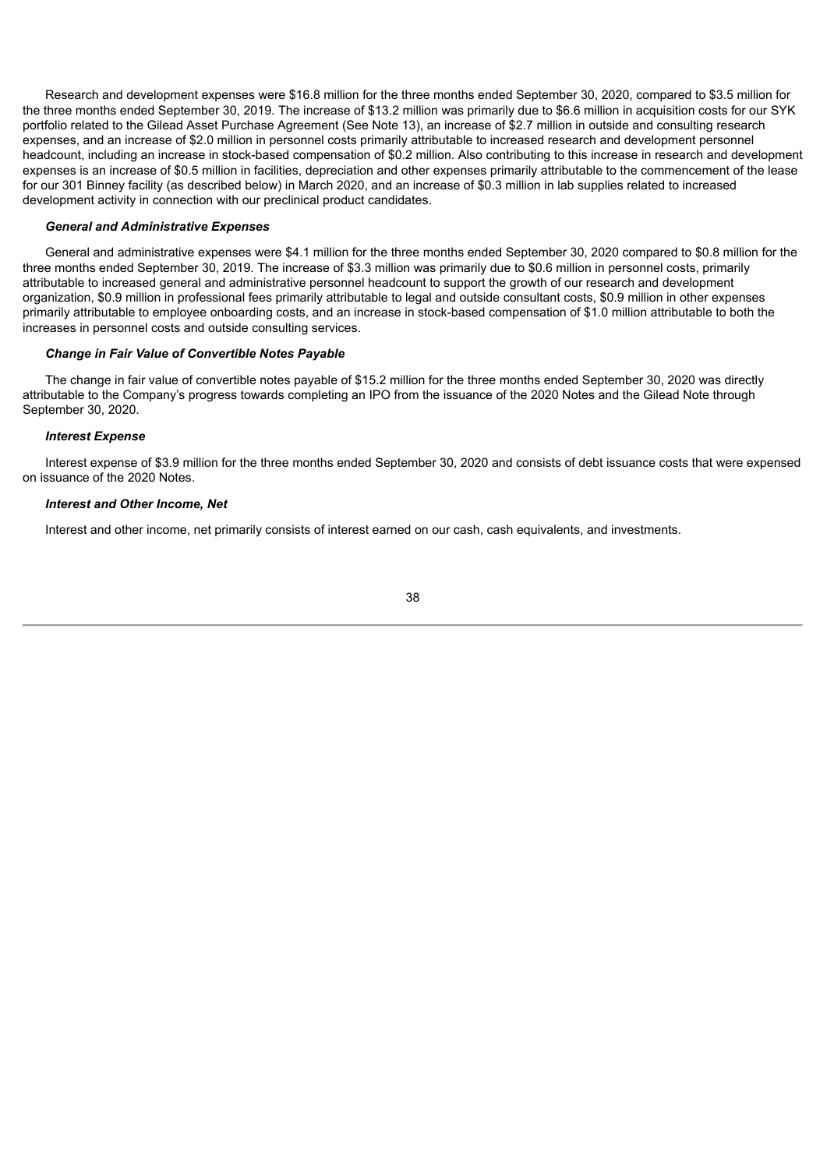Research and development expenses were \$16.8 million for the three months ended September 30, 2020, compared to \$3.5 million for the three months ended September 30, 2019. The increase of \$13.2 million was primarily due to \$6.6 million in acquisition costs for our SYK portfolio related to the Gilead Asset Purchase Agreement (See Note 13), an increase of \$2.7 million in outside and consulting research expenses, and an increase of \$2.0 million in personnel costs primarily attributable to increased research and development personnel headcount, including an increase in stock-based compensation of \$0.2 million. Also contributing to this increase in research and development expenses is an increase of \$0.5 million in facilities, depreciation and other expenses primarily attributable to the commencement of the lease for our 301 Binney facility (as described below) in March 2020, and an increase of \$0.3 million in lab supplies related to increased development activity in connection with our preclinical product candidates.

#### *General and Administrative Expenses*

General and administrative expenses were \$4.1 million for the three months ended September 30, 2020 compared to \$0.8 million for the three months ended September 30, 2019. The increase of \$3.3 million was primarily due to \$0.6 million in personnel costs, primarily attributable to increased general and administrative personnel headcount to support the growth of our research and development organization, \$0.9 million in professional fees primarily attributable to legal and outside consultant costs, \$0.9 million in other expenses primarily attributable to employee onboarding costs, and an increase in stock-based compensation of \$1.0 million attributable to both the increases in personnel costs and outside consulting services.

#### *Change in Fair Value of Convertible Notes Payable*

The change in fair value of convertible notes payable of \$15.2 million for the three months ended September 30, 2020 was directly attributable to the Company's progress towards completing an IPO from the issuance of the 2020 Notes and the Gilead Note through September 30, 2020.

#### *Interest Expense*

Interest expense of \$3.9 million for the three months ended September 30, 2020 and consists of debt issuance costs that were expensed on issuance of the 2020 Notes.

# *Interest and Other Income, Net*

Interest and other income, net primarily consists of interest earned on our cash, cash equivalents, and investments.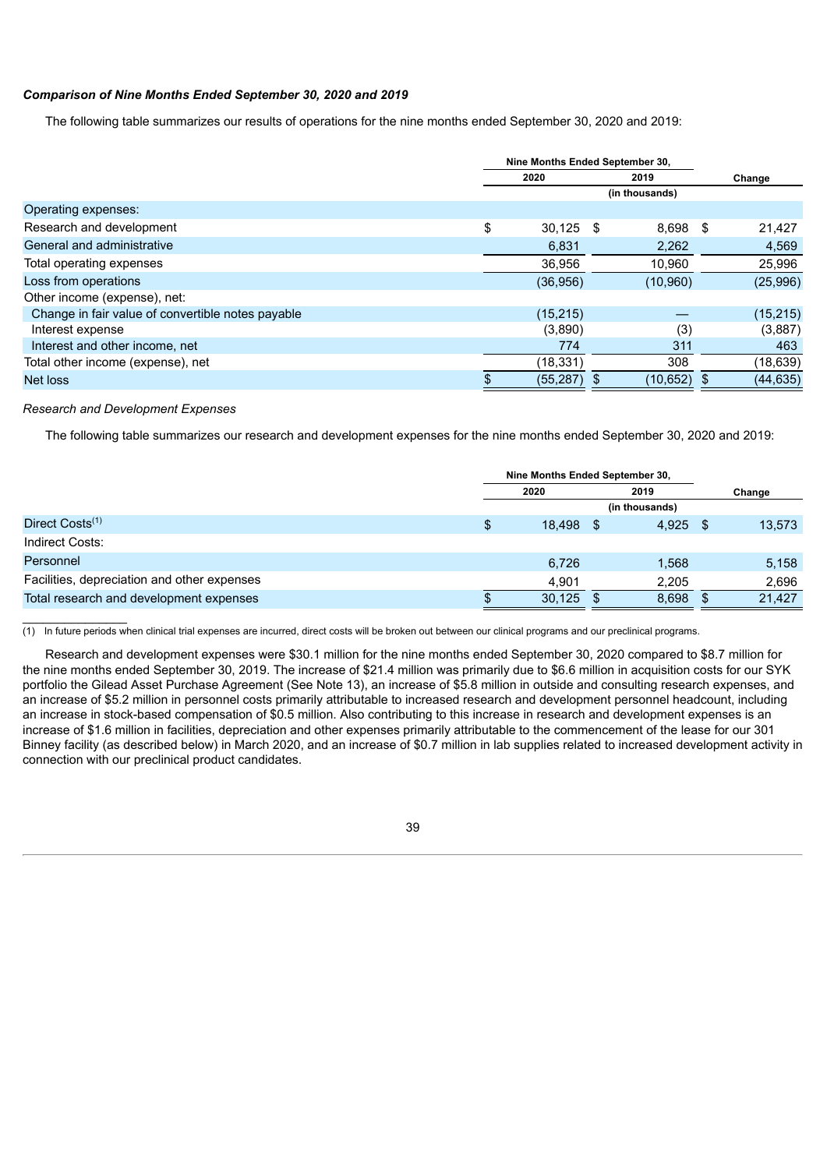# *Comparison of Nine Months Ended September 30, 2020 and 2019*

The following table summarizes our results of operations for the nine months ended September 30, 2020 and 2019:

|                                                   | Nine Months Ended September 30, |                |                |
|---------------------------------------------------|---------------------------------|----------------|----------------|
|                                                   | 2020                            | 2019           | Change         |
|                                                   |                                 | (in thousands) |                |
| Operating expenses:                               |                                 |                |                |
| Research and development<br>\$                    | $30,125$ \$                     | 8.698          | 21,427<br>- \$ |
| General and administrative                        | 6,831                           | 2,262          | 4,569          |
| Total operating expenses                          | 36,956                          | 10,960         | 25,996         |
| Loss from operations                              | (36,956)                        | (10,960)       | (25,996)       |
| Other income (expense), net:                      |                                 |                |                |
| Change in fair value of convertible notes payable | (15, 215)                       |                | (15, 215)      |
| Interest expense                                  | (3,890)                         | (3)            | (3,887)        |
| Interest and other income, net                    | 774                             | 311            | 463            |
| Total other income (expense), net                 | (18, 331)                       | 308            | (18,639)       |
| Net loss                                          | (55, 287)                       | (10, 652)      | (44, 635)      |

### *Research and Development Expenses*

 $\frac{1}{2}$ 

The following table summarizes our research and development expenses for the nine months ended September 30, 2020 and 2019:

|                                             | Nine Months Ended September 30, |                |      |       |      |        |  |  |  |
|---------------------------------------------|---------------------------------|----------------|------|-------|------|--------|--|--|--|
|                                             |                                 | 2020           | 2019 |       |      | Change |  |  |  |
|                                             |                                 | (in thousands) |      |       |      |        |  |  |  |
| Direct Costs <sup>(1)</sup>                 | \$                              | 18,498 \$      |      | 4.925 | - \$ | 13,573 |  |  |  |
| Indirect Costs:                             |                                 |                |      |       |      |        |  |  |  |
| Personnel                                   |                                 | 6,726          |      | 1.568 |      | 5,158  |  |  |  |
| Facilities, depreciation and other expenses |                                 | 4.901          |      | 2,205 |      | 2,696  |  |  |  |
| Total research and development expenses     |                                 | 30,125         |      | 8,698 |      | 21,427 |  |  |  |

 $(1)$  In future periods when clinical trial expenses are incurred, direct costs will be broken out between our clinical programs and our preclinical programs.

Research and development expenses were \$30.1 million for the nine months ended September 30, 2020 compared to \$8.7 million for the nine months ended September 30, 2019. The increase of \$21.4 million was primarily due to \$6.6 million in acquisition costs for our SYK portfolio the Gilead Asset Purchase Agreement (See Note 13), an increase of \$5.8 million in outside and consulting research expenses, and an increase of \$5.2 million in personnel costs primarily attributable to increased research and development personnel headcount, including an increase in stock-based compensation of \$0.5 million. Also contributing to this increase in research and development expenses is an increase of \$1.6 million in facilities, depreciation and other expenses primarily attributable to the commencement of the lease for our 301 Binney facility (as described below) in March 2020, and an increase of \$0.7 million in lab supplies related to increased development activity in connection with our preclinical product candidates.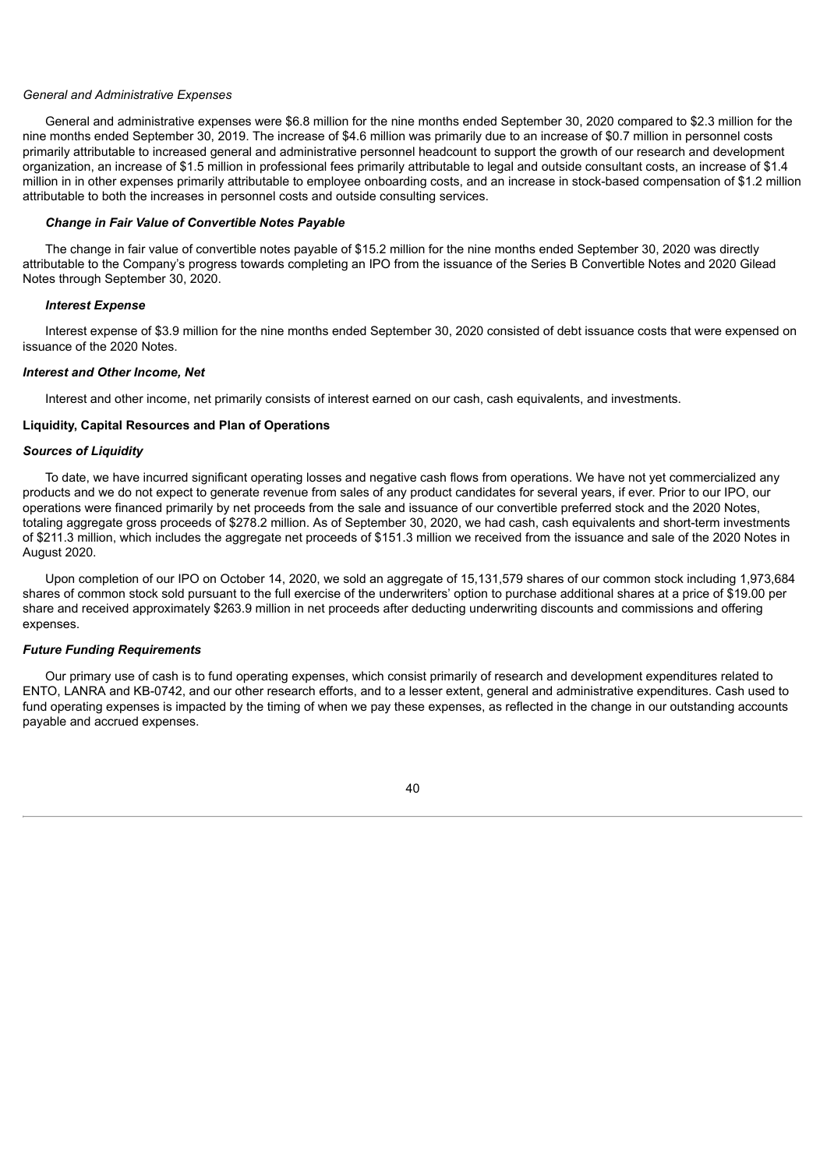### *General and Administrative Expenses*

General and administrative expenses were \$6.8 million for the nine months ended September 30, 2020 compared to \$2.3 million for the nine months ended September 30, 2019. The increase of \$4.6 million was primarily due to an increase of \$0.7 million in personnel costs primarily attributable to increased general and administrative personnel headcount to support the growth of our research and development organization, an increase of \$1.5 million in professional fees primarily attributable to legal and outside consultant costs, an increase of \$1.4 million in in other expenses primarily attributable to employee onboarding costs, and an increase in stock-based compensation of \$1.2 million attributable to both the increases in personnel costs and outside consulting services.

# *Change in Fair Value of Convertible Notes Payable*

The change in fair value of convertible notes payable of \$15.2 million for the nine months ended September 30, 2020 was directly attributable to the Company's progress towards completing an IPO from the issuance of the Series B Convertible Notes and 2020 Gilead Notes through September 30, 2020.

### *Interest Expense*

Interest expense of \$3.9 million for the nine months ended September 30, 2020 consisted of debt issuance costs that were expensed on issuance of the 2020 Notes.

### *Interest and Other Income, Net*

Interest and other income, net primarily consists of interest earned on our cash, cash equivalents, and investments.

### **Liquidity, Capital Resources and Plan of Operations**

## *Sources of Liquidity*

To date, we have incurred significant operating losses and negative cash flows from operations. We have not yet commercialized any products and we do not expect to generate revenue from sales of any product candidates for several years, if ever. Prior to our IPO, our operations were financed primarily by net proceeds from the sale and issuance of our convertible preferred stock and the 2020 Notes, totaling aggregate gross proceeds of \$278.2 million. As of September 30, 2020, we had cash, cash equivalents and short-term investments of \$211.3 million, which includes the aggregate net proceeds of \$151.3 million we received from the issuance and sale of the 2020 Notes in August 2020.

Upon completion of our IPO on October 14, 2020, we sold an aggregate of 15,131,579 shares of our common stock including 1,973,684 shares of common stock sold pursuant to the full exercise of the underwriters' option to purchase additional shares at a price of \$19.00 per share and received approximately \$263.9 million in net proceeds after deducting underwriting discounts and commissions and offering expenses.

#### *Future Funding Requirements*

Our primary use of cash is to fund operating expenses, which consist primarily of research and development expenditures related to ENTO, LANRA and KB-0742, and our other research efforts, and to a lesser extent, general and administrative expenditures. Cash used to fund operating expenses is impacted by the timing of when we pay these expenses, as reflected in the change in our outstanding accounts payable and accrued expenses.

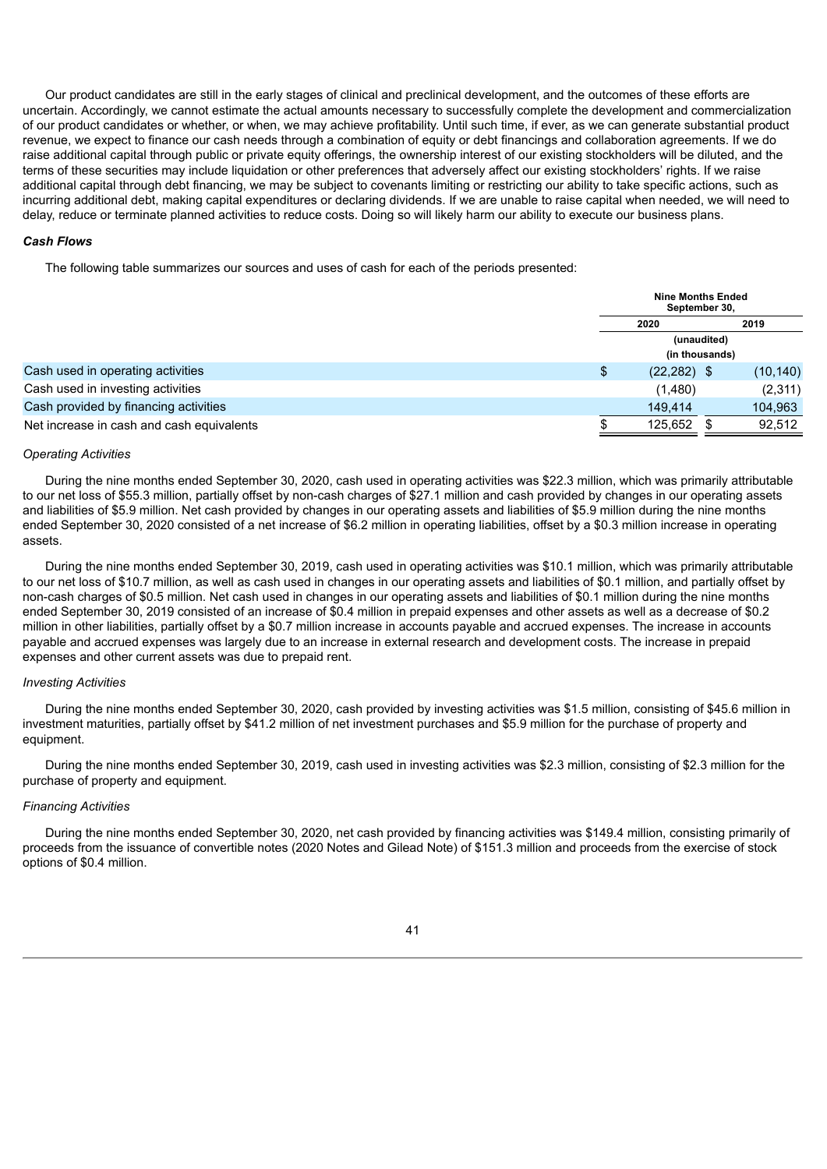Our product candidates are still in the early stages of clinical and preclinical development, and the outcomes of these efforts are uncertain. Accordingly, we cannot estimate the actual amounts necessary to successfully complete the development and commercialization of our product candidates or whether, or when, we may achieve profitability. Until such time, if ever, as we can generate substantial product revenue, we expect to finance our cash needs through a combination of equity or debt financings and collaboration agreements. If we do raise additional capital through public or private equity offerings, the ownership interest of our existing stockholders will be diluted, and the terms of these securities may include liquidation or other preferences that adversely affect our existing stockholders' rights. If we raise additional capital through debt financing, we may be subject to covenants limiting or restricting our ability to take specific actions, such as incurring additional debt, making capital expenditures or declaring dividends. If we are unable to raise capital when needed, we will need to delay, reduce or terminate planned activities to reduce costs. Doing so will likely harm our ability to execute our business plans.

## *Cash Flows*

The following table summarizes our sources and uses of cash for each of the periods presented:

|                                           |    | <b>Nine Months Ended</b><br>September 30, |  |           |  |
|-------------------------------------------|----|-------------------------------------------|--|-----------|--|
|                                           |    | 2019<br>2020                              |  |           |  |
|                                           |    | (unaudited)<br>(in thousands)             |  |           |  |
|                                           |    |                                           |  |           |  |
| Cash used in operating activities         | \$ | $(22, 282)$ \$                            |  | (10, 140) |  |
| Cash used in investing activities         |    | (1,480)                                   |  | (2,311)   |  |
| Cash provided by financing activities     |    | 149.414                                   |  | 104,963   |  |
| Net increase in cash and cash equivalents |    | 125.652 \$                                |  | 92.512    |  |

#### *Operating Activities*

During the nine months ended September 30, 2020, cash used in operating activities was \$22.3 million, which was primarily attributable to our net loss of \$55.3 million, partially offset by non-cash charges of \$27.1 million and cash provided by changes in our operating assets and liabilities of \$5.9 million. Net cash provided by changes in our operating assets and liabilities of \$5.9 million during the nine months ended September 30, 2020 consisted of a net increase of \$6.2 million in operating liabilities, offset by a \$0.3 million increase in operating assets.

During the nine months ended September 30, 2019, cash used in operating activities was \$10.1 million, which was primarily attributable to our net loss of \$10.7 million, as well as cash used in changes in our operating assets and liabilities of \$0.1 million, and partially offset by non-cash charges of \$0.5 million. Net cash used in changes in our operating assets and liabilities of \$0.1 million during the nine months ended September 30, 2019 consisted of an increase of \$0.4 million in prepaid expenses and other assets as well as a decrease of \$0.2 million in other liabilities, partially offset by a \$0.7 million increase in accounts payable and accrued expenses. The increase in accounts payable and accrued expenses was largely due to an increase in external research and development costs. The increase in prepaid expenses and other current assets was due to prepaid rent.

## *Investing Activities*

During the nine months ended September 30, 2020, cash provided by investing activities was \$1.5 million, consisting of \$45.6 million in investment maturities, partially offset by \$41.2 million of net investment purchases and \$5.9 million for the purchase of property and equipment.

During the nine months ended September 30, 2019, cash used in investing activities was \$2.3 million, consisting of \$2.3 million for the purchase of property and equipment.

## *Financing Activities*

During the nine months ended September 30, 2020, net cash provided by financing activities was \$149.4 million, consisting primarily of proceeds from the issuance of convertible notes (2020 Notes and Gilead Note) of \$151.3 million and proceeds from the exercise of stock options of \$0.4 million.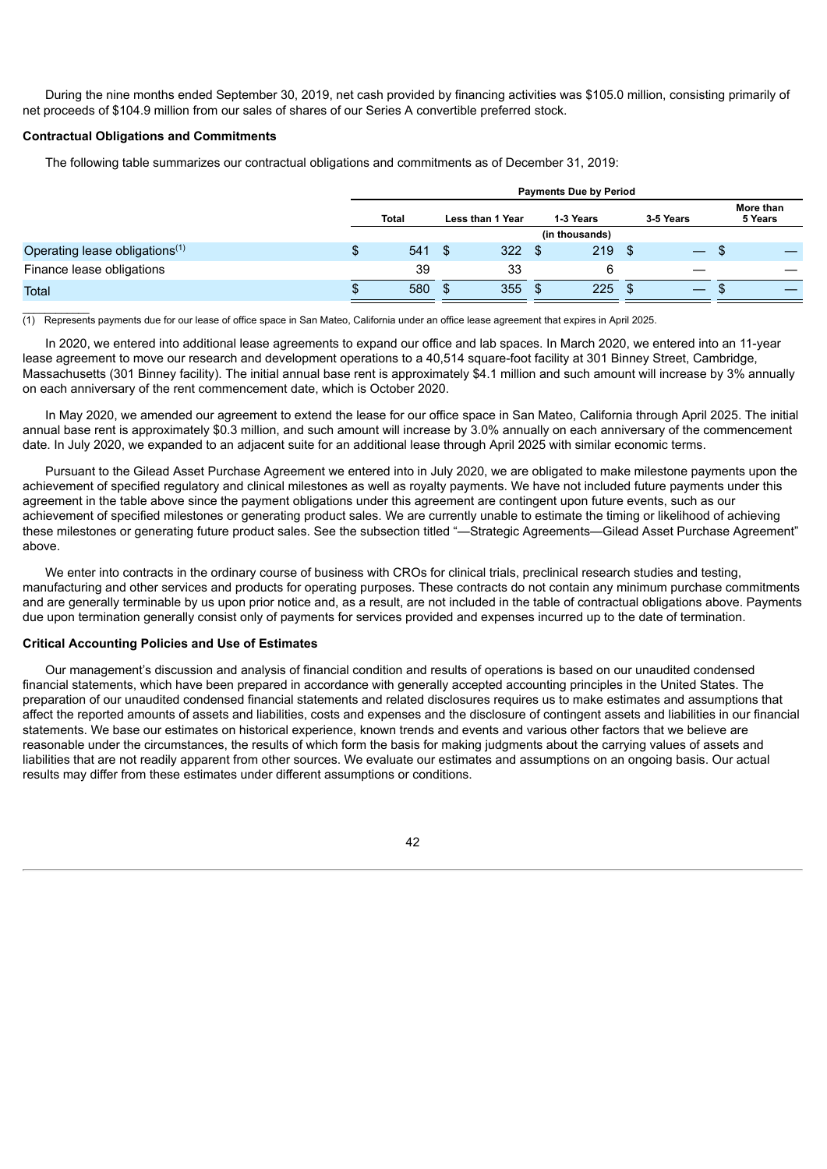During the nine months ended September 30, 2019, net cash provided by financing activities was \$105.0 million, consisting primarily of net proceeds of \$104.9 million from our sales of shares of our Series A convertible preferred stock.

## **Contractual Obligations and Commitments**

The following table summarizes our contractual obligations and commitments as of December 31, 2019:

|                                            |   | <b>Payments Due by Period</b> |      |           |      |                |     |  |                      |  |
|--------------------------------------------|---|-------------------------------|------|-----------|------|----------------|-----|--|----------------------|--|
|                                            |   | Total<br>Less than 1 Year     |      | 1-3 Years |      | 3-5 Years      |     |  | More than<br>5 Years |  |
|                                            |   |                               |      |           |      | (in thousands) |     |  |                      |  |
| Operating lease obligations <sup>(1)</sup> | S | $541 \text{ } $$              |      | 322       | - \$ | 219            | -\$ |  |                      |  |
| Finance lease obligations                  |   | 39                            |      | 33        |      | 6              |     |  |                      |  |
| Total                                      | Œ | 580                           | - \$ | 355       | \$   | 225            | \$  |  |                      |  |

 $\overline{\phantom{a}}$ (1) Represents payments due for our lease of office space in San Mateo, California under an office lease agreement that expires in April 2025.

In 2020, we entered into additional lease agreements to expand our office and lab spaces. In March 2020, we entered into an 11-year lease agreement to move our research and development operations to a 40,514 square-foot facility at 301 Binney Street, Cambridge, Massachusetts (301 Binney facility). The initial annual base rent is approximately \$4.1 million and such amount will increase by 3% annually on each anniversary of the rent commencement date, which is October 2020.

In May 2020, we amended our agreement to extend the lease for our office space in San Mateo, California through April 2025. The initial annual base rent is approximately \$0.3 million, and such amount will increase by 3.0% annually on each anniversary of the commencement date. In July 2020, we expanded to an adjacent suite for an additional lease through April 2025 with similar economic terms.

Pursuant to the Gilead Asset Purchase Agreement we entered into in July 2020, we are obligated to make milestone payments upon the achievement of specified regulatory and clinical milestones as well as royalty payments. We have not included future payments under this agreement in the table above since the payment obligations under this agreement are contingent upon future events, such as our achievement of specified milestones or generating product sales. We are currently unable to estimate the timing or likelihood of achieving these milestones or generating future product sales. See the subsection titled "—Strategic Agreements—Gilead Asset Purchase Agreement" above.

We enter into contracts in the ordinary course of business with CROs for clinical trials, preclinical research studies and testing, manufacturing and other services and products for operating purposes. These contracts do not contain any minimum purchase commitments and are generally terminable by us upon prior notice and, as a result, are not included in the table of contractual obligations above. Payments due upon termination generally consist only of payments for services provided and expenses incurred up to the date of termination.

#### **Critical Accounting Policies and Use of Estimates**

Our management's discussion and analysis of financial condition and results of operations is based on our unaudited condensed financial statements, which have been prepared in accordance with generally accepted accounting principles in the United States. The preparation of our unaudited condensed financial statements and related disclosures requires us to make estimates and assumptions that affect the reported amounts of assets and liabilities, costs and expenses and the disclosure of contingent assets and liabilities in our financial statements. We base our estimates on historical experience, known trends and events and various other factors that we believe are reasonable under the circumstances, the results of which form the basis for making judgments about the carrying values of assets and liabilities that are not readily apparent from other sources. We evaluate our estimates and assumptions on an ongoing basis. Our actual results may differ from these estimates under different assumptions or conditions.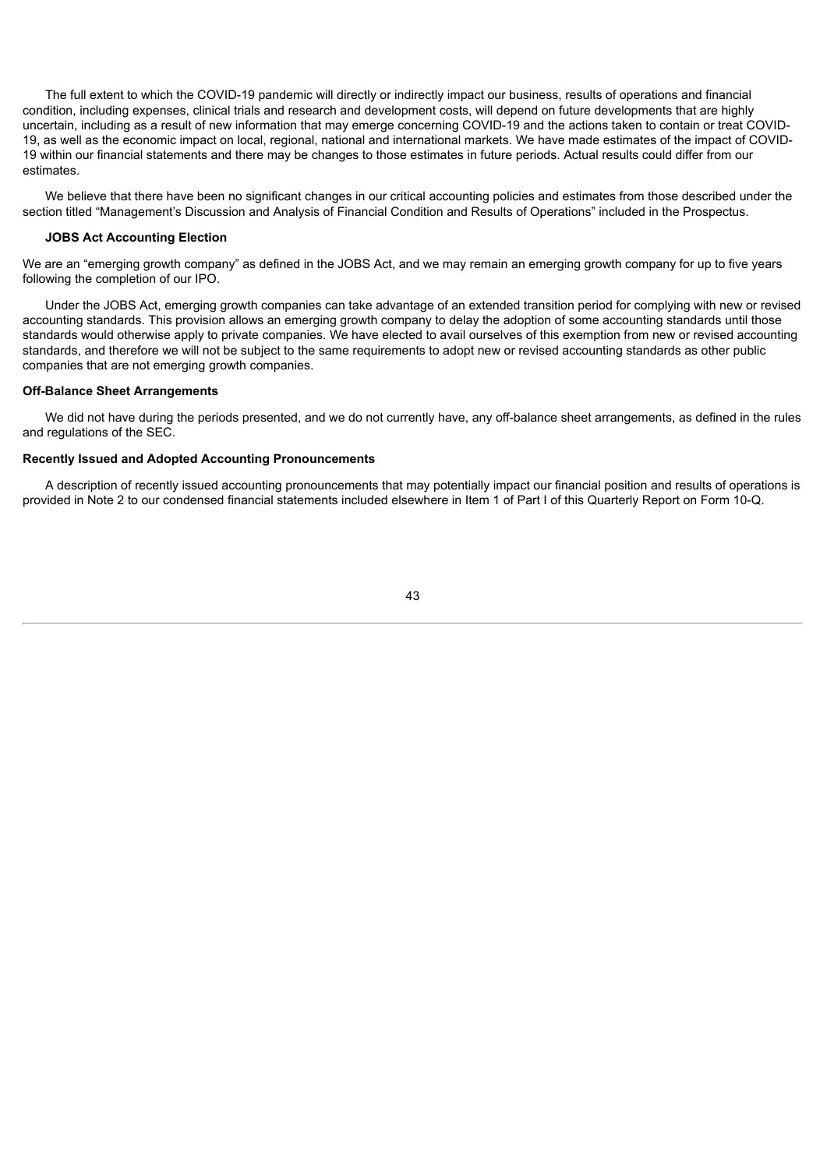The full extent to which the COVID-19 pandemic will directly or indirectly impact our business, results of operations and financial condition, including expenses, clinical trials and research and development costs, will depend on future developments that are highly uncertain, including as a result of new information that may emerge concerning COVID-19 and the actions taken to contain or treat COVID-19, as well as the economic impact on local, regional, national and international markets. We have made estimates of the impact of COVID-19 within our financial statements and there may be changes to those estimates in future periods. Actual results could differ from our estimates.

We believe that there have been no significant changes in our critical accounting policies and estimates from those described under the section titled "Management's Discussion and Analysis of Financial Condition and Results of Operations" included in the Prospectus.

## **JOBS Act Accounting Election**

We are an "emerging growth company" as defined in the JOBS Act, and we may remain an emerging growth company for up to five years following the completion of our IPO.

Under the JOBS Act, emerging growth companies can take advantage of an extended transition period for complying with new or revised accounting standards. This provision allows an emerging growth company to delay the adoption of some accounting standards until those standards would otherwise apply to private companies. We have elected to avail ourselves of this exemption from new or revised accounting standards, and therefore we will not be subject to the same requirements to adopt new or revised accounting standards as other public companies that are not emerging growth companies.

#### **Off-Balance Sheet Arrangements**

We did not have during the periods presented, and we do not currently have, any off-balance sheet arrangements, as defined in the rules and regulations of the SEC.

### **Recently Issued and Adopted Accounting Pronouncements**

A description of recently issued accounting pronouncements that may potentially impact our financial position and results of operations is provided in Note 2 to our condensed financial statements included elsewhere in Item 1 of Part I of this Quarterly Report on Form 10-Q.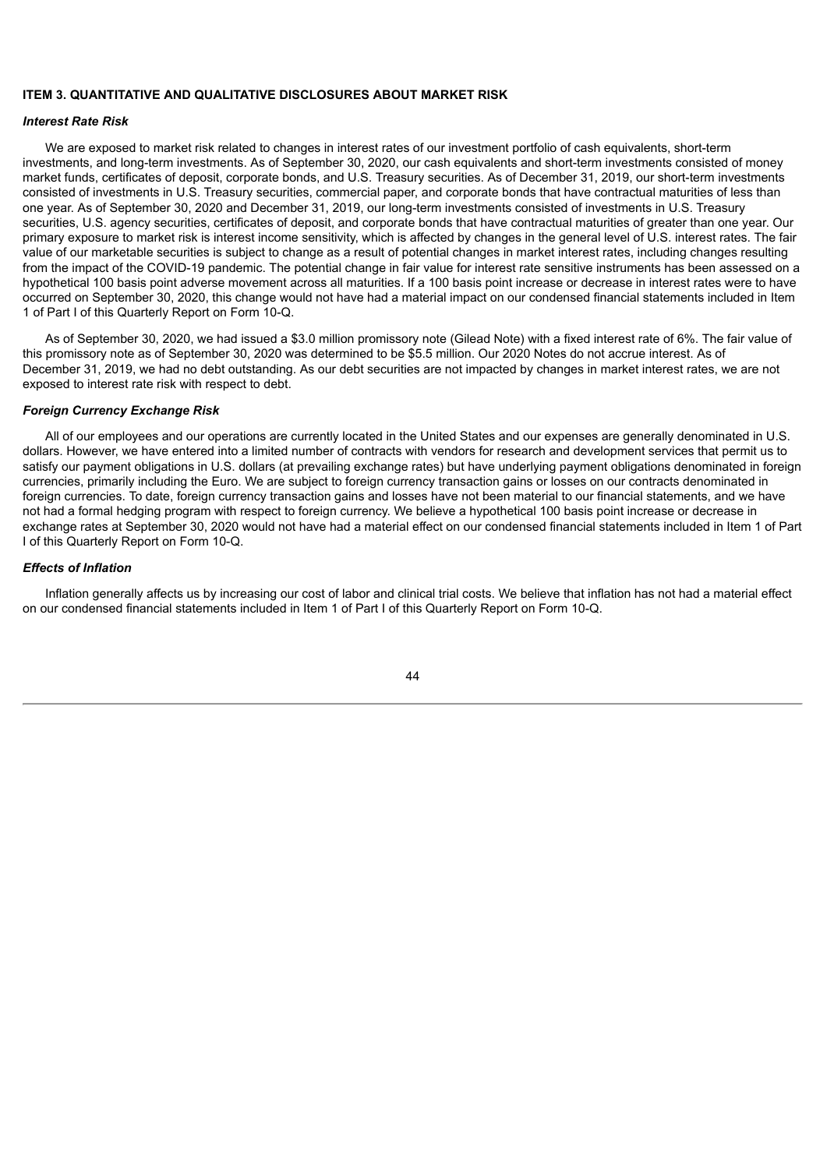# **ITEM 3. QUANTITATIVE AND QUALITATIVE DISCLOSURES ABOUT MARKET RISK**

#### *Interest Rate Risk*

We are exposed to market risk related to changes in interest rates of our investment portfolio of cash equivalents, short-term investments, and long-term investments. As of September 30, 2020, our cash equivalents and short-term investments consisted of money market funds, certificates of deposit, corporate bonds, and U.S. Treasury securities. As of December 31, 2019, our short-term investments consisted of investments in U.S. Treasury securities, commercial paper, and corporate bonds that have contractual maturities of less than one year. As of September 30, 2020 and December 31, 2019, our long-term investments consisted of investments in U.S. Treasury securities, U.S. agency securities, certificates of deposit, and corporate bonds that have contractual maturities of greater than one year. Our primary exposure to market risk is interest income sensitivity, which is affected by changes in the general level of U.S. interest rates. The fair value of our marketable securities is subject to change as a result of potential changes in market interest rates, including changes resulting from the impact of the COVID-19 pandemic. The potential change in fair value for interest rate sensitive instruments has been assessed on a hypothetical 100 basis point adverse movement across all maturities. If a 100 basis point increase or decrease in interest rates were to have occurred on September 30, 2020, this change would not have had a material impact on our condensed financial statements included in Item 1 of Part I of this Quarterly Report on Form 10-Q.

As of September 30, 2020, we had issued a \$3.0 million promissory note (Gilead Note) with a fixed interest rate of 6%. The fair value of this promissory note as of September 30, 2020 was determined to be \$5.5 million. Our 2020 Notes do not accrue interest. As of December 31, 2019, we had no debt outstanding. As our debt securities are not impacted by changes in market interest rates, we are not exposed to interest rate risk with respect to debt.

#### *Foreign Currency Exchange Risk*

All of our employees and our operations are currently located in the United States and our expenses are generally denominated in U.S. dollars. However, we have entered into a limited number of contracts with vendors for research and development services that permit us to satisfy our payment obligations in U.S. dollars (at prevailing exchange rates) but have underlying payment obligations denominated in foreign currencies, primarily including the Euro. We are subject to foreign currency transaction gains or losses on our contracts denominated in foreign currencies. To date, foreign currency transaction gains and losses have not been material to our financial statements, and we have not had a formal hedging program with respect to foreign currency. We believe a hypothetical 100 basis point increase or decrease in exchange rates at September 30, 2020 would not have had a material effect on our condensed financial statements included in Item 1 of Part I of this Quarterly Report on Form 10-Q.

#### *Effects of Inflation*

Inflation generally affects us by increasing our cost of labor and clinical trial costs. We believe that inflation has not had a material effect on our condensed financial statements included in Item 1 of Part I of this Quarterly Report on Form 10-Q.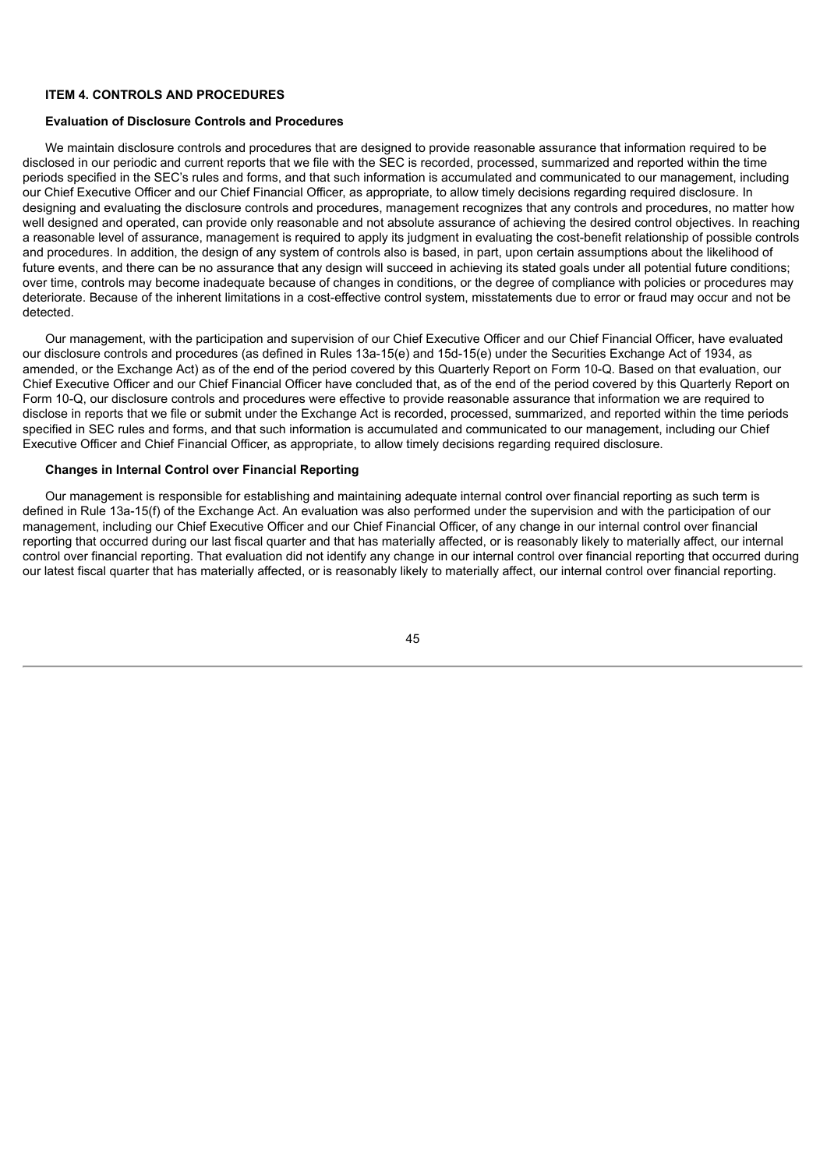# **ITEM 4. CONTROLS AND PROCEDURES**

#### **Evaluation of Disclosure Controls and Procedures**

We maintain disclosure controls and procedures that are designed to provide reasonable assurance that information required to be disclosed in our periodic and current reports that we file with the SEC is recorded, processed, summarized and reported within the time periods specified in the SEC's rules and forms, and that such information is accumulated and communicated to our management, including our Chief Executive Officer and our Chief Financial Officer, as appropriate, to allow timely decisions regarding required disclosure. In designing and evaluating the disclosure controls and procedures, management recognizes that any controls and procedures, no matter how well designed and operated, can provide only reasonable and not absolute assurance of achieving the desired control objectives. In reaching a reasonable level of assurance, management is required to apply its judgment in evaluating the cost-benefit relationship of possible controls and procedures. In addition, the design of any system of controls also is based, in part, upon certain assumptions about the likelihood of future events, and there can be no assurance that any design will succeed in achieving its stated goals under all potential future conditions; over time, controls may become inadequate because of changes in conditions, or the degree of compliance with policies or procedures may deteriorate. Because of the inherent limitations in a cost-effective control system, misstatements due to error or fraud may occur and not be detected.

Our management, with the participation and supervision of our Chief Executive Officer and our Chief Financial Officer, have evaluated our disclosure controls and procedures (as defined in Rules 13a-15(e) and 15d-15(e) under the Securities Exchange Act of 1934, as amended, or the Exchange Act) as of the end of the period covered by this Quarterly Report on Form 10-Q. Based on that evaluation, our Chief Executive Officer and our Chief Financial Officer have concluded that, as of the end of the period covered by this Quarterly Report on Form 10-Q, our disclosure controls and procedures were effective to provide reasonable assurance that information we are required to disclose in reports that we file or submit under the Exchange Act is recorded, processed, summarized, and reported within the time periods specified in SEC rules and forms, and that such information is accumulated and communicated to our management, including our Chief Executive Officer and Chief Financial Officer, as appropriate, to allow timely decisions regarding required disclosure.

#### **Changes in Internal Control over Financial Reporting**

Our management is responsible for establishing and maintaining adequate internal control over financial reporting as such term is defined in Rule 13a-15(f) of the Exchange Act. An evaluation was also performed under the supervision and with the participation of our management, including our Chief Executive Officer and our Chief Financial Officer, of any change in our internal control over financial reporting that occurred during our last fiscal quarter and that has materially affected, or is reasonably likely to materially affect, our internal control over financial reporting. That evaluation did not identify any change in our internal control over financial reporting that occurred during our latest fiscal quarter that has materially affected, or is reasonably likely to materially affect, our internal control over financial reporting.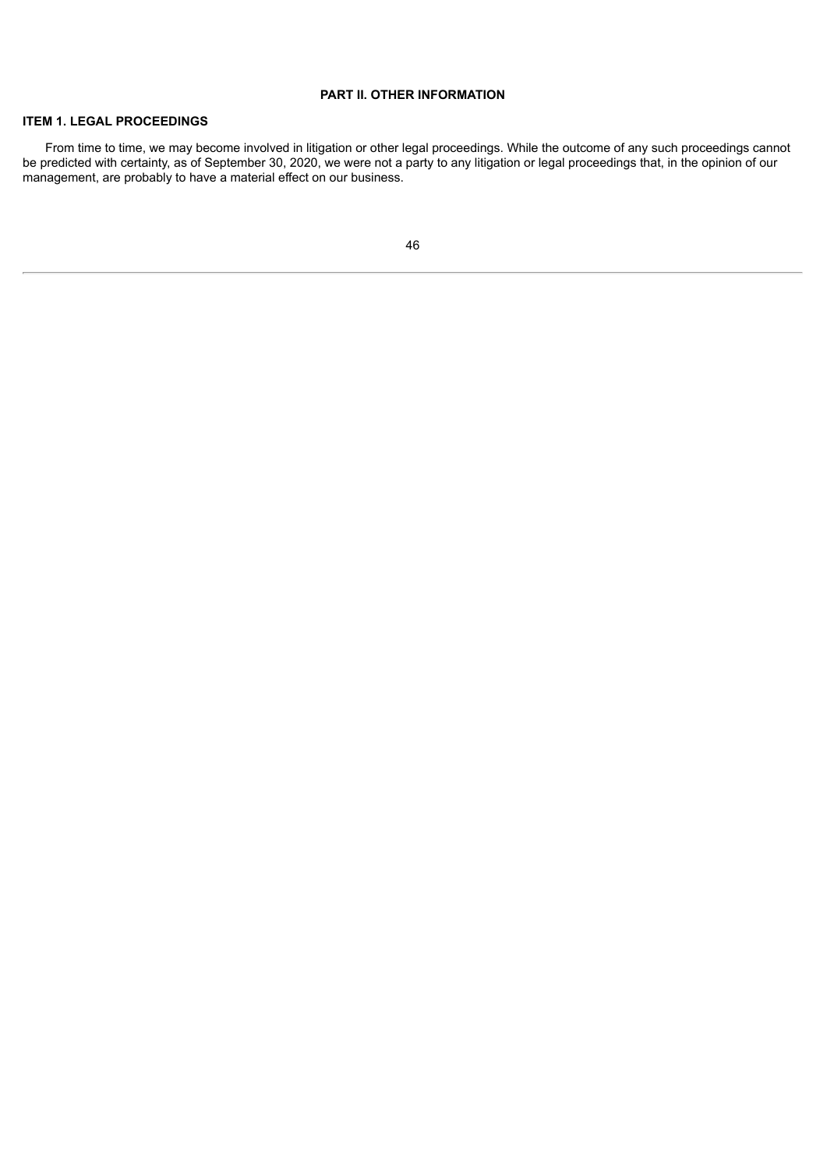# **PART II. OTHER INFORMATION**

# **ITEM 1. LEGAL PROCEEDINGS**

From time to time, we may become involved in litigation or other legal proceedings. While the outcome of any such proceedings cannot be predicted with certainty, as of September 30, 2020, we were not a party to any litigation or legal proceedings that, in the opinion of our management, are probably to have a material effect on our business.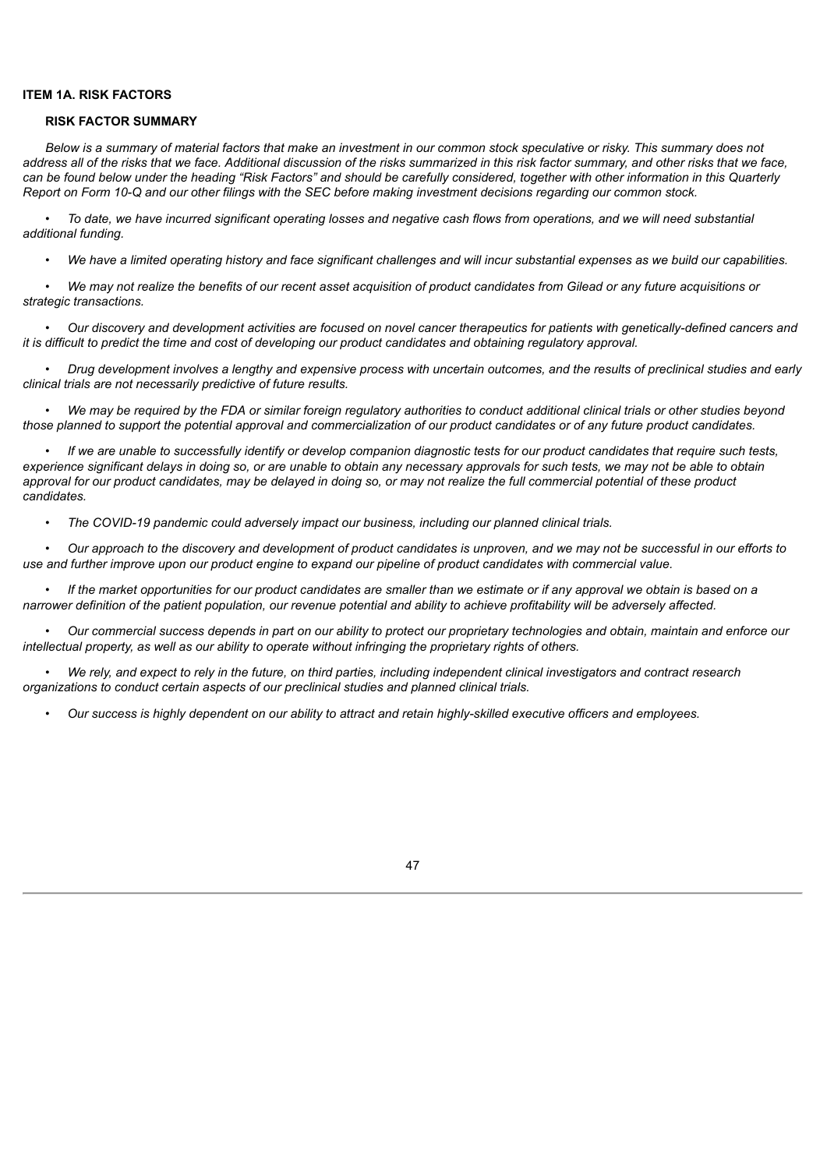## **ITEM 1A. RISK FACTORS**

#### **RISK FACTOR SUMMARY**

Below is a summary of material factors that make an investment in our common stock speculative or risky. This summary does not address all of the risks that we face. Additional discussion of the risks summarized in this risk factor summary, and other risks that we face, can be found below under the heading "Risk Factors" and should be carefully considered, together with other information in this Quarterly Report on Form 10-Q and our other filings with the SEC before making investment decisions regarding our common stock.

To date, we have incurred significant operating losses and negative cash flows from operations, and we will need substantial *additional funding.*

• We have a limited operating history and face significant challenges and will incur substantial expenses as we build our capabilities.

We may not realize the benefits of our recent asset acquisition of product candidates from Gilead or any future acquisitions or *strategic transactions.*

Our discovery and development activities are focused on novel cancer therapeutics for patients with genetically-defined cancers and it is difficult to predict the time and cost of developing our product candidates and obtaining regulatory approval.

Drug development involves a lengthy and expensive process with uncertain outcomes, and the results of preclinical studies and early *clinical trials are not necessarily predictive of future results.*

• We may be required by the FDA or similar foreign requlatory authorities to conduct additional clinical trials or other studies beyond those planned to support the potential approval and commercialization of our product candidates or of any future product candidates.

If we are unable to successfully identify or develop companion diagnostic tests for our product candidates that require such tests. experience significant delays in doing so, or are unable to obtain any necessary approvals for such tests, we may not be able to obtain approval for our product candidates, may be delayed in doing so, or may not realize the full commercial potential of these product *candidates.*

*• The COVID-19 pandemic could adversely impact our business, including our planned clinical trials.*

• Our approach to the discovery and development of product candidates is unproven, and we may not be successful in our efforts to use and further improve upon our product engine to expand our pipeline of product candidates with commercial value.

• If the market opportunities for our product candidates are smaller than we estimate or if any approval we obtain is based on a narrower definition of the patient population, our revenue potential and ability to achieve profitability will be adversely affected.

Our commercial success depends in part on our ability to protect our proprietary technologies and obtain, maintain and enforce our *intellectual property, as well as our ability to operate without infringing the proprietary rights of others.*

We rely, and expect to rely in the future, on third parties, including independent clinical investigators and contract research *organizations to conduct certain aspects of our preclinical studies and planned clinical trials.*

Our success is highly dependent on our ability to attract and retain highly-skilled executive officers and employees.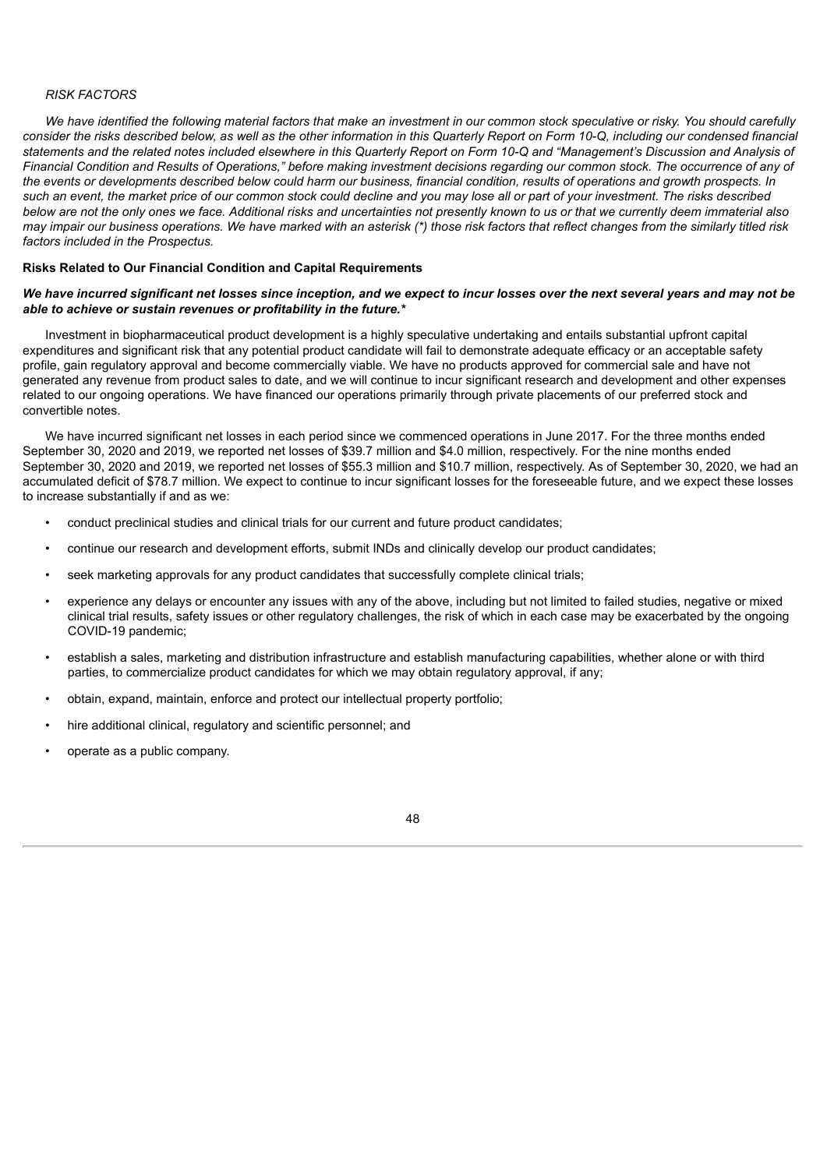#### *RISK FACTORS*

We have identified the following material factors that make an investment in our common stock speculative or risky. You should carefully consider the risks described below, as well as the other information in this Quarterly Report on Form 10-Q, including our condensed financial statements and the related notes included elsewhere in this Quarterly Report on Form 10-Q and "Management's Discussion and Analysis of Financial Condition and Results of Operations," before making investment decisions regarding our common stock. The occurrence of any of the events or developments described below could harm our business, financial condition, results of operations and growth prospects. In such an event, the market price of our common stock could decline and you may lose all or part of your investment. The risks described below are not the only ones we face. Additional risks and uncertainties not presently known to us or that we currently deem immaterial also may impair our business operations. We have marked with an asterisk (\*) those risk factors that reflect changes from the similarly titled risk *factors included in the Prospectus.*

### **Risks Related to Our Financial Condition and Capital Requirements**

## We have incurred significant net losses since inception, and we expect to incur losses over the next several years and may not be *able to achieve or sustain revenues or profitability in the future.\**

Investment in biopharmaceutical product development is a highly speculative undertaking and entails substantial upfront capital expenditures and significant risk that any potential product candidate will fail to demonstrate adequate efficacy or an acceptable safety profile, gain regulatory approval and become commercially viable. We have no products approved for commercial sale and have not generated any revenue from product sales to date, and we will continue to incur significant research and development and other expenses related to our ongoing operations. We have financed our operations primarily through private placements of our preferred stock and convertible notes.

We have incurred significant net losses in each period since we commenced operations in June 2017. For the three months ended September 30, 2020 and 2019, we reported net losses of \$39.7 million and \$4.0 million, respectively. For the nine months ended September 30, 2020 and 2019, we reported net losses of \$55.3 million and \$10.7 million, respectively. As of September 30, 2020, we had an accumulated deficit of \$78.7 million. We expect to continue to incur significant losses for the foreseeable future, and we expect these losses to increase substantially if and as we:

- conduct preclinical studies and clinical trials for our current and future product candidates;
- continue our research and development efforts, submit INDs and clinically develop our product candidates;
- seek marketing approvals for any product candidates that successfully complete clinical trials;
- experience any delays or encounter any issues with any of the above, including but not limited to failed studies, negative or mixed clinical trial results, safety issues or other regulatory challenges, the risk of which in each case may be exacerbated by the ongoing COVID-19 pandemic;
- establish a sales, marketing and distribution infrastructure and establish manufacturing capabilities, whether alone or with third parties, to commercialize product candidates for which we may obtain regulatory approval, if any;
- obtain, expand, maintain, enforce and protect our intellectual property portfolio;
- hire additional clinical, regulatory and scientific personnel; and
- operate as a public company.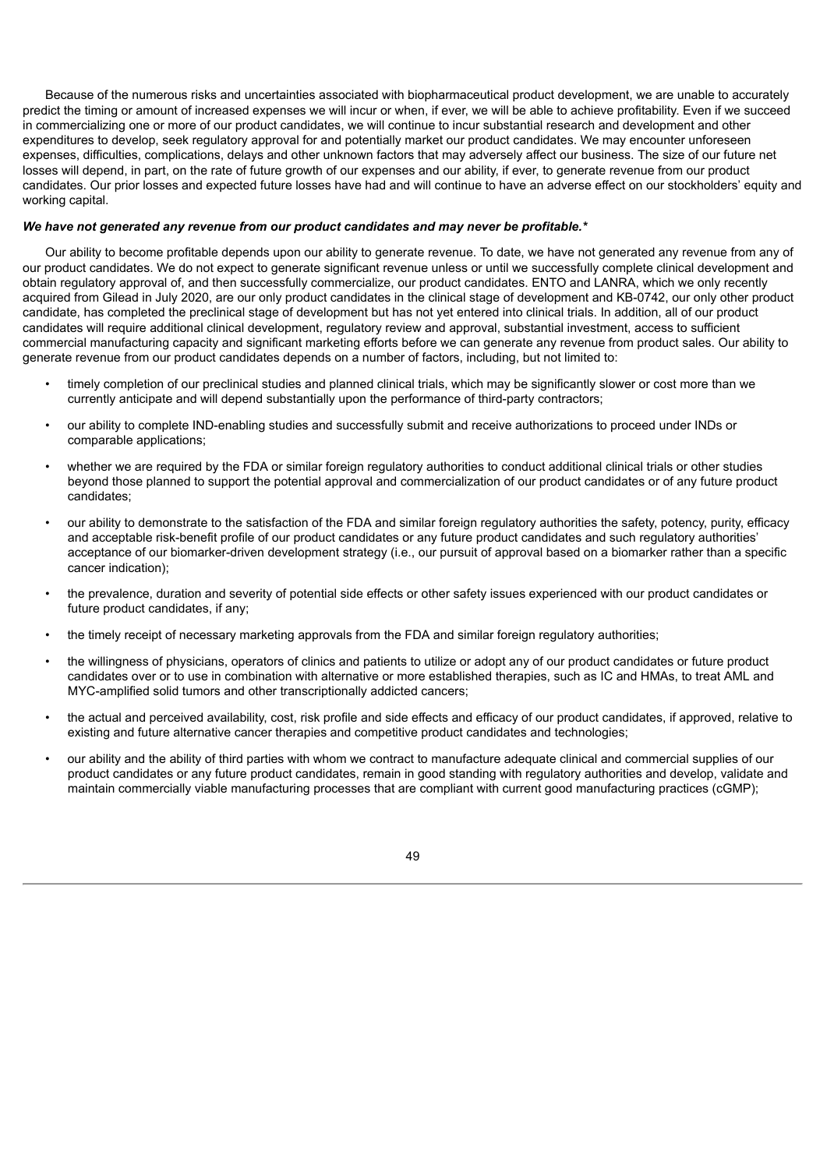Because of the numerous risks and uncertainties associated with biopharmaceutical product development, we are unable to accurately predict the timing or amount of increased expenses we will incur or when, if ever, we will be able to achieve profitability. Even if we succeed in commercializing one or more of our product candidates, we will continue to incur substantial research and development and other expenditures to develop, seek regulatory approval for and potentially market our product candidates. We may encounter unforeseen expenses, difficulties, complications, delays and other unknown factors that may adversely affect our business. The size of our future net losses will depend, in part, on the rate of future growth of our expenses and our ability, if ever, to generate revenue from our product candidates. Our prior losses and expected future losses have had and will continue to have an adverse effect on our stockholders' equity and working capital.

# *We have not generated any revenue from our product candidates and may never be profitable.\**

Our ability to become profitable depends upon our ability to generate revenue. To date, we have not generated any revenue from any of our product candidates. We do not expect to generate significant revenue unless or until we successfully complete clinical development and obtain regulatory approval of, and then successfully commercialize, our product candidates. ENTO and LANRA, which we only recently acquired from Gilead in July 2020, are our only product candidates in the clinical stage of development and KB-0742, our only other product candidate, has completed the preclinical stage of development but has not yet entered into clinical trials. In addition, all of our product candidates will require additional clinical development, regulatory review and approval, substantial investment, access to sufficient commercial manufacturing capacity and significant marketing efforts before we can generate any revenue from product sales. Our ability to generate revenue from our product candidates depends on a number of factors, including, but not limited to:

- timely completion of our preclinical studies and planned clinical trials, which may be significantly slower or cost more than we currently anticipate and will depend substantially upon the performance of third-party contractors;
- our ability to complete IND-enabling studies and successfully submit and receive authorizations to proceed under INDs or comparable applications;
- whether we are required by the FDA or similar foreign regulatory authorities to conduct additional clinical trials or other studies beyond those planned to support the potential approval and commercialization of our product candidates or of any future product candidates;
- our ability to demonstrate to the satisfaction of the FDA and similar foreign regulatory authorities the safety, potency, purity, efficacy and acceptable risk-benefit profile of our product candidates or any future product candidates and such regulatory authorities' acceptance of our biomarker-driven development strategy (i.e., our pursuit of approval based on a biomarker rather than a specific cancer indication);
- the prevalence, duration and severity of potential side effects or other safety issues experienced with our product candidates or future product candidates, if any;
- the timely receipt of necessary marketing approvals from the FDA and similar foreign regulatory authorities;
- the willingness of physicians, operators of clinics and patients to utilize or adopt any of our product candidates or future product candidates over or to use in combination with alternative or more established therapies, such as IC and HMAs, to treat AML and MYC-amplified solid tumors and other transcriptionally addicted cancers;
- the actual and perceived availability, cost, risk profile and side effects and efficacy of our product candidates, if approved, relative to existing and future alternative cancer therapies and competitive product candidates and technologies;
- our ability and the ability of third parties with whom we contract to manufacture adequate clinical and commercial supplies of our product candidates or any future product candidates, remain in good standing with regulatory authorities and develop, validate and maintain commercially viable manufacturing processes that are compliant with current good manufacturing practices (cGMP);

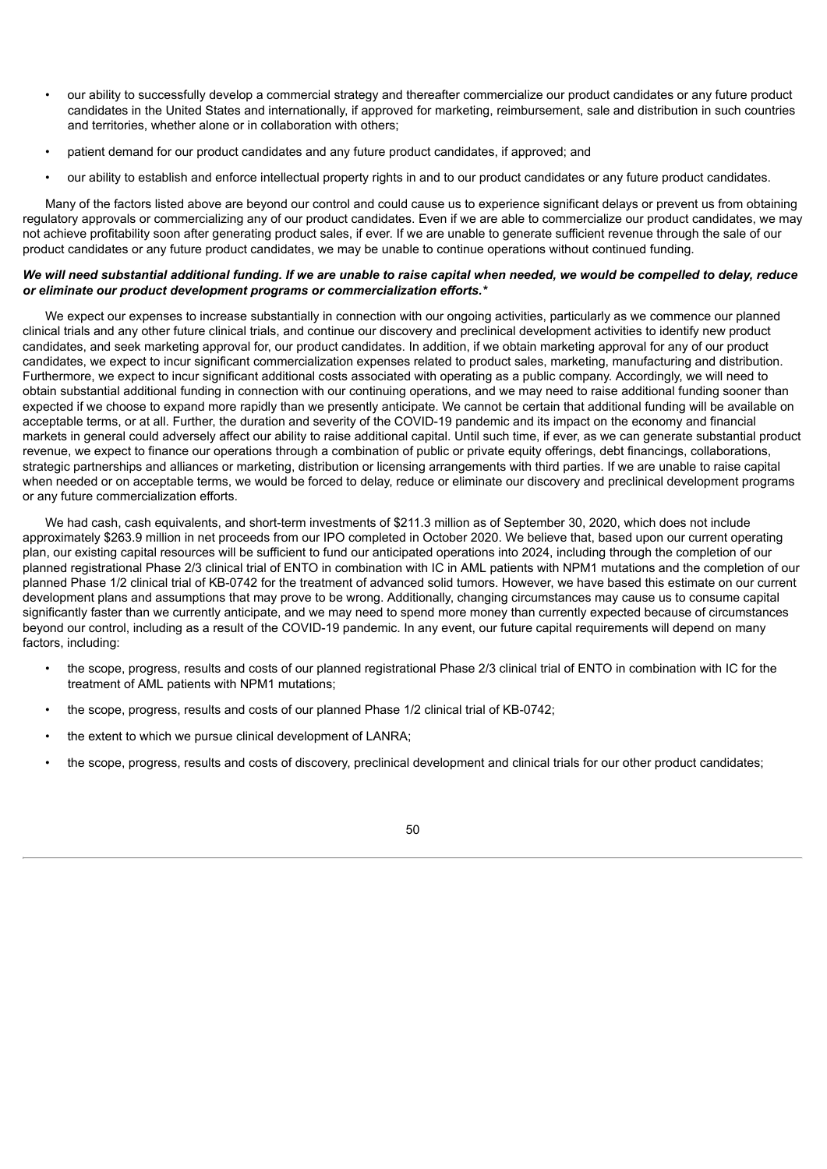- our ability to successfully develop a commercial strategy and thereafter commercialize our product candidates or any future product candidates in the United States and internationally, if approved for marketing, reimbursement, sale and distribution in such countries and territories, whether alone or in collaboration with others;
- patient demand for our product candidates and any future product candidates, if approved; and
- our ability to establish and enforce intellectual property rights in and to our product candidates or any future product candidates.

Many of the factors listed above are beyond our control and could cause us to experience significant delays or prevent us from obtaining regulatory approvals or commercializing any of our product candidates. Even if we are able to commercialize our product candidates, we may not achieve profitability soon after generating product sales, if ever. If we are unable to generate sufficient revenue through the sale of our product candidates or any future product candidates, we may be unable to continue operations without continued funding.

## We will need substantial additional funding. If we are unable to raise capital when needed, we would be compelled to delay, reduce *or eliminate our product development programs or commercialization efforts.\**

We expect our expenses to increase substantially in connection with our ongoing activities, particularly as we commence our planned clinical trials and any other future clinical trials, and continue our discovery and preclinical development activities to identify new product candidates, and seek marketing approval for, our product candidates. In addition, if we obtain marketing approval for any of our product candidates, we expect to incur significant commercialization expenses related to product sales, marketing, manufacturing and distribution. Furthermore, we expect to incur significant additional costs associated with operating as a public company. Accordingly, we will need to obtain substantial additional funding in connection with our continuing operations, and we may need to raise additional funding sooner than expected if we choose to expand more rapidly than we presently anticipate. We cannot be certain that additional funding will be available on acceptable terms, or at all. Further, the duration and severity of the COVID-19 pandemic and its impact on the economy and financial markets in general could adversely affect our ability to raise additional capital. Until such time, if ever, as we can generate substantial product revenue, we expect to finance our operations through a combination of public or private equity offerings, debt financings, collaborations, strategic partnerships and alliances or marketing, distribution or licensing arrangements with third parties. If we are unable to raise capital when needed or on acceptable terms, we would be forced to delay, reduce or eliminate our discovery and preclinical development programs or any future commercialization efforts.

We had cash, cash equivalents, and short-term investments of \$211.3 million as of September 30, 2020, which does not include approximately \$263.9 million in net proceeds from our IPO completed in October 2020. We believe that, based upon our current operating plan, our existing capital resources will be sufficient to fund our anticipated operations into 2024, including through the completion of our planned registrational Phase 2/3 clinical trial of ENTO in combination with IC in AML patients with NPM1 mutations and the completion of our planned Phase 1/2 clinical trial of KB-0742 for the treatment of advanced solid tumors. However, we have based this estimate on our current development plans and assumptions that may prove to be wrong. Additionally, changing circumstances may cause us to consume capital significantly faster than we currently anticipate, and we may need to spend more money than currently expected because of circumstances beyond our control, including as a result of the COVID-19 pandemic. In any event, our future capital requirements will depend on many factors, including:

- the scope, progress, results and costs of our planned registrational Phase 2/3 clinical trial of ENTO in combination with IC for the treatment of AML patients with NPM1 mutations;
- the scope, progress, results and costs of our planned Phase 1/2 clinical trial of KB-0742;
- the extent to which we pursue clinical development of LANRA;
- the scope, progress, results and costs of discovery, preclinical development and clinical trials for our other product candidates;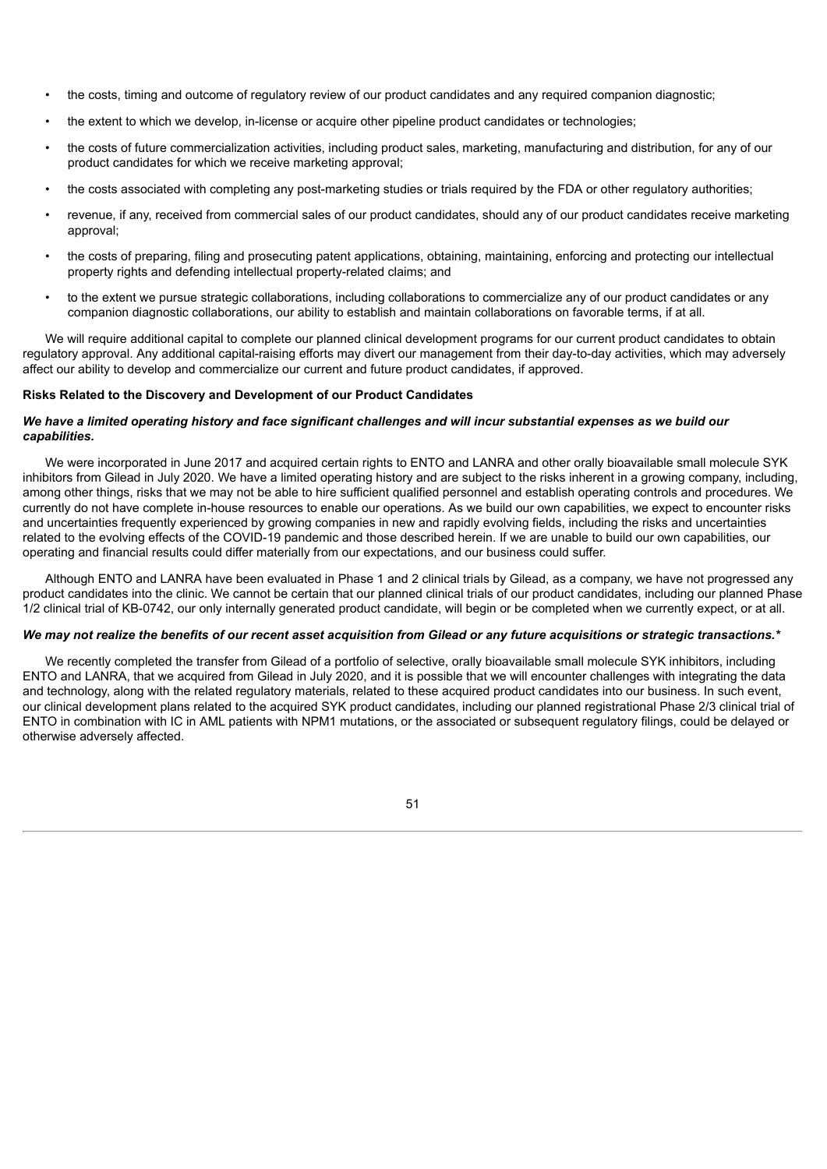- the costs, timing and outcome of regulatory review of our product candidates and any required companion diagnostic;
- the extent to which we develop, in-license or acquire other pipeline product candidates or technologies;
- the costs of future commercialization activities, including product sales, marketing, manufacturing and distribution, for any of our product candidates for which we receive marketing approval;
- the costs associated with completing any post-marketing studies or trials required by the FDA or other regulatory authorities;
- revenue, if any, received from commercial sales of our product candidates, should any of our product candidates receive marketing approval;
- the costs of preparing, filing and prosecuting patent applications, obtaining, maintaining, enforcing and protecting our intellectual property rights and defending intellectual property-related claims; and
- to the extent we pursue strategic collaborations, including collaborations to commercialize any of our product candidates or any companion diagnostic collaborations, our ability to establish and maintain collaborations on favorable terms, if at all.

We will require additional capital to complete our planned clinical development programs for our current product candidates to obtain regulatory approval. Any additional capital-raising efforts may divert our management from their day-to-day activities, which may adversely affect our ability to develop and commercialize our current and future product candidates, if approved.

### **Risks Related to the Discovery and Development of our Product Candidates**

# We have a limited operating history and face significant challenges and will incur substantial expenses as we build our *capabilities.*

We were incorporated in June 2017 and acquired certain rights to ENTO and LANRA and other orally bioavailable small molecule SYK inhibitors from Gilead in July 2020. We have a limited operating history and are subject to the risks inherent in a growing company, including, among other things, risks that we may not be able to hire sufficient qualified personnel and establish operating controls and procedures. We currently do not have complete in-house resources to enable our operations. As we build our own capabilities, we expect to encounter risks and uncertainties frequently experienced by growing companies in new and rapidly evolving fields, including the risks and uncertainties related to the evolving effects of the COVID-19 pandemic and those described herein. If we are unable to build our own capabilities, our operating and financial results could differ materially from our expectations, and our business could suffer.

Although ENTO and LANRA have been evaluated in Phase 1 and 2 clinical trials by Gilead, as a company, we have not progressed any product candidates into the clinic. We cannot be certain that our planned clinical trials of our product candidates, including our planned Phase 1/2 clinical trial of KB-0742, our only internally generated product candidate, will begin or be completed when we currently expect, or at all.

## We may not realize the benefits of our recent asset acquisition from Gilead or any future acquisitions or strategic transactions.\*

We recently completed the transfer from Gilead of a portfolio of selective, orally bioavailable small molecule SYK inhibitors, including ENTO and LANRA, that we acquired from Gilead in July 2020, and it is possible that we will encounter challenges with integrating the data and technology, along with the related regulatory materials, related to these acquired product candidates into our business. In such event, our clinical development plans related to the acquired SYK product candidates, including our planned registrational Phase 2/3 clinical trial of ENTO in combination with IC in AML patients with NPM1 mutations, or the associated or subsequent regulatory filings, could be delayed or otherwise adversely affected.

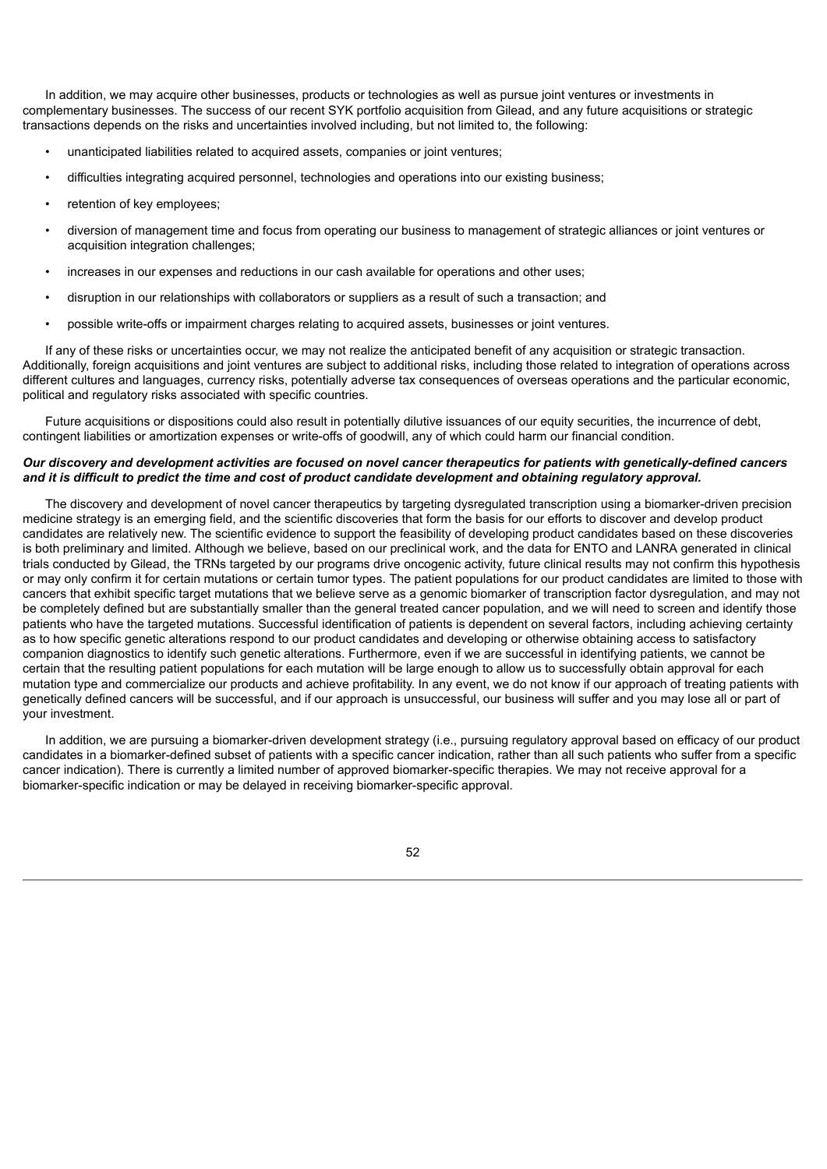In addition, we may acquire other businesses, products or technologies as well as pursue joint ventures or investments in complementary businesses. The success of our recent SYK portfolio acquisition from Gilead, and any future acquisitions or strategic transactions depends on the risks and uncertainties involved including, but not limited to, the following:

- unanticipated liabilities related to acquired assets, companies or joint ventures;
- difficulties integrating acquired personnel, technologies and operations into our existing business;
- retention of key employees;
- diversion of management time and focus from operating our business to management of strategic alliances or joint ventures or acquisition integration challenges;
- increases in our expenses and reductions in our cash available for operations and other uses;
- disruption in our relationships with collaborators or suppliers as a result of such a transaction; and
- possible write-offs or impairment charges relating to acquired assets, businesses or joint ventures.

If any of these risks or uncertainties occur, we may not realize the anticipated benefit of any acquisition or strategic transaction. Additionally, foreign acquisitions and joint ventures are subject to additional risks, including those related to integration of operations across different cultures and languages, currency risks, potentially adverse tax consequences of overseas operations and the particular economic, political and regulatory risks associated with specific countries.

Future acquisitions or dispositions could also result in potentially dilutive issuances of our equity securities, the incurrence of debt, contingent liabilities or amortization expenses or write-offs of goodwill, any of which could harm our financial condition.

# Our discovery and development activities are focused on novel cancer therapeutics for patients with genetically-defined cancers and it is difficult to predict the time and cost of product candidate development and obtaining regulatory approval.

The discovery and development of novel cancer therapeutics by targeting dysregulated transcription using a biomarker-driven precision medicine strategy is an emerging field, and the scientific discoveries that form the basis for our efforts to discover and develop product candidates are relatively new. The scientific evidence to support the feasibility of developing product candidates based on these discoveries is both preliminary and limited. Although we believe, based on our preclinical work, and the data for ENTO and LANRA generated in clinical trials conducted by Gilead, the TRNs targeted by our programs drive oncogenic activity, future clinical results may not confirm this hypothesis or may only confirm it for certain mutations or certain tumor types. The patient populations for our product candidates are limited to those with cancers that exhibit specific target mutations that we believe serve as a genomic biomarker of transcription factor dysregulation, and may not be completely defined but are substantially smaller than the general treated cancer population, and we will need to screen and identify those patients who have the targeted mutations. Successful identification of patients is dependent on several factors, including achieving certainty as to how specific genetic alterations respond to our product candidates and developing or otherwise obtaining access to satisfactory companion diagnostics to identify such genetic alterations. Furthermore, even if we are successful in identifying patients, we cannot be certain that the resulting patient populations for each mutation will be large enough to allow us to successfully obtain approval for each mutation type and commercialize our products and achieve profitability. In any event, we do not know if our approach of treating patients with genetically defined cancers will be successful, and if our approach is unsuccessful, our business will suffer and you may lose all or part of your investment.

In addition, we are pursuing a biomarker-driven development strategy (i.e., pursuing regulatory approval based on efficacy of our product candidates in a biomarker-defined subset of patients with a specific cancer indication, rather than all such patients who suffer from a specific cancer indication). There is currently a limited number of approved biomarker-specific therapies. We may not receive approval for a biomarker-specific indication or may be delayed in receiving biomarker-specific approval.

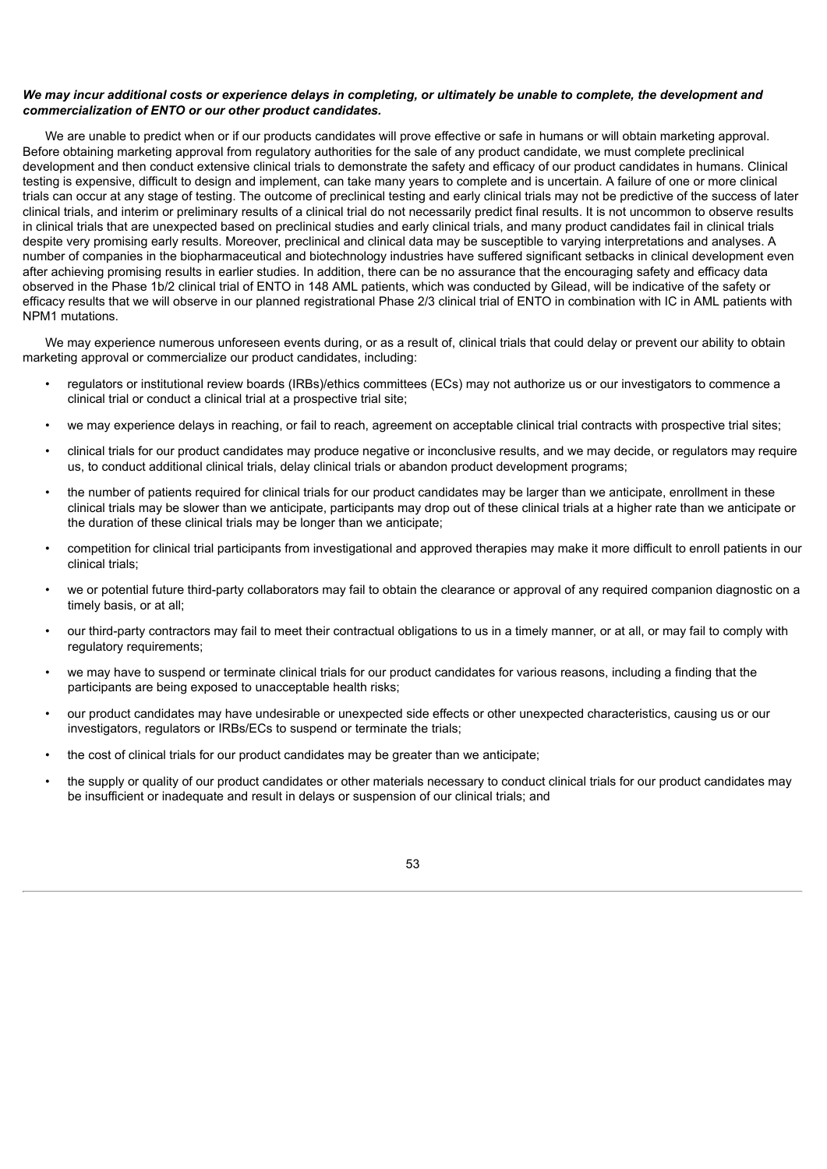# We may incur additional costs or experience delays in completing, or ultimately be unable to complete, the development and *commercialization of ENTO or our other product candidates.*

We are unable to predict when or if our products candidates will prove effective or safe in humans or will obtain marketing approval. Before obtaining marketing approval from regulatory authorities for the sale of any product candidate, we must complete preclinical development and then conduct extensive clinical trials to demonstrate the safety and efficacy of our product candidates in humans. Clinical testing is expensive, difficult to design and implement, can take many years to complete and is uncertain. A failure of one or more clinical trials can occur at any stage of testing. The outcome of preclinical testing and early clinical trials may not be predictive of the success of later clinical trials, and interim or preliminary results of a clinical trial do not necessarily predict final results. It is not uncommon to observe results in clinical trials that are unexpected based on preclinical studies and early clinical trials, and many product candidates fail in clinical trials despite very promising early results. Moreover, preclinical and clinical data may be susceptible to varying interpretations and analyses. A number of companies in the biopharmaceutical and biotechnology industries have suffered significant setbacks in clinical development even after achieving promising results in earlier studies. In addition, there can be no assurance that the encouraging safety and efficacy data observed in the Phase 1b/2 clinical trial of ENTO in 148 AML patients, which was conducted by Gilead, will be indicative of the safety or efficacy results that we will observe in our planned registrational Phase 2/3 clinical trial of ENTO in combination with IC in AML patients with NPM1 mutations.

We may experience numerous unforeseen events during, or as a result of, clinical trials that could delay or prevent our ability to obtain marketing approval or commercialize our product candidates, including:

- regulators or institutional review boards (IRBs)/ethics committees (ECs) may not authorize us or our investigators to commence a clinical trial or conduct a clinical trial at a prospective trial site;
- we may experience delays in reaching, or fail to reach, agreement on acceptable clinical trial contracts with prospective trial sites;
- clinical trials for our product candidates may produce negative or inconclusive results, and we may decide, or regulators may require us, to conduct additional clinical trials, delay clinical trials or abandon product development programs;
- the number of patients required for clinical trials for our product candidates may be larger than we anticipate, enrollment in these clinical trials may be slower than we anticipate, participants may drop out of these clinical trials at a higher rate than we anticipate or the duration of these clinical trials may be longer than we anticipate;
- competition for clinical trial participants from investigational and approved therapies may make it more difficult to enroll patients in our clinical trials;
- we or potential future third-party collaborators may fail to obtain the clearance or approval of any required companion diagnostic on a timely basis, or at all;
- our third-party contractors may fail to meet their contractual obligations to us in a timely manner, or at all, or may fail to comply with regulatory requirements;
- we may have to suspend or terminate clinical trials for our product candidates for various reasons, including a finding that the participants are being exposed to unacceptable health risks;
- our product candidates may have undesirable or unexpected side effects or other unexpected characteristics, causing us or our investigators, regulators or IRBs/ECs to suspend or terminate the trials;
- the cost of clinical trials for our product candidates may be greater than we anticipate;
- the supply or quality of our product candidates or other materials necessary to conduct clinical trials for our product candidates may be insufficient or inadequate and result in delays or suspension of our clinical trials; and

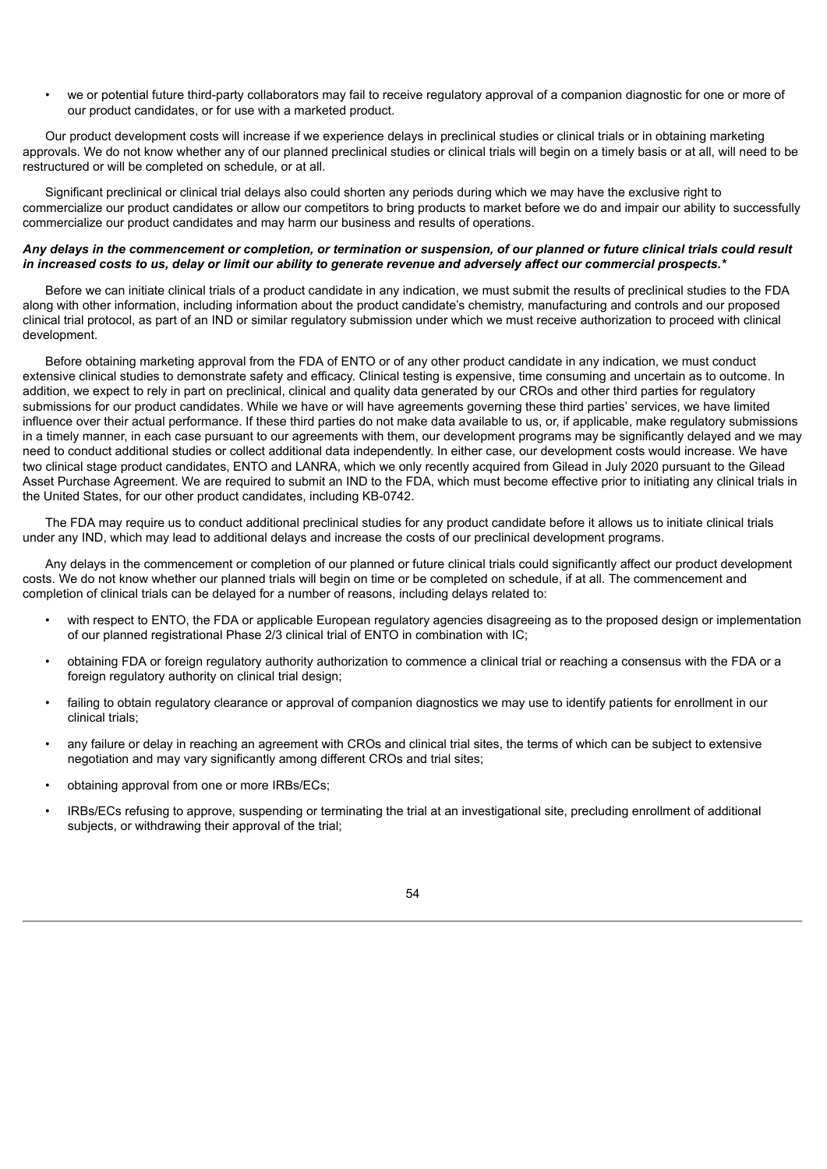• we or potential future third-party collaborators may fail to receive regulatory approval of a companion diagnostic for one or more of our product candidates, or for use with a marketed product.

Our product development costs will increase if we experience delays in preclinical studies or clinical trials or in obtaining marketing approvals. We do not know whether any of our planned preclinical studies or clinical trials will begin on a timely basis or at all, will need to be restructured or will be completed on schedule, or at all.

Significant preclinical or clinical trial delays also could shorten any periods during which we may have the exclusive right to commercialize our product candidates or allow our competitors to bring products to market before we do and impair our ability to successfully commercialize our product candidates and may harm our business and results of operations.

# Any delays in the commencement or completion, or termination or suspension, of our planned or future clinical trials could result in increased costs to us, delay or limit our ability to generate revenue and adversely affect our commercial prospects.\*

Before we can initiate clinical trials of a product candidate in any indication, we must submit the results of preclinical studies to the FDA along with other information, including information about the product candidate's chemistry, manufacturing and controls and our proposed clinical trial protocol, as part of an IND or similar regulatory submission under which we must receive authorization to proceed with clinical development.

Before obtaining marketing approval from the FDA of ENTO or of any other product candidate in any indication, we must conduct extensive clinical studies to demonstrate safety and efficacy. Clinical testing is expensive, time consuming and uncertain as to outcome. In addition, we expect to rely in part on preclinical, clinical and quality data generated by our CROs and other third parties for regulatory submissions for our product candidates. While we have or will have agreements governing these third parties' services, we have limited influence over their actual performance. If these third parties do not make data available to us, or, if applicable, make regulatory submissions in a timely manner, in each case pursuant to our agreements with them, our development programs may be significantly delayed and we may need to conduct additional studies or collect additional data independently. In either case, our development costs would increase. We have two clinical stage product candidates, ENTO and LANRA, which we only recently acquired from Gilead in July 2020 pursuant to the Gilead Asset Purchase Agreement. We are required to submit an IND to the FDA, which must become effective prior to initiating any clinical trials in the United States, for our other product candidates, including KB-0742.

The FDA may require us to conduct additional preclinical studies for any product candidate before it allows us to initiate clinical trials under any IND, which may lead to additional delays and increase the costs of our preclinical development programs.

Any delays in the commencement or completion of our planned or future clinical trials could significantly affect our product development costs. We do not know whether our planned trials will begin on time or be completed on schedule, if at all. The commencement and completion of clinical trials can be delayed for a number of reasons, including delays related to:

- with respect to ENTO, the FDA or applicable European regulatory agencies disagreeing as to the proposed design or implementation of our planned registrational Phase 2/3 clinical trial of ENTO in combination with IC;
- obtaining FDA or foreign regulatory authority authorization to commence a clinical trial or reaching a consensus with the FDA or a foreign regulatory authority on clinical trial design;
- failing to obtain regulatory clearance or approval of companion diagnostics we may use to identify patients for enrollment in our clinical trials;
- any failure or delay in reaching an agreement with CROs and clinical trial sites, the terms of which can be subject to extensive negotiation and may vary significantly among different CROs and trial sites;
- obtaining approval from one or more IRBs/ECs;
- IRBs/ECs refusing to approve, suspending or terminating the trial at an investigational site, precluding enrollment of additional subjects, or withdrawing their approval of the trial;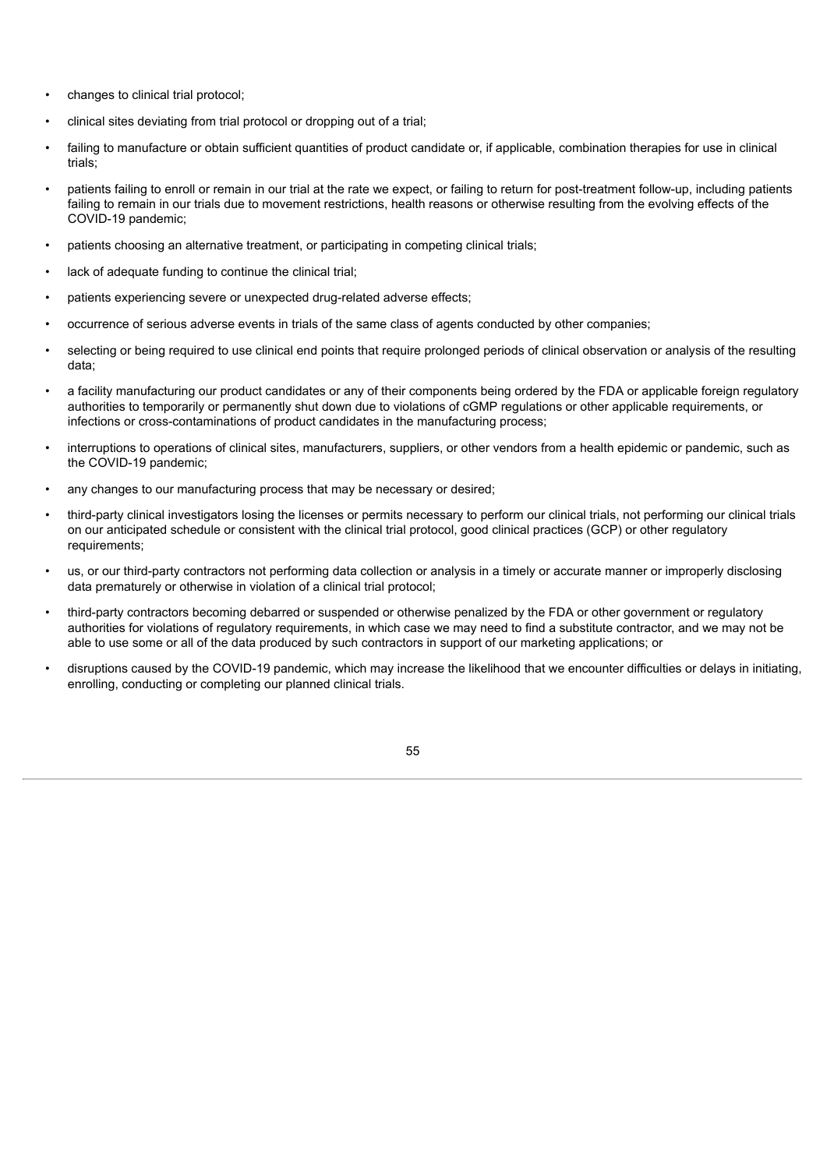- changes to clinical trial protocol;
- clinical sites deviating from trial protocol or dropping out of a trial;
- failing to manufacture or obtain sufficient quantities of product candidate or, if applicable, combination therapies for use in clinical trials;
- patients failing to enroll or remain in our trial at the rate we expect, or failing to return for post-treatment follow-up, including patients failing to remain in our trials due to movement restrictions, health reasons or otherwise resulting from the evolving effects of the COVID-19 pandemic;
- patients choosing an alternative treatment, or participating in competing clinical trials;
- lack of adequate funding to continue the clinical trial;
- patients experiencing severe or unexpected drug-related adverse effects;
- occurrence of serious adverse events in trials of the same class of agents conducted by other companies;
- selecting or being required to use clinical end points that require prolonged periods of clinical observation or analysis of the resulting data;
- a facility manufacturing our product candidates or any of their components being ordered by the FDA or applicable foreign regulatory authorities to temporarily or permanently shut down due to violations of cGMP regulations or other applicable requirements, or infections or cross-contaminations of product candidates in the manufacturing process;
- interruptions to operations of clinical sites, manufacturers, suppliers, or other vendors from a health epidemic or pandemic, such as the COVID-19 pandemic;
- any changes to our manufacturing process that may be necessary or desired;
- third-party clinical investigators losing the licenses or permits necessary to perform our clinical trials, not performing our clinical trials on our anticipated schedule or consistent with the clinical trial protocol, good clinical practices (GCP) or other regulatory requirements;
- us, or our third-party contractors not performing data collection or analysis in a timely or accurate manner or improperly disclosing data prematurely or otherwise in violation of a clinical trial protocol;
- third-party contractors becoming debarred or suspended or otherwise penalized by the FDA or other government or regulatory authorities for violations of regulatory requirements, in which case we may need to find a substitute contractor, and we may not be able to use some or all of the data produced by such contractors in support of our marketing applications; or
- disruptions caused by the COVID-19 pandemic, which may increase the likelihood that we encounter difficulties or delays in initiating, enrolling, conducting or completing our planned clinical trials.
	- 55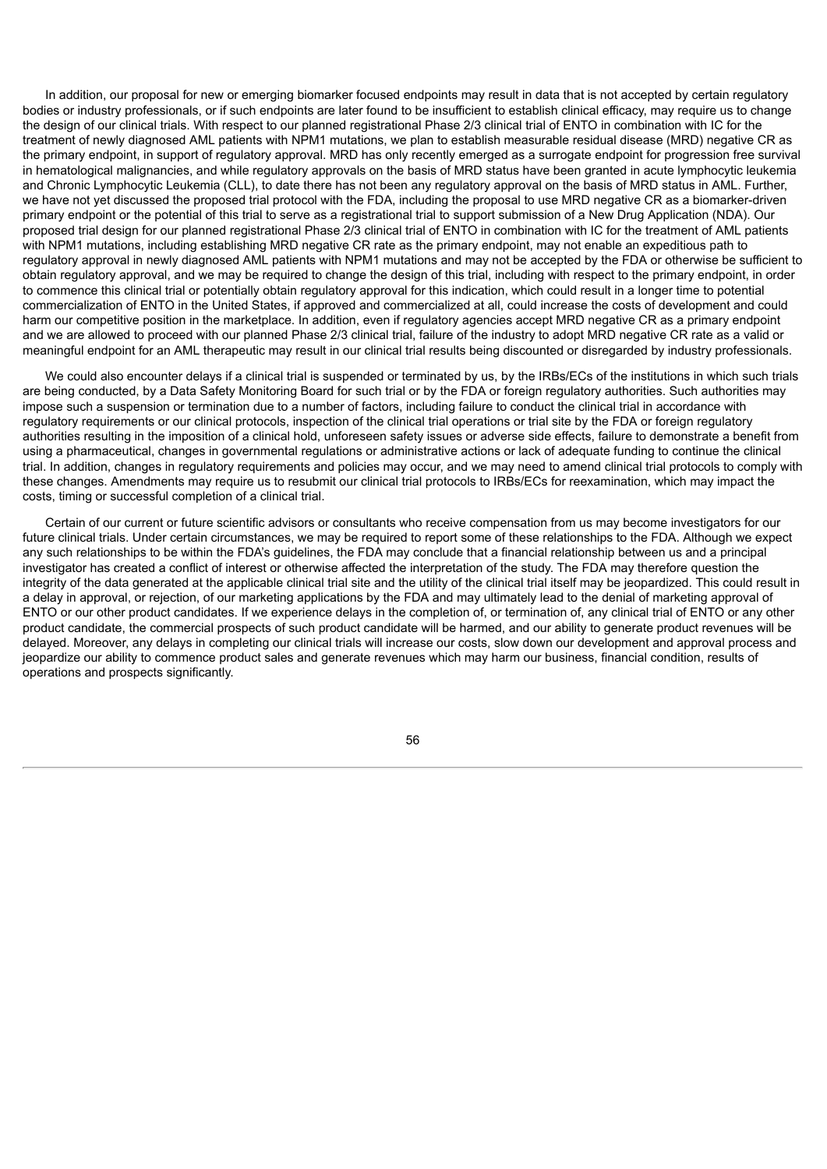In addition, our proposal for new or emerging biomarker focused endpoints may result in data that is not accepted by certain regulatory bodies or industry professionals, or if such endpoints are later found to be insufficient to establish clinical efficacy, may require us to change the design of our clinical trials. With respect to our planned registrational Phase 2/3 clinical trial of ENTO in combination with IC for the treatment of newly diagnosed AML patients with NPM1 mutations, we plan to establish measurable residual disease (MRD) negative CR as the primary endpoint, in support of regulatory approval. MRD has only recently emerged as a surrogate endpoint for progression free survival in hematological malignancies, and while regulatory approvals on the basis of MRD status have been granted in acute lymphocytic leukemia and Chronic Lymphocytic Leukemia (CLL), to date there has not been any regulatory approval on the basis of MRD status in AML. Further, we have not yet discussed the proposed trial protocol with the FDA, including the proposal to use MRD negative CR as a biomarker-driven primary endpoint or the potential of this trial to serve as a registrational trial to support submission of a New Drug Application (NDA). Our proposed trial design for our planned registrational Phase 2/3 clinical trial of ENTO in combination with IC for the treatment of AML patients with NPM1 mutations, including establishing MRD negative CR rate as the primary endpoint, may not enable an expeditious path to regulatory approval in newly diagnosed AML patients with NPM1 mutations and may not be accepted by the FDA or otherwise be sufficient to obtain regulatory approval, and we may be required to change the design of this trial, including with respect to the primary endpoint, in order to commence this clinical trial or potentially obtain regulatory approval for this indication, which could result in a longer time to potential commercialization of ENTO in the United States, if approved and commercialized at all, could increase the costs of development and could harm our competitive position in the marketplace. In addition, even if regulatory agencies accept MRD negative CR as a primary endpoint and we are allowed to proceed with our planned Phase 2/3 clinical trial, failure of the industry to adopt MRD negative CR rate as a valid or meaningful endpoint for an AML therapeutic may result in our clinical trial results being discounted or disregarded by industry professionals.

We could also encounter delays if a clinical trial is suspended or terminated by us, by the IRBs/ECs of the institutions in which such trials are being conducted, by a Data Safety Monitoring Board for such trial or by the FDA or foreign regulatory authorities. Such authorities may impose such a suspension or termination due to a number of factors, including failure to conduct the clinical trial in accordance with regulatory requirements or our clinical protocols, inspection of the clinical trial operations or trial site by the FDA or foreign regulatory authorities resulting in the imposition of a clinical hold, unforeseen safety issues or adverse side effects, failure to demonstrate a benefit from using a pharmaceutical, changes in governmental regulations or administrative actions or lack of adequate funding to continue the clinical trial. In addition, changes in regulatory requirements and policies may occur, and we may need to amend clinical trial protocols to comply with these changes. Amendments may require us to resubmit our clinical trial protocols to IRBs/ECs for reexamination, which may impact the costs, timing or successful completion of a clinical trial.

Certain of our current or future scientific advisors or consultants who receive compensation from us may become investigators for our future clinical trials. Under certain circumstances, we may be required to report some of these relationships to the FDA. Although we expect any such relationships to be within the FDA's guidelines, the FDA may conclude that a financial relationship between us and a principal investigator has created a conflict of interest or otherwise affected the interpretation of the study. The FDA may therefore question the integrity of the data generated at the applicable clinical trial site and the utility of the clinical trial itself may be jeopardized. This could result in a delay in approval, or rejection, of our marketing applications by the FDA and may ultimately lead to the denial of marketing approval of ENTO or our other product candidates. If we experience delays in the completion of, or termination of, any clinical trial of ENTO or any other product candidate, the commercial prospects of such product candidate will be harmed, and our ability to generate product revenues will be delayed. Moreover, any delays in completing our clinical trials will increase our costs, slow down our development and approval process and jeopardize our ability to commence product sales and generate revenues which may harm our business, financial condition, results of operations and prospects significantly.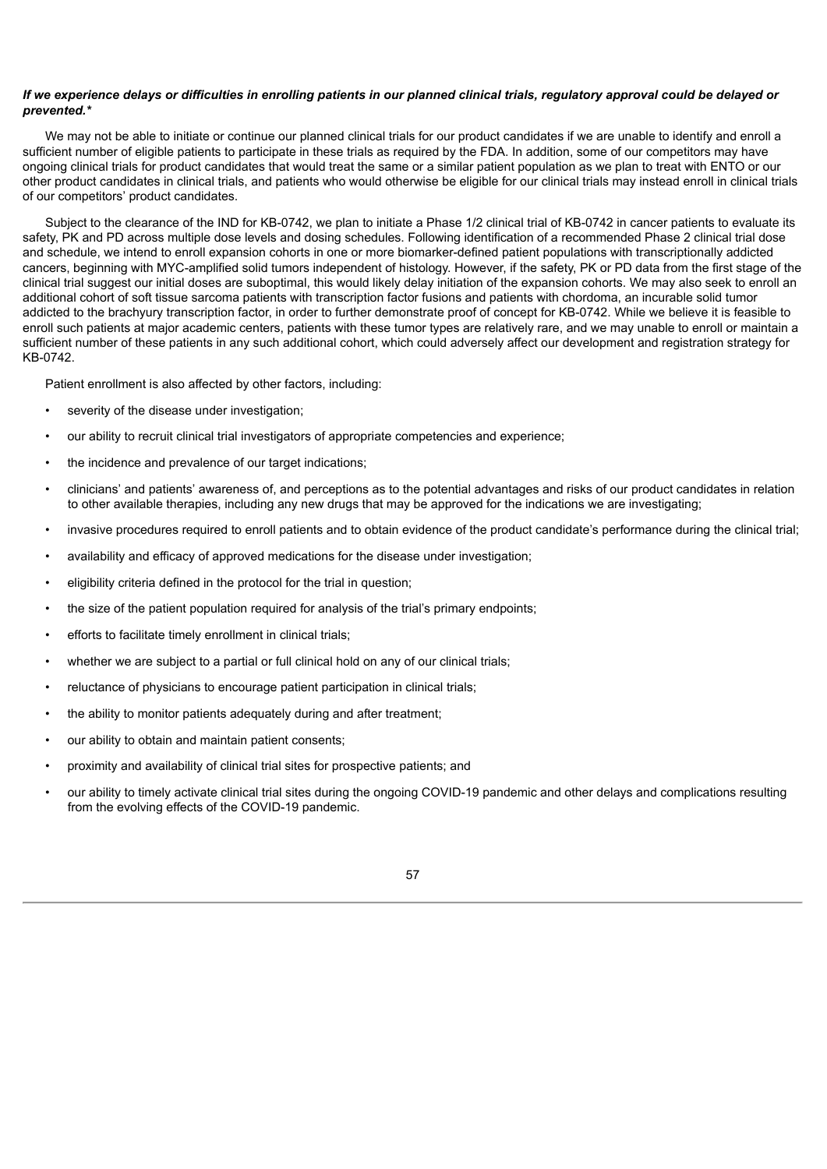# If we experience delays or difficulties in enrolling patients in our planned clinical trials, regulatory approval could be delayed or *prevented.\**

We may not be able to initiate or continue our planned clinical trials for our product candidates if we are unable to identify and enroll a sufficient number of eligible patients to participate in these trials as required by the FDA. In addition, some of our competitors may have ongoing clinical trials for product candidates that would treat the same or a similar patient population as we plan to treat with ENTO or our other product candidates in clinical trials, and patients who would otherwise be eligible for our clinical trials may instead enroll in clinical trials of our competitors' product candidates.

Subject to the clearance of the IND for KB-0742, we plan to initiate a Phase 1/2 clinical trial of KB-0742 in cancer patients to evaluate its safety, PK and PD across multiple dose levels and dosing schedules. Following identification of a recommended Phase 2 clinical trial dose and schedule, we intend to enroll expansion cohorts in one or more biomarker-defined patient populations with transcriptionally addicted cancers, beginning with MYC-amplified solid tumors independent of histology. However, if the safety, PK or PD data from the first stage of the clinical trial suggest our initial doses are suboptimal, this would likely delay initiation of the expansion cohorts. We may also seek to enroll an additional cohort of soft tissue sarcoma patients with transcription factor fusions and patients with chordoma, an incurable solid tumor addicted to the brachyury transcription factor, in order to further demonstrate proof of concept for KB-0742. While we believe it is feasible to enroll such patients at major academic centers, patients with these tumor types are relatively rare, and we may unable to enroll or maintain a sufficient number of these patients in any such additional cohort, which could adversely affect our development and registration strategy for KB-0742.

Patient enrollment is also affected by other factors, including:

- severity of the disease under investigation:
- our ability to recruit clinical trial investigators of appropriate competencies and experience;
- the incidence and prevalence of our target indications;
- clinicians' and patients' awareness of, and perceptions as to the potential advantages and risks of our product candidates in relation to other available therapies, including any new drugs that may be approved for the indications we are investigating;
- invasive procedures required to enroll patients and to obtain evidence of the product candidate's performance during the clinical trial;
- availability and efficacy of approved medications for the disease under investigation;
- eligibility criteria defined in the protocol for the trial in question;
- the size of the patient population required for analysis of the trial's primary endpoints;
- efforts to facilitate timely enrollment in clinical trials:
- whether we are subject to a partial or full clinical hold on any of our clinical trials;
- reluctance of physicians to encourage patient participation in clinical trials;
- the ability to monitor patients adequately during and after treatment;
- our ability to obtain and maintain patient consents;
- proximity and availability of clinical trial sites for prospective patients; and
- our ability to timely activate clinical trial sites during the ongoing COVID-19 pandemic and other delays and complications resulting from the evolving effects of the COVID-19 pandemic.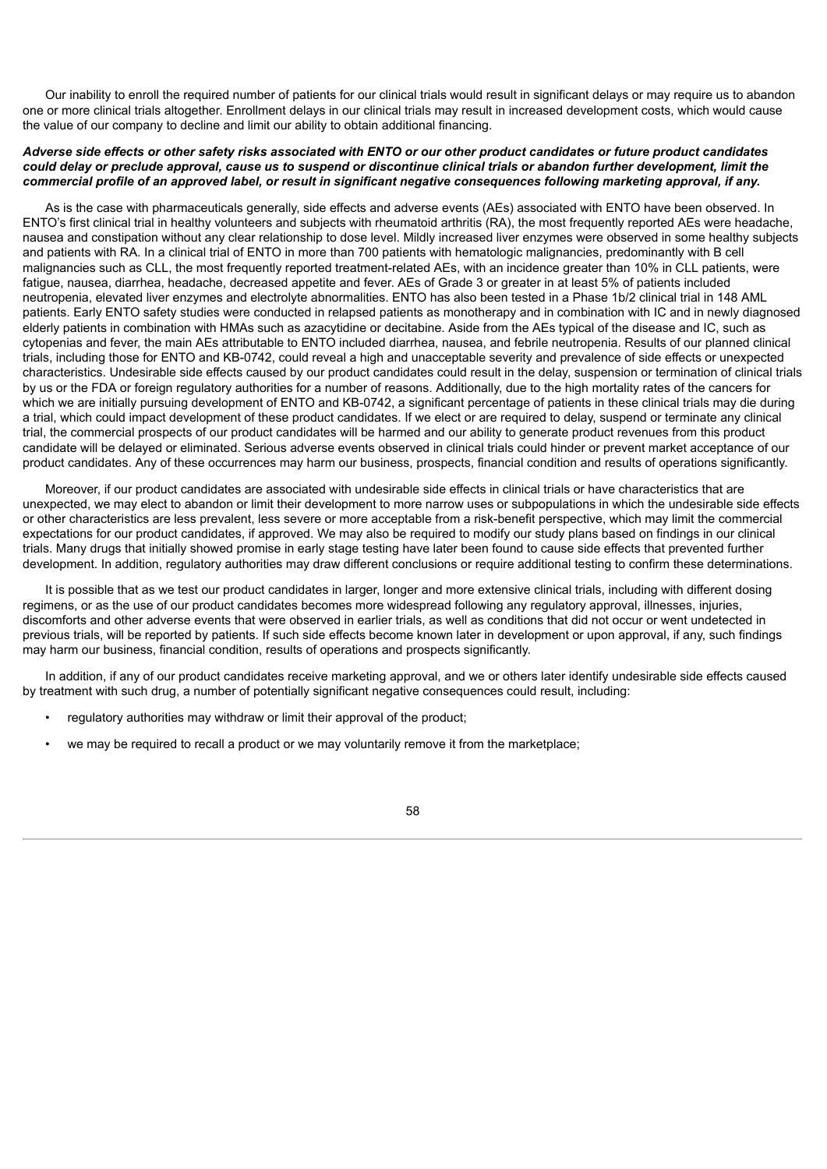Our inability to enroll the required number of patients for our clinical trials would result in significant delays or may require us to abandon one or more clinical trials altogether. Enrollment delays in our clinical trials may result in increased development costs, which would cause the value of our company to decline and limit our ability to obtain additional financing.

# Adverse side effects or other safety risks associated with ENTO or our other product candidates or future product candidates could delay or preclude approval, cause us to suspend or discontinue clinical trials or abandon further development, limit the commercial profile of an approved label, or result in significant negative consequences following marketing approval, if any.

As is the case with pharmaceuticals generally, side effects and adverse events (AEs) associated with ENTO have been observed. In ENTO's first clinical trial in healthy volunteers and subjects with rheumatoid arthritis (RA), the most frequently reported AEs were headache, nausea and constipation without any clear relationship to dose level. Mildly increased liver enzymes were observed in some healthy subjects and patients with RA. In a clinical trial of ENTO in more than 700 patients with hematologic malignancies, predominantly with B cell malignancies such as CLL, the most frequently reported treatment-related AEs, with an incidence greater than 10% in CLL patients, were fatigue, nausea, diarrhea, headache, decreased appetite and fever. AEs of Grade 3 or greater in at least 5% of patients included neutropenia, elevated liver enzymes and electrolyte abnormalities. ENTO has also been tested in a Phase 1b/2 clinical trial in 148 AML patients. Early ENTO safety studies were conducted in relapsed patients as monotherapy and in combination with IC and in newly diagnosed elderly patients in combination with HMAs such as azacytidine or decitabine. Aside from the AEs typical of the disease and IC, such as cytopenias and fever, the main AEs attributable to ENTO included diarrhea, nausea, and febrile neutropenia. Results of our planned clinical trials, including those for ENTO and KB-0742, could reveal a high and unacceptable severity and prevalence of side effects or unexpected characteristics. Undesirable side effects caused by our product candidates could result in the delay, suspension or termination of clinical trials by us or the FDA or foreign regulatory authorities for a number of reasons. Additionally, due to the high mortality rates of the cancers for which we are initially pursuing development of ENTO and KB-0742, a significant percentage of patients in these clinical trials may die during a trial, which could impact development of these product candidates. If we elect or are required to delay, suspend or terminate any clinical trial, the commercial prospects of our product candidates will be harmed and our ability to generate product revenues from this product candidate will be delayed or eliminated. Serious adverse events observed in clinical trials could hinder or prevent market acceptance of our product candidates. Any of these occurrences may harm our business, prospects, financial condition and results of operations significantly.

Moreover, if our product candidates are associated with undesirable side effects in clinical trials or have characteristics that are unexpected, we may elect to abandon or limit their development to more narrow uses or subpopulations in which the undesirable side effects or other characteristics are less prevalent, less severe or more acceptable from a risk-benefit perspective, which may limit the commercial expectations for our product candidates, if approved. We may also be required to modify our study plans based on findings in our clinical trials. Many drugs that initially showed promise in early stage testing have later been found to cause side effects that prevented further development. In addition, regulatory authorities may draw different conclusions or require additional testing to confirm these determinations.

It is possible that as we test our product candidates in larger, longer and more extensive clinical trials, including with different dosing regimens, or as the use of our product candidates becomes more widespread following any regulatory approval, illnesses, injuries, discomforts and other adverse events that were observed in earlier trials, as well as conditions that did not occur or went undetected in previous trials, will be reported by patients. If such side effects become known later in development or upon approval, if any, such findings may harm our business, financial condition, results of operations and prospects significantly.

In addition, if any of our product candidates receive marketing approval, and we or others later identify undesirable side effects caused by treatment with such drug, a number of potentially significant negative consequences could result, including:

- regulatory authorities may withdraw or limit their approval of the product;
- we may be required to recall a product or we may voluntarily remove it from the marketplace;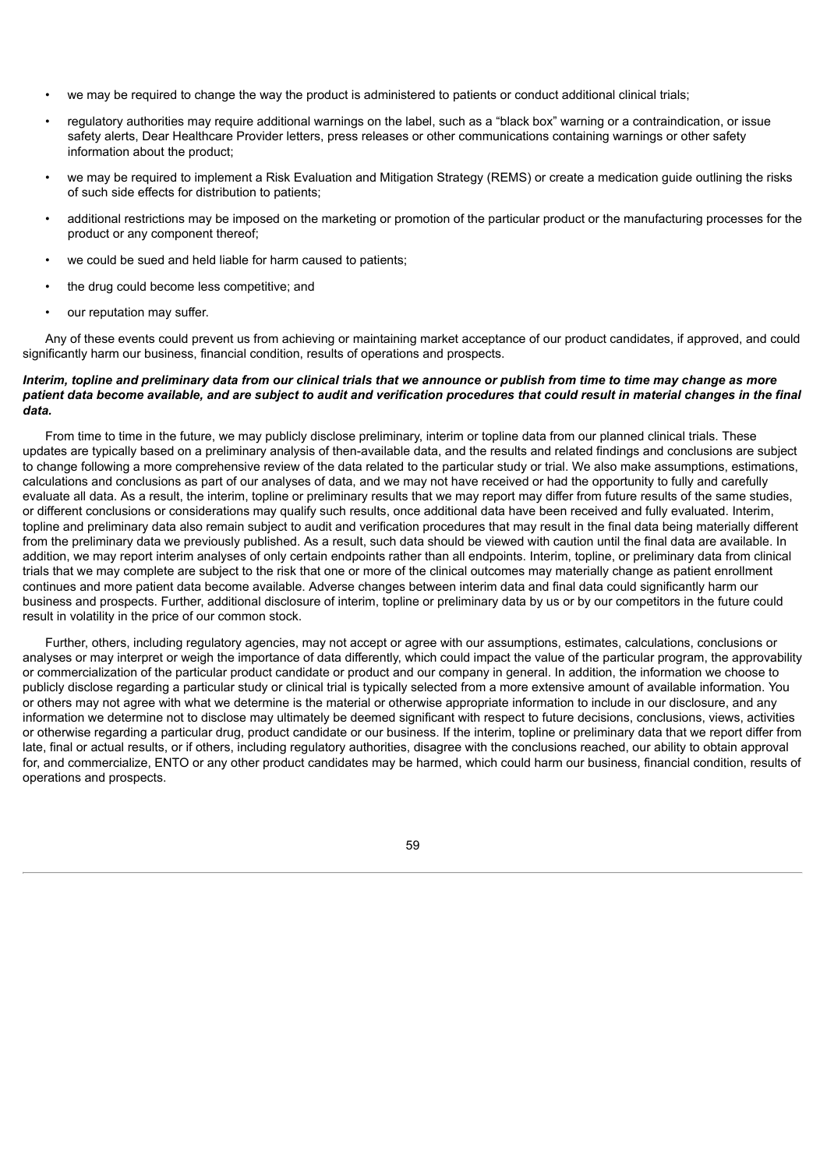- we may be required to change the way the product is administered to patients or conduct additional clinical trials;
- regulatory authorities may require additional warnings on the label, such as a "black box" warning or a contraindication, or issue safety alerts, Dear Healthcare Provider letters, press releases or other communications containing warnings or other safety information about the product;
- we may be required to implement a Risk Evaluation and Mitigation Strategy (REMS) or create a medication guide outlining the risks of such side effects for distribution to patients;
- additional restrictions may be imposed on the marketing or promotion of the particular product or the manufacturing processes for the product or any component thereof;
- we could be sued and held liable for harm caused to patients;
- the drug could become less competitive; and
- our reputation may suffer.

Any of these events could prevent us from achieving or maintaining market acceptance of our product candidates, if approved, and could significantly harm our business, financial condition, results of operations and prospects.

# Interim, topline and preliminary data from our clinical trials that we announce or publish from time to time may change as more patient data become available, and are subject to audit and verification procedures that could result in material changes in the final *data.*

From time to time in the future, we may publicly disclose preliminary, interim or topline data from our planned clinical trials. These updates are typically based on a preliminary analysis of then-available data, and the results and related findings and conclusions are subject to change following a more comprehensive review of the data related to the particular study or trial. We also make assumptions, estimations, calculations and conclusions as part of our analyses of data, and we may not have received or had the opportunity to fully and carefully evaluate all data. As a result, the interim, topline or preliminary results that we may report may differ from future results of the same studies, or different conclusions or considerations may qualify such results, once additional data have been received and fully evaluated. Interim, topline and preliminary data also remain subject to audit and verification procedures that may result in the final data being materially different from the preliminary data we previously published. As a result, such data should be viewed with caution until the final data are available. In addition, we may report interim analyses of only certain endpoints rather than all endpoints. Interim, topline, or preliminary data from clinical trials that we may complete are subject to the risk that one or more of the clinical outcomes may materially change as patient enrollment continues and more patient data become available. Adverse changes between interim data and final data could significantly harm our business and prospects. Further, additional disclosure of interim, topline or preliminary data by us or by our competitors in the future could result in volatility in the price of our common stock.

Further, others, including regulatory agencies, may not accept or agree with our assumptions, estimates, calculations, conclusions or analyses or may interpret or weigh the importance of data differently, which could impact the value of the particular program, the approvability or commercialization of the particular product candidate or product and our company in general. In addition, the information we choose to publicly disclose regarding a particular study or clinical trial is typically selected from a more extensive amount of available information. You or others may not agree with what we determine is the material or otherwise appropriate information to include in our disclosure, and any information we determine not to disclose may ultimately be deemed significant with respect to future decisions, conclusions, views, activities or otherwise regarding a particular drug, product candidate or our business. If the interim, topline or preliminary data that we report differ from late, final or actual results, or if others, including regulatory authorities, disagree with the conclusions reached, our ability to obtain approval for, and commercialize, ENTO or any other product candidates may be harmed, which could harm our business, financial condition, results of operations and prospects.

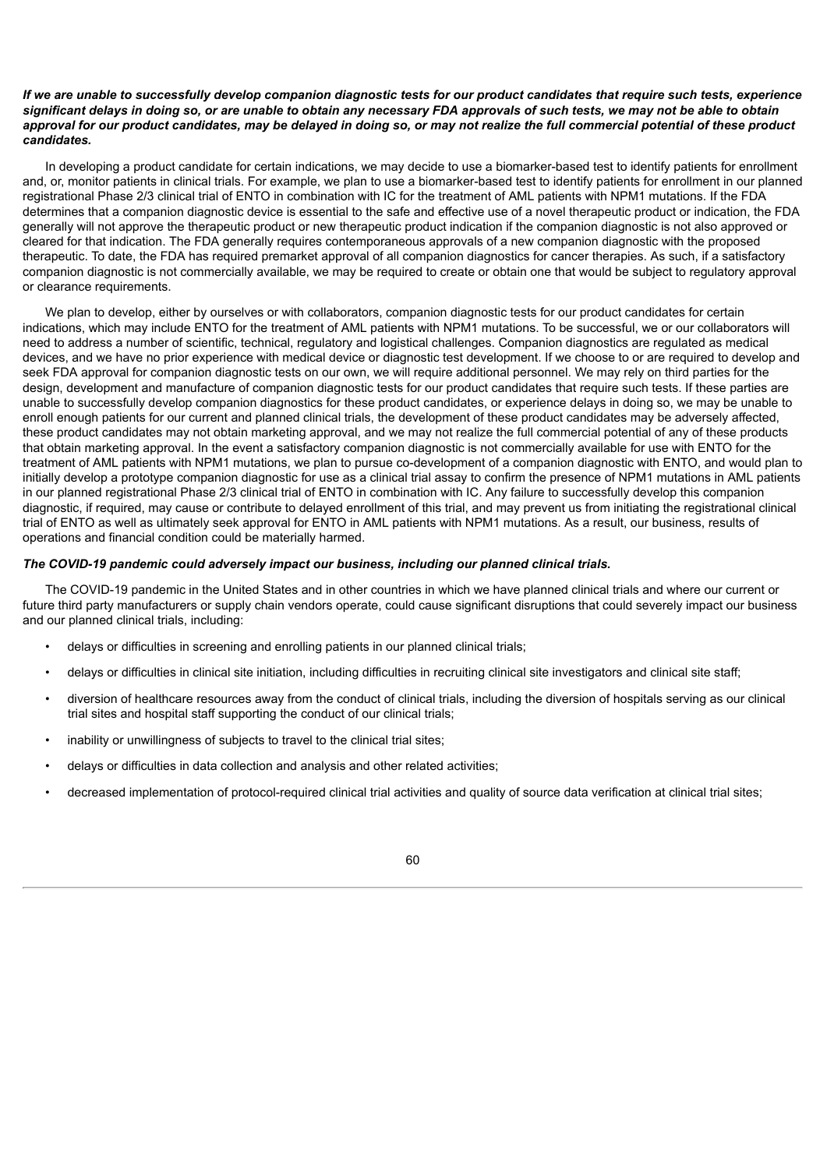# If we are unable to successfully develop companion diagnostic tests for our product candidates that require such tests, experience significant delays in doing so, or are unable to obtain any necessary FDA approvals of such tests, we may not be able to obtain approval for our product candidates, may be delayed in doing so, or may not realize the full commercial potential of these product *candidates.*

In developing a product candidate for certain indications, we may decide to use a biomarker-based test to identify patients for enrollment and, or, monitor patients in clinical trials. For example, we plan to use a biomarker-based test to identify patients for enrollment in our planned registrational Phase 2/3 clinical trial of ENTO in combination with IC for the treatment of AML patients with NPM1 mutations. If the FDA determines that a companion diagnostic device is essential to the safe and effective use of a novel therapeutic product or indication, the FDA generally will not approve the therapeutic product or new therapeutic product indication if the companion diagnostic is not also approved or cleared for that indication. The FDA generally requires contemporaneous approvals of a new companion diagnostic with the proposed therapeutic. To date, the FDA has required premarket approval of all companion diagnostics for cancer therapies. As such, if a satisfactory companion diagnostic is not commercially available, we may be required to create or obtain one that would be subject to regulatory approval or clearance requirements.

We plan to develop, either by ourselves or with collaborators, companion diagnostic tests for our product candidates for certain indications, which may include ENTO for the treatment of AML patients with NPM1 mutations. To be successful, we or our collaborators will need to address a number of scientific, technical, regulatory and logistical challenges. Companion diagnostics are regulated as medical devices, and we have no prior experience with medical device or diagnostic test development. If we choose to or are required to develop and seek FDA approval for companion diagnostic tests on our own, we will require additional personnel. We may rely on third parties for the design, development and manufacture of companion diagnostic tests for our product candidates that require such tests. If these parties are unable to successfully develop companion diagnostics for these product candidates, or experience delays in doing so, we may be unable to enroll enough patients for our current and planned clinical trials, the development of these product candidates may be adversely affected, these product candidates may not obtain marketing approval, and we may not realize the full commercial potential of any of these products that obtain marketing approval. In the event a satisfactory companion diagnostic is not commercially available for use with ENTO for the treatment of AML patients with NPM1 mutations, we plan to pursue co-development of a companion diagnostic with ENTO, and would plan to initially develop a prototype companion diagnostic for use as a clinical trial assay to confirm the presence of NPM1 mutations in AML patients in our planned registrational Phase 2/3 clinical trial of ENTO in combination with IC. Any failure to successfully develop this companion diagnostic, if required, may cause or contribute to delayed enrollment of this trial, and may prevent us from initiating the registrational clinical trial of ENTO as well as ultimately seek approval for ENTO in AML patients with NPM1 mutations. As a result, our business, results of operations and financial condition could be materially harmed.

### *The COVID-19 pandemic could adversely impact our business, including our planned clinical trials.*

The COVID-19 pandemic in the United States and in other countries in which we have planned clinical trials and where our current or future third party manufacturers or supply chain vendors operate, could cause significant disruptions that could severely impact our business and our planned clinical trials, including:

- delays or difficulties in screening and enrolling patients in our planned clinical trials;
- delays or difficulties in clinical site initiation, including difficulties in recruiting clinical site investigators and clinical site staff;
- diversion of healthcare resources away from the conduct of clinical trials, including the diversion of hospitals serving as our clinical trial sites and hospital staff supporting the conduct of our clinical trials;
- inability or unwillingness of subjects to travel to the clinical trial sites;
- delays or difficulties in data collection and analysis and other related activities;
- decreased implementation of protocol-required clinical trial activities and quality of source data verification at clinical trial sites;

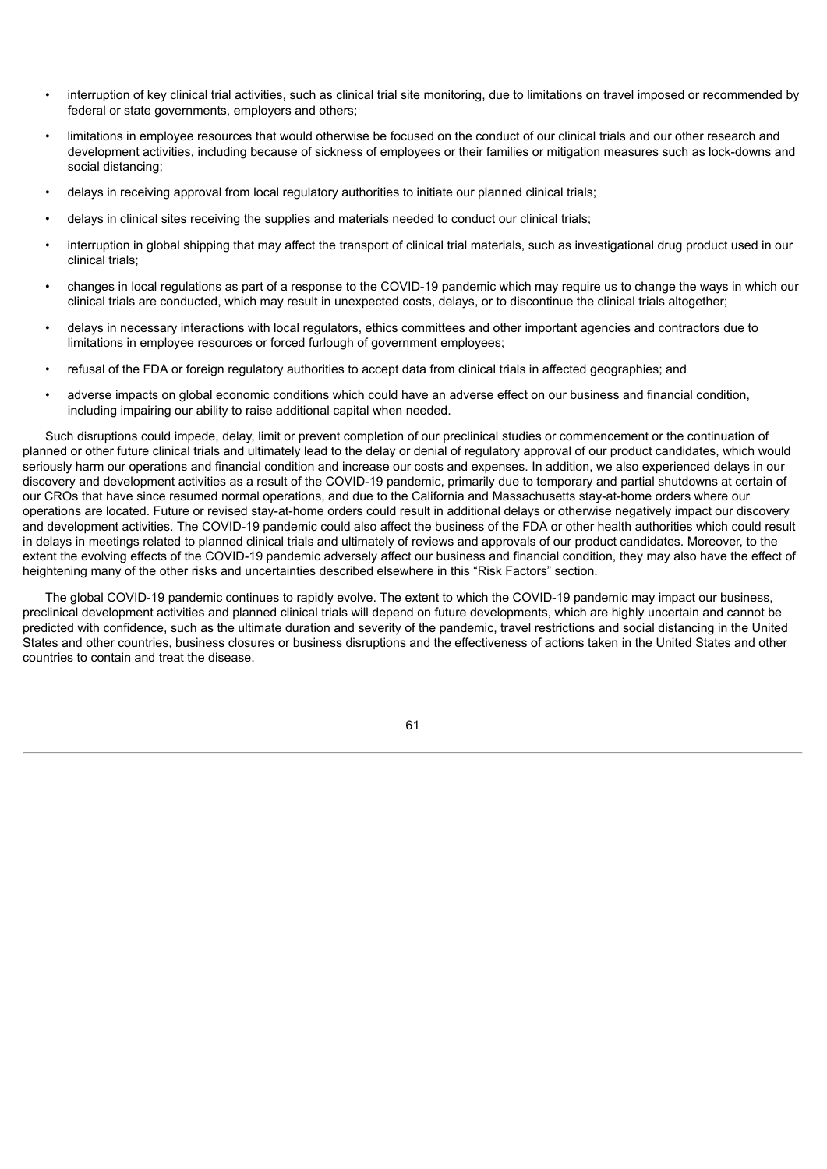- interruption of key clinical trial activities, such as clinical trial site monitoring, due to limitations on travel imposed or recommended by federal or state governments, employers and others;
- limitations in employee resources that would otherwise be focused on the conduct of our clinical trials and our other research and development activities, including because of sickness of employees or their families or mitigation measures such as lock-downs and social distancing;
- delays in receiving approval from local regulatory authorities to initiate our planned clinical trials;
- delays in clinical sites receiving the supplies and materials needed to conduct our clinical trials;
- interruption in global shipping that may affect the transport of clinical trial materials, such as investigational drug product used in our clinical trials;
- changes in local regulations as part of a response to the COVID-19 pandemic which may require us to change the ways in which our clinical trials are conducted, which may result in unexpected costs, delays, or to discontinue the clinical trials altogether;
- delays in necessary interactions with local regulators, ethics committees and other important agencies and contractors due to limitations in employee resources or forced furlough of government employees;
- refusal of the FDA or foreign regulatory authorities to accept data from clinical trials in affected geographies; and
- adverse impacts on global economic conditions which could have an adverse effect on our business and financial condition, including impairing our ability to raise additional capital when needed.

Such disruptions could impede, delay, limit or prevent completion of our preclinical studies or commencement or the continuation of planned or other future clinical trials and ultimately lead to the delay or denial of regulatory approval of our product candidates, which would seriously harm our operations and financial condition and increase our costs and expenses. In addition, we also experienced delays in our discovery and development activities as a result of the COVID-19 pandemic, primarily due to temporary and partial shutdowns at certain of our CROs that have since resumed normal operations, and due to the California and Massachusetts stay-at-home orders where our operations are located. Future or revised stay-at-home orders could result in additional delays or otherwise negatively impact our discovery and development activities. The COVID-19 pandemic could also affect the business of the FDA or other health authorities which could result in delays in meetings related to planned clinical trials and ultimately of reviews and approvals of our product candidates. Moreover, to the extent the evolving effects of the COVID-19 pandemic adversely affect our business and financial condition, they may also have the effect of heightening many of the other risks and uncertainties described elsewhere in this "Risk Factors" section.

The global COVID-19 pandemic continues to rapidly evolve. The extent to which the COVID-19 pandemic may impact our business, preclinical development activities and planned clinical trials will depend on future developments, which are highly uncertain and cannot be predicted with confidence, such as the ultimate duration and severity of the pandemic, travel restrictions and social distancing in the United States and other countries, business closures or business disruptions and the effectiveness of actions taken in the United States and other countries to contain and treat the disease.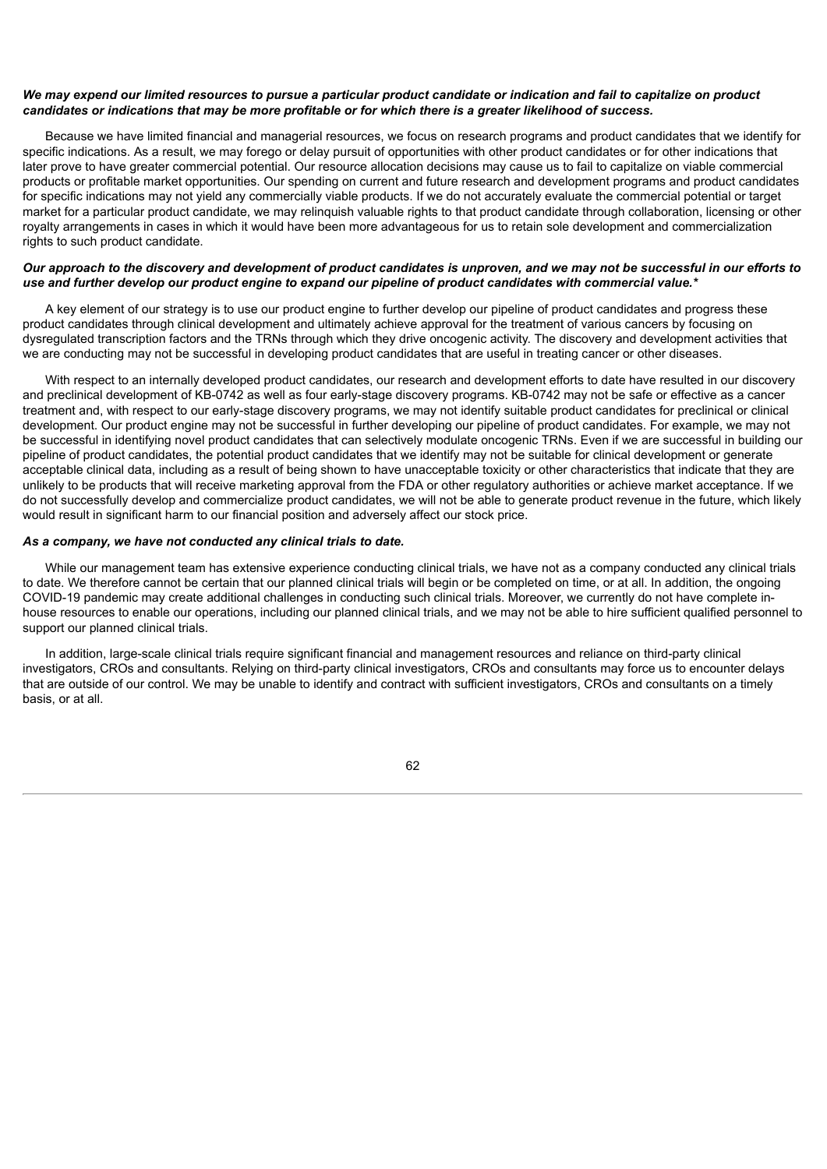## We may expend our limited resources to pursue a particular product candidate or indication and fail to capitalize on product candidates or indications that may be more profitable or for which there is a greater likelihood of success.

Because we have limited financial and managerial resources, we focus on research programs and product candidates that we identify for specific indications. As a result, we may forego or delay pursuit of opportunities with other product candidates or for other indications that later prove to have greater commercial potential. Our resource allocation decisions may cause us to fail to capitalize on viable commercial products or profitable market opportunities. Our spending on current and future research and development programs and product candidates for specific indications may not yield any commercially viable products. If we do not accurately evaluate the commercial potential or target market for a particular product candidate, we may relinquish valuable rights to that product candidate through collaboration, licensing or other royalty arrangements in cases in which it would have been more advantageous for us to retain sole development and commercialization rights to such product candidate.

# Our approach to the discovery and development of product candidates is unproven, and we may not be successful in our efforts to use and further develop our product engine to expand our pipeline of product candidates with commercial value.\*

A key element of our strategy is to use our product engine to further develop our pipeline of product candidates and progress these product candidates through clinical development and ultimately achieve approval for the treatment of various cancers by focusing on dysregulated transcription factors and the TRNs through which they drive oncogenic activity. The discovery and development activities that we are conducting may not be successful in developing product candidates that are useful in treating cancer or other diseases.

With respect to an internally developed product candidates, our research and development efforts to date have resulted in our discovery and preclinical development of KB-0742 as well as four early-stage discovery programs. KB-0742 may not be safe or effective as a cancer treatment and, with respect to our early-stage discovery programs, we may not identify suitable product candidates for preclinical or clinical development. Our product engine may not be successful in further developing our pipeline of product candidates. For example, we may not be successful in identifying novel product candidates that can selectively modulate oncogenic TRNs. Even if we are successful in building our pipeline of product candidates, the potential product candidates that we identify may not be suitable for clinical development or generate acceptable clinical data, including as a result of being shown to have unacceptable toxicity or other characteristics that indicate that they are unlikely to be products that will receive marketing approval from the FDA or other regulatory authorities or achieve market acceptance. If we do not successfully develop and commercialize product candidates, we will not be able to generate product revenue in the future, which likely would result in significant harm to our financial position and adversely affect our stock price.

## *As a company, we have not conducted any clinical trials to date.*

While our management team has extensive experience conducting clinical trials, we have not as a company conducted any clinical trials to date. We therefore cannot be certain that our planned clinical trials will begin or be completed on time, or at all. In addition, the ongoing COVID-19 pandemic may create additional challenges in conducting such clinical trials. Moreover, we currently do not have complete inhouse resources to enable our operations, including our planned clinical trials, and we may not be able to hire sufficient qualified personnel to support our planned clinical trials.

In addition, large-scale clinical trials require significant financial and management resources and reliance on third-party clinical investigators, CROs and consultants. Relying on third-party clinical investigators, CROs and consultants may force us to encounter delays that are outside of our control. We may be unable to identify and contract with sufficient investigators, CROs and consultants on a timely basis, or at all.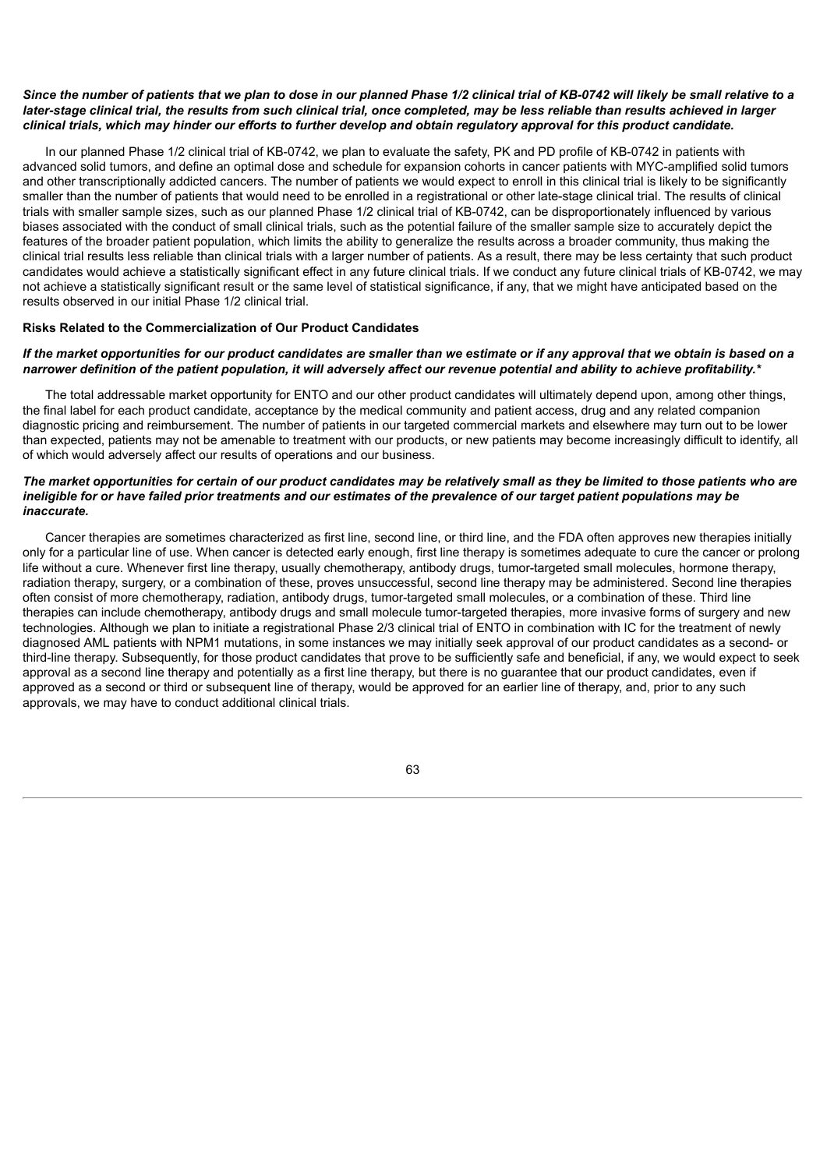# Since the number of patients that we plan to dose in our planned Phase 1/2 clinical trial of KB-0742 will likely be small relative to a later-stage clinical trial, the results from such clinical trial, once completed, may be less reliable than results achieved in larger clinical trials, which may hinder our efforts to further develop and obtain regulatory approval for this product candidate.

In our planned Phase 1/2 clinical trial of KB-0742, we plan to evaluate the safety, PK and PD profile of KB-0742 in patients with advanced solid tumors, and define an optimal dose and schedule for expansion cohorts in cancer patients with MYC-amplified solid tumors and other transcriptionally addicted cancers. The number of patients we would expect to enroll in this clinical trial is likely to be significantly smaller than the number of patients that would need to be enrolled in a registrational or other late-stage clinical trial. The results of clinical trials with smaller sample sizes, such as our planned Phase 1/2 clinical trial of KB-0742, can be disproportionately influenced by various biases associated with the conduct of small clinical trials, such as the potential failure of the smaller sample size to accurately depict the features of the broader patient population, which limits the ability to generalize the results across a broader community, thus making the clinical trial results less reliable than clinical trials with a larger number of patients. As a result, there may be less certainty that such product candidates would achieve a statistically significant effect in any future clinical trials. If we conduct any future clinical trials of KB-0742, we may not achieve a statistically significant result or the same level of statistical significance, if any, that we might have anticipated based on the results observed in our initial Phase 1/2 clinical trial.

# **Risks Related to the Commercialization of Our Product Candidates**

# If the market opportunities for our product candidates are smaller than we estimate or if any approval that we obtain is based on a narrower definition of the patient population, it will adversely affect our revenue potential and ability to achieve profitability.\*

The total addressable market opportunity for ENTO and our other product candidates will ultimately depend upon, among other things, the final label for each product candidate, acceptance by the medical community and patient access, drug and any related companion diagnostic pricing and reimbursement. The number of patients in our targeted commercial markets and elsewhere may turn out to be lower than expected, patients may not be amenable to treatment with our products, or new patients may become increasingly difficult to identify, all of which would adversely affect our results of operations and our business.

# The market opportunities for certain of our product candidates may be relatively small as they be limited to those patients who are ineligible for or have failed prior treatments and our estimates of the prevalence of our target patient populations may be *inaccurate.*

Cancer therapies are sometimes characterized as first line, second line, or third line, and the FDA often approves new therapies initially only for a particular line of use. When cancer is detected early enough, first line therapy is sometimes adequate to cure the cancer or prolong life without a cure. Whenever first line therapy, usually chemotherapy, antibody drugs, tumor-targeted small molecules, hormone therapy, radiation therapy, surgery, or a combination of these, proves unsuccessful, second line therapy may be administered. Second line therapies often consist of more chemotherapy, radiation, antibody drugs, tumor-targeted small molecules, or a combination of these. Third line therapies can include chemotherapy, antibody drugs and small molecule tumor-targeted therapies, more invasive forms of surgery and new technologies. Although we plan to initiate a registrational Phase 2/3 clinical trial of ENTO in combination with IC for the treatment of newly diagnosed AML patients with NPM1 mutations, in some instances we may initially seek approval of our product candidates as a second- or third-line therapy. Subsequently, for those product candidates that prove to be sufficiently safe and beneficial, if any, we would expect to seek approval as a second line therapy and potentially as a first line therapy, but there is no guarantee that our product candidates, even if approved as a second or third or subsequent line of therapy, would be approved for an earlier line of therapy, and, prior to any such approvals, we may have to conduct additional clinical trials.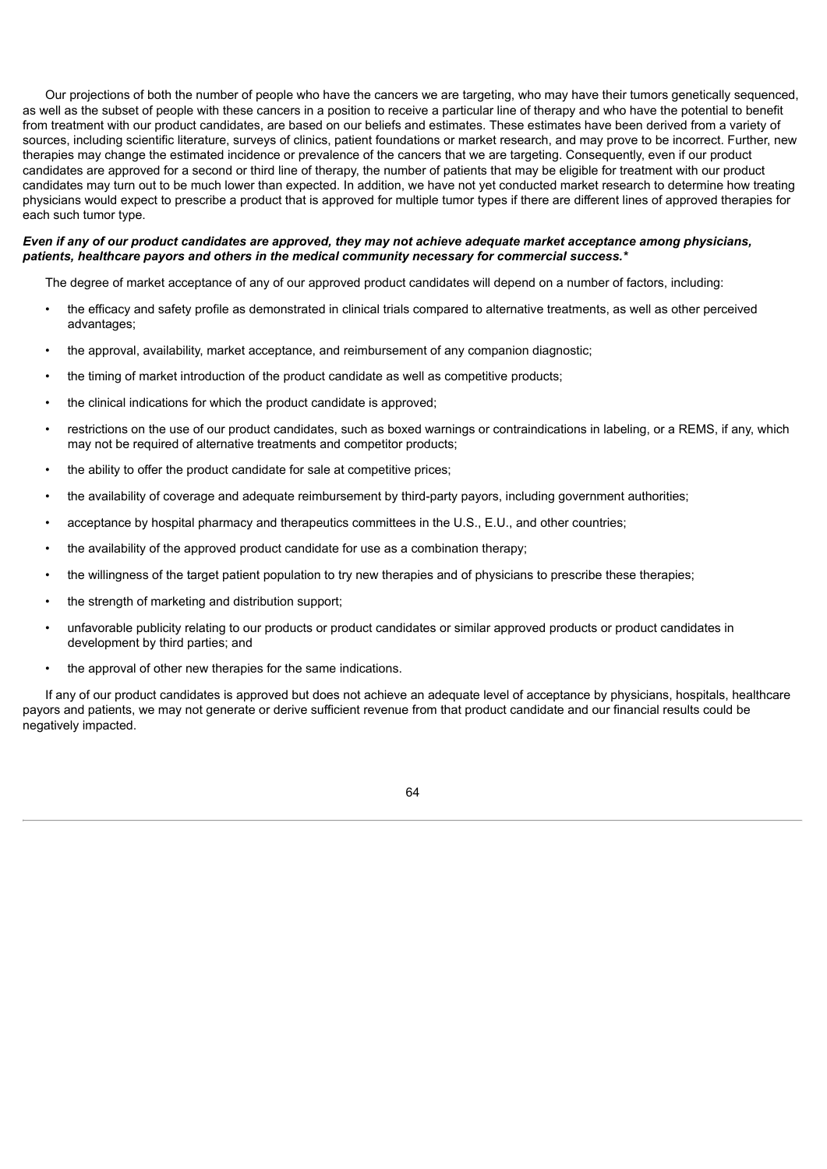Our projections of both the number of people who have the cancers we are targeting, who may have their tumors genetically sequenced, as well as the subset of people with these cancers in a position to receive a particular line of therapy and who have the potential to benefit from treatment with our product candidates, are based on our beliefs and estimates. These estimates have been derived from a variety of sources, including scientific literature, surveys of clinics, patient foundations or market research, and may prove to be incorrect. Further, new therapies may change the estimated incidence or prevalence of the cancers that we are targeting. Consequently, even if our product candidates are approved for a second or third line of therapy, the number of patients that may be eligible for treatment with our product candidates may turn out to be much lower than expected. In addition, we have not yet conducted market research to determine how treating physicians would expect to prescribe a product that is approved for multiple tumor types if there are different lines of approved therapies for each such tumor type.

# Even if any of our product candidates are approved, they may not achieve adequate market acceptance among physicians, *patients, healthcare payors and others in the medical community necessary for commercial success.\**

The degree of market acceptance of any of our approved product candidates will depend on a number of factors, including:

- the efficacy and safety profile as demonstrated in clinical trials compared to alternative treatments, as well as other perceived advantages;
- the approval, availability, market acceptance, and reimbursement of any companion diagnostic;
- the timing of market introduction of the product candidate as well as competitive products;
- the clinical indications for which the product candidate is approved;
- restrictions on the use of our product candidates, such as boxed warnings or contraindications in labeling, or a REMS, if any, which may not be required of alternative treatments and competitor products;
- the ability to offer the product candidate for sale at competitive prices;
- the availability of coverage and adequate reimbursement by third-party payors, including government authorities;
- acceptance by hospital pharmacy and therapeutics committees in the U.S., E.U., and other countries;
- the availability of the approved product candidate for use as a combination therapy;
- the willingness of the target patient population to try new therapies and of physicians to prescribe these therapies;
- the strength of marketing and distribution support;
- unfavorable publicity relating to our products or product candidates or similar approved products or product candidates in development by third parties; and
- the approval of other new therapies for the same indications.

If any of our product candidates is approved but does not achieve an adequate level of acceptance by physicians, hospitals, healthcare payors and patients, we may not generate or derive sufficient revenue from that product candidate and our financial results could be negatively impacted.

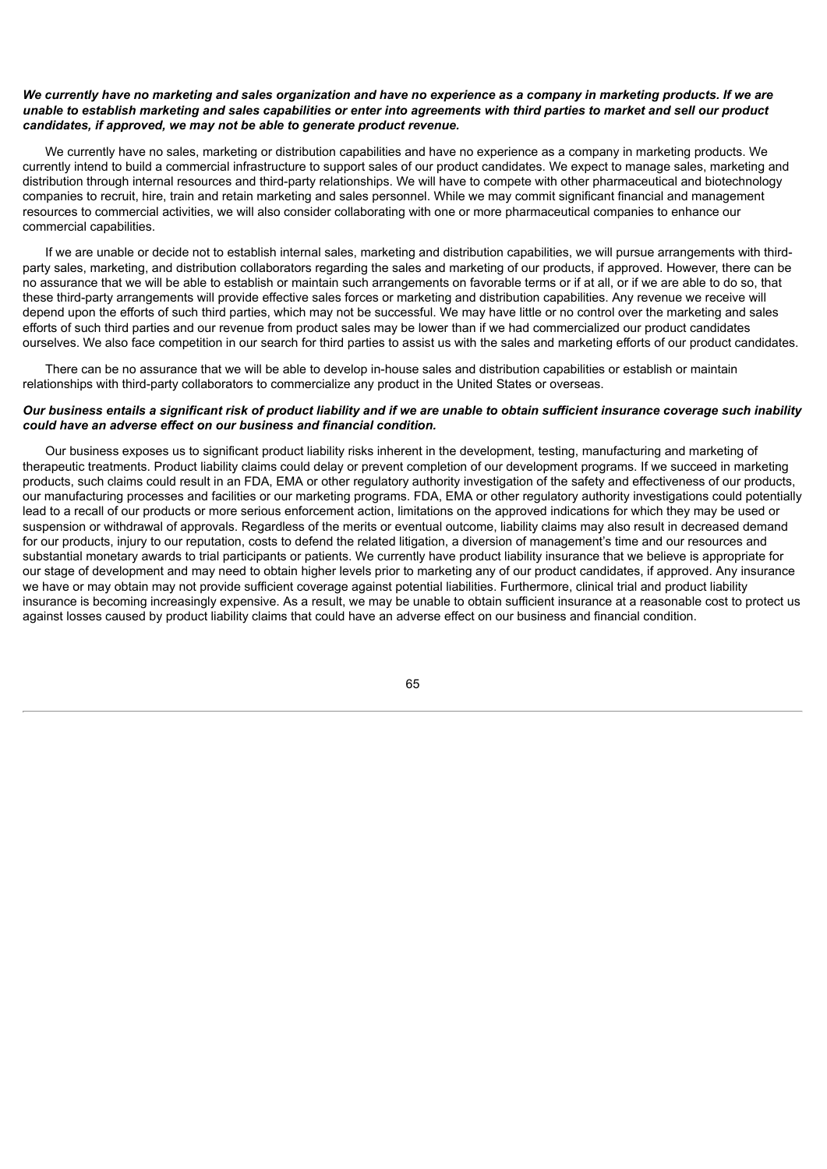## We currently have no marketing and sales organization and have no experience as a company in marketing products. If we are unable to establish marketing and sales capabilities or enter into agreements with third parties to market and sell our product *candidates, if approved, we may not be able to generate product revenue.*

We currently have no sales, marketing or distribution capabilities and have no experience as a company in marketing products. We currently intend to build a commercial infrastructure to support sales of our product candidates. We expect to manage sales, marketing and distribution through internal resources and third-party relationships. We will have to compete with other pharmaceutical and biotechnology companies to recruit, hire, train and retain marketing and sales personnel. While we may commit significant financial and management resources to commercial activities, we will also consider collaborating with one or more pharmaceutical companies to enhance our commercial capabilities.

If we are unable or decide not to establish internal sales, marketing and distribution capabilities, we will pursue arrangements with thirdparty sales, marketing, and distribution collaborators regarding the sales and marketing of our products, if approved. However, there can be no assurance that we will be able to establish or maintain such arrangements on favorable terms or if at all, or if we are able to do so, that these third-party arrangements will provide effective sales forces or marketing and distribution capabilities. Any revenue we receive will depend upon the efforts of such third parties, which may not be successful. We may have little or no control over the marketing and sales efforts of such third parties and our revenue from product sales may be lower than if we had commercialized our product candidates ourselves. We also face competition in our search for third parties to assist us with the sales and marketing efforts of our product candidates.

There can be no assurance that we will be able to develop in-house sales and distribution capabilities or establish or maintain relationships with third-party collaborators to commercialize any product in the United States or overseas.

# Our business entails a significant risk of product liability and if we are unable to obtain sufficient insurance coverage such inability *could have an adverse effect on our business and financial condition.*

Our business exposes us to significant product liability risks inherent in the development, testing, manufacturing and marketing of therapeutic treatments. Product liability claims could delay or prevent completion of our development programs. If we succeed in marketing products, such claims could result in an FDA, EMA or other regulatory authority investigation of the safety and effectiveness of our products, our manufacturing processes and facilities or our marketing programs. FDA, EMA or other regulatory authority investigations could potentially lead to a recall of our products or more serious enforcement action, limitations on the approved indications for which they may be used or suspension or withdrawal of approvals. Regardless of the merits or eventual outcome, liability claims may also result in decreased demand for our products, injury to our reputation, costs to defend the related litigation, a diversion of management's time and our resources and substantial monetary awards to trial participants or patients. We currently have product liability insurance that we believe is appropriate for our stage of development and may need to obtain higher levels prior to marketing any of our product candidates, if approved. Any insurance we have or may obtain may not provide sufficient coverage against potential liabilities. Furthermore, clinical trial and product liability insurance is becoming increasingly expensive. As a result, we may be unable to obtain sufficient insurance at a reasonable cost to protect us against losses caused by product liability claims that could have an adverse effect on our business and financial condition.

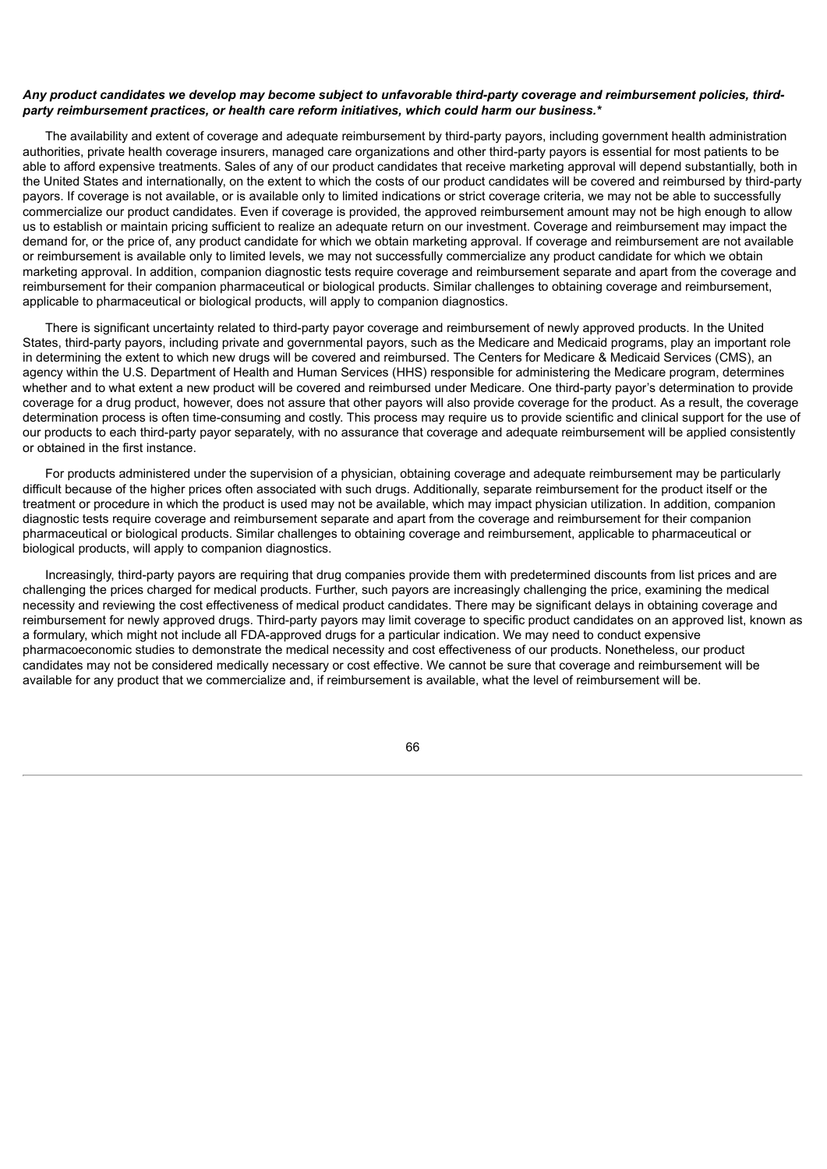#### Any product candidates we develop may become subject to unfavorable third-party coverage and reimbursement policies, third*party reimbursement practices, or health care reform initiatives, which could harm our business.\**

The availability and extent of coverage and adequate reimbursement by third-party payors, including government health administration authorities, private health coverage insurers, managed care organizations and other third-party payors is essential for most patients to be able to afford expensive treatments. Sales of any of our product candidates that receive marketing approval will depend substantially, both in the United States and internationally, on the extent to which the costs of our product candidates will be covered and reimbursed by third-party payors. If coverage is not available, or is available only to limited indications or strict coverage criteria, we may not be able to successfully commercialize our product candidates. Even if coverage is provided, the approved reimbursement amount may not be high enough to allow us to establish or maintain pricing sufficient to realize an adequate return on our investment. Coverage and reimbursement may impact the demand for, or the price of, any product candidate for which we obtain marketing approval. If coverage and reimbursement are not available or reimbursement is available only to limited levels, we may not successfully commercialize any product candidate for which we obtain marketing approval. In addition, companion diagnostic tests require coverage and reimbursement separate and apart from the coverage and reimbursement for their companion pharmaceutical or biological products. Similar challenges to obtaining coverage and reimbursement, applicable to pharmaceutical or biological products, will apply to companion diagnostics.

There is significant uncertainty related to third-party payor coverage and reimbursement of newly approved products. In the United States, third-party payors, including private and governmental payors, such as the Medicare and Medicaid programs, play an important role in determining the extent to which new drugs will be covered and reimbursed. The Centers for Medicare & Medicaid Services (CMS), an agency within the U.S. Department of Health and Human Services (HHS) responsible for administering the Medicare program, determines whether and to what extent a new product will be covered and reimbursed under Medicare. One third-party payor's determination to provide coverage for a drug product, however, does not assure that other payors will also provide coverage for the product. As a result, the coverage determination process is often time-consuming and costly. This process may require us to provide scientific and clinical support for the use of our products to each third-party payor separately, with no assurance that coverage and adequate reimbursement will be applied consistently or obtained in the first instance.

For products administered under the supervision of a physician, obtaining coverage and adequate reimbursement may be particularly difficult because of the higher prices often associated with such drugs. Additionally, separate reimbursement for the product itself or the treatment or procedure in which the product is used may not be available, which may impact physician utilization. In addition, companion diagnostic tests require coverage and reimbursement separate and apart from the coverage and reimbursement for their companion pharmaceutical or biological products. Similar challenges to obtaining coverage and reimbursement, applicable to pharmaceutical or biological products, will apply to companion diagnostics.

Increasingly, third-party payors are requiring that drug companies provide them with predetermined discounts from list prices and are challenging the prices charged for medical products. Further, such payors are increasingly challenging the price, examining the medical necessity and reviewing the cost effectiveness of medical product candidates. There may be significant delays in obtaining coverage and reimbursement for newly approved drugs. Third-party payors may limit coverage to specific product candidates on an approved list, known as a formulary, which might not include all FDA-approved drugs for a particular indication. We may need to conduct expensive pharmacoeconomic studies to demonstrate the medical necessity and cost effectiveness of our products. Nonetheless, our product candidates may not be considered medically necessary or cost effective. We cannot be sure that coverage and reimbursement will be available for any product that we commercialize and, if reimbursement is available, what the level of reimbursement will be.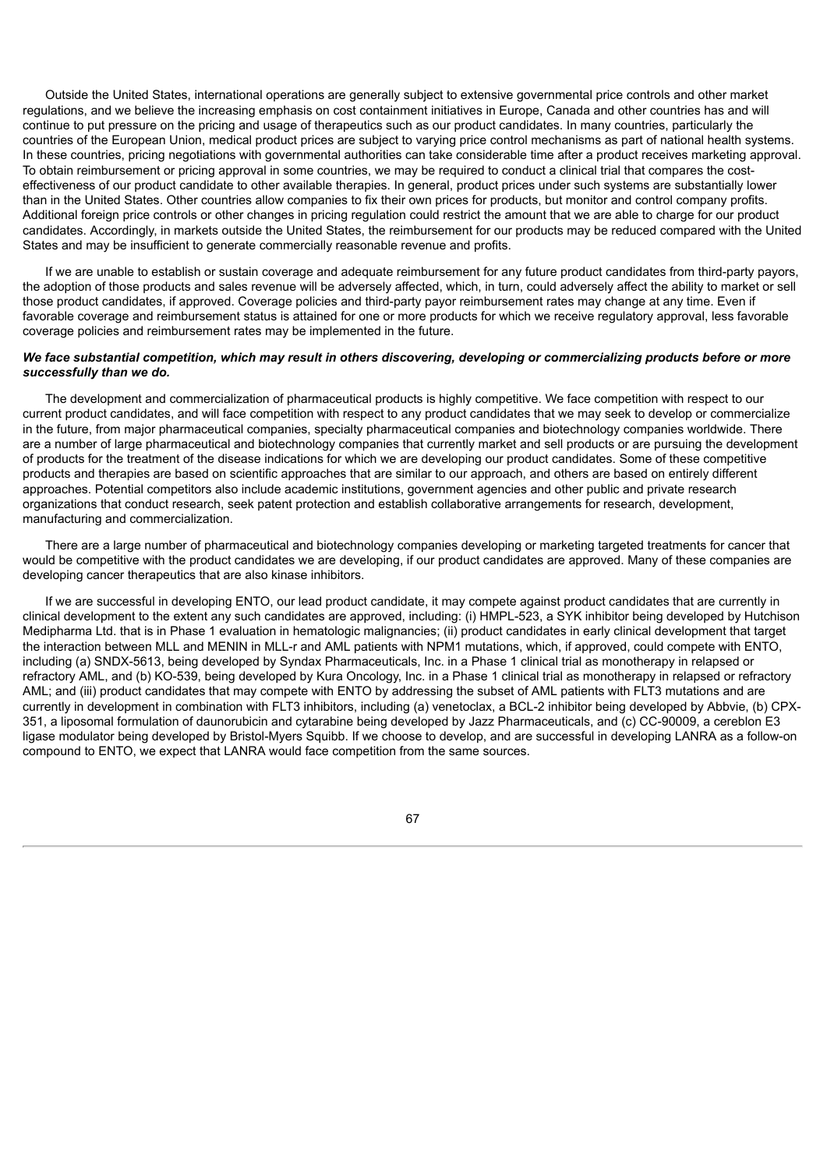Outside the United States, international operations are generally subject to extensive governmental price controls and other market regulations, and we believe the increasing emphasis on cost containment initiatives in Europe, Canada and other countries has and will continue to put pressure on the pricing and usage of therapeutics such as our product candidates. In many countries, particularly the countries of the European Union, medical product prices are subject to varying price control mechanisms as part of national health systems. In these countries, pricing negotiations with governmental authorities can take considerable time after a product receives marketing approval. To obtain reimbursement or pricing approval in some countries, we may be required to conduct a clinical trial that compares the costeffectiveness of our product candidate to other available therapies. In general, product prices under such systems are substantially lower than in the United States. Other countries allow companies to fix their own prices for products, but monitor and control company profits. Additional foreign price controls or other changes in pricing regulation could restrict the amount that we are able to charge for our product candidates. Accordingly, in markets outside the United States, the reimbursement for our products may be reduced compared with the United States and may be insufficient to generate commercially reasonable revenue and profits.

If we are unable to establish or sustain coverage and adequate reimbursement for any future product candidates from third-party payors, the adoption of those products and sales revenue will be adversely affected, which, in turn, could adversely affect the ability to market or sell those product candidates, if approved. Coverage policies and third-party payor reimbursement rates may change at any time. Even if favorable coverage and reimbursement status is attained for one or more products for which we receive regulatory approval, less favorable coverage policies and reimbursement rates may be implemented in the future.

## We face substantial competition, which may result in others discovering, developing or commercializing products before or more *successfully than we do.*

The development and commercialization of pharmaceutical products is highly competitive. We face competition with respect to our current product candidates, and will face competition with respect to any product candidates that we may seek to develop or commercialize in the future, from major pharmaceutical companies, specialty pharmaceutical companies and biotechnology companies worldwide. There are a number of large pharmaceutical and biotechnology companies that currently market and sell products or are pursuing the development of products for the treatment of the disease indications for which we are developing our product candidates. Some of these competitive products and therapies are based on scientific approaches that are similar to our approach, and others are based on entirely different approaches. Potential competitors also include academic institutions, government agencies and other public and private research organizations that conduct research, seek patent protection and establish collaborative arrangements for research, development, manufacturing and commercialization.

There are a large number of pharmaceutical and biotechnology companies developing or marketing targeted treatments for cancer that would be competitive with the product candidates we are developing, if our product candidates are approved. Many of these companies are developing cancer therapeutics that are also kinase inhibitors.

If we are successful in developing ENTO, our lead product candidate, it may compete against product candidates that are currently in clinical development to the extent any such candidates are approved, including: (i) HMPL-523, a SYK inhibitor being developed by Hutchison Medipharma Ltd. that is in Phase 1 evaluation in hematologic malignancies; (ii) product candidates in early clinical development that target the interaction between MLL and MENIN in MLL-r and AML patients with NPM1 mutations, which, if approved, could compete with ENTO, including (a) SNDX-5613, being developed by Syndax Pharmaceuticals, Inc. in a Phase 1 clinical trial as monotherapy in relapsed or refractory AML, and (b) KO-539, being developed by Kura Oncology, Inc. in a Phase 1 clinical trial as monotherapy in relapsed or refractory AML; and (iii) product candidates that may compete with ENTO by addressing the subset of AML patients with FLT3 mutations and are currently in development in combination with FLT3 inhibitors, including (a) venetoclax, a BCL-2 inhibitor being developed by Abbvie, (b) CPX-351, a liposomal formulation of daunorubicin and cytarabine being developed by Jazz Pharmaceuticals, and (c) CC-90009, a cereblon E3 ligase modulator being developed by Bristol-Myers Squibb. If we choose to develop, and are successful in developing LANRA as a follow-on compound to ENTO, we expect that LANRA would face competition from the same sources.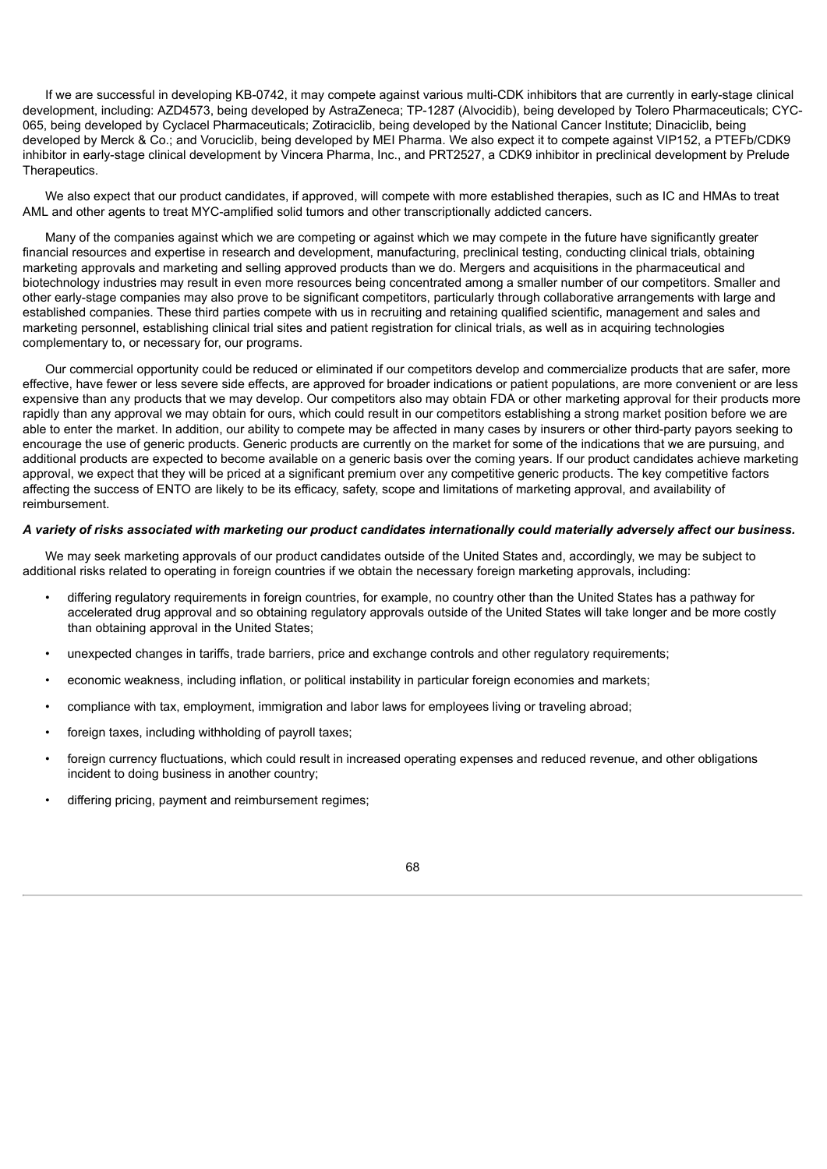If we are successful in developing KB-0742, it may compete against various multi-CDK inhibitors that are currently in early-stage clinical development, including: AZD4573, being developed by AstraZeneca; TP-1287 (Alvocidib), being developed by Tolero Pharmaceuticals; CYC-065, being developed by Cyclacel Pharmaceuticals; Zotiraciclib, being developed by the National Cancer Institute; Dinaciclib, being developed by Merck & Co.; and Voruciclib, being developed by MEI Pharma. We also expect it to compete against VIP152, a PTEFb/CDK9 inhibitor in early-stage clinical development by Vincera Pharma, Inc., and PRT2527, a CDK9 inhibitor in preclinical development by Prelude Therapeutics.

We also expect that our product candidates, if approved, will compete with more established therapies, such as IC and HMAs to treat AML and other agents to treat MYC-amplified solid tumors and other transcriptionally addicted cancers.

Many of the companies against which we are competing or against which we may compete in the future have significantly greater financial resources and expertise in research and development, manufacturing, preclinical testing, conducting clinical trials, obtaining marketing approvals and marketing and selling approved products than we do. Mergers and acquisitions in the pharmaceutical and biotechnology industries may result in even more resources being concentrated among a smaller number of our competitors. Smaller and other early-stage companies may also prove to be significant competitors, particularly through collaborative arrangements with large and established companies. These third parties compete with us in recruiting and retaining qualified scientific, management and sales and marketing personnel, establishing clinical trial sites and patient registration for clinical trials, as well as in acquiring technologies complementary to, or necessary for, our programs.

Our commercial opportunity could be reduced or eliminated if our competitors develop and commercialize products that are safer, more effective, have fewer or less severe side effects, are approved for broader indications or patient populations, are more convenient or are less expensive than any products that we may develop. Our competitors also may obtain FDA or other marketing approval for their products more rapidly than any approval we may obtain for ours, which could result in our competitors establishing a strong market position before we are able to enter the market. In addition, our ability to compete may be affected in many cases by insurers or other third-party payors seeking to encourage the use of generic products. Generic products are currently on the market for some of the indications that we are pursuing, and additional products are expected to become available on a generic basis over the coming years. If our product candidates achieve marketing approval, we expect that they will be priced at a significant premium over any competitive generic products. The key competitive factors affecting the success of ENTO are likely to be its efficacy, safety, scope and limitations of marketing approval, and availability of reimbursement.

# A variety of risks associated with marketing our product candidates internationally could materially adversely affect our business.

We may seek marketing approvals of our product candidates outside of the United States and, accordingly, we may be subject to additional risks related to operating in foreign countries if we obtain the necessary foreign marketing approvals, including:

- differing regulatory requirements in foreign countries, for example, no country other than the United States has a pathway for accelerated drug approval and so obtaining regulatory approvals outside of the United States will take longer and be more costly than obtaining approval in the United States;
- unexpected changes in tariffs, trade barriers, price and exchange controls and other regulatory requirements;
- economic weakness, including inflation, or political instability in particular foreign economies and markets;
- compliance with tax, employment, immigration and labor laws for employees living or traveling abroad;
- foreign taxes, including withholding of payroll taxes;
- foreign currency fluctuations, which could result in increased operating expenses and reduced revenue, and other obligations incident to doing business in another country;
- differing pricing, payment and reimbursement regimes;

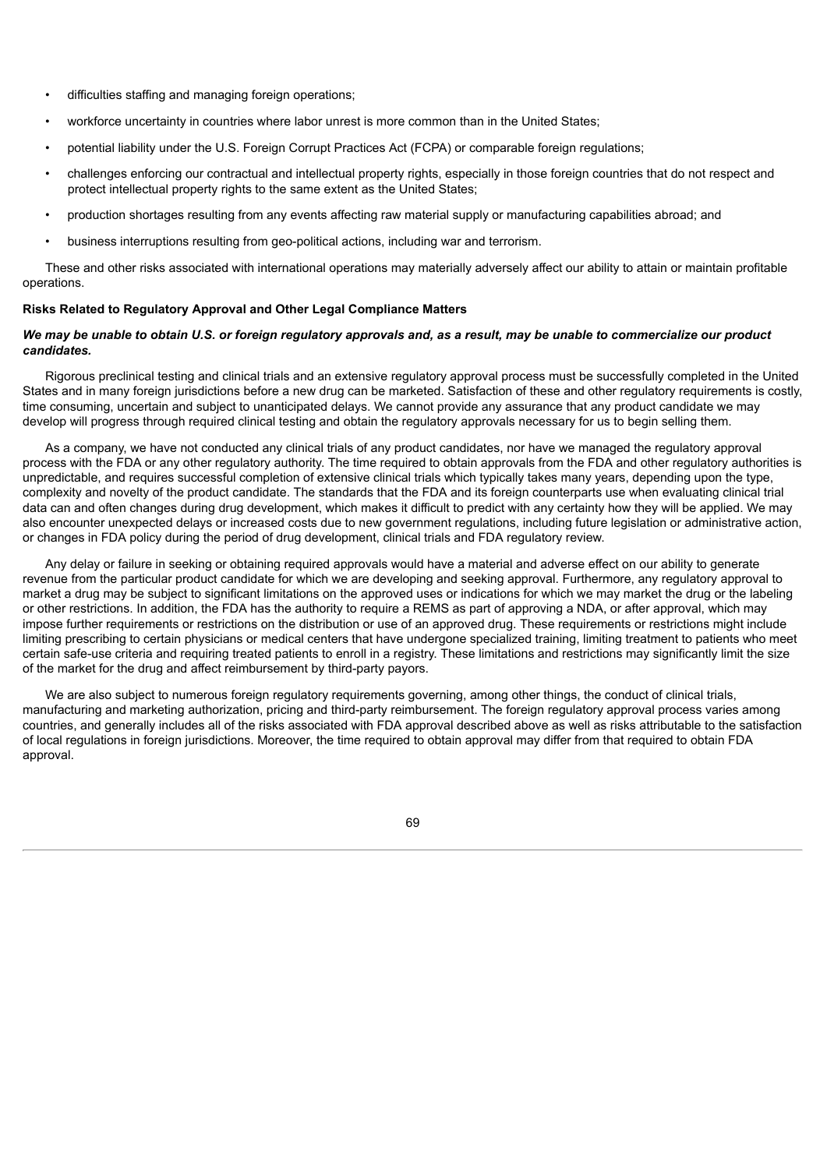- difficulties staffing and managing foreign operations;
- workforce uncertainty in countries where labor unrest is more common than in the United States;
- potential liability under the U.S. Foreign Corrupt Practices Act (FCPA) or comparable foreign regulations;
- challenges enforcing our contractual and intellectual property rights, especially in those foreign countries that do not respect and protect intellectual property rights to the same extent as the United States;
- production shortages resulting from any events affecting raw material supply or manufacturing capabilities abroad; and
- business interruptions resulting from geo-political actions, including war and terrorism.

These and other risks associated with international operations may materially adversely affect our ability to attain or maintain profitable operations.

### **Risks Related to Regulatory Approval and Other Legal Compliance Matters**

# We may be unable to obtain U.S. or foreign regulatory approvals and, as a result, may be unable to commercialize our product *candidates.*

Rigorous preclinical testing and clinical trials and an extensive regulatory approval process must be successfully completed in the United States and in many foreign jurisdictions before a new drug can be marketed. Satisfaction of these and other regulatory requirements is costly, time consuming, uncertain and subject to unanticipated delays. We cannot provide any assurance that any product candidate we may develop will progress through required clinical testing and obtain the regulatory approvals necessary for us to begin selling them.

As a company, we have not conducted any clinical trials of any product candidates, nor have we managed the regulatory approval process with the FDA or any other regulatory authority. The time required to obtain approvals from the FDA and other regulatory authorities is unpredictable, and requires successful completion of extensive clinical trials which typically takes many years, depending upon the type, complexity and novelty of the product candidate. The standards that the FDA and its foreign counterparts use when evaluating clinical trial data can and often changes during drug development, which makes it difficult to predict with any certainty how they will be applied. We may also encounter unexpected delays or increased costs due to new government regulations, including future legislation or administrative action, or changes in FDA policy during the period of drug development, clinical trials and FDA regulatory review.

Any delay or failure in seeking or obtaining required approvals would have a material and adverse effect on our ability to generate revenue from the particular product candidate for which we are developing and seeking approval. Furthermore, any regulatory approval to market a drug may be subject to significant limitations on the approved uses or indications for which we may market the drug or the labeling or other restrictions. In addition, the FDA has the authority to require a REMS as part of approving a NDA, or after approval, which may impose further requirements or restrictions on the distribution or use of an approved drug. These requirements or restrictions might include limiting prescribing to certain physicians or medical centers that have undergone specialized training, limiting treatment to patients who meet certain safe-use criteria and requiring treated patients to enroll in a registry. These limitations and restrictions may significantly limit the size of the market for the drug and affect reimbursement by third-party payors.

We are also subject to numerous foreign regulatory requirements governing, among other things, the conduct of clinical trials, manufacturing and marketing authorization, pricing and third-party reimbursement. The foreign regulatory approval process varies among countries, and generally includes all of the risks associated with FDA approval described above as well as risks attributable to the satisfaction of local regulations in foreign jurisdictions. Moreover, the time required to obtain approval may differ from that required to obtain FDA approval.

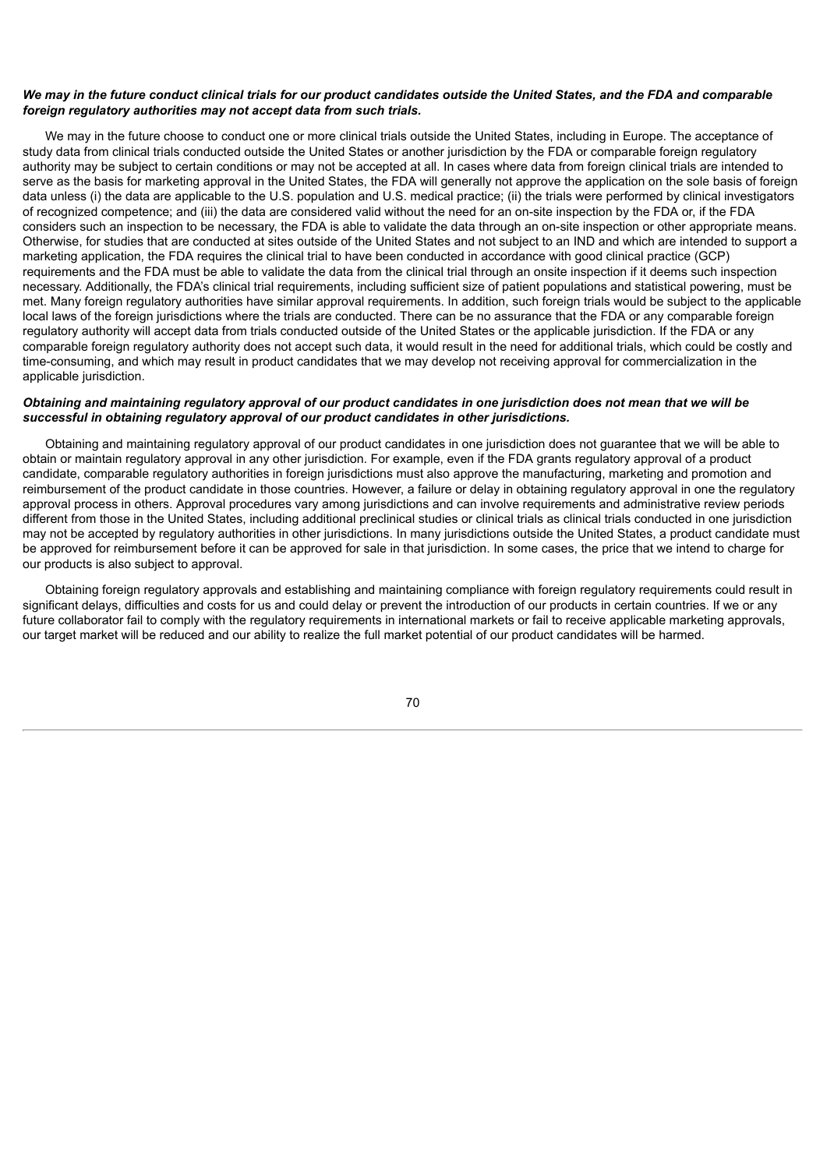## We may in the future conduct clinical trials for our product candidates outside the United States, and the FDA and comparable *foreign regulatory authorities may not accept data from such trials.*

We may in the future choose to conduct one or more clinical trials outside the United States, including in Europe. The acceptance of study data from clinical trials conducted outside the United States or another jurisdiction by the FDA or comparable foreign regulatory authority may be subject to certain conditions or may not be accepted at all. In cases where data from foreign clinical trials are intended to serve as the basis for marketing approval in the United States, the FDA will generally not approve the application on the sole basis of foreign data unless (i) the data are applicable to the U.S. population and U.S. medical practice; (ii) the trials were performed by clinical investigators of recognized competence; and (iii) the data are considered valid without the need for an on-site inspection by the FDA or, if the FDA considers such an inspection to be necessary, the FDA is able to validate the data through an on-site inspection or other appropriate means. Otherwise, for studies that are conducted at sites outside of the United States and not subject to an IND and which are intended to support a marketing application, the FDA requires the clinical trial to have been conducted in accordance with good clinical practice (GCP) requirements and the FDA must be able to validate the data from the clinical trial through an onsite inspection if it deems such inspection necessary. Additionally, the FDA's clinical trial requirements, including sufficient size of patient populations and statistical powering, must be met. Many foreign regulatory authorities have similar approval requirements. In addition, such foreign trials would be subject to the applicable local laws of the foreign jurisdictions where the trials are conducted. There can be no assurance that the FDA or any comparable foreign regulatory authority will accept data from trials conducted outside of the United States or the applicable jurisdiction. If the FDA or any comparable foreign regulatory authority does not accept such data, it would result in the need for additional trials, which could be costly and time-consuming, and which may result in product candidates that we may develop not receiving approval for commercialization in the applicable jurisdiction.

# Obtaining and maintaining regulatory approval of our product candidates in one jurisdiction does not mean that we will be *successful in obtaining regulatory approval of our product candidates in other jurisdictions.*

Obtaining and maintaining regulatory approval of our product candidates in one jurisdiction does not guarantee that we will be able to obtain or maintain regulatory approval in any other jurisdiction. For example, even if the FDA grants regulatory approval of a product candidate, comparable regulatory authorities in foreign jurisdictions must also approve the manufacturing, marketing and promotion and reimbursement of the product candidate in those countries. However, a failure or delay in obtaining regulatory approval in one the regulatory approval process in others. Approval procedures vary among jurisdictions and can involve requirements and administrative review periods different from those in the United States, including additional preclinical studies or clinical trials as clinical trials conducted in one jurisdiction may not be accepted by regulatory authorities in other jurisdictions. In many jurisdictions outside the United States, a product candidate must be approved for reimbursement before it can be approved for sale in that jurisdiction. In some cases, the price that we intend to charge for our products is also subject to approval.

Obtaining foreign regulatory approvals and establishing and maintaining compliance with foreign regulatory requirements could result in significant delays, difficulties and costs for us and could delay or prevent the introduction of our products in certain countries. If we or any future collaborator fail to comply with the regulatory requirements in international markets or fail to receive applicable marketing approvals. our target market will be reduced and our ability to realize the full market potential of our product candidates will be harmed.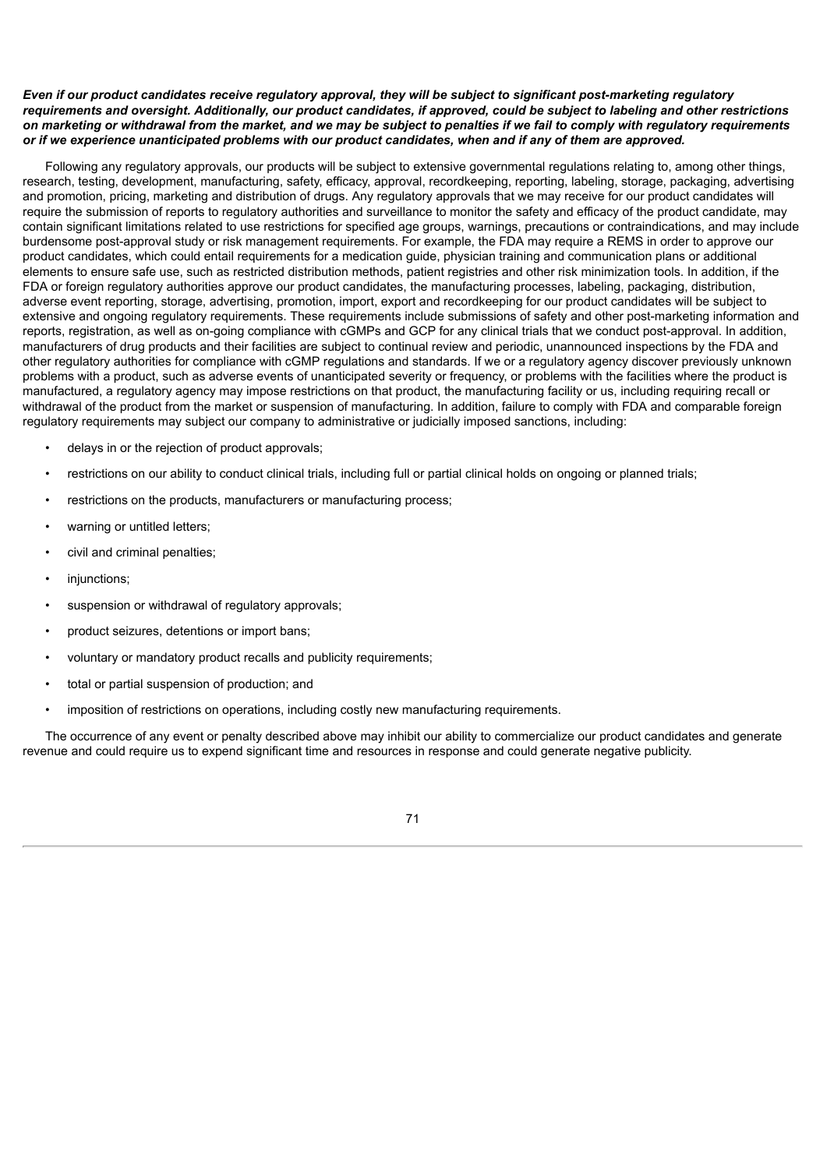# Even if our product candidates receive regulatory approval, they will be subject to significant post-marketing regulatory requirements and oversight. Additionally, our product candidates, if approved, could be subject to labeling and other restrictions on marketing or withdrawal from the market, and we may be subject to penalties if we fail to comply with regulatory requirements or if we experience unanticipated problems with our product candidates, when and if any of them are approved.

Following any regulatory approvals, our products will be subject to extensive governmental regulations relating to, among other things, research, testing, development, manufacturing, safety, efficacy, approval, recordkeeping, reporting, labeling, storage, packaging, advertising and promotion, pricing, marketing and distribution of drugs. Any regulatory approvals that we may receive for our product candidates will require the submission of reports to regulatory authorities and surveillance to monitor the safety and efficacy of the product candidate, may contain significant limitations related to use restrictions for specified age groups, warnings, precautions or contraindications, and may include burdensome post-approval study or risk management requirements. For example, the FDA may require a REMS in order to approve our product candidates, which could entail requirements for a medication guide, physician training and communication plans or additional elements to ensure safe use, such as restricted distribution methods, patient registries and other risk minimization tools. In addition, if the FDA or foreign regulatory authorities approve our product candidates, the manufacturing processes, labeling, packaging, distribution, adverse event reporting, storage, advertising, promotion, import, export and recordkeeping for our product candidates will be subject to extensive and ongoing regulatory requirements. These requirements include submissions of safety and other post-marketing information and reports, registration, as well as on-going compliance with cGMPs and GCP for any clinical trials that we conduct post-approval. In addition, manufacturers of drug products and their facilities are subject to continual review and periodic, unannounced inspections by the FDA and other regulatory authorities for compliance with cGMP regulations and standards. If we or a regulatory agency discover previously unknown problems with a product, such as adverse events of unanticipated severity or frequency, or problems with the facilities where the product is manufactured, a regulatory agency may impose restrictions on that product, the manufacturing facility or us, including requiring recall or withdrawal of the product from the market or suspension of manufacturing. In addition, failure to comply with FDA and comparable foreign regulatory requirements may subject our company to administrative or judicially imposed sanctions, including:

- delays in or the rejection of product approvals;
- restrictions on our ability to conduct clinical trials, including full or partial clinical holds on ongoing or planned trials;
- restrictions on the products, manufacturers or manufacturing process;
- warning or untitled letters;
- civil and criminal penalties;
- iniunctions:
- suspension or withdrawal of regulatory approvals;
- product seizures, detentions or import bans;
- voluntary or mandatory product recalls and publicity requirements;
- total or partial suspension of production; and
- imposition of restrictions on operations, including costly new manufacturing requirements.

The occurrence of any event or penalty described above may inhibit our ability to commercialize our product candidates and generate revenue and could require us to expend significant time and resources in response and could generate negative publicity.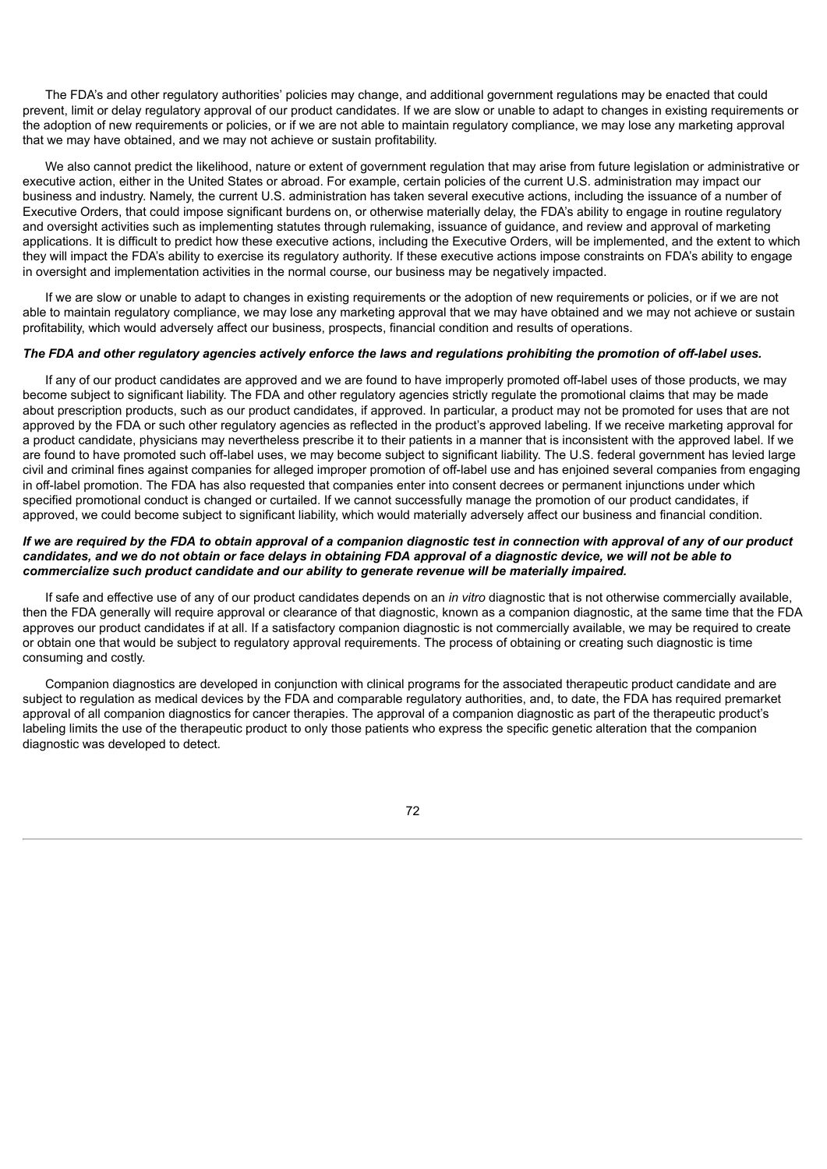The FDA's and other regulatory authorities' policies may change, and additional government regulations may be enacted that could prevent, limit or delay regulatory approval of our product candidates. If we are slow or unable to adapt to changes in existing requirements or the adoption of new requirements or policies, or if we are not able to maintain regulatory compliance, we may lose any marketing approval that we may have obtained, and we may not achieve or sustain profitability.

We also cannot predict the likelihood, nature or extent of government regulation that may arise from future legislation or administrative or executive action, either in the United States or abroad. For example, certain policies of the current U.S. administration may impact our business and industry. Namely, the current U.S. administration has taken several executive actions, including the issuance of a number of Executive Orders, that could impose significant burdens on, or otherwise materially delay, the FDA's ability to engage in routine regulatory and oversight activities such as implementing statutes through rulemaking, issuance of guidance, and review and approval of marketing applications. It is difficult to predict how these executive actions, including the Executive Orders, will be implemented, and the extent to which they will impact the FDA's ability to exercise its regulatory authority. If these executive actions impose constraints on FDA's ability to engage in oversight and implementation activities in the normal course, our business may be negatively impacted.

If we are slow or unable to adapt to changes in existing requirements or the adoption of new requirements or policies, or if we are not able to maintain regulatory compliance, we may lose any marketing approval that we may have obtained and we may not achieve or sustain profitability, which would adversely affect our business, prospects, financial condition and results of operations.

#### The FDA and other regulatory agencies actively enforce the laws and regulations prohibiting the promotion of off-label uses.

If any of our product candidates are approved and we are found to have improperly promoted off-label uses of those products, we may become subject to significant liability. The FDA and other regulatory agencies strictly regulate the promotional claims that may be made about prescription products, such as our product candidates, if approved. In particular, a product may not be promoted for uses that are not approved by the FDA or such other regulatory agencies as reflected in the product's approved labeling. If we receive marketing approval for a product candidate, physicians may nevertheless prescribe it to their patients in a manner that is inconsistent with the approved label. If we are found to have promoted such off-label uses, we may become subject to significant liability. The U.S. federal government has levied large civil and criminal fines against companies for alleged improper promotion of off-label use and has enjoined several companies from engaging in off-label promotion. The FDA has also requested that companies enter into consent decrees or permanent injunctions under which specified promotional conduct is changed or curtailed. If we cannot successfully manage the promotion of our product candidates, if approved, we could become subject to significant liability, which would materially adversely affect our business and financial condition.

# If we are required by the FDA to obtain approval of a companion diagnostic test in connection with approval of any of our product candidates, and we do not obtain or face delays in obtaining FDA approval of a diagnostic device, we will not be able to *commercialize such product candidate and our ability to generate revenue will be materially impaired.*

If safe and effective use of any of our product candidates depends on an *in vitro* diagnostic that is not otherwise commercially available, then the FDA generally will require approval or clearance of that diagnostic, known as a companion diagnostic, at the same time that the FDA approves our product candidates if at all. If a satisfactory companion diagnostic is not commercially available, we may be required to create or obtain one that would be subject to regulatory approval requirements. The process of obtaining or creating such diagnostic is time consuming and costly.

Companion diagnostics are developed in conjunction with clinical programs for the associated therapeutic product candidate and are subject to regulation as medical devices by the FDA and comparable regulatory authorities, and, to date, the FDA has required premarket approval of all companion diagnostics for cancer therapies. The approval of a companion diagnostic as part of the therapeutic product's labeling limits the use of the therapeutic product to only those patients who express the specific genetic alteration that the companion diagnostic was developed to detect.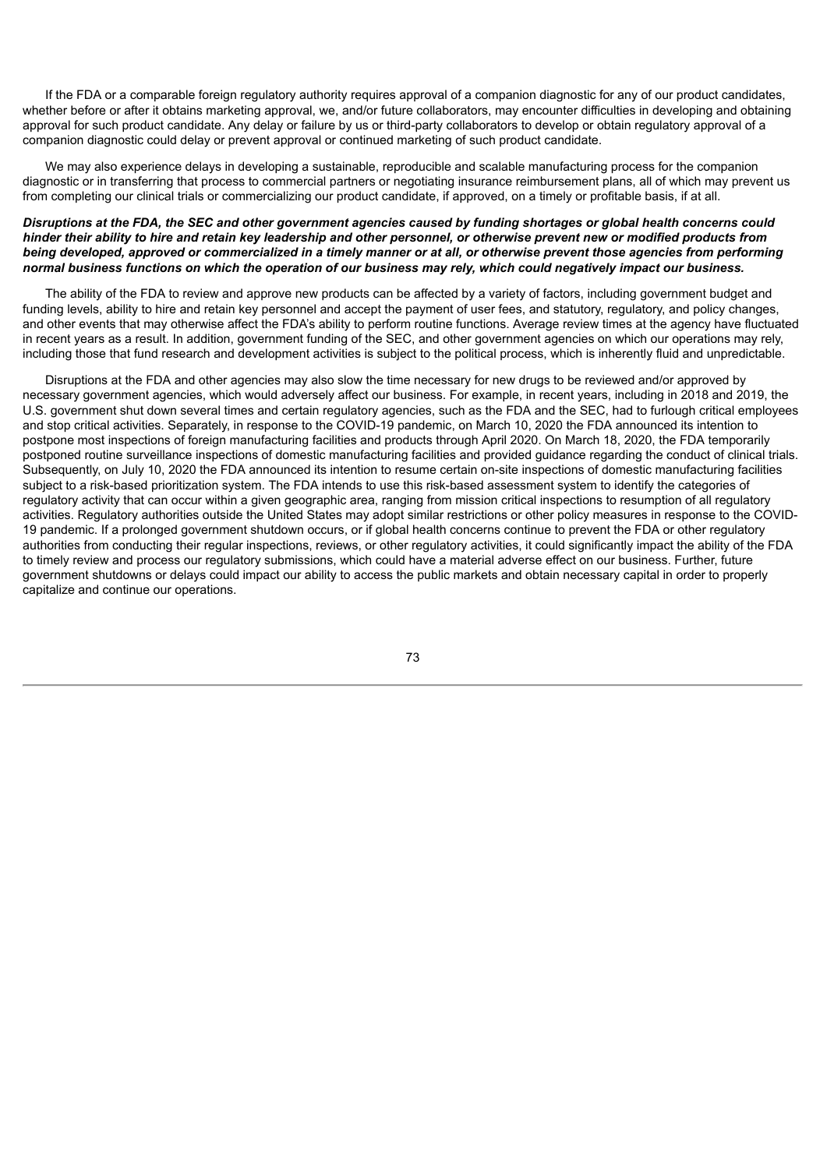If the FDA or a comparable foreign regulatory authority requires approval of a companion diagnostic for any of our product candidates, whether before or after it obtains marketing approval, we, and/or future collaborators, may encounter difficulties in developing and obtaining approval for such product candidate. Any delay or failure by us or third-party collaborators to develop or obtain regulatory approval of a companion diagnostic could delay or prevent approval or continued marketing of such product candidate.

We may also experience delays in developing a sustainable, reproducible and scalable manufacturing process for the companion diagnostic or in transferring that process to commercial partners or negotiating insurance reimbursement plans, all of which may prevent us from completing our clinical trials or commercializing our product candidate, if approved, on a timely or profitable basis, if at all.

## Disruptions at the FDA, the SEC and other government agencies caused by funding shortages or global health concerns could hinder their ability to hire and retain key leadership and other personnel, or otherwise prevent new or modified products from being developed, approved or commercialized in a timely manner or at all, or otherwise prevent those agencies from performing normal business functions on which the operation of our business may rely, which could negatively impact our business.

The ability of the FDA to review and approve new products can be affected by a variety of factors, including government budget and funding levels, ability to hire and retain key personnel and accept the payment of user fees, and statutory, regulatory, and policy changes, and other events that may otherwise affect the FDA's ability to perform routine functions. Average review times at the agency have fluctuated in recent years as a result. In addition, government funding of the SEC, and other government agencies on which our operations may rely, including those that fund research and development activities is subject to the political process, which is inherently fluid and unpredictable.

Disruptions at the FDA and other agencies may also slow the time necessary for new drugs to be reviewed and/or approved by necessary government agencies, which would adversely affect our business. For example, in recent years, including in 2018 and 2019, the U.S. government shut down several times and certain regulatory agencies, such as the FDA and the SEC, had to furlough critical employees and stop critical activities. Separately, in response to the COVID-19 pandemic, on March 10, 2020 the FDA announced its intention to postpone most inspections of foreign manufacturing facilities and products through April 2020. On March 18, 2020, the FDA temporarily postponed routine surveillance inspections of domestic manufacturing facilities and provided guidance regarding the conduct of clinical trials. Subsequently, on July 10, 2020 the FDA announced its intention to resume certain on-site inspections of domestic manufacturing facilities subject to a risk-based prioritization system. The FDA intends to use this risk-based assessment system to identify the categories of regulatory activity that can occur within a given geographic area, ranging from mission critical inspections to resumption of all regulatory activities. Regulatory authorities outside the United States may adopt similar restrictions or other policy measures in response to the COVID-19 pandemic. If a prolonged government shutdown occurs, or if global health concerns continue to prevent the FDA or other regulatory authorities from conducting their regular inspections, reviews, or other regulatory activities, it could significantly impact the ability of the FDA to timely review and process our regulatory submissions, which could have a material adverse effect on our business. Further, future government shutdowns or delays could impact our ability to access the public markets and obtain necessary capital in order to properly capitalize and continue our operations.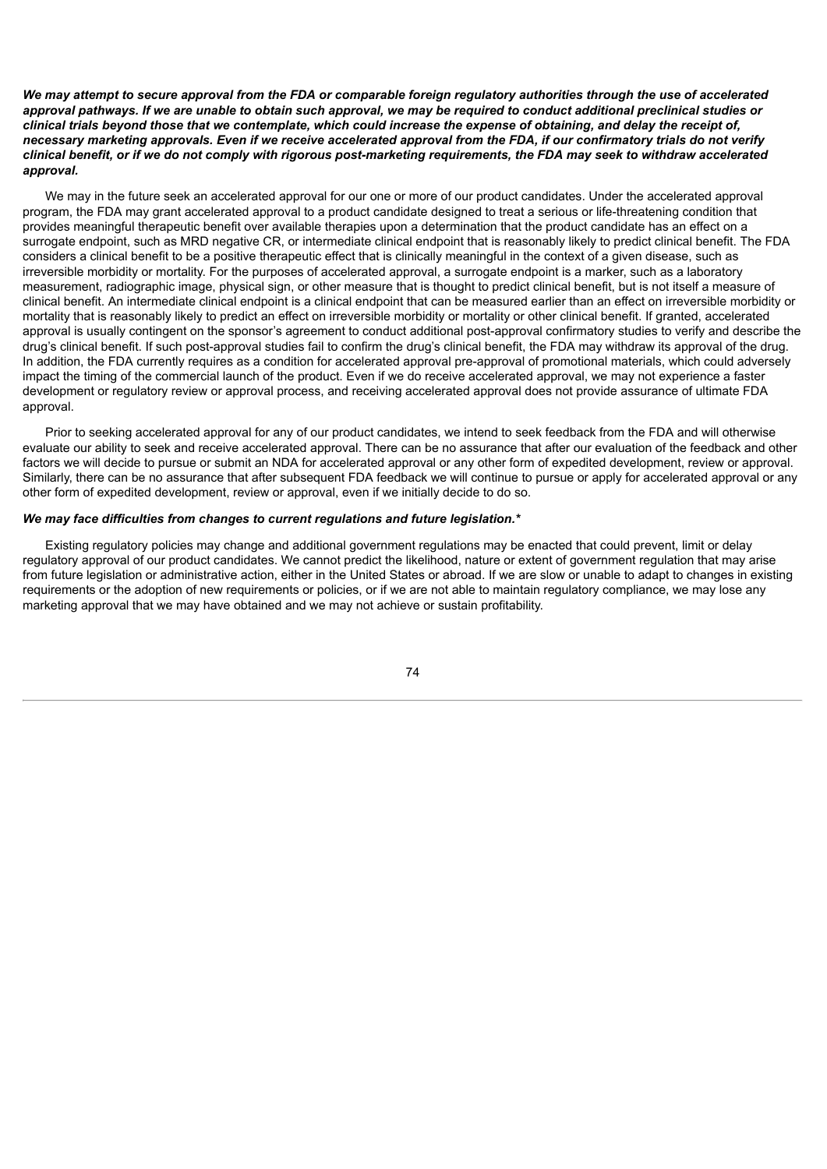We may attempt to secure approval from the FDA or comparable foreign regulatory authorities through the use of accelerated approval pathways. If we are unable to obtain such approval, we may be required to conduct additional preclinical studies or clinical trials bevond those that we contemplate, which could increase the expense of obtaining, and delay the receipt of. necessary marketing approvals. Even if we receive accelerated approval from the FDA, if our confirmatory trials do not verify clinical benefit, or if we do not comply with rigorous post-marketing requirements, the FDA may seek to withdraw accelerated *approval.*

We may in the future seek an accelerated approval for our one or more of our product candidates. Under the accelerated approval program, the FDA may grant accelerated approval to a product candidate designed to treat a serious or life-threatening condition that provides meaningful therapeutic benefit over available therapies upon a determination that the product candidate has an effect on a surrogate endpoint, such as MRD negative CR, or intermediate clinical endpoint that is reasonably likely to predict clinical benefit. The FDA considers a clinical benefit to be a positive therapeutic effect that is clinically meaningful in the context of a given disease, such as irreversible morbidity or mortality. For the purposes of accelerated approval, a surrogate endpoint is a marker, such as a laboratory measurement, radiographic image, physical sign, or other measure that is thought to predict clinical benefit, but is not itself a measure of clinical benefit. An intermediate clinical endpoint is a clinical endpoint that can be measured earlier than an effect on irreversible morbidity or mortality that is reasonably likely to predict an effect on irreversible morbidity or mortality or other clinical benefit. If granted, accelerated approval is usually contingent on the sponsor's agreement to conduct additional post-approval confirmatory studies to verify and describe the drug's clinical benefit. If such post-approval studies fail to confirm the drug's clinical benefit, the FDA may withdraw its approval of the drug. In addition, the FDA currently requires as a condition for accelerated approval pre-approval of promotional materials, which could adversely impact the timing of the commercial launch of the product. Even if we do receive accelerated approval, we may not experience a faster development or regulatory review or approval process, and receiving accelerated approval does not provide assurance of ultimate FDA approval.

Prior to seeking accelerated approval for any of our product candidates, we intend to seek feedback from the FDA and will otherwise evaluate our ability to seek and receive accelerated approval. There can be no assurance that after our evaluation of the feedback and other factors we will decide to pursue or submit an NDA for accelerated approval or any other form of expedited development, review or approval. Similarly, there can be no assurance that after subsequent FDA feedback we will continue to pursue or apply for accelerated approval or any other form of expedited development, review or approval, even if we initially decide to do so.

### *We may face difficulties from changes to current regulations and future legislation.\**

Existing regulatory policies may change and additional government regulations may be enacted that could prevent, limit or delay regulatory approval of our product candidates. We cannot predict the likelihood, nature or extent of government regulation that may arise from future legislation or administrative action, either in the United States or abroad. If we are slow or unable to adapt to changes in existing requirements or the adoption of new requirements or policies, or if we are not able to maintain regulatory compliance, we may lose any marketing approval that we may have obtained and we may not achieve or sustain profitability.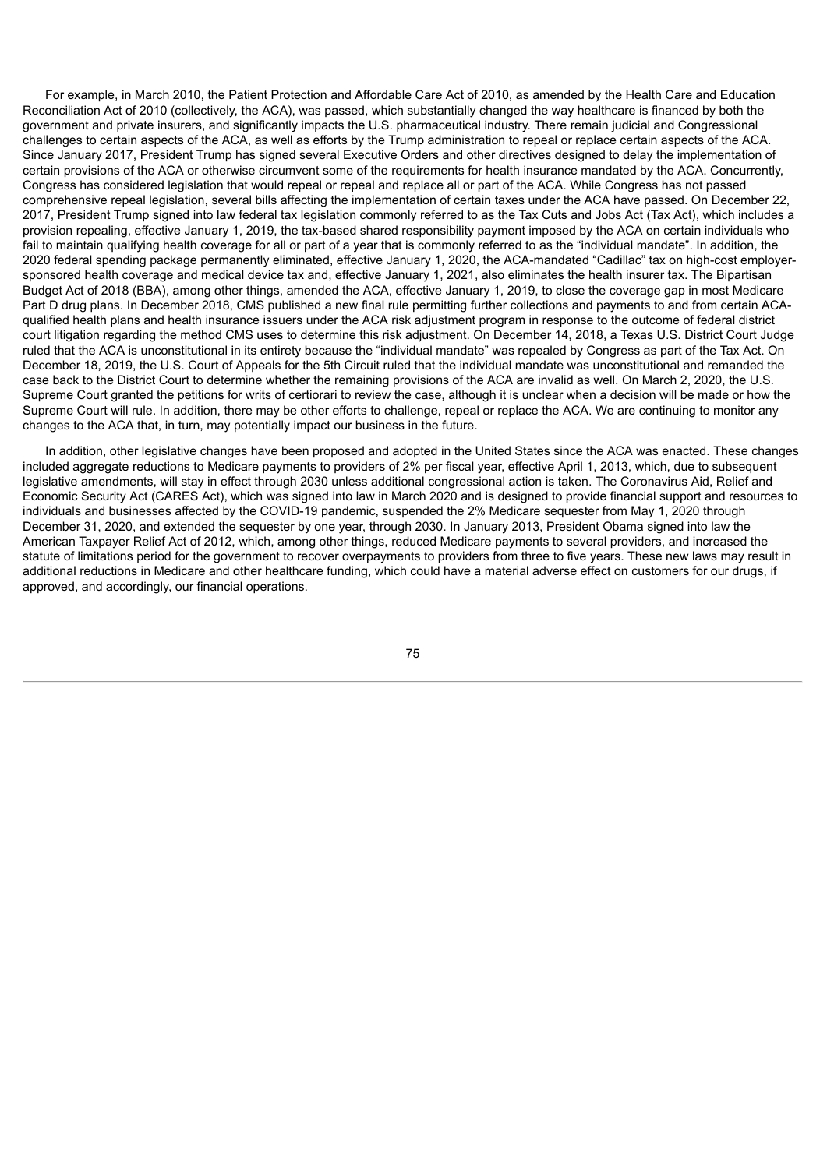For example, in March 2010, the Patient Protection and Affordable Care Act of 2010, as amended by the Health Care and Education Reconciliation Act of 2010 (collectively, the ACA), was passed, which substantially changed the way healthcare is financed by both the government and private insurers, and significantly impacts the U.S. pharmaceutical industry. There remain judicial and Congressional challenges to certain aspects of the ACA, as well as efforts by the Trump administration to repeal or replace certain aspects of the ACA. Since January 2017, President Trump has signed several Executive Orders and other directives designed to delay the implementation of certain provisions of the ACA or otherwise circumvent some of the requirements for health insurance mandated by the ACA. Concurrently, Congress has considered legislation that would repeal or repeal and replace all or part of the ACA. While Congress has not passed comprehensive repeal legislation, several bills affecting the implementation of certain taxes under the ACA have passed. On December 22, 2017, President Trump signed into law federal tax legislation commonly referred to as the Tax Cuts and Jobs Act (Tax Act), which includes a provision repealing, effective January 1, 2019, the tax-based shared responsibility payment imposed by the ACA on certain individuals who fail to maintain qualifying health coverage for all or part of a year that is commonly referred to as the "individual mandate". In addition, the 2020 federal spending package permanently eliminated, effective January 1, 2020, the ACA-mandated "Cadillac" tax on high-cost employersponsored health coverage and medical device tax and, effective January 1, 2021, also eliminates the health insurer tax. The Bipartisan Budget Act of 2018 (BBA), among other things, amended the ACA, effective January 1, 2019, to close the coverage gap in most Medicare Part D drug plans. In December 2018, CMS published a new final rule permitting further collections and payments to and from certain ACAqualified health plans and health insurance issuers under the ACA risk adjustment program in response to the outcome of federal district court litigation regarding the method CMS uses to determine this risk adjustment. On December 14, 2018, a Texas U.S. District Court Judge ruled that the ACA is unconstitutional in its entirety because the "individual mandate" was repealed by Congress as part of the Tax Act. On December 18, 2019, the U.S. Court of Appeals for the 5th Circuit ruled that the individual mandate was unconstitutional and remanded the case back to the District Court to determine whether the remaining provisions of the ACA are invalid as well. On March 2, 2020, the U.S. Supreme Court granted the petitions for writs of certiorari to review the case, although it is unclear when a decision will be made or how the Supreme Court will rule. In addition, there may be other efforts to challenge, repeal or replace the ACA. We are continuing to monitor any changes to the ACA that, in turn, may potentially impact our business in the future.

In addition, other legislative changes have been proposed and adopted in the United States since the ACA was enacted. These changes included aggregate reductions to Medicare payments to providers of 2% per fiscal year, effective April 1, 2013, which, due to subsequent legislative amendments, will stay in effect through 2030 unless additional congressional action is taken. The Coronavirus Aid, Relief and Economic Security Act (CARES Act), which was signed into law in March 2020 and is designed to provide financial support and resources to individuals and businesses affected by the COVID-19 pandemic, suspended the 2% Medicare sequester from May 1, 2020 through December 31, 2020, and extended the sequester by one year, through 2030. In January 2013, President Obama signed into law the American Taxpayer Relief Act of 2012, which, among other things, reduced Medicare payments to several providers, and increased the statute of limitations period for the government to recover overpayments to providers from three to five years. These new laws may result in additional reductions in Medicare and other healthcare funding, which could have a material adverse effect on customers for our drugs, if approved, and accordingly, our financial operations.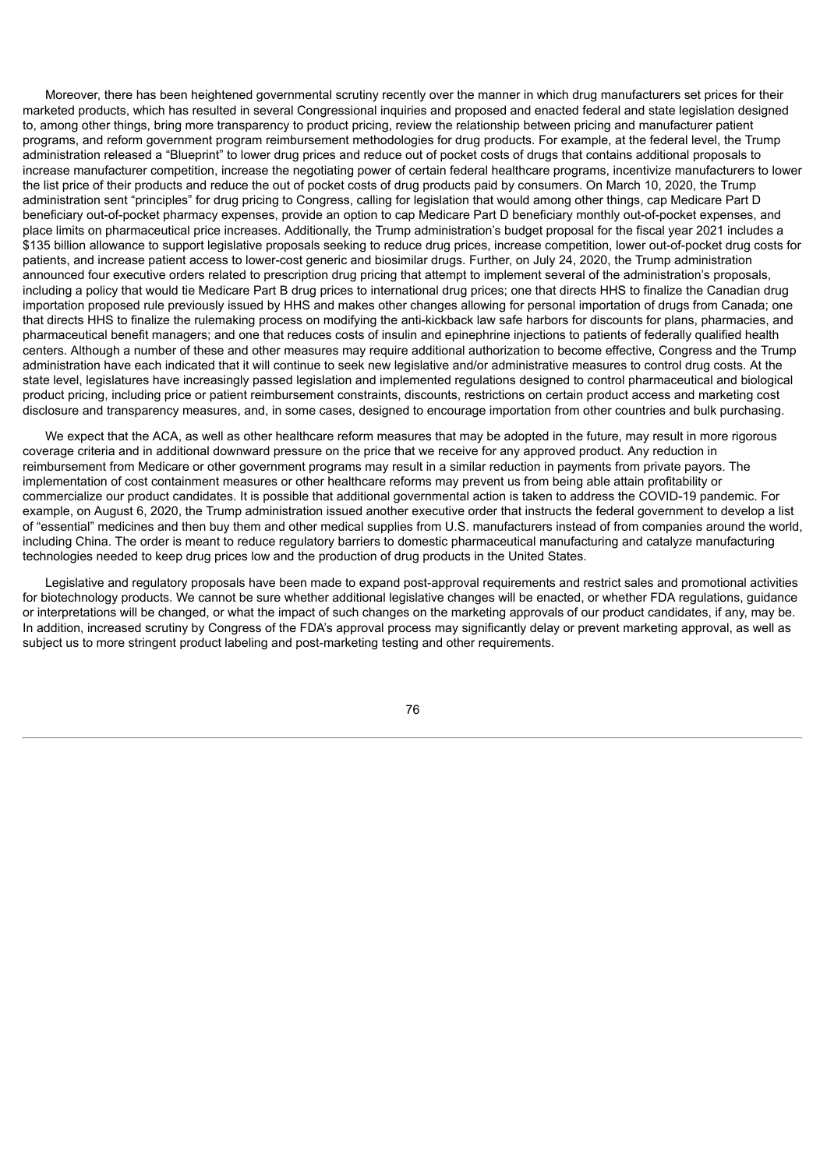Moreover, there has been heightened governmental scrutiny recently over the manner in which drug manufacturers set prices for their marketed products, which has resulted in several Congressional inquiries and proposed and enacted federal and state legislation designed to, among other things, bring more transparency to product pricing, review the relationship between pricing and manufacturer patient programs, and reform government program reimbursement methodologies for drug products. For example, at the federal level, the Trump administration released a "Blueprint" to lower drug prices and reduce out of pocket costs of drugs that contains additional proposals to increase manufacturer competition, increase the negotiating power of certain federal healthcare programs, incentivize manufacturers to lower the list price of their products and reduce the out of pocket costs of drug products paid by consumers. On March 10, 2020, the Trump administration sent "principles" for drug pricing to Congress, calling for legislation that would among other things, cap Medicare Part D beneficiary out-of-pocket pharmacy expenses, provide an option to cap Medicare Part D beneficiary monthly out-of-pocket expenses, and place limits on pharmaceutical price increases. Additionally, the Trump administration's budget proposal for the fiscal year 2021 includes a \$135 billion allowance to support legislative proposals seeking to reduce drug prices, increase competition, lower out-of-pocket drug costs for patients, and increase patient access to lower-cost generic and biosimilar drugs. Further, on July 24, 2020, the Trump administration announced four executive orders related to prescription drug pricing that attempt to implement several of the administration's proposals, including a policy that would tie Medicare Part B drug prices to international drug prices; one that directs HHS to finalize the Canadian drug importation proposed rule previously issued by HHS and makes other changes allowing for personal importation of drugs from Canada; one that directs HHS to finalize the rulemaking process on modifying the anti-kickback law safe harbors for discounts for plans, pharmacies, and pharmaceutical benefit managers; and one that reduces costs of insulin and epinephrine injections to patients of federally qualified health centers. Although a number of these and other measures may require additional authorization to become effective, Congress and the Trump administration have each indicated that it will continue to seek new legislative and/or administrative measures to control drug costs. At the state level, legislatures have increasingly passed legislation and implemented regulations designed to control pharmaceutical and biological product pricing, including price or patient reimbursement constraints, discounts, restrictions on certain product access and marketing cost disclosure and transparency measures, and, in some cases, designed to encourage importation from other countries and bulk purchasing.

We expect that the ACA, as well as other healthcare reform measures that may be adopted in the future, may result in more rigorous coverage criteria and in additional downward pressure on the price that we receive for any approved product. Any reduction in reimbursement from Medicare or other government programs may result in a similar reduction in payments from private payors. The implementation of cost containment measures or other healthcare reforms may prevent us from being able attain profitability or commercialize our product candidates. It is possible that additional governmental action is taken to address the COVID-19 pandemic. For example, on August 6, 2020, the Trump administration issued another executive order that instructs the federal government to develop a list of "essential" medicines and then buy them and other medical supplies from U.S. manufacturers instead of from companies around the world, including China. The order is meant to reduce regulatory barriers to domestic pharmaceutical manufacturing and catalyze manufacturing technologies needed to keep drug prices low and the production of drug products in the United States.

Legislative and regulatory proposals have been made to expand post-approval requirements and restrict sales and promotional activities for biotechnology products. We cannot be sure whether additional legislative changes will be enacted, or whether FDA regulations, guidance or interpretations will be changed, or what the impact of such changes on the marketing approvals of our product candidates, if any, may be. In addition, increased scrutiny by Congress of the FDA's approval process may significantly delay or prevent marketing approval, as well as subject us to more stringent product labeling and post-marketing testing and other requirements.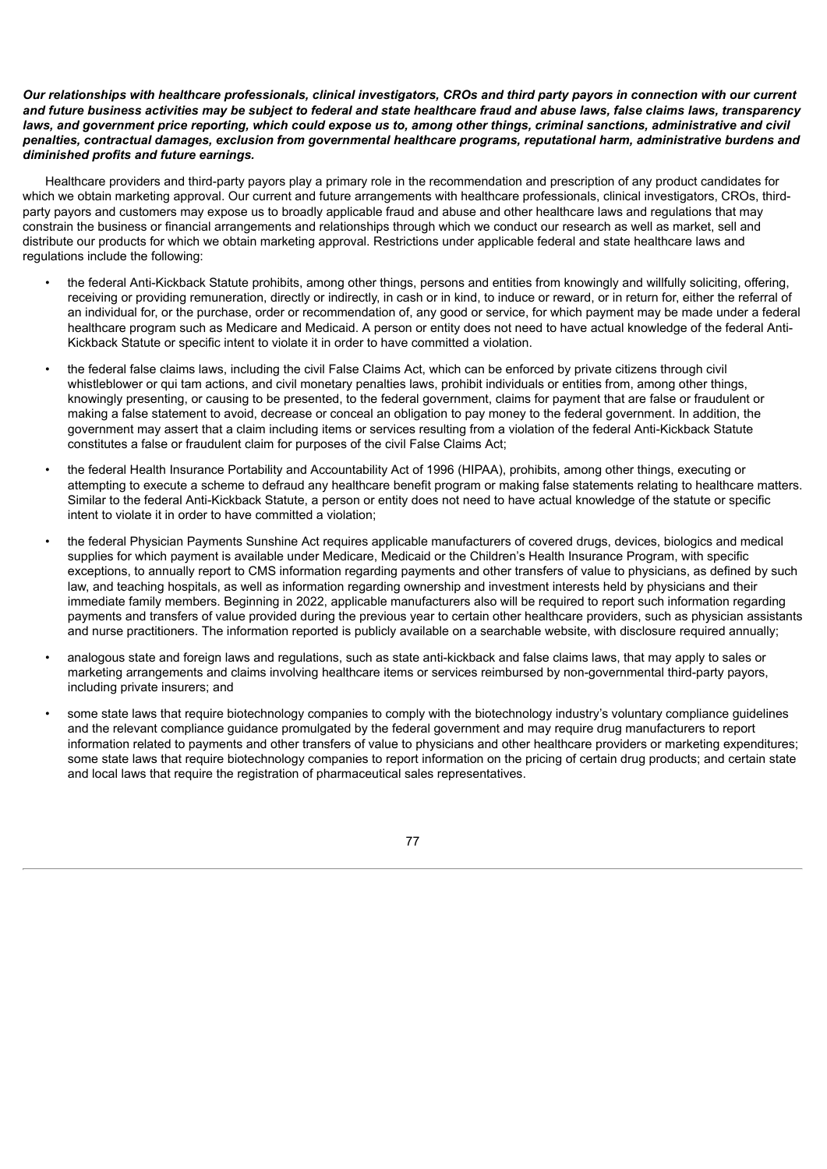## Our relationships with healthcare professionals, clinical investigators, CROs and third party payors in connection with our current and future business activities may be subject to federal and state healthcare fraud and abuse laws, false claims laws, transparency laws. and government price reporting, which could expose us to, among other things, criminal sanctions, administrative and civil *penalties, contractual damages, exclusion from governmental healthcare programs, reputational harm, administrative burdens and diminished profits and future earnings.*

Healthcare providers and third-party payors play a primary role in the recommendation and prescription of any product candidates for which we obtain marketing approval. Our current and future arrangements with healthcare professionals, clinical investigators, CROs, thirdparty payors and customers may expose us to broadly applicable fraud and abuse and other healthcare laws and regulations that may constrain the business or financial arrangements and relationships through which we conduct our research as well as market, sell and distribute our products for which we obtain marketing approval. Restrictions under applicable federal and state healthcare laws and regulations include the following:

- the federal Anti-Kickback Statute prohibits, among other things, persons and entities from knowingly and willfully soliciting, offering, receiving or providing remuneration, directly or indirectly, in cash or in kind, to induce or reward, or in return for, either the referral of an individual for, or the purchase, order or recommendation of, any good or service, for which payment may be made under a federal healthcare program such as Medicare and Medicaid. A person or entity does not need to have actual knowledge of the federal Anti-Kickback Statute or specific intent to violate it in order to have committed a violation.
- the federal false claims laws, including the civil False Claims Act, which can be enforced by private citizens through civil whistleblower or qui tam actions, and civil monetary penalties laws, prohibit individuals or entities from, among other things, knowingly presenting, or causing to be presented, to the federal government, claims for payment that are false or fraudulent or making a false statement to avoid, decrease or conceal an obligation to pay money to the federal government. In addition, the government may assert that a claim including items or services resulting from a violation of the federal Anti-Kickback Statute constitutes a false or fraudulent claim for purposes of the civil False Claims Act;
- the federal Health Insurance Portability and Accountability Act of 1996 (HIPAA), prohibits, among other things, executing or attempting to execute a scheme to defraud any healthcare benefit program or making false statements relating to healthcare matters. Similar to the federal Anti-Kickback Statute, a person or entity does not need to have actual knowledge of the statute or specific intent to violate it in order to have committed a violation;
- the federal Physician Payments Sunshine Act requires applicable manufacturers of covered drugs, devices, biologics and medical supplies for which payment is available under Medicare, Medicaid or the Children's Health Insurance Program, with specific exceptions, to annually report to CMS information regarding payments and other transfers of value to physicians, as defined by such law, and teaching hospitals, as well as information regarding ownership and investment interests held by physicians and their immediate family members. Beginning in 2022, applicable manufacturers also will be required to report such information regarding payments and transfers of value provided during the previous year to certain other healthcare providers, such as physician assistants and nurse practitioners. The information reported is publicly available on a searchable website, with disclosure required annually;
- analogous state and foreign laws and regulations, such as state anti-kickback and false claims laws, that may apply to sales or marketing arrangements and claims involving healthcare items or services reimbursed by non-governmental third-party payors, including private insurers; and
- some state laws that require biotechnology companies to comply with the biotechnology industry's voluntary compliance quidelines and the relevant compliance guidance promulgated by the federal government and may require drug manufacturers to report information related to payments and other transfers of value to physicians and other healthcare providers or marketing expenditures; some state laws that require biotechnology companies to report information on the pricing of certain drug products; and certain state and local laws that require the registration of pharmaceutical sales representatives.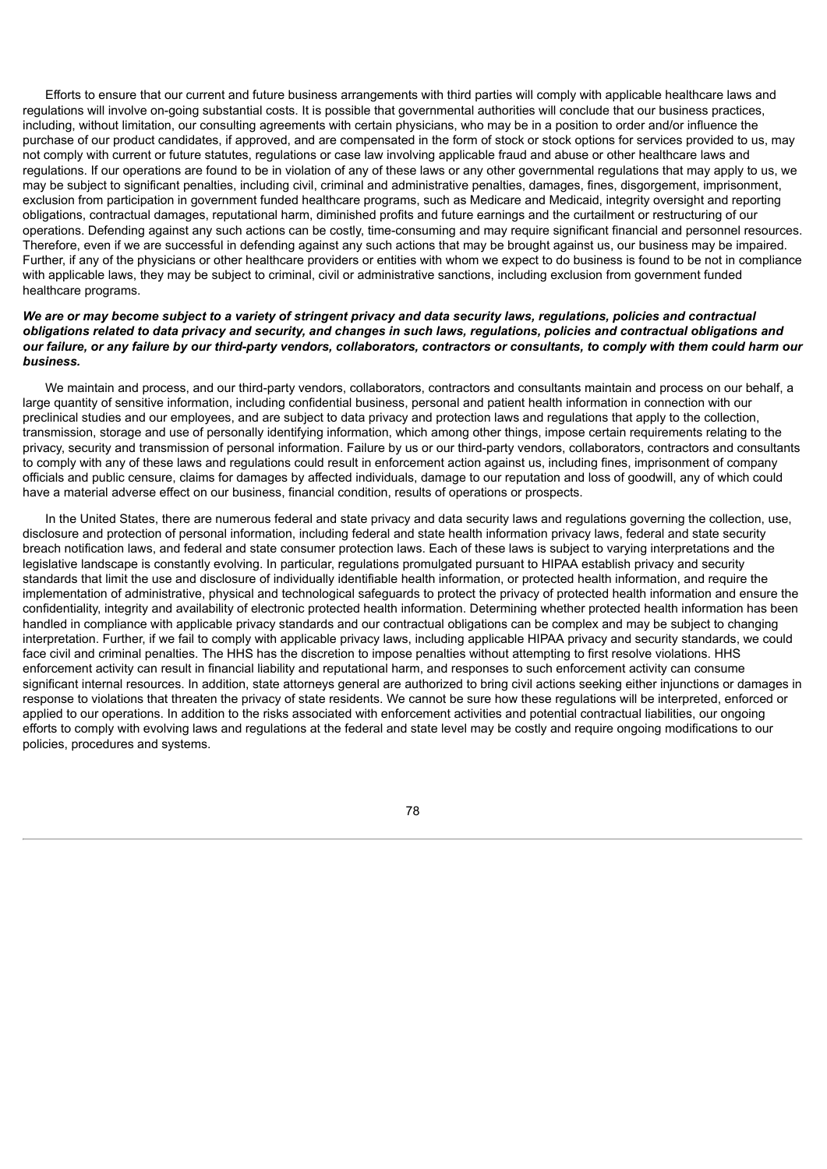Efforts to ensure that our current and future business arrangements with third parties will comply with applicable healthcare laws and regulations will involve on-going substantial costs. It is possible that governmental authorities will conclude that our business practices, including, without limitation, our consulting agreements with certain physicians, who may be in a position to order and/or influence the purchase of our product candidates, if approved, and are compensated in the form of stock or stock options for services provided to us, may not comply with current or future statutes, regulations or case law involving applicable fraud and abuse or other healthcare laws and regulations. If our operations are found to be in violation of any of these laws or any other governmental regulations that may apply to us, we may be subject to significant penalties, including civil, criminal and administrative penalties, damages, fines, disgorgement, imprisonment, exclusion from participation in government funded healthcare programs, such as Medicare and Medicaid, integrity oversight and reporting obligations, contractual damages, reputational harm, diminished profits and future earnings and the curtailment or restructuring of our operations. Defending against any such actions can be costly, time-consuming and may require significant financial and personnel resources. Therefore, even if we are successful in defending against any such actions that may be brought against us, our business may be impaired. Further, if any of the physicians or other healthcare providers or entities with whom we expect to do business is found to be not in compliance with applicable laws, they may be subject to criminal, civil or administrative sanctions, including exclusion from government funded healthcare programs.

## We are or may become subject to a variety of stringent privacy and data security laws, regulations, policies and contractual obligations related to data privacy and security, and changes in such laws, regulations, policies and contractual obligations and our failure, or any failure by our third-party vendors, collaborators, contractors or consultants, to comply with them could harm our *business.*

We maintain and process, and our third-party vendors, collaborators, contractors and consultants maintain and process on our behalf, a large quantity of sensitive information, including confidential business, personal and patient health information in connection with our preclinical studies and our employees, and are subject to data privacy and protection laws and regulations that apply to the collection, transmission, storage and use of personally identifying information, which among other things, impose certain requirements relating to the privacy, security and transmission of personal information. Failure by us or our third-party vendors, collaborators, contractors and consultants to comply with any of these laws and regulations could result in enforcement action against us, including fines, imprisonment of company officials and public censure, claims for damages by affected individuals, damage to our reputation and loss of goodwill, any of which could have a material adverse effect on our business, financial condition, results of operations or prospects.

In the United States, there are numerous federal and state privacy and data security laws and regulations governing the collection, use, disclosure and protection of personal information, including federal and state health information privacy laws, federal and state security breach notification laws, and federal and state consumer protection laws. Each of these laws is subject to varying interpretations and the legislative landscape is constantly evolving. In particular, regulations promulgated pursuant to HIPAA establish privacy and security standards that limit the use and disclosure of individually identifiable health information, or protected health information, and require the implementation of administrative, physical and technological safeguards to protect the privacy of protected health information and ensure the confidentiality, integrity and availability of electronic protected health information. Determining whether protected health information has been handled in compliance with applicable privacy standards and our contractual obligations can be complex and may be subject to changing interpretation. Further, if we fail to comply with applicable privacy laws, including applicable HIPAA privacy and security standards, we could face civil and criminal penalties. The HHS has the discretion to impose penalties without attempting to first resolve violations. HHS enforcement activity can result in financial liability and reputational harm, and responses to such enforcement activity can consume significant internal resources. In addition, state attorneys general are authorized to bring civil actions seeking either injunctions or damages in response to violations that threaten the privacy of state residents. We cannot be sure how these regulations will be interpreted, enforced or applied to our operations. In addition to the risks associated with enforcement activities and potential contractual liabilities, our ongoing efforts to comply with evolving laws and regulations at the federal and state level may be costly and require ongoing modifications to our policies, procedures and systems.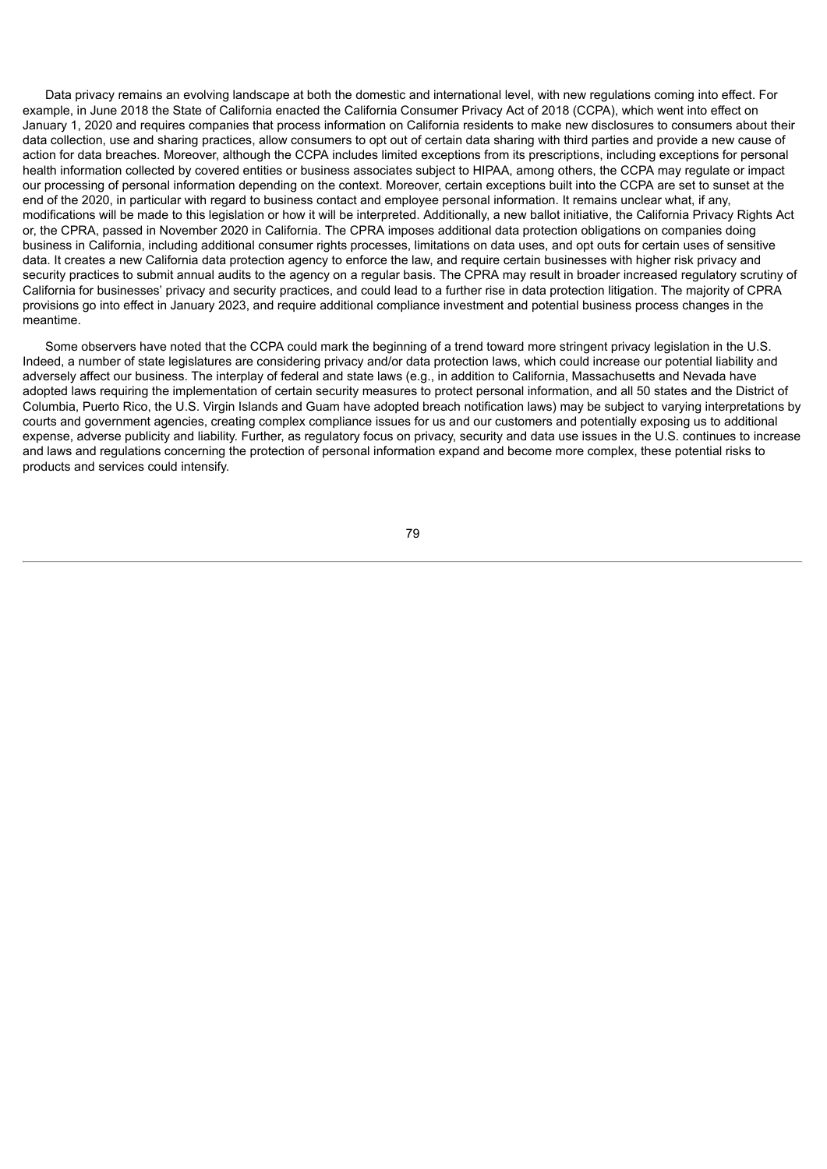Data privacy remains an evolving landscape at both the domestic and international level, with new regulations coming into effect. For example, in June 2018 the State of California enacted the California Consumer Privacy Act of 2018 (CCPA), which went into effect on January 1, 2020 and requires companies that process information on California residents to make new disclosures to consumers about their data collection, use and sharing practices, allow consumers to opt out of certain data sharing with third parties and provide a new cause of action for data breaches. Moreover, although the CCPA includes limited exceptions from its prescriptions, including exceptions for personal health information collected by covered entities or business associates subject to HIPAA, among others, the CCPA may regulate or impact our processing of personal information depending on the context. Moreover, certain exceptions built into the CCPA are set to sunset at the end of the 2020, in particular with regard to business contact and employee personal information. It remains unclear what, if any, modifications will be made to this legislation or how it will be interpreted. Additionally, a new ballot initiative, the California Privacy Rights Act or, the CPRA, passed in November 2020 in California. The CPRA imposes additional data protection obligations on companies doing business in California, including additional consumer rights processes, limitations on data uses, and opt outs for certain uses of sensitive data. It creates a new California data protection agency to enforce the law, and require certain businesses with higher risk privacy and security practices to submit annual audits to the agency on a regular basis. The CPRA may result in broader increased regulatory scrutiny of California for businesses' privacy and security practices, and could lead to a further rise in data protection litigation. The majority of CPRA provisions go into effect in January 2023, and require additional compliance investment and potential business process changes in the meantime.

Some observers have noted that the CCPA could mark the beginning of a trend toward more stringent privacy legislation in the U.S. Indeed, a number of state legislatures are considering privacy and/or data protection laws, which could increase our potential liability and adversely affect our business. The interplay of federal and state laws (e.g., in addition to California, Massachusetts and Nevada have adopted laws requiring the implementation of certain security measures to protect personal information, and all 50 states and the District of Columbia, Puerto Rico, the U.S. Virgin Islands and Guam have adopted breach notification laws) may be subject to varying interpretations by courts and government agencies, creating complex compliance issues for us and our customers and potentially exposing us to additional expense, adverse publicity and liability. Further, as regulatory focus on privacy, security and data use issues in the U.S. continues to increase and laws and regulations concerning the protection of personal information expand and become more complex, these potential risks to products and services could intensify.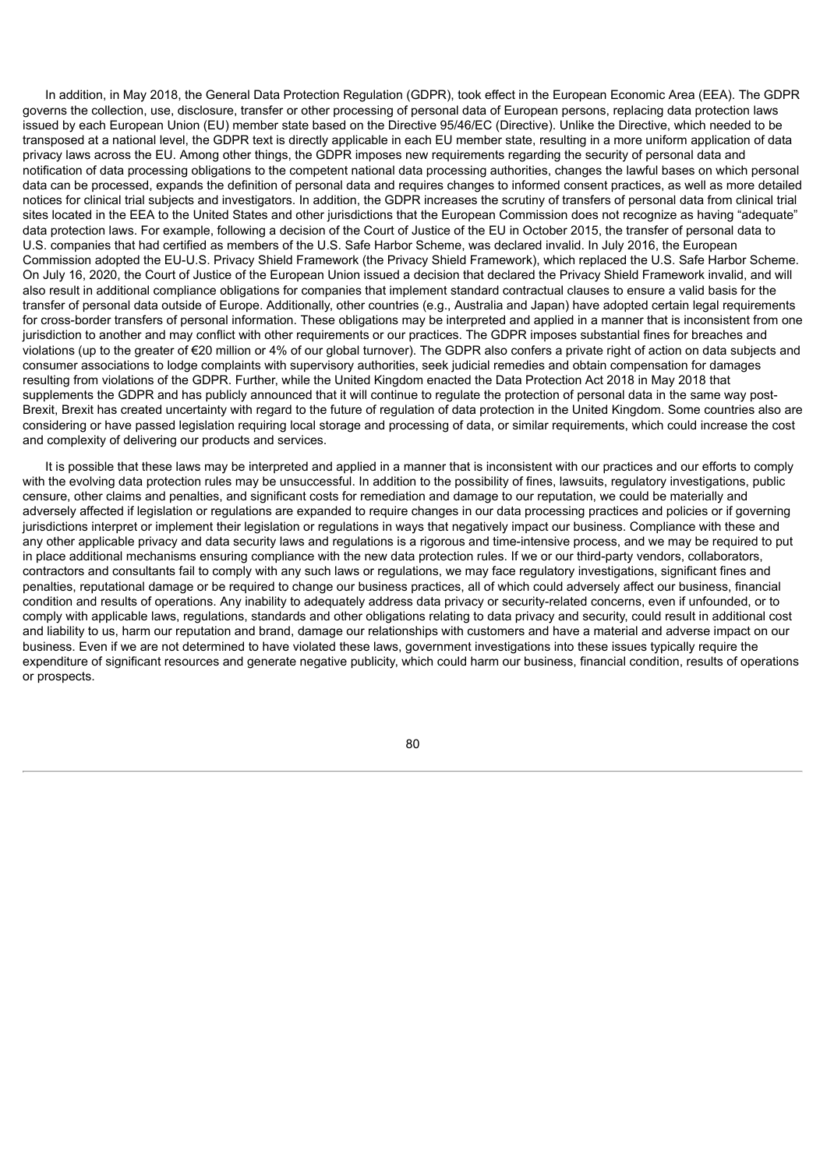In addition, in May 2018, the General Data Protection Regulation (GDPR), took effect in the European Economic Area (EEA). The GDPR governs the collection, use, disclosure, transfer or other processing of personal data of European persons, replacing data protection laws issued by each European Union (EU) member state based on the Directive 95/46/EC (Directive). Unlike the Directive, which needed to be transposed at a national level, the GDPR text is directly applicable in each EU member state, resulting in a more uniform application of data privacy laws across the EU. Among other things, the GDPR imposes new requirements regarding the security of personal data and notification of data processing obligations to the competent national data processing authorities, changes the lawful bases on which personal data can be processed, expands the definition of personal data and requires changes to informed consent practices, as well as more detailed notices for clinical trial subjects and investigators. In addition, the GDPR increases the scrutiny of transfers of personal data from clinical trial sites located in the EEA to the United States and other jurisdictions that the European Commission does not recognize as having "adequate" data protection laws. For example, following a decision of the Court of Justice of the EU in October 2015, the transfer of personal data to U.S. companies that had certified as members of the U.S. Safe Harbor Scheme, was declared invalid. In July 2016, the European Commission adopted the EU-U.S. Privacy Shield Framework (the Privacy Shield Framework), which replaced the U.S. Safe Harbor Scheme. On July 16, 2020, the Court of Justice of the European Union issued a decision that declared the Privacy Shield Framework invalid, and will also result in additional compliance obligations for companies that implement standard contractual clauses to ensure a valid basis for the transfer of personal data outside of Europe. Additionally, other countries (e.g., Australia and Japan) have adopted certain legal requirements for cross-border transfers of personal information. These obligations may be interpreted and applied in a manner that is inconsistent from one jurisdiction to another and may conflict with other requirements or our practices. The GDPR imposes substantial fines for breaches and violations (up to the greater of €20 million or 4% of our global turnover). The GDPR also confers a private right of action on data subjects and consumer associations to lodge complaints with supervisory authorities, seek judicial remedies and obtain compensation for damages resulting from violations of the GDPR. Further, while the United Kingdom enacted the Data Protection Act 2018 in May 2018 that supplements the GDPR and has publicly announced that it will continue to regulate the protection of personal data in the same way post-Brexit, Brexit has created uncertainty with regard to the future of regulation of data protection in the United Kingdom. Some countries also are considering or have passed legislation requiring local storage and processing of data, or similar requirements, which could increase the cost and complexity of delivering our products and services.

It is possible that these laws may be interpreted and applied in a manner that is inconsistent with our practices and our efforts to comply with the evolving data protection rules may be unsuccessful. In addition to the possibility of fines, lawsuits, regulatory investigations, public censure, other claims and penalties, and significant costs for remediation and damage to our reputation, we could be materially and adversely affected if legislation or regulations are expanded to require changes in our data processing practices and policies or if governing jurisdictions interpret or implement their legislation or regulations in ways that negatively impact our business. Compliance with these and any other applicable privacy and data security laws and regulations is a rigorous and time-intensive process, and we may be required to put in place additional mechanisms ensuring compliance with the new data protection rules. If we or our third-party vendors, collaborators, contractors and consultants fail to comply with any such laws or regulations, we may face regulatory investigations, significant fines and penalties, reputational damage or be required to change our business practices, all of which could adversely affect our business, financial condition and results of operations. Any inability to adequately address data privacy or security-related concerns, even if unfounded, or to comply with applicable laws, regulations, standards and other obligations relating to data privacy and security, could result in additional cost and liability to us, harm our reputation and brand, damage our relationships with customers and have a material and adverse impact on our business. Even if we are not determined to have violated these laws, government investigations into these issues typically require the expenditure of significant resources and generate negative publicity, which could harm our business, financial condition, results of operations or prospects.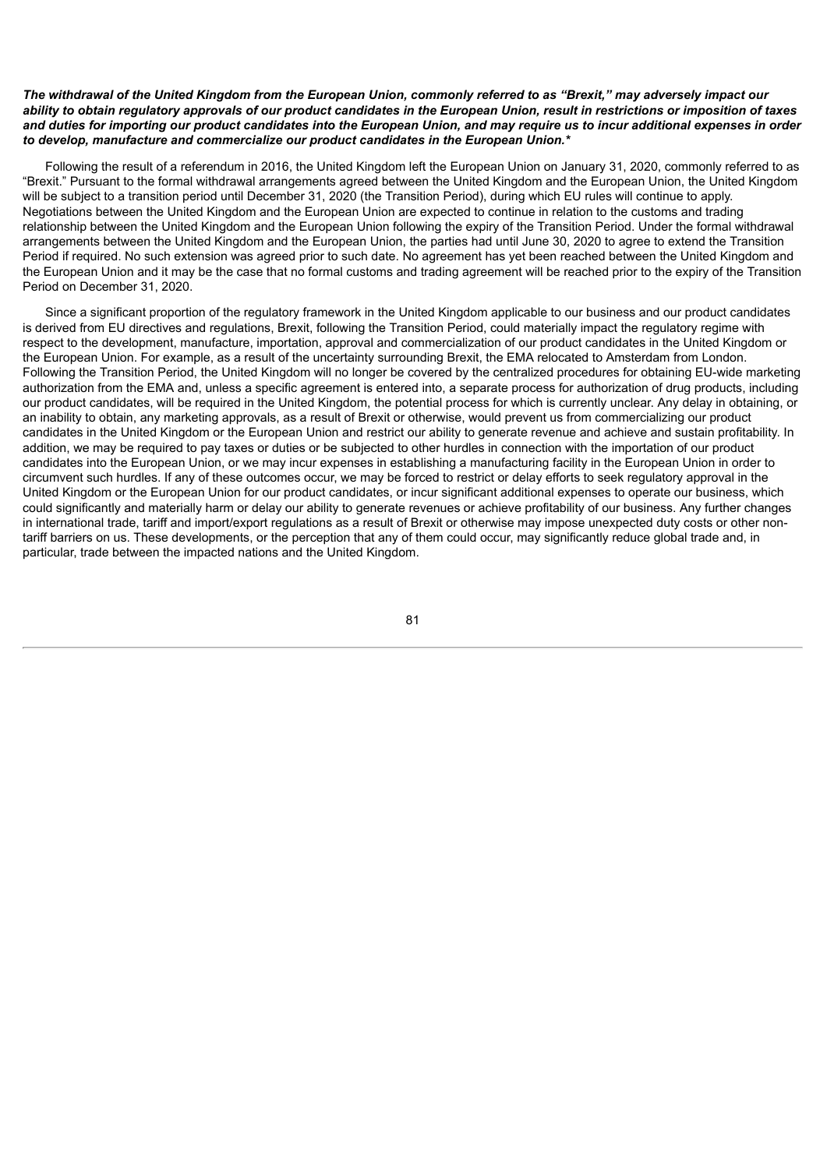## The withdrawal of the United Kingdom from the European Union, commonly referred to as "Brexit," may adversely impact our ability to obtain requlatory approvals of our product candidates in the European Union, result in restrictions or imposition of taxes and duties for importing our product candidates into the European Union, and may require us to incur additional expenses in order *to develop, manufacture and commercialize our product candidates in the European Union.\**

Following the result of a referendum in 2016, the United Kingdom left the European Union on January 31, 2020, commonly referred to as "Brexit." Pursuant to the formal withdrawal arrangements agreed between the United Kingdom and the European Union, the United Kingdom will be subiect to a transition period until December 31, 2020 (the Transition Period), during which EU rules will continue to apply. Negotiations between the United Kingdom and the European Union are expected to continue in relation to the customs and trading relationship between the United Kingdom and the European Union following the expiry of the Transition Period. Under the formal withdrawal arrangements between the United Kingdom and the European Union, the parties had until June 30, 2020 to agree to extend the Transition Period if required. No such extension was agreed prior to such date. No agreement has yet been reached between the United Kingdom and the European Union and it may be the case that no formal customs and trading agreement will be reached prior to the expiry of the Transition Period on December 31, 2020.

Since a significant proportion of the regulatory framework in the United Kingdom applicable to our business and our product candidates is derived from EU directives and regulations, Brexit, following the Transition Period, could materially impact the regulatory regime with respect to the development, manufacture, importation, approval and commercialization of our product candidates in the United Kingdom or the European Union. For example, as a result of the uncertainty surrounding Brexit, the EMA relocated to Amsterdam from London. Following the Transition Period, the United Kingdom will no longer be covered by the centralized procedures for obtaining EU-wide marketing authorization from the EMA and, unless a specific agreement is entered into, a separate process for authorization of drug products, including our product candidates, will be required in the United Kingdom, the potential process for which is currently unclear. Any delay in obtaining, or an inability to obtain, any marketing approvals, as a result of Brexit or otherwise, would prevent us from commercializing our product candidates in the United Kingdom or the European Union and restrict our ability to generate revenue and achieve and sustain profitability. In addition, we may be required to pay taxes or duties or be subjected to other hurdles in connection with the importation of our product candidates into the European Union, or we may incur expenses in establishing a manufacturing facility in the European Union in order to circumvent such hurdles. If any of these outcomes occur, we may be forced to restrict or delay efforts to seek regulatory approval in the United Kingdom or the European Union for our product candidates, or incur significant additional expenses to operate our business, which could significantly and materially harm or delay our ability to generate revenues or achieve profitability of our business. Any further changes in international trade, tariff and import/export regulations as a result of Brexit or otherwise may impose unexpected duty costs or other nontariff barriers on us. These developments, or the perception that any of them could occur, may significantly reduce global trade and, in particular, trade between the impacted nations and the United Kingdom.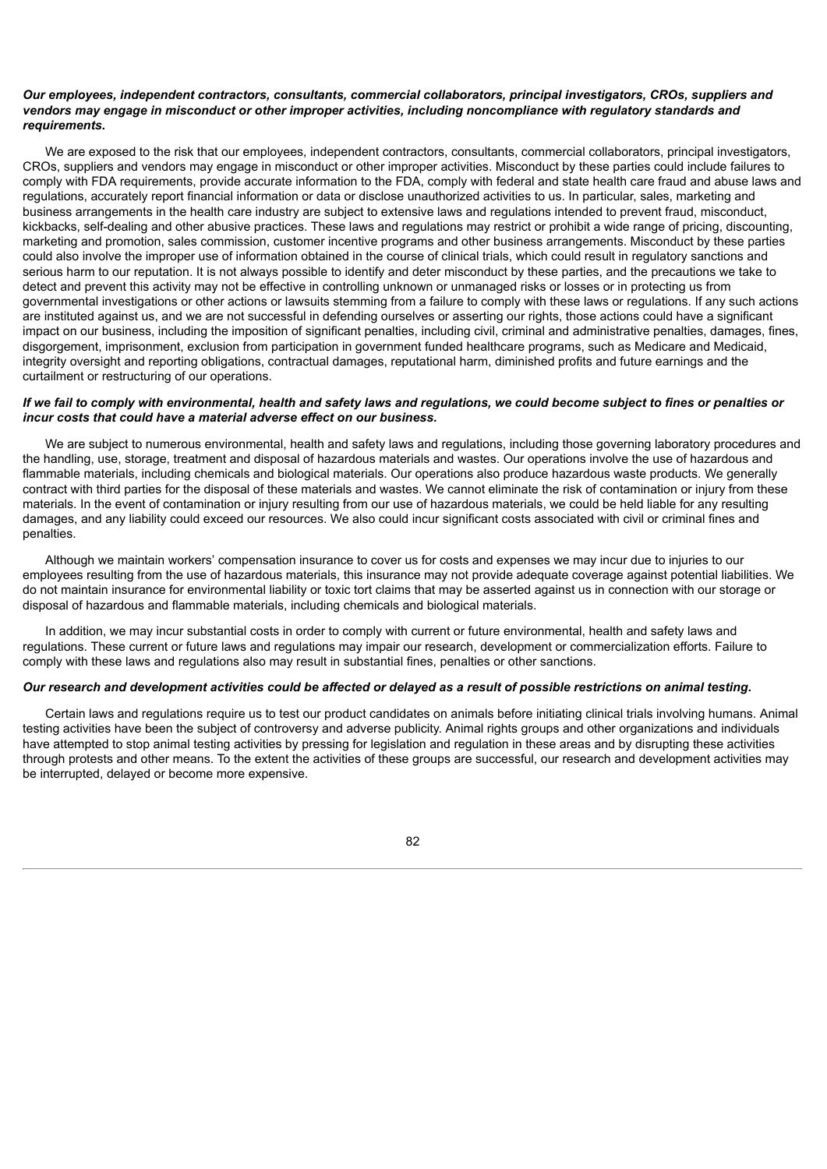## *Our employees, independent contractors, consultants, commercial collaborators, principal investigators, CROs, suppliers and vendors may engage in misconduct or other improper activities, including noncompliance with regulatory standards and requirements.*

We are exposed to the risk that our employees, independent contractors, consultants, commercial collaborators, principal investigators, CROs, suppliers and vendors may engage in misconduct or other improper activities. Misconduct by these parties could include failures to comply with FDA requirements, provide accurate information to the FDA, comply with federal and state health care fraud and abuse laws and regulations, accurately report financial information or data or disclose unauthorized activities to us. In particular, sales, marketing and business arrangements in the health care industry are subject to extensive laws and regulations intended to prevent fraud, misconduct, kickbacks, self-dealing and other abusive practices. These laws and regulations may restrict or prohibit a wide range of pricing, discounting, marketing and promotion, sales commission, customer incentive programs and other business arrangements. Misconduct by these parties could also involve the improper use of information obtained in the course of clinical trials, which could result in regulatory sanctions and serious harm to our reputation. It is not always possible to identify and deter misconduct by these parties, and the precautions we take to detect and prevent this activity may not be effective in controlling unknown or unmanaged risks or losses or in protecting us from governmental investigations or other actions or lawsuits stemming from a failure to comply with these laws or regulations. If any such actions are instituted against us, and we are not successful in defending ourselves or asserting our rights, those actions could have a significant impact on our business, including the imposition of significant penalties, including civil, criminal and administrative penalties, damages, fines, disgorgement, imprisonment, exclusion from participation in government funded healthcare programs, such as Medicare and Medicaid, integrity oversight and reporting obligations, contractual damages, reputational harm, diminished profits and future earnings and the curtailment or restructuring of our operations.

# If we fail to comply with environmental, health and safety laws and regulations, we could become subject to fines or penalties or *incur costs that could have a material adverse effect on our business.*

We are subject to numerous environmental, health and safety laws and regulations, including those governing laboratory procedures and the handling, use, storage, treatment and disposal of hazardous materials and wastes. Our operations involve the use of hazardous and flammable materials, including chemicals and biological materials. Our operations also produce hazardous waste products. We generally contract with third parties for the disposal of these materials and wastes. We cannot eliminate the risk of contamination or injury from these materials. In the event of contamination or injury resulting from our use of hazardous materials, we could be held liable for any resulting damages, and any liability could exceed our resources. We also could incur significant costs associated with civil or criminal fines and penalties.

Although we maintain workers' compensation insurance to cover us for costs and expenses we may incur due to injuries to our employees resulting from the use of hazardous materials, this insurance may not provide adequate coverage against potential liabilities. We do not maintain insurance for environmental liability or toxic tort claims that may be asserted against us in connection with our storage or disposal of hazardous and flammable materials, including chemicals and biological materials.

In addition, we may incur substantial costs in order to comply with current or future environmental, health and safety laws and regulations. These current or future laws and regulations may impair our research, development or commercialization efforts. Failure to comply with these laws and regulations also may result in substantial fines, penalties or other sanctions.

#### Our research and development activities could be affected or delayed as a result of possible restrictions on animal testing.

Certain laws and regulations require us to test our product candidates on animals before initiating clinical trials involving humans. Animal testing activities have been the subject of controversy and adverse publicity. Animal rights groups and other organizations and individuals have attempted to stop animal testing activities by pressing for legislation and regulation in these areas and by disrupting these activities through protests and other means. To the extent the activities of these groups are successful, our research and development activities may be interrupted, delayed or become more expensive.

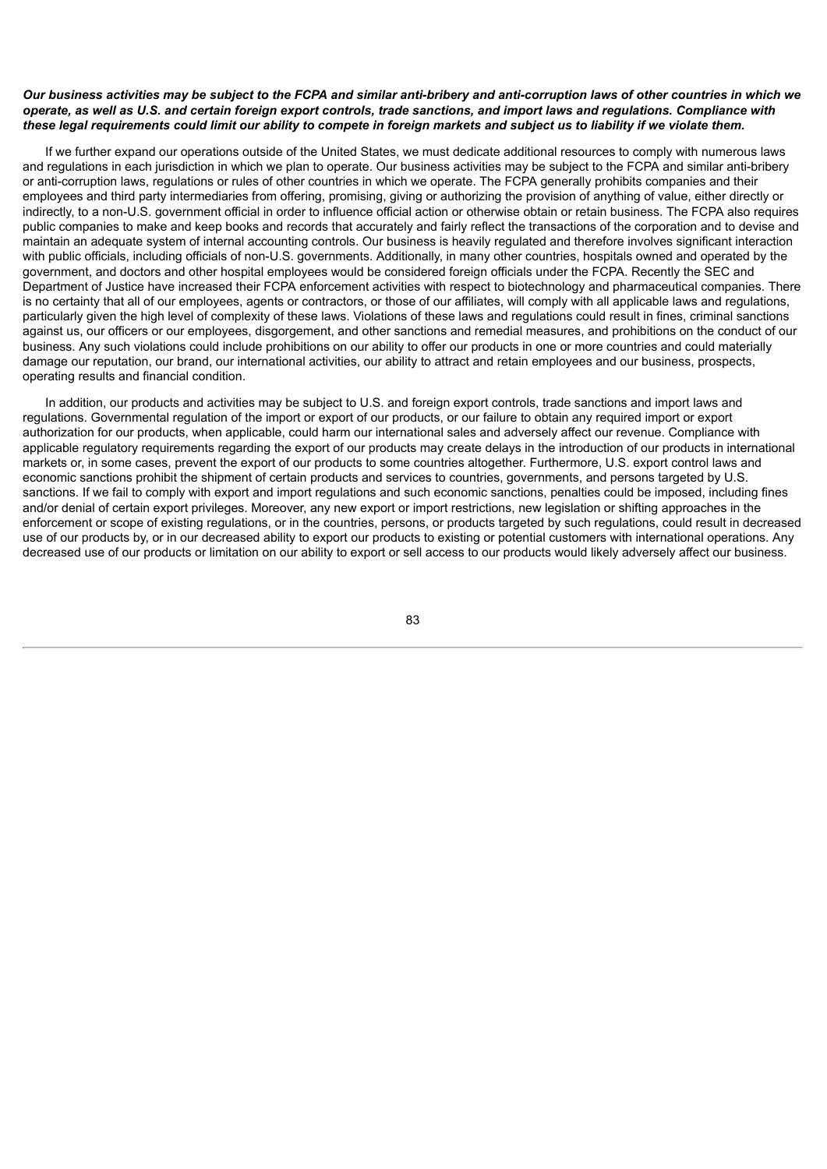## Our business activities may be subject to the FCPA and similar anti-bribery and anti-corruption laws of other countries in which we operate, as well as U.S. and certain foreign export controls, trade sanctions, and import laws and regulations. Compliance with these legal requirements could limit our ability to compete in foreign markets and subject us to liability if we violate them.

If we further expand our operations outside of the United States, we must dedicate additional resources to comply with numerous laws and regulations in each jurisdiction in which we plan to operate. Our business activities may be subject to the FCPA and similar anti-bribery or anti-corruption laws, regulations or rules of other countries in which we operate. The FCPA generally prohibits companies and their employees and third party intermediaries from offering, promising, giving or authorizing the provision of anything of value, either directly or indirectly, to a non-U.S. government official in order to influence official action or otherwise obtain or retain business. The FCPA also requires public companies to make and keep books and records that accurately and fairly reflect the transactions of the corporation and to devise and maintain an adequate system of internal accounting controls. Our business is heavily regulated and therefore involves significant interaction with public officials, including officials of non-U.S. governments. Additionally, in many other countries, hospitals owned and operated by the government, and doctors and other hospital employees would be considered foreign officials under the FCPA. Recently the SEC and Department of Justice have increased their FCPA enforcement activities with respect to biotechnology and pharmaceutical companies. There is no certainty that all of our employees, agents or contractors, or those of our affiliates, will comply with all applicable laws and regulations, particularly given the high level of complexity of these laws. Violations of these laws and regulations could result in fines, criminal sanctions against us, our officers or our employees, disgorgement, and other sanctions and remedial measures, and prohibitions on the conduct of our business. Any such violations could include prohibitions on our ability to offer our products in one or more countries and could materially damage our reputation, our brand, our international activities, our ability to attract and retain employees and our business, prospects, operating results and financial condition.

In addition, our products and activities may be subject to U.S. and foreign export controls, trade sanctions and import laws and regulations. Governmental regulation of the import or export of our products, or our failure to obtain any required import or export authorization for our products, when applicable, could harm our international sales and adversely affect our revenue. Compliance with applicable regulatory requirements regarding the export of our products may create delays in the introduction of our products in international markets or, in some cases, prevent the export of our products to some countries altogether. Furthermore, U.S. export control laws and economic sanctions prohibit the shipment of certain products and services to countries, governments, and persons targeted by U.S. sanctions. If we fail to comply with export and import regulations and such economic sanctions, penalties could be imposed, including fines and/or denial of certain export privileges. Moreover, any new export or import restrictions, new legislation or shifting approaches in the enforcement or scope of existing regulations, or in the countries, persons, or products targeted by such regulations, could result in decreased use of our products by, or in our decreased ability to export our products to existing or potential customers with international operations. Any decreased use of our products or limitation on our ability to export or sell access to our products would likely adversely affect our business.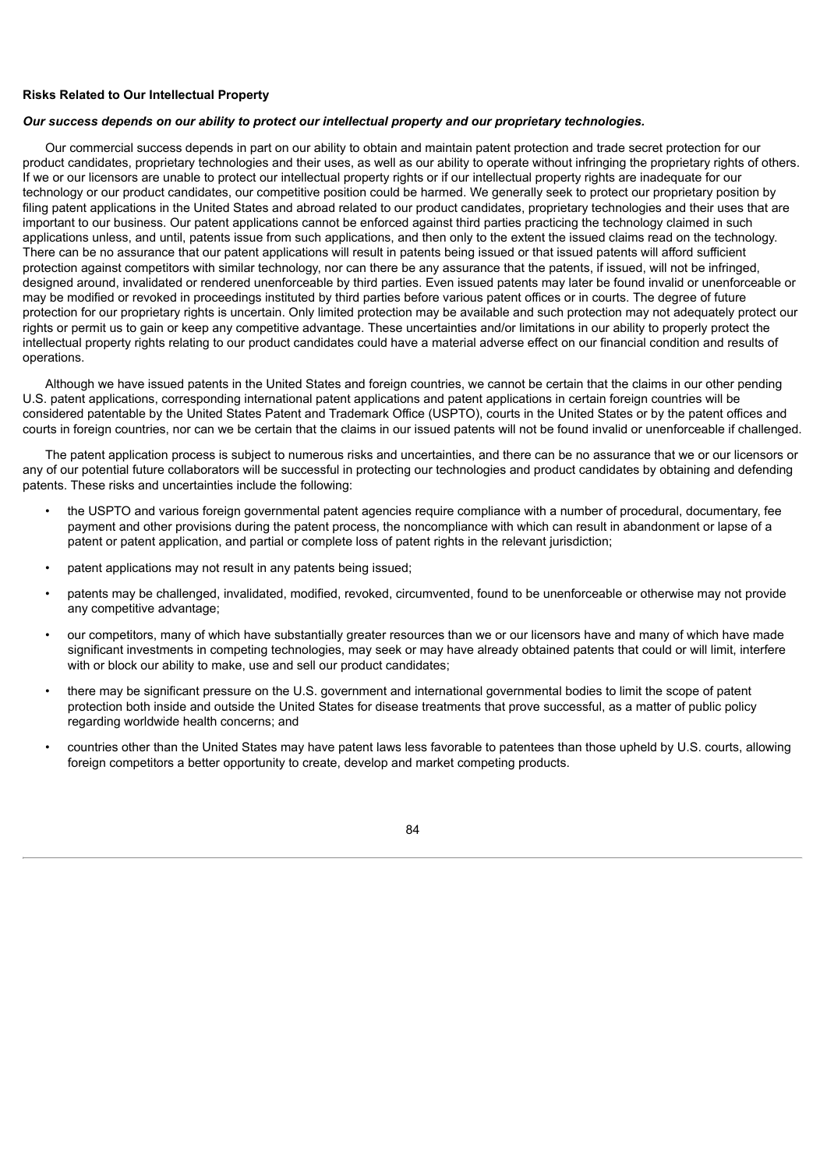## **Risks Related to Our Intellectual Property**

#### *Our success depends on our ability to protect our intellectual property and our proprietary technologies.*

Our commercial success depends in part on our ability to obtain and maintain patent protection and trade secret protection for our product candidates, proprietary technologies and their uses, as well as our ability to operate without infringing the proprietary rights of others. If we or our licensors are unable to protect our intellectual property rights or if our intellectual property rights are inadequate for our technology or our product candidates, our competitive position could be harmed. We generally seek to protect our proprietary position by filing patent applications in the United States and abroad related to our product candidates, proprietary technologies and their uses that are important to our business. Our patent applications cannot be enforced against third parties practicing the technology claimed in such applications unless, and until, patents issue from such applications, and then only to the extent the issued claims read on the technology. There can be no assurance that our patent applications will result in patents being issued or that issued patents will afford sufficient protection against competitors with similar technology, nor can there be any assurance that the patents, if issued, will not be infringed, designed around, invalidated or rendered unenforceable by third parties. Even issued patents may later be found invalid or unenforceable or may be modified or revoked in proceedings instituted by third parties before various patent offices or in courts. The degree of future protection for our proprietary rights is uncertain. Only limited protection may be available and such protection may not adequately protect our rights or permit us to gain or keep any competitive advantage. These uncertainties and/or limitations in our ability to properly protect the intellectual property rights relating to our product candidates could have a material adverse effect on our financial condition and results of operations.

Although we have issued patents in the United States and foreign countries, we cannot be certain that the claims in our other pending U.S. patent applications, corresponding international patent applications and patent applications in certain foreign countries will be considered patentable by the United States Patent and Trademark Office (USPTO), courts in the United States or by the patent offices and courts in foreign countries, nor can we be certain that the claims in our issued patents will not be found invalid or unenforceable if challenged.

The patent application process is subject to numerous risks and uncertainties, and there can be no assurance that we or our licensors or any of our potential future collaborators will be successful in protecting our technologies and product candidates by obtaining and defending patents. These risks and uncertainties include the following:

- the USPTO and various foreign governmental patent agencies require compliance with a number of procedural, documentary, fee payment and other provisions during the patent process, the noncompliance with which can result in abandonment or lapse of a patent or patent application, and partial or complete loss of patent rights in the relevant jurisdiction;
- patent applications may not result in any patents being issued;
- patents may be challenged, invalidated, modified, revoked, circumvented, found to be unenforceable or otherwise may not provide any competitive advantage;
- our competitors, many of which have substantially greater resources than we or our licensors have and many of which have made significant investments in competing technologies, may seek or may have already obtained patents that could or will limit, interfere with or block our ability to make, use and sell our product candidates;
- there may be significant pressure on the U.S. government and international governmental bodies to limit the scope of patent protection both inside and outside the United States for disease treatments that prove successful, as a matter of public policy regarding worldwide health concerns; and
- countries other than the United States may have patent laws less favorable to patentees than those upheld by U.S. courts, allowing foreign competitors a better opportunity to create, develop and market competing products.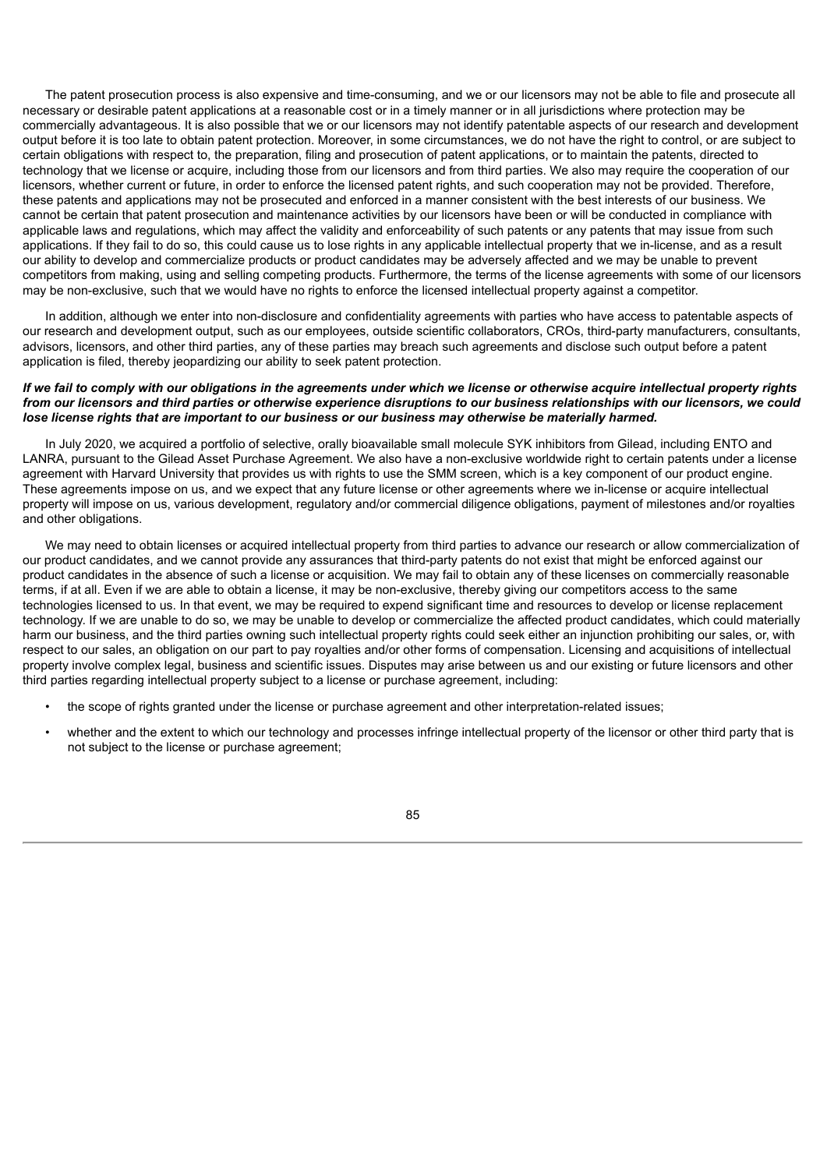The patent prosecution process is also expensive and time-consuming, and we or our licensors may not be able to file and prosecute all necessary or desirable patent applications at a reasonable cost or in a timely manner or in all jurisdictions where protection may be commercially advantageous. It is also possible that we or our licensors may not identify patentable aspects of our research and development output before it is too late to obtain patent protection. Moreover, in some circumstances, we do not have the right to control, or are subject to certain obligations with respect to, the preparation, filing and prosecution of patent applications, or to maintain the patents, directed to technology that we license or acquire, including those from our licensors and from third parties. We also may require the cooperation of our licensors, whether current or future, in order to enforce the licensed patent rights, and such cooperation may not be provided. Therefore, these patents and applications may not be prosecuted and enforced in a manner consistent with the best interests of our business. We cannot be certain that patent prosecution and maintenance activities by our licensors have been or will be conducted in compliance with applicable laws and regulations, which may affect the validity and enforceability of such patents or any patents that may issue from such applications. If they fail to do so, this could cause us to lose rights in any applicable intellectual property that we in-license, and as a result our ability to develop and commercialize products or product candidates may be adversely affected and we may be unable to prevent competitors from making, using and selling competing products. Furthermore, the terms of the license agreements with some of our licensors may be non-exclusive, such that we would have no rights to enforce the licensed intellectual property against a competitor.

In addition, although we enter into non-disclosure and confidentiality agreements with parties who have access to patentable aspects of our research and development output, such as our employees, outside scientific collaborators, CROs, third-party manufacturers, consultants, advisors, licensors, and other third parties, any of these parties may breach such agreements and disclose such output before a patent application is filed, thereby jeopardizing our ability to seek patent protection.

## If we fail to comply with our obligations in the agreements under which we license or otherwise acquire intellectual property rights from our licensors and third parties or otherwise experience disruptions to our business relationships with our licensors, we could lose license rights that are important to our business or our business may otherwise be materially harmed.

In July 2020, we acquired a portfolio of selective, orally bioavailable small molecule SYK inhibitors from Gilead, including ENTO and LANRA, pursuant to the Gilead Asset Purchase Agreement. We also have a non-exclusive worldwide right to certain patents under a license agreement with Harvard University that provides us with rights to use the SMM screen, which is a key component of our product engine. These agreements impose on us, and we expect that any future license or other agreements where we in-license or acquire intellectual property will impose on us, various development, regulatory and/or commercial diligence obligations, payment of milestones and/or royalties and other obligations.

We may need to obtain licenses or acquired intellectual property from third parties to advance our research or allow commercialization of our product candidates, and we cannot provide any assurances that third-party patents do not exist that might be enforced against our product candidates in the absence of such a license or acquisition. We may fail to obtain any of these licenses on commercially reasonable terms, if at all. Even if we are able to obtain a license, it may be non-exclusive, thereby giving our competitors access to the same technologies licensed to us. In that event, we may be required to expend significant time and resources to develop or license replacement technology. If we are unable to do so, we may be unable to develop or commercialize the affected product candidates, which could materially harm our business, and the third parties owning such intellectual property rights could seek either an injunction prohibiting our sales, or, with respect to our sales, an obligation on our part to pay royalties and/or other forms of compensation. Licensing and acquisitions of intellectual property involve complex legal, business and scientific issues. Disputes may arise between us and our existing or future licensors and other third parties regarding intellectual property subject to a license or purchase agreement, including:

- the scope of rights granted under the license or purchase agreement and other interpretation-related issues;
- whether and the extent to which our technology and processes infringe intellectual property of the licensor or other third party that is not subject to the license or purchase agreement;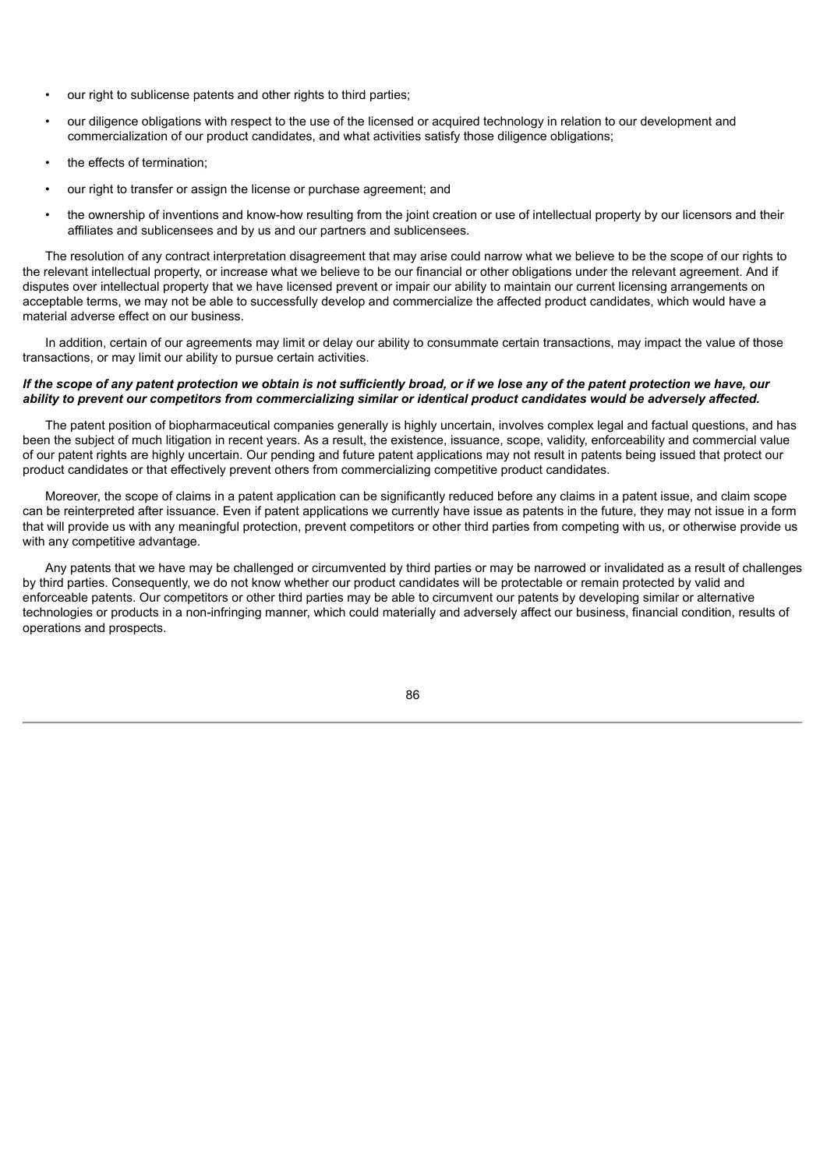- our right to sublicense patents and other rights to third parties;
- our diligence obligations with respect to the use of the licensed or acquired technology in relation to our development and commercialization of our product candidates, and what activities satisfy those diligence obligations;
- the effects of termination;
- our right to transfer or assign the license or purchase agreement; and
- the ownership of inventions and know-how resulting from the joint creation or use of intellectual property by our licensors and their affiliates and sublicensees and by us and our partners and sublicensees.

The resolution of any contract interpretation disagreement that may arise could narrow what we believe to be the scope of our rights to the relevant intellectual property, or increase what we believe to be our financial or other obligations under the relevant agreement. And if disputes over intellectual property that we have licensed prevent or impair our ability to maintain our current licensing arrangements on acceptable terms, we may not be able to successfully develop and commercialize the affected product candidates, which would have a material adverse effect on our business.

In addition, certain of our agreements may limit or delay our ability to consummate certain transactions, may impact the value of those transactions, or may limit our ability to pursue certain activities.

## If the scope of any patent protection we obtain is not sufficiently broad, or if we lose any of the patent protection we have, our ability to prevent our competitors from commercializing similar or identical product candidates would be adversely affected.

The patent position of biopharmaceutical companies generally is highly uncertain, involves complex legal and factual questions, and has been the subject of much litigation in recent years. As a result, the existence, issuance, scope, validity, enforceability and commercial value of our patent rights are highly uncertain. Our pending and future patent applications may not result in patents being issued that protect our product candidates or that effectively prevent others from commercializing competitive product candidates.

Moreover, the scope of claims in a patent application can be significantly reduced before any claims in a patent issue, and claim scope can be reinterpreted after issuance. Even if patent applications we currently have issue as patents in the future, they may not issue in a form that will provide us with any meaningful protection, prevent competitors or other third parties from competing with us, or otherwise provide us with any competitive advantage.

Any patents that we have may be challenged or circumvented by third parties or may be narrowed or invalidated as a result of challenges by third parties. Consequently, we do not know whether our product candidates will be protectable or remain protected by valid and enforceable patents. Our competitors or other third parties may be able to circumvent our patents by developing similar or alternative technologies or products in a non-infringing manner, which could materially and adversely affect our business, financial condition, results of operations and prospects.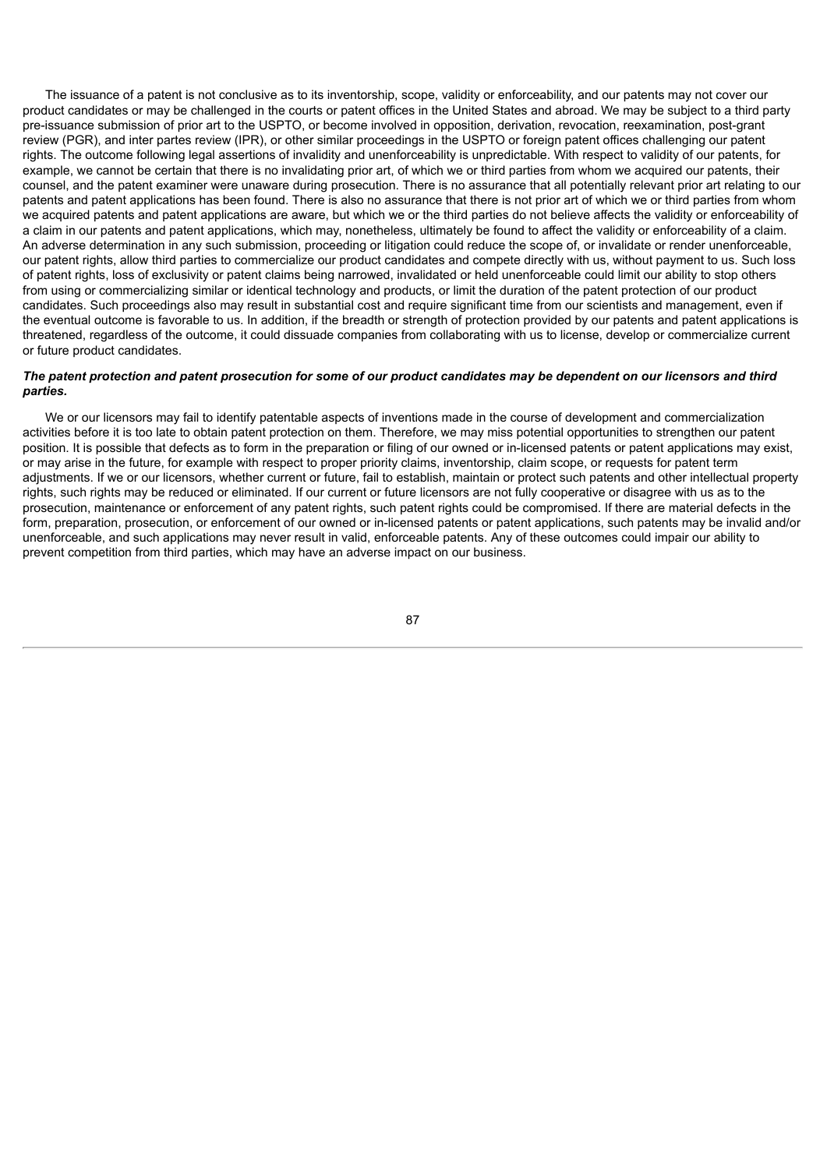The issuance of a patent is not conclusive as to its inventorship, scope, validity or enforceability, and our patents may not cover our product candidates or may be challenged in the courts or patent offices in the United States and abroad. We may be subject to a third party pre-issuance submission of prior art to the USPTO, or become involved in opposition, derivation, revocation, reexamination, post-grant review (PGR), and inter partes review (IPR), or other similar proceedings in the USPTO or foreign patent offices challenging our patent rights. The outcome following legal assertions of invalidity and unenforceability is unpredictable. With respect to validity of our patents, for example, we cannot be certain that there is no invalidating prior art, of which we or third parties from whom we acquired our patents, their counsel, and the patent examiner were unaware during prosecution. There is no assurance that all potentially relevant prior art relating to our patents and patent applications has been found. There is also no assurance that there is not prior art of which we or third parties from whom we acquired patents and patent applications are aware, but which we or the third parties do not believe affects the validity or enforceability of a claim in our patents and patent applications, which may, nonetheless, ultimately be found to affect the validity or enforceability of a claim. An adverse determination in any such submission, proceeding or litigation could reduce the scope of, or invalidate or render unenforceable, our patent rights, allow third parties to commercialize our product candidates and compete directly with us, without payment to us. Such loss of patent rights, loss of exclusivity or patent claims being narrowed, invalidated or held unenforceable could limit our ability to stop others from using or commercializing similar or identical technology and products, or limit the duration of the patent protection of our product candidates. Such proceedings also may result in substantial cost and require significant time from our scientists and management, even if the eventual outcome is favorable to us. In addition, if the breadth or strength of protection provided by our patents and patent applications is threatened, regardless of the outcome, it could dissuade companies from collaborating with us to license, develop or commercialize current or future product candidates.

## The patent protection and patent prosecution for some of our product candidates may be dependent on our licensors and third *parties.*

We or our licensors may fail to identify patentable aspects of inventions made in the course of development and commercialization activities before it is too late to obtain patent protection on them. Therefore, we may miss potential opportunities to strengthen our patent position. It is possible that defects as to form in the preparation or filing of our owned or in-licensed patents or patent applications may exist, or may arise in the future, for example with respect to proper priority claims, inventorship, claim scope, or requests for patent term adjustments. If we or our licensors, whether current or future, fail to establish, maintain or protect such patents and other intellectual property rights, such rights may be reduced or eliminated. If our current or future licensors are not fully cooperative or disagree with us as to the prosecution, maintenance or enforcement of any patent rights, such patent rights could be compromised. If there are material defects in the form, preparation, prosecution, or enforcement of our owned or in-licensed patents or patent applications, such patents may be invalid and/or unenforceable, and such applications may never result in valid, enforceable patents. Any of these outcomes could impair our ability to prevent competition from third parties, which may have an adverse impact on our business.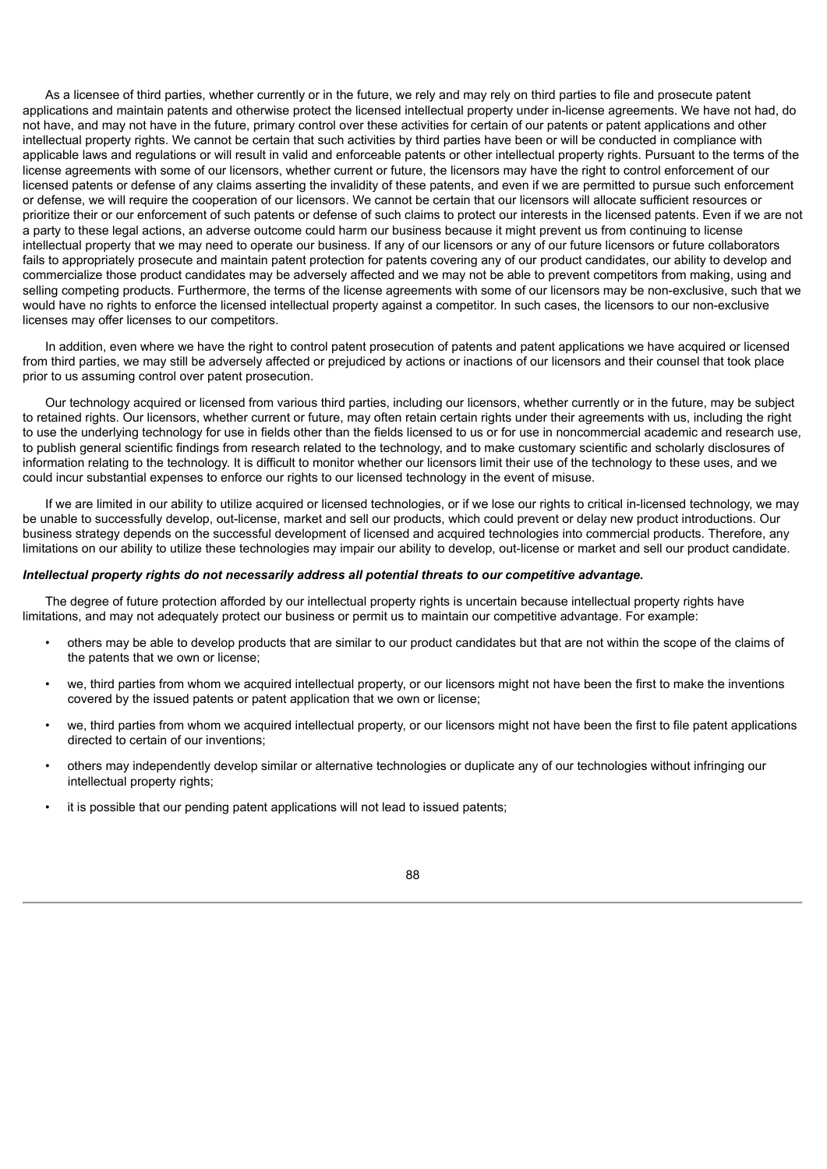As a licensee of third parties, whether currently or in the future, we rely and may rely on third parties to file and prosecute patent applications and maintain patents and otherwise protect the licensed intellectual property under in-license agreements. We have not had, do not have, and may not have in the future, primary control over these activities for certain of our patents or patent applications and other intellectual property rights. We cannot be certain that such activities by third parties have been or will be conducted in compliance with applicable laws and regulations or will result in valid and enforceable patents or other intellectual property rights. Pursuant to the terms of the license agreements with some of our licensors, whether current or future, the licensors may have the right to control enforcement of our licensed patents or defense of any claims asserting the invalidity of these patents, and even if we are permitted to pursue such enforcement or defense, we will require the cooperation of our licensors. We cannot be certain that our licensors will allocate sufficient resources or prioritize their or our enforcement of such patents or defense of such claims to protect our interests in the licensed patents. Even if we are not a party to these legal actions, an adverse outcome could harm our business because it might prevent us from continuing to license intellectual property that we may need to operate our business. If any of our licensors or any of our future licensors or future collaborators fails to appropriately prosecute and maintain patent protection for patents covering any of our product candidates, our ability to develop and commercialize those product candidates may be adversely affected and we may not be able to prevent competitors from making, using and selling competing products. Furthermore, the terms of the license agreements with some of our licensors may be non-exclusive, such that we would have no rights to enforce the licensed intellectual property against a competitor. In such cases, the licensors to our non-exclusive licenses may offer licenses to our competitors.

In addition, even where we have the right to control patent prosecution of patents and patent applications we have acquired or licensed from third parties, we may still be adversely affected or prejudiced by actions or inactions of our licensors and their counsel that took place prior to us assuming control over patent prosecution.

Our technology acquired or licensed from various third parties, including our licensors, whether currently or in the future, may be subject to retained rights. Our licensors, whether current or future, may often retain certain rights under their agreements with us, including the right to use the underlying technology for use in fields other than the fields licensed to us or for use in noncommercial academic and research use, to publish general scientific findings from research related to the technology, and to make customary scientific and scholarly disclosures of information relating to the technology. It is difficult to monitor whether our licensors limit their use of the technology to these uses, and we could incur substantial expenses to enforce our rights to our licensed technology in the event of misuse.

If we are limited in our ability to utilize acquired or licensed technologies, or if we lose our rights to critical in-licensed technology, we may be unable to successfully develop, out-license, market and sell our products, which could prevent or delay new product introductions. Our business strategy depends on the successful development of licensed and acquired technologies into commercial products. Therefore, any limitations on our ability to utilize these technologies may impair our ability to develop, out-license or market and sell our product candidate.

#### *Intellectual property rights do not necessarily address all potential threats to our competitive advantage.*

The degree of future protection afforded by our intellectual property rights is uncertain because intellectual property rights have limitations, and may not adequately protect our business or permit us to maintain our competitive advantage. For example:

- others may be able to develop products that are similar to our product candidates but that are not within the scope of the claims of the patents that we own or license;
- we, third parties from whom we acquired intellectual property, or our licensors might not have been the first to make the inventions covered by the issued patents or patent application that we own or license;
- we, third parties from whom we acquired intellectual property, or our licensors might not have been the first to file patent applications directed to certain of our inventions;
- others may independently develop similar or alternative technologies or duplicate any of our technologies without infringing our intellectual property rights;
- it is possible that our pending patent applications will not lead to issued patents;

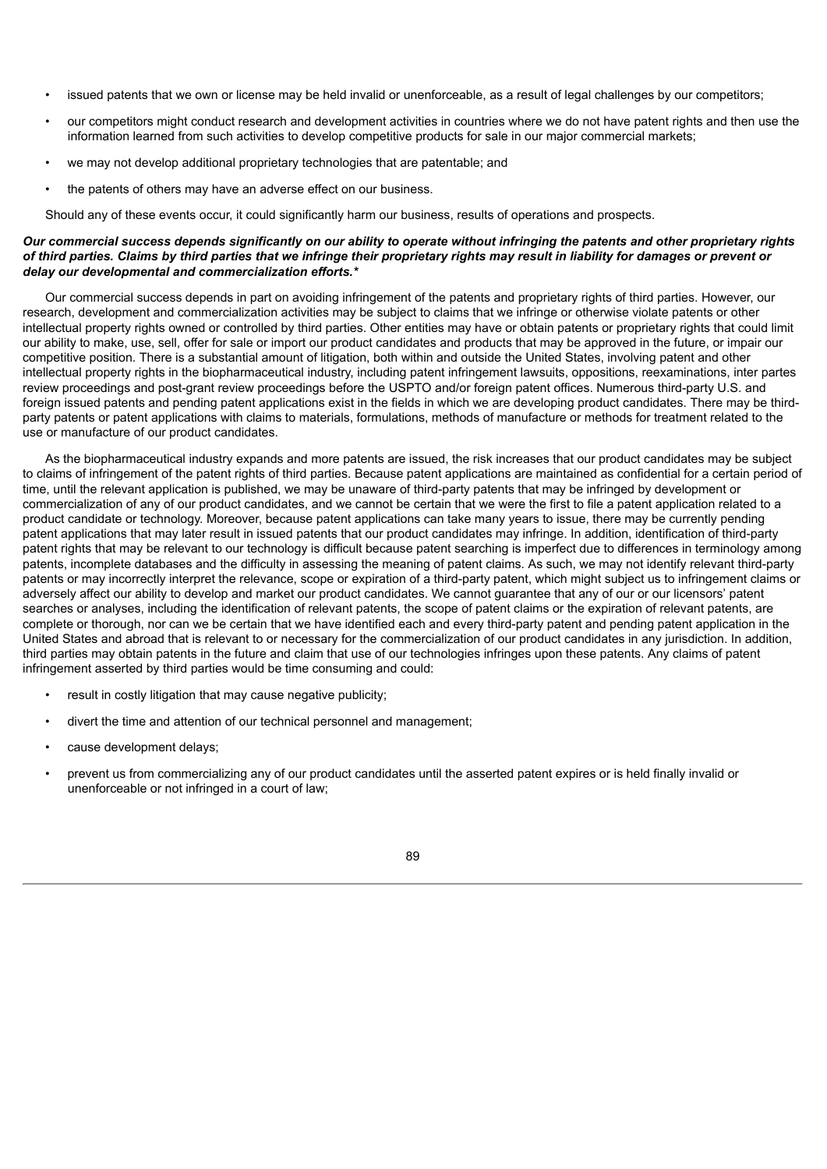- issued patents that we own or license may be held invalid or unenforceable, as a result of legal challenges by our competitors;
- our competitors might conduct research and development activities in countries where we do not have patent rights and then use the information learned from such activities to develop competitive products for sale in our major commercial markets;
- we may not develop additional proprietary technologies that are patentable; and
- the patents of others may have an adverse effect on our business.

Should any of these events occur, it could significantly harm our business, results of operations and prospects.

## Our commercial success depends significantly on our ability to operate without infringing the patents and other proprietary rights of third parties. Claims by third parties that we infringe their proprietary rights may result in liability for damages or prevent or *delay our developmental and commercialization efforts.\**

Our commercial success depends in part on avoiding infringement of the patents and proprietary rights of third parties. However, our research, development and commercialization activities may be subject to claims that we infringe or otherwise violate patents or other intellectual property rights owned or controlled by third parties. Other entities may have or obtain patents or proprietary rights that could limit our ability to make, use, sell, offer for sale or import our product candidates and products that may be approved in the future, or impair our competitive position. There is a substantial amount of litigation, both within and outside the United States, involving patent and other intellectual property rights in the biopharmaceutical industry, including patent infringement lawsuits, oppositions, reexaminations, inter partes review proceedings and post-grant review proceedings before the USPTO and/or foreign patent offices. Numerous third-party U.S. and foreign issued patents and pending patent applications exist in the fields in which we are developing product candidates. There may be thirdparty patents or patent applications with claims to materials, formulations, methods of manufacture or methods for treatment related to the use or manufacture of our product candidates.

As the biopharmaceutical industry expands and more patents are issued, the risk increases that our product candidates may be subject to claims of infringement of the patent rights of third parties. Because patent applications are maintained as confidential for a certain period of time, until the relevant application is published, we may be unaware of third-party patents that may be infringed by development or commercialization of any of our product candidates, and we cannot be certain that we were the first to file a patent application related to a product candidate or technology. Moreover, because patent applications can take many years to issue, there may be currently pending patent applications that may later result in issued patents that our product candidates may infringe. In addition, identification of third-party patent rights that may be relevant to our technology is difficult because patent searching is imperfect due to differences in terminology among patents, incomplete databases and the difficulty in assessing the meaning of patent claims. As such, we may not identify relevant third-party patents or may incorrectly interpret the relevance, scope or expiration of a third-party patent, which might subject us to infringement claims or adversely affect our ability to develop and market our product candidates. We cannot guarantee that any of our or our licensors' patent searches or analyses, including the identification of relevant patents, the scope of patent claims or the expiration of relevant patents, are complete or thorough, nor can we be certain that we have identified each and every third-party patent and pending patent application in the United States and abroad that is relevant to or necessary for the commercialization of our product candidates in any jurisdiction. In addition, third parties may obtain patents in the future and claim that use of our technologies infringes upon these patents. Any claims of patent infringement asserted by third parties would be time consuming and could:

- result in costly litigation that may cause negative publicity;
- divert the time and attention of our technical personnel and management;
- cause development delays;
- prevent us from commercializing any of our product candidates until the asserted patent expires or is held finally invalid or unenforceable or not infringed in a court of law;

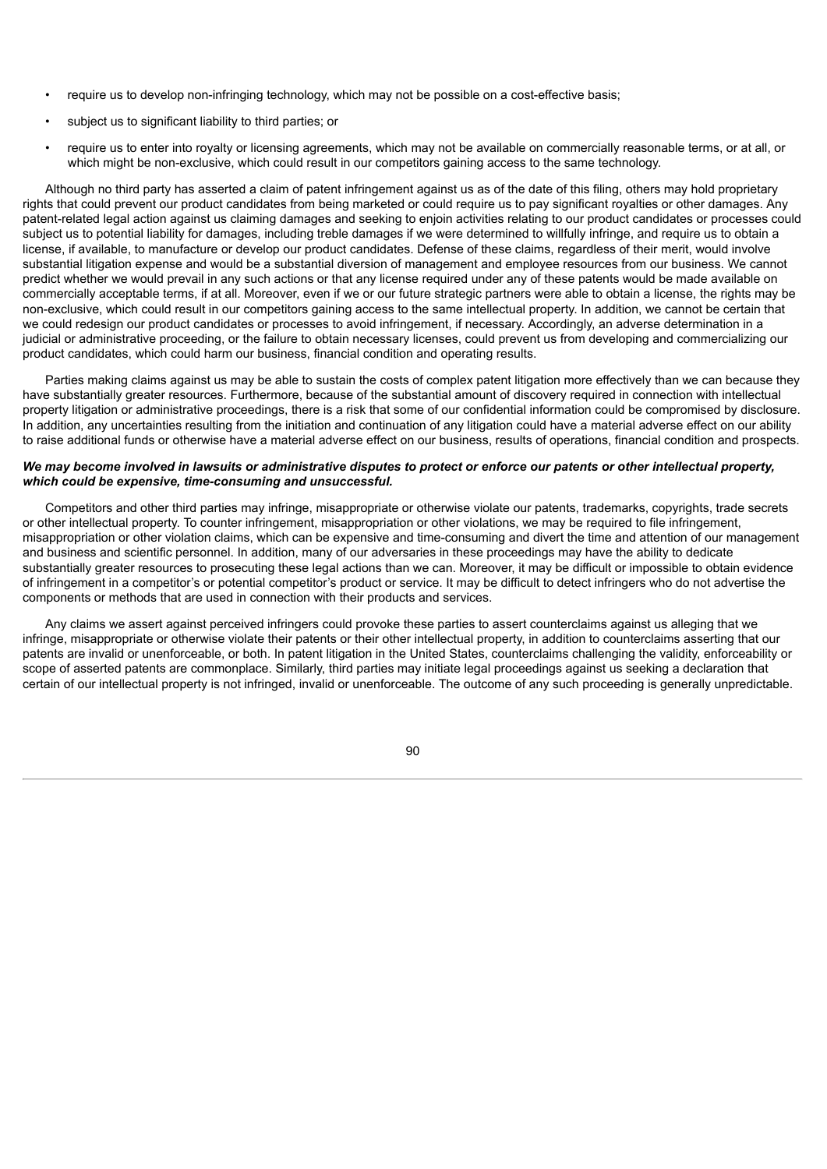- require us to develop non-infringing technology, which may not be possible on a cost-effective basis;
- subject us to significant liability to third parties; or
- require us to enter into royalty or licensing agreements, which may not be available on commercially reasonable terms, or at all, or which might be non-exclusive, which could result in our competitors gaining access to the same technology.

Although no third party has asserted a claim of patent infringement against us as of the date of this filing, others may hold proprietary rights that could prevent our product candidates from being marketed or could require us to pay significant royalties or other damages. Any patent-related legal action against us claiming damages and seeking to enjoin activities relating to our product candidates or processes could subject us to potential liability for damages, including treble damages if we were determined to willfully infringe, and require us to obtain a license, if available, to manufacture or develop our product candidates. Defense of these claims, regardless of their merit, would involve substantial litigation expense and would be a substantial diversion of management and employee resources from our business. We cannot predict whether we would prevail in any such actions or that any license required under any of these patents would be made available on commercially acceptable terms, if at all. Moreover, even if we or our future strategic partners were able to obtain a license, the rights may be non-exclusive, which could result in our competitors gaining access to the same intellectual property. In addition, we cannot be certain that we could redesign our product candidates or processes to avoid infringement, if necessary. Accordingly, an adverse determination in a judicial or administrative proceeding, or the failure to obtain necessary licenses, could prevent us from developing and commercializing our product candidates, which could harm our business, financial condition and operating results.

Parties making claims against us may be able to sustain the costs of complex patent litigation more effectively than we can because they have substantially greater resources. Furthermore, because of the substantial amount of discovery required in connection with intellectual property litigation or administrative proceedings, there is a risk that some of our confidential information could be compromised by disclosure. In addition, any uncertainties resulting from the initiation and continuation of any litigation could have a material adverse effect on our ability to raise additional funds or otherwise have a material adverse effect on our business, results of operations, financial condition and prospects.

### We may become involved in lawsuits or administrative disputes to protect or enforce our patents or other intellectual property. *which could be expensive, time-consuming and unsuccessful.*

Competitors and other third parties may infringe, misappropriate or otherwise violate our patents, trademarks, copyrights, trade secrets or other intellectual property. To counter infringement, misappropriation or other violations, we may be required to file infringement, misappropriation or other violation claims, which can be expensive and time-consuming and divert the time and attention of our management and business and scientific personnel. In addition, many of our adversaries in these proceedings may have the ability to dedicate substantially greater resources to prosecuting these legal actions than we can. Moreover, it may be difficult or impossible to obtain evidence of infringement in a competitor's or potential competitor's product or service. It may be difficult to detect infringers who do not advertise the components or methods that are used in connection with their products and services.

Any claims we assert against perceived infringers could provoke these parties to assert counterclaims against us alleging that we infringe, misappropriate or otherwise violate their patents or their other intellectual property, in addition to counterclaims asserting that our patents are invalid or unenforceable, or both. In patent litigation in the United States, counterclaims challenging the validity, enforceability or scope of asserted patents are commonplace. Similarly, third parties may initiate legal proceedings against us seeking a declaration that certain of our intellectual property is not infringed, invalid or unenforceable. The outcome of any such proceeding is generally unpredictable.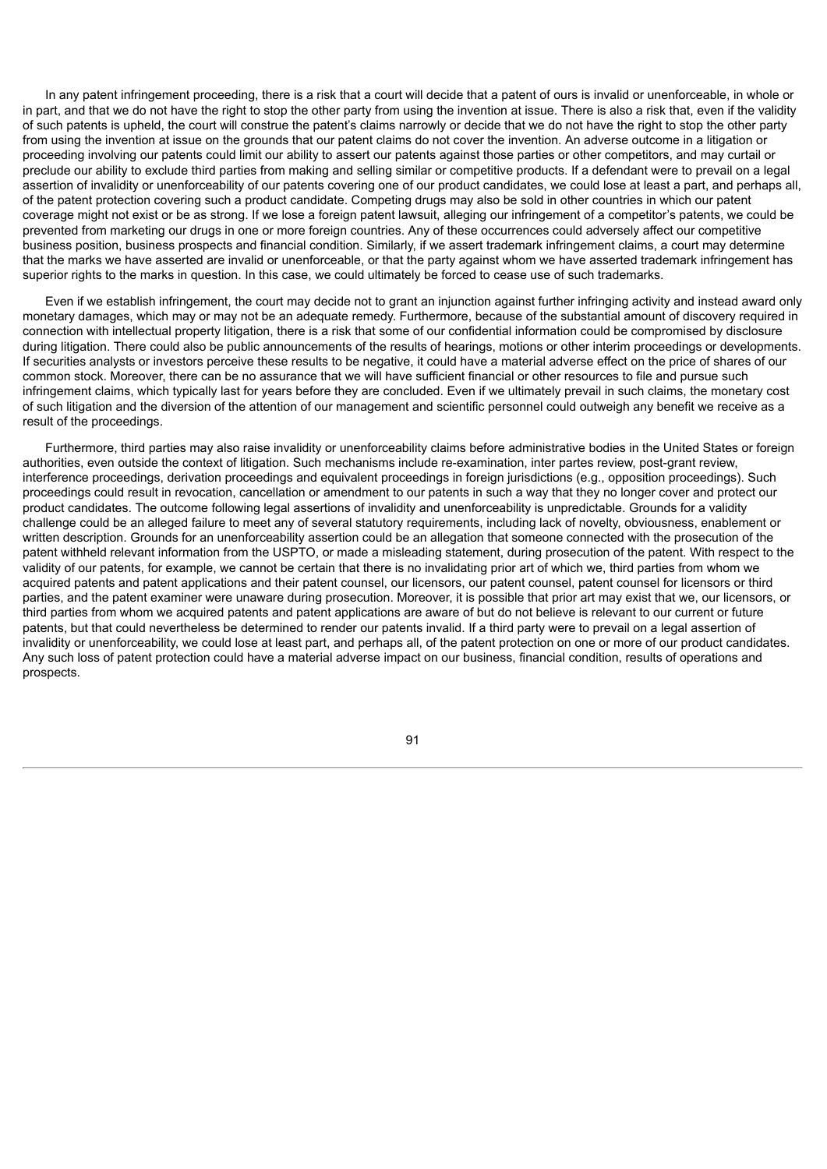In any patent infringement proceeding, there is a risk that a court will decide that a patent of ours is invalid or unenforceable, in whole or in part, and that we do not have the right to stop the other party from using the invention at issue. There is also a risk that, even if the validity of such patents is upheld, the court will construe the patent's claims narrowly or decide that we do not have the right to stop the other party from using the invention at issue on the grounds that our patent claims do not cover the invention. An adverse outcome in a litigation or proceeding involving our patents could limit our ability to assert our patents against those parties or other competitors, and may curtail or preclude our ability to exclude third parties from making and selling similar or competitive products. If a defendant were to prevail on a legal assertion of invalidity or unenforceability of our patents covering one of our product candidates, we could lose at least a part, and perhaps all, of the patent protection covering such a product candidate. Competing drugs may also be sold in other countries in which our patent coverage might not exist or be as strong. If we lose a foreign patent lawsuit, alleging our infringement of a competitor's patents, we could be prevented from marketing our drugs in one or more foreign countries. Any of these occurrences could adversely affect our competitive business position, business prospects and financial condition. Similarly, if we assert trademark infringement claims, a court may determine that the marks we have asserted are invalid or unenforceable, or that the party against whom we have asserted trademark infringement has superior rights to the marks in question. In this case, we could ultimately be forced to cease use of such trademarks.

Even if we establish infringement, the court may decide not to grant an injunction against further infringing activity and instead award only monetary damages, which may or may not be an adequate remedy. Furthermore, because of the substantial amount of discovery required in connection with intellectual property litigation, there is a risk that some of our confidential information could be compromised by disclosure during litigation. There could also be public announcements of the results of hearings, motions or other interim proceedings or developments. If securities analysts or investors perceive these results to be negative, it could have a material adverse effect on the price of shares of our common stock. Moreover, there can be no assurance that we will have sufficient financial or other resources to file and pursue such infringement claims, which typically last for years before they are concluded. Even if we ultimately prevail in such claims, the monetary cost of such litigation and the diversion of the attention of our management and scientific personnel could outweigh any benefit we receive as a result of the proceedings.

Furthermore, third parties may also raise invalidity or unenforceability claims before administrative bodies in the United States or foreign authorities, even outside the context of litigation. Such mechanisms include re-examination, inter partes review, post-grant review, interference proceedings, derivation proceedings and equivalent proceedings in foreign jurisdictions (e.g., opposition proceedings). Such proceedings could result in revocation, cancellation or amendment to our patents in such a way that they no longer cover and protect our product candidates. The outcome following legal assertions of invalidity and unenforceability is unpredictable. Grounds for a validity challenge could be an alleged failure to meet any of several statutory requirements, including lack of novelty, obviousness, enablement or written description. Grounds for an unenforceability assertion could be an allegation that someone connected with the prosecution of the patent withheld relevant information from the USPTO, or made a misleading statement, during prosecution of the patent. With respect to the validity of our patents, for example, we cannot be certain that there is no invalidating prior art of which we, third parties from whom we acquired patents and patent applications and their patent counsel, our licensors, our patent counsel, patent counsel for licensors or third parties, and the patent examiner were unaware during prosecution. Moreover, it is possible that prior art may exist that we, our licensors, or third parties from whom we acquired patents and patent applications are aware of but do not believe is relevant to our current or future patents, but that could nevertheless be determined to render our patents invalid. If a third party were to prevail on a legal assertion of invalidity or unenforceability, we could lose at least part, and perhaps all, of the patent protection on one or more of our product candidates. Any such loss of patent protection could have a material adverse impact on our business, financial condition, results of operations and prospects.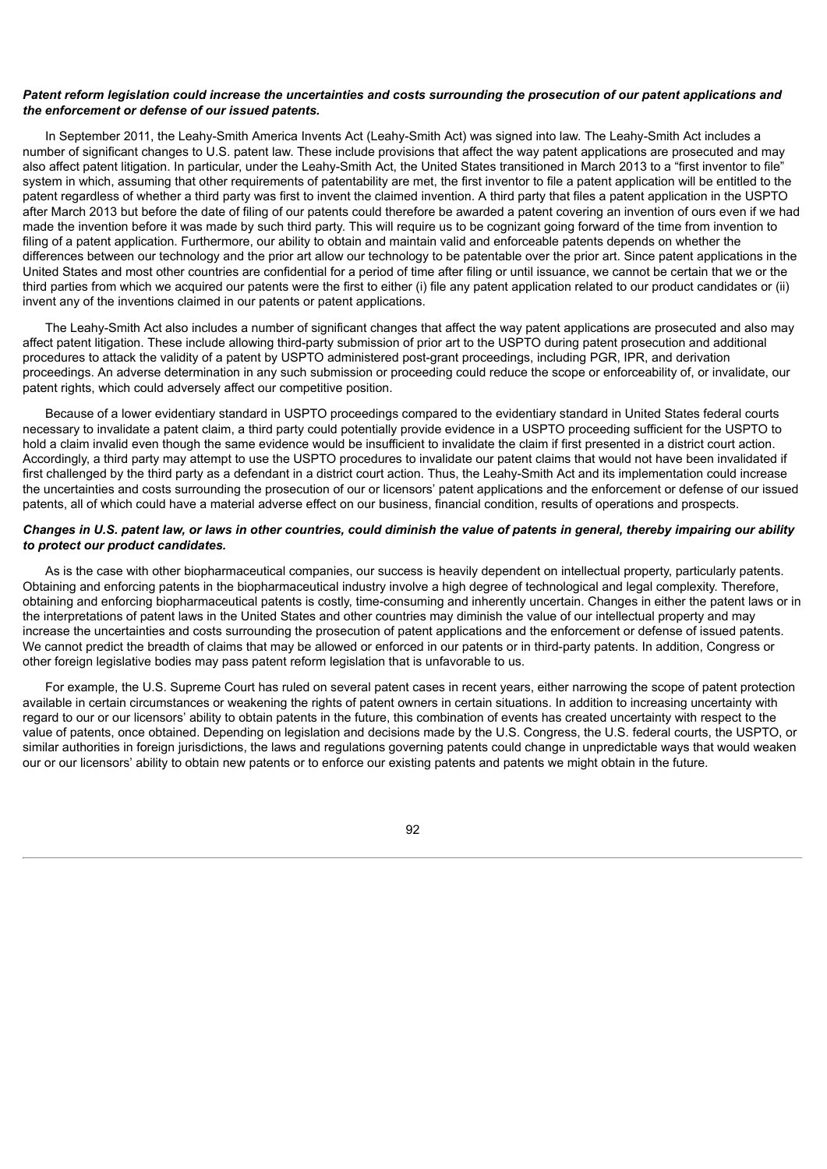## Patent reform legislation could increase the uncertainties and costs surrounding the prosecution of our patent applications and *the enforcement or defense of our issued patents.*

In September 2011, the Leahy-Smith America Invents Act (Leahy-Smith Act) was signed into law. The Leahy-Smith Act includes a number of significant changes to U.S. patent law. These include provisions that affect the way patent applications are prosecuted and may also affect patent litigation. In particular, under the Leahy-Smith Act, the United States transitioned in March 2013 to a "first inventor to file" system in which, assuming that other requirements of patentability are met, the first inventor to file a patent application will be entitled to the patent regardless of whether a third party was first to invent the claimed invention. A third party that files a patent application in the USPTO after March 2013 but before the date of filing of our patents could therefore be awarded a patent covering an invention of ours even if we had made the invention before it was made by such third party. This will require us to be cognizant going forward of the time from invention to filing of a patent application. Furthermore, our ability to obtain and maintain valid and enforceable patents depends on whether the differences between our technology and the prior art allow our technology to be patentable over the prior art. Since patent applications in the United States and most other countries are confidential for a period of time after filing or until issuance, we cannot be certain that we or the third parties from which we acquired our patents were the first to either (i) file any patent application related to our product candidates or (ii) invent any of the inventions claimed in our patents or patent applications.

The Leahy-Smith Act also includes a number of significant changes that affect the way patent applications are prosecuted and also may affect patent litigation. These include allowing third-party submission of prior art to the USPTO during patent prosecution and additional procedures to attack the validity of a patent by USPTO administered post-grant proceedings, including PGR, IPR, and derivation proceedings. An adverse determination in any such submission or proceeding could reduce the scope or enforceability of, or invalidate, our patent rights, which could adversely affect our competitive position.

Because of a lower evidentiary standard in USPTO proceedings compared to the evidentiary standard in United States federal courts necessary to invalidate a patent claim, a third party could potentially provide evidence in a USPTO proceeding sufficient for the USPTO to hold a claim invalid even though the same evidence would be insufficient to invalidate the claim if first presented in a district court action. Accordingly, a third party may attempt to use the USPTO procedures to invalidate our patent claims that would not have been invalidated if first challenged by the third party as a defendant in a district court action. Thus, the Leahy-Smith Act and its implementation could increase the uncertainties and costs surrounding the prosecution of our or licensors' patent applications and the enforcement or defense of our issued patents, all of which could have a material adverse effect on our business, financial condition, results of operations and prospects.

# Changes in U.S. patent law, or laws in other countries, could diminish the value of patents in general, thereby impairing our ability *to protect our product candidates.*

As is the case with other biopharmaceutical companies, our success is heavily dependent on intellectual property, particularly patents. Obtaining and enforcing patents in the biopharmaceutical industry involve a high degree of technological and legal complexity. Therefore, obtaining and enforcing biopharmaceutical patents is costly, time-consuming and inherently uncertain. Changes in either the patent laws or in the interpretations of patent laws in the United States and other countries may diminish the value of our intellectual property and may increase the uncertainties and costs surrounding the prosecution of patent applications and the enforcement or defense of issued patents. We cannot predict the breadth of claims that may be allowed or enforced in our patents or in third-party patents. In addition, Congress or other foreign legislative bodies may pass patent reform legislation that is unfavorable to us.

For example, the U.S. Supreme Court has ruled on several patent cases in recent years, either narrowing the scope of patent protection available in certain circumstances or weakening the rights of patent owners in certain situations. In addition to increasing uncertainty with regard to our or our licensors' ability to obtain patents in the future, this combination of events has created uncertainty with respect to the value of patents, once obtained. Depending on legislation and decisions made by the U.S. Congress, the U.S. federal courts, the USPTO, or similar authorities in foreign jurisdictions, the laws and regulations governing patents could change in unpredictable ways that would weaken our or our licensors' ability to obtain new patents or to enforce our existing patents and patents we might obtain in the future.

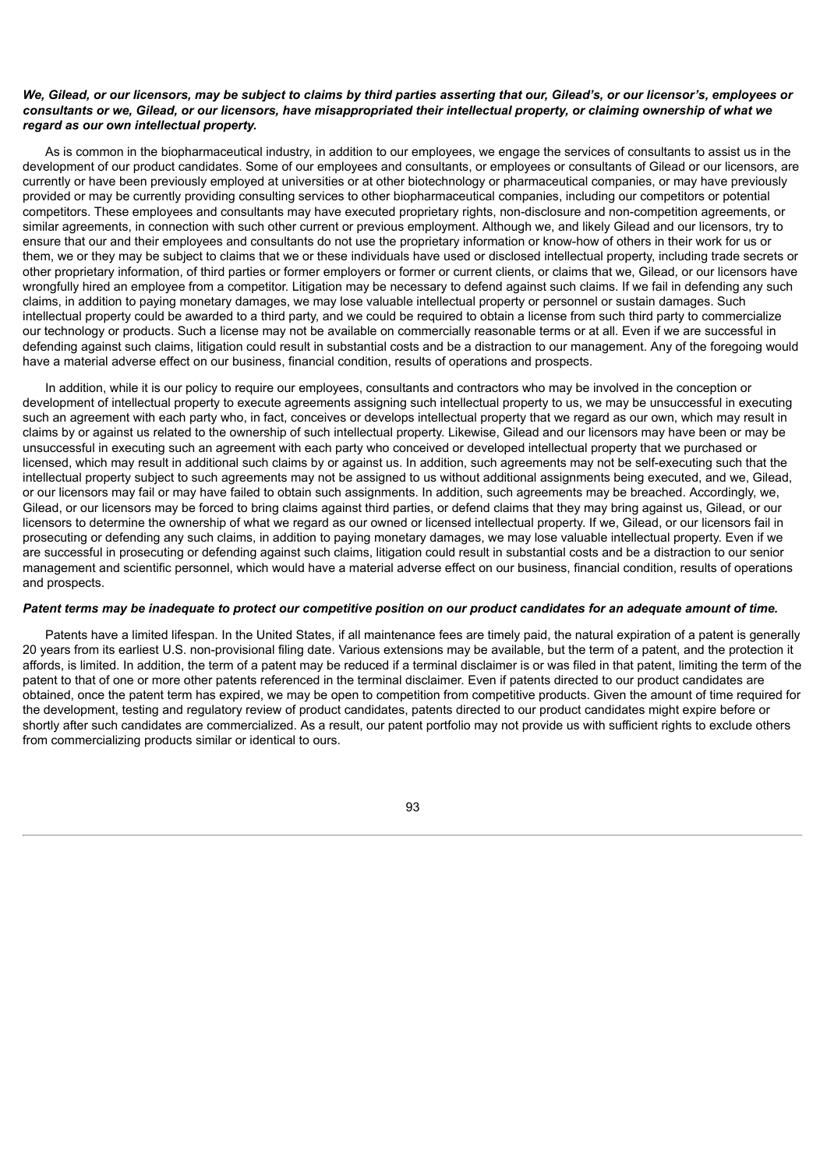## We, Gilead, or our licensors, may be subject to claims by third parties asserting that our, Gilead's, or our licensor's, employees or consultants or we. Gilead, or our licensors, have misappropriated their intellectual property, or claiming ownership of what we *regard as our own intellectual property.*

As is common in the biopharmaceutical industry, in addition to our employees, we engage the services of consultants to assist us in the development of our product candidates. Some of our employees and consultants, or employees or consultants of Gilead or our licensors, are currently or have been previously employed at universities or at other biotechnology or pharmaceutical companies, or may have previously provided or may be currently providing consulting services to other biopharmaceutical companies, including our competitors or potential competitors. These employees and consultants may have executed proprietary rights, non-disclosure and non-competition agreements, or similar agreements, in connection with such other current or previous employment. Although we, and likely Gilead and our licensors, try to ensure that our and their employees and consultants do not use the proprietary information or know-how of others in their work for us or them, we or they may be subject to claims that we or these individuals have used or disclosed intellectual property, including trade secrets or other proprietary information, of third parties or former employers or former or current clients, or claims that we, Gilead, or our licensors have wrongfully hired an employee from a competitor. Litigation may be necessary to defend against such claims. If we fail in defending any such claims, in addition to paying monetary damages, we may lose valuable intellectual property or personnel or sustain damages. Such intellectual property could be awarded to a third party, and we could be required to obtain a license from such third party to commercialize our technology or products. Such a license may not be available on commercially reasonable terms or at all. Even if we are successful in defending against such claims, litigation could result in substantial costs and be a distraction to our management. Any of the foregoing would have a material adverse effect on our business, financial condition, results of operations and prospects.

In addition, while it is our policy to require our employees, consultants and contractors who may be involved in the conception or development of intellectual property to execute agreements assigning such intellectual property to us, we may be unsuccessful in executing such an agreement with each party who, in fact, conceives or develops intellectual property that we regard as our own, which may result in claims by or against us related to the ownership of such intellectual property. Likewise, Gilead and our licensors may have been or may be unsuccessful in executing such an agreement with each party who conceived or developed intellectual property that we purchased or licensed, which may result in additional such claims by or against us. In addition, such agreements may not be self-executing such that the intellectual property subject to such agreements may not be assigned to us without additional assignments being executed, and we, Gilead, or our licensors may fail or may have failed to obtain such assignments. In addition, such agreements may be breached. Accordingly, we, Gilead, or our licensors may be forced to bring claims against third parties, or defend claims that they may bring against us, Gilead, or our licensors to determine the ownership of what we regard as our owned or licensed intellectual property. If we, Gilead, or our licensors fail in prosecuting or defending any such claims, in addition to paying monetary damages, we may lose valuable intellectual property. Even if we are successful in prosecuting or defending against such claims, litigation could result in substantial costs and be a distraction to our senior management and scientific personnel, which would have a material adverse effect on our business, financial condition, results of operations and prospects.

#### Patent terms may be inadequate to protect our competitive position on our product candidates for an adequate amount of time.

Patents have a limited lifespan. In the United States, if all maintenance fees are timely paid, the natural expiration of a patent is generally 20 years from its earliest U.S. non-provisional filing date. Various extensions may be available, but the term of a patent, and the protection it affords, is limited. In addition, the term of a patent may be reduced if a terminal disclaimer is or was filed in that patent, limiting the term of the patent to that of one or more other patents referenced in the terminal disclaimer. Even if patents directed to our product candidates are obtained, once the patent term has expired, we may be open to competition from competitive products. Given the amount of time required for the development, testing and regulatory review of product candidates, patents directed to our product candidates might expire before or shortly after such candidates are commercialized. As a result, our patent portfolio may not provide us with sufficient rights to exclude others from commercializing products similar or identical to ours.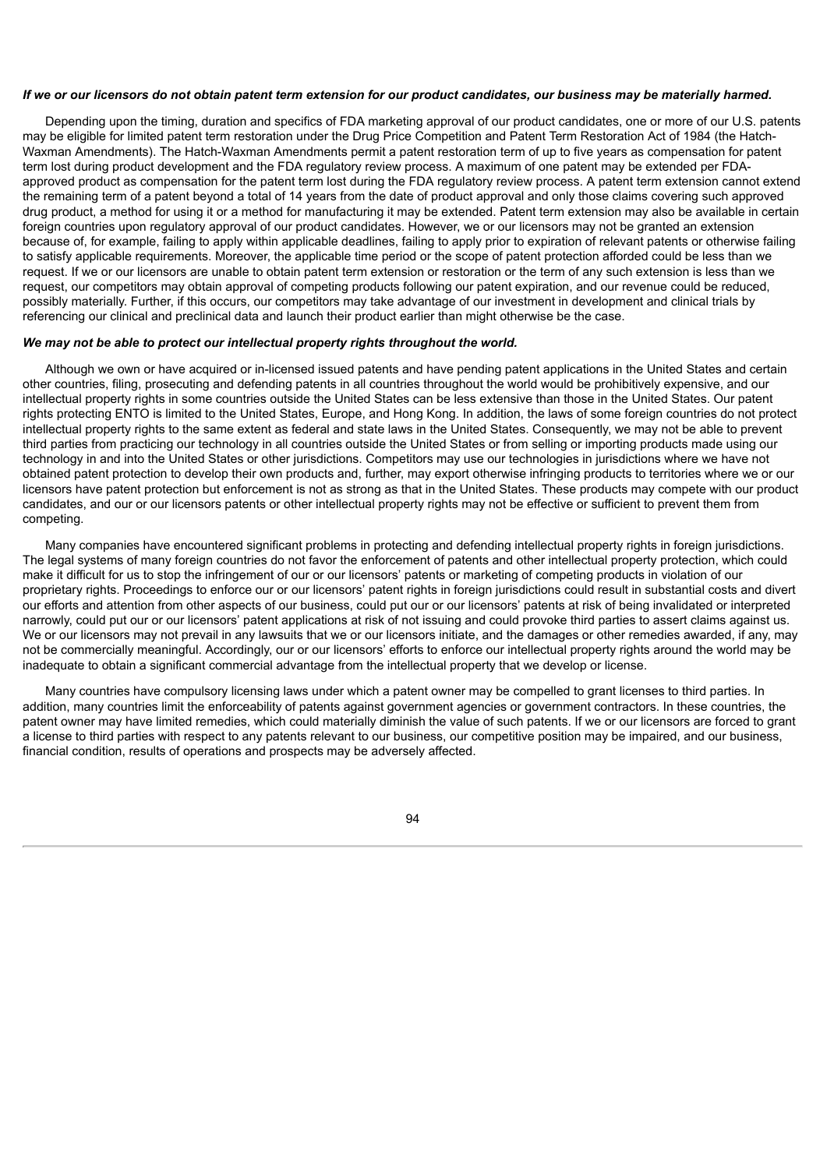#### If we or our licensors do not obtain patent term extension for our product candidates, our business may be materially harmed.

Depending upon the timing, duration and specifics of FDA marketing approval of our product candidates, one or more of our U.S. patents may be eligible for limited patent term restoration under the Drug Price Competition and Patent Term Restoration Act of 1984 (the Hatch-Waxman Amendments). The Hatch-Waxman Amendments permit a patent restoration term of up to five years as compensation for patent term lost during product development and the FDA regulatory review process. A maximum of one patent may be extended per FDAapproved product as compensation for the patent term lost during the FDA regulatory review process. A patent term extension cannot extend the remaining term of a patent beyond a total of 14 years from the date of product approval and only those claims covering such approved drug product, a method for using it or a method for manufacturing it may be extended. Patent term extension may also be available in certain foreign countries upon regulatory approval of our product candidates. However, we or our licensors may not be granted an extension because of, for example, failing to apply within applicable deadlines, failing to apply prior to expiration of relevant patents or otherwise failing to satisfy applicable requirements. Moreover, the applicable time period or the scope of patent protection afforded could be less than we request. If we or our licensors are unable to obtain patent term extension or restoration or the term of any such extension is less than we request, our competitors may obtain approval of competing products following our patent expiration, and our revenue could be reduced, possibly materially. Further, if this occurs, our competitors may take advantage of our investment in development and clinical trials by referencing our clinical and preclinical data and launch their product earlier than might otherwise be the case.

#### *We may not be able to protect our intellectual property rights throughout the world.*

Although we own or have acquired or in-licensed issued patents and have pending patent applications in the United States and certain other countries, filing, prosecuting and defending patents in all countries throughout the world would be prohibitively expensive, and our intellectual property rights in some countries outside the United States can be less extensive than those in the United States. Our patent rights protecting ENTO is limited to the United States, Europe, and Hong Kong. In addition, the laws of some foreign countries do not protect intellectual property rights to the same extent as federal and state laws in the United States. Consequently, we may not be able to prevent third parties from practicing our technology in all countries outside the United States or from selling or importing products made using our technology in and into the United States or other jurisdictions. Competitors may use our technologies in jurisdictions where we have not obtained patent protection to develop their own products and, further, may export otherwise infringing products to territories where we or our licensors have patent protection but enforcement is not as strong as that in the United States. These products may compete with our product candidates, and our or our licensors patents or other intellectual property rights may not be effective or sufficient to prevent them from competing.

Many companies have encountered significant problems in protecting and defending intellectual property rights in foreign jurisdictions. The legal systems of many foreign countries do not favor the enforcement of patents and other intellectual property protection, which could make it difficult for us to stop the infringement of our or our licensors' patents or marketing of competing products in violation of our proprietary rights. Proceedings to enforce our or our licensors' patent rights in foreign jurisdictions could result in substantial costs and divert our efforts and attention from other aspects of our business, could put our or our licensors' patents at risk of being invalidated or interpreted narrowly, could put our or our licensors' patent applications at risk of not issuing and could provoke third parties to assert claims against us. We or our licensors may not prevail in any lawsuits that we or our licensors initiate, and the damages or other remedies awarded, if any, may not be commercially meaningful. Accordingly, our or our licensors' efforts to enforce our intellectual property rights around the world may be inadequate to obtain a significant commercial advantage from the intellectual property that we develop or license.

Many countries have compulsory licensing laws under which a patent owner may be compelled to grant licenses to third parties. In addition, many countries limit the enforceability of patents against government agencies or government contractors. In these countries, the patent owner may have limited remedies, which could materially diminish the value of such patents. If we or our licensors are forced to grant a license to third parties with respect to any patents relevant to our business, our competitive position may be impaired, and our business, financial condition, results of operations and prospects may be adversely affected.

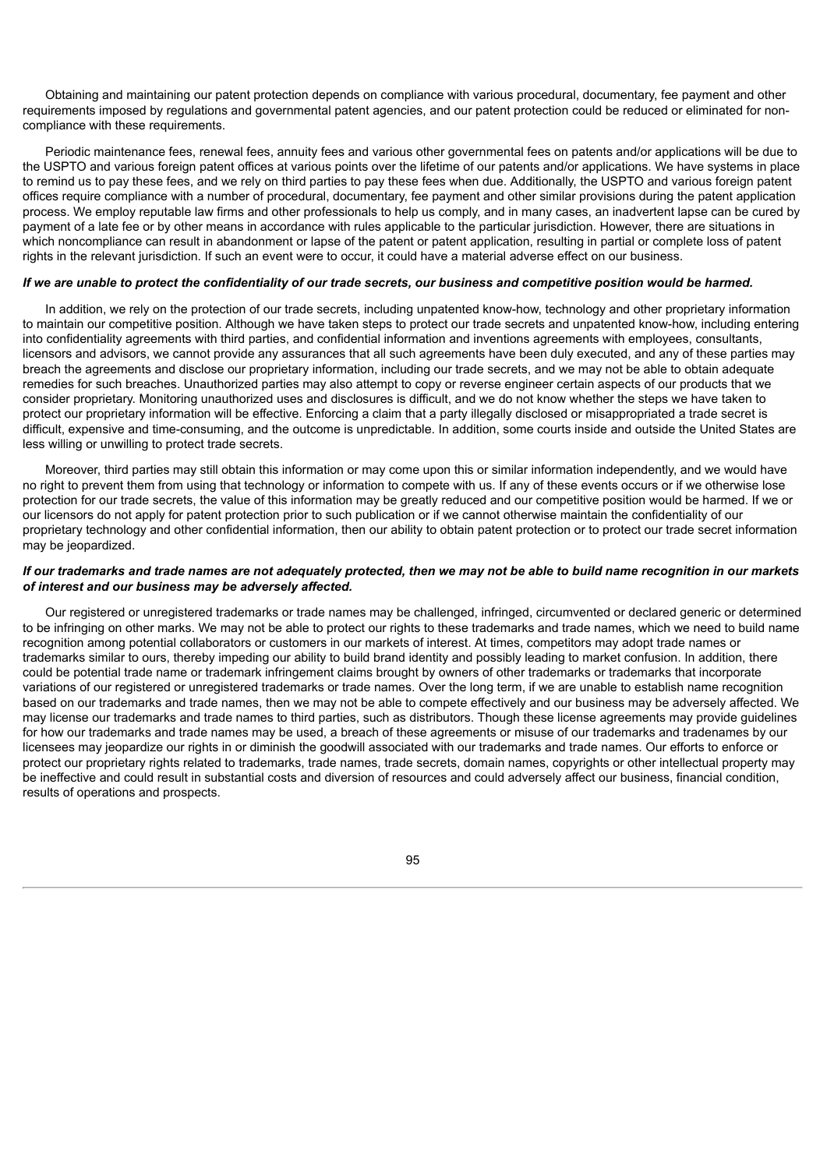Obtaining and maintaining our patent protection depends on compliance with various procedural, documentary, fee payment and other requirements imposed by regulations and governmental patent agencies, and our patent protection could be reduced or eliminated for noncompliance with these requirements.

Periodic maintenance fees, renewal fees, annuity fees and various other governmental fees on patents and/or applications will be due to the USPTO and various foreign patent offices at various points over the lifetime of our patents and/or applications. We have systems in place to remind us to pay these fees, and we rely on third parties to pay these fees when due. Additionally, the USPTO and various foreign patent offices require compliance with a number of procedural, documentary, fee payment and other similar provisions during the patent application process. We employ reputable law firms and other professionals to help us comply, and in many cases, an inadvertent lapse can be cured by payment of a late fee or by other means in accordance with rules applicable to the particular jurisdiction. However, there are situations in which noncompliance can result in abandonment or lapse of the patent or patent application, resulting in partial or complete loss of patent rights in the relevant jurisdiction. If such an event were to occur, it could have a material adverse effect on our business.

## If we are unable to protect the confidentiality of our trade secrets, our business and competitive position would be harmed.

In addition, we rely on the protection of our trade secrets, including unpatented know-how, technology and other proprietary information to maintain our competitive position. Although we have taken steps to protect our trade secrets and unpatented know-how, including entering into confidentiality agreements with third parties, and confidential information and inventions agreements with employees, consultants, licensors and advisors, we cannot provide any assurances that all such agreements have been duly executed, and any of these parties may breach the agreements and disclose our proprietary information, including our trade secrets, and we may not be able to obtain adequate remedies for such breaches. Unauthorized parties may also attempt to copy or reverse engineer certain aspects of our products that we consider proprietary. Monitoring unauthorized uses and disclosures is difficult, and we do not know whether the steps we have taken to protect our proprietary information will be effective. Enforcing a claim that a party illegally disclosed or misappropriated a trade secret is difficult, expensive and time-consuming, and the outcome is unpredictable. In addition, some courts inside and outside the United States are less willing or unwilling to protect trade secrets.

Moreover, third parties may still obtain this information or may come upon this or similar information independently, and we would have no right to prevent them from using that technology or information to compete with us. If any of these events occurs or if we otherwise lose protection for our trade secrets, the value of this information may be greatly reduced and our competitive position would be harmed. If we or our licensors do not apply for patent protection prior to such publication or if we cannot otherwise maintain the confidentiality of our proprietary technology and other confidential information, then our ability to obtain patent protection or to protect our trade secret information may be jeopardized.

## If our trademarks and trade names are not adequately protected, then we may not be able to build name recognition in our markets *of interest and our business may be adversely affected.*

Our registered or unregistered trademarks or trade names may be challenged, infringed, circumvented or declared generic or determined to be infringing on other marks. We may not be able to protect our rights to these trademarks and trade names, which we need to build name recognition among potential collaborators or customers in our markets of interest. At times, competitors may adopt trade names or trademarks similar to ours, thereby impeding our ability to build brand identity and possibly leading to market confusion. In addition, there could be potential trade name or trademark infringement claims brought by owners of other trademarks or trademarks that incorporate variations of our registered or unregistered trademarks or trade names. Over the long term, if we are unable to establish name recognition based on our trademarks and trade names, then we may not be able to compete effectively and our business may be adversely affected. We may license our trademarks and trade names to third parties, such as distributors. Though these license agreements may provide guidelines for how our trademarks and trade names may be used, a breach of these agreements or misuse of our trademarks and tradenames by our licensees may jeopardize our rights in or diminish the goodwill associated with our trademarks and trade names. Our efforts to enforce or protect our proprietary rights related to trademarks, trade names, trade secrets, domain names, copyrights or other intellectual property may be ineffective and could result in substantial costs and diversion of resources and could adversely affect our business, financial condition, results of operations and prospects.

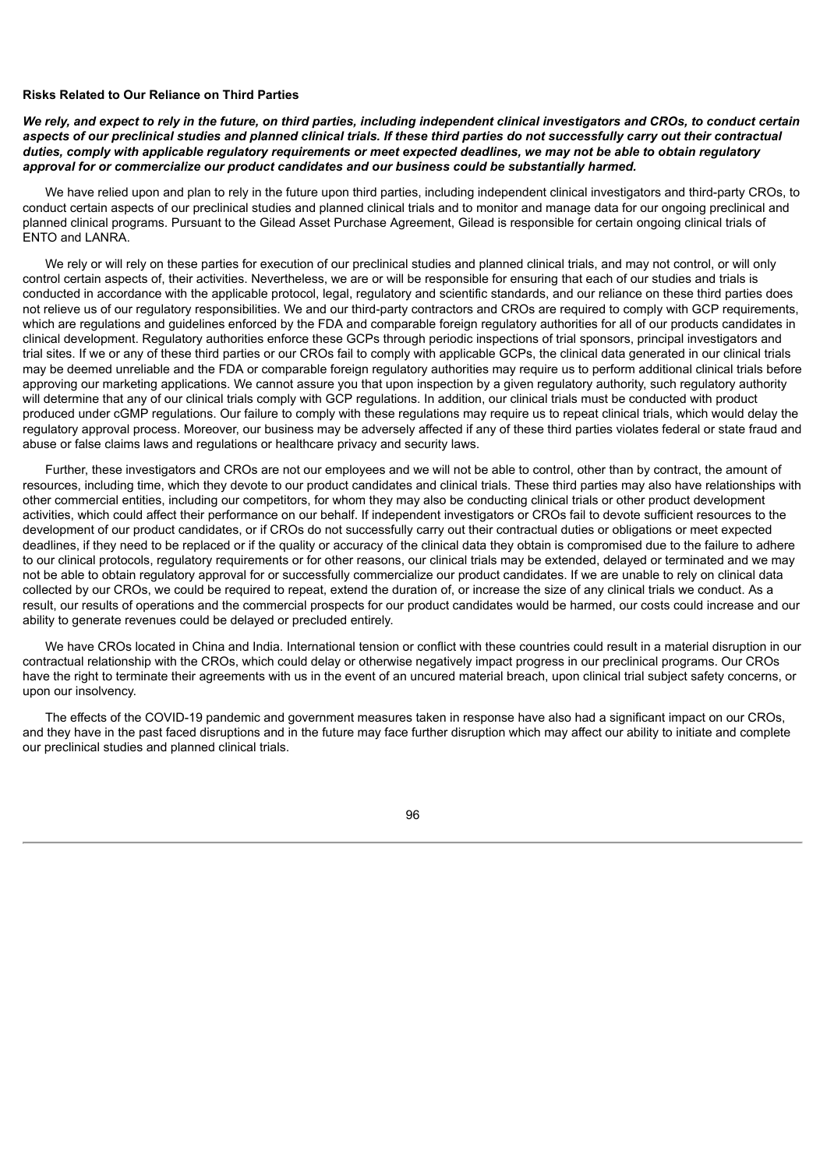### **Risks Related to Our Reliance on Third Parties**

We rely, and expect to rely in the future, on third parties, including independent clinical investigators and CROs, to conduct certain aspects of our preclinical studies and planned clinical trials. If these third parties do not successfully carry out their contractual duties, comply with applicable requlatory requirements or meet expected deadlines, we may not be able to obtain requlatory *approval for or commercialize our product candidates and our business could be substantially harmed.*

We have relied upon and plan to rely in the future upon third parties, including independent clinical investigators and third-party CROs, to conduct certain aspects of our preclinical studies and planned clinical trials and to monitor and manage data for our ongoing preclinical and planned clinical programs. Pursuant to the Gilead Asset Purchase Agreement, Gilead is responsible for certain ongoing clinical trials of ENTO and LANRA.

We rely or will rely on these parties for execution of our preclinical studies and planned clinical trials, and may not control, or will only control certain aspects of, their activities. Nevertheless, we are or will be responsible for ensuring that each of our studies and trials is conducted in accordance with the applicable protocol, legal, regulatory and scientific standards, and our reliance on these third parties does not relieve us of our regulatory responsibilities. We and our third-party contractors and CROs are required to comply with GCP requirements, which are regulations and guidelines enforced by the FDA and comparable foreign regulatory authorities for all of our products candidates in clinical development. Regulatory authorities enforce these GCPs through periodic inspections of trial sponsors, principal investigators and trial sites. If we or any of these third parties or our CROs fail to comply with applicable GCPs, the clinical data generated in our clinical trials may be deemed unreliable and the FDA or comparable foreign regulatory authorities may require us to perform additional clinical trials before approving our marketing applications. We cannot assure you that upon inspection by a given regulatory authority, such regulatory authority will determine that any of our clinical trials comply with GCP regulations. In addition, our clinical trials must be conducted with product produced under cGMP regulations. Our failure to comply with these regulations may require us to repeat clinical trials, which would delay the regulatory approval process. Moreover, our business may be adversely affected if any of these third parties violates federal or state fraud and abuse or false claims laws and regulations or healthcare privacy and security laws.

Further, these investigators and CROs are not our employees and we will not be able to control, other than by contract, the amount of resources, including time, which they devote to our product candidates and clinical trials. These third parties may also have relationships with other commercial entities, including our competitors, for whom they may also be conducting clinical trials or other product development activities, which could affect their performance on our behalf. If independent investigators or CROs fail to devote sufficient resources to the development of our product candidates, or if CROs do not successfully carry out their contractual duties or obligations or meet expected deadlines, if they need to be replaced or if the quality or accuracy of the clinical data they obtain is compromised due to the failure to adhere to our clinical protocols, regulatory requirements or for other reasons, our clinical trials may be extended, delayed or terminated and we may not be able to obtain regulatory approval for or successfully commercialize our product candidates. If we are unable to rely on clinical data collected by our CROs, we could be required to repeat, extend the duration of, or increase the size of any clinical trials we conduct. As a result, our results of operations and the commercial prospects for our product candidates would be harmed, our costs could increase and our ability to generate revenues could be delayed or precluded entirely.

We have CROs located in China and India. International tension or conflict with these countries could result in a material disruption in our contractual relationship with the CROs, which could delay or otherwise negatively impact progress in our preclinical programs. Our CROs have the right to terminate their agreements with us in the event of an uncured material breach, upon clinical trial subject safety concerns, or upon our insolvency.

The effects of the COVID-19 pandemic and government measures taken in response have also had a significant impact on our CROs, and they have in the past faced disruptions and in the future may face further disruption which may affect our ability to initiate and complete our preclinical studies and planned clinical trials.

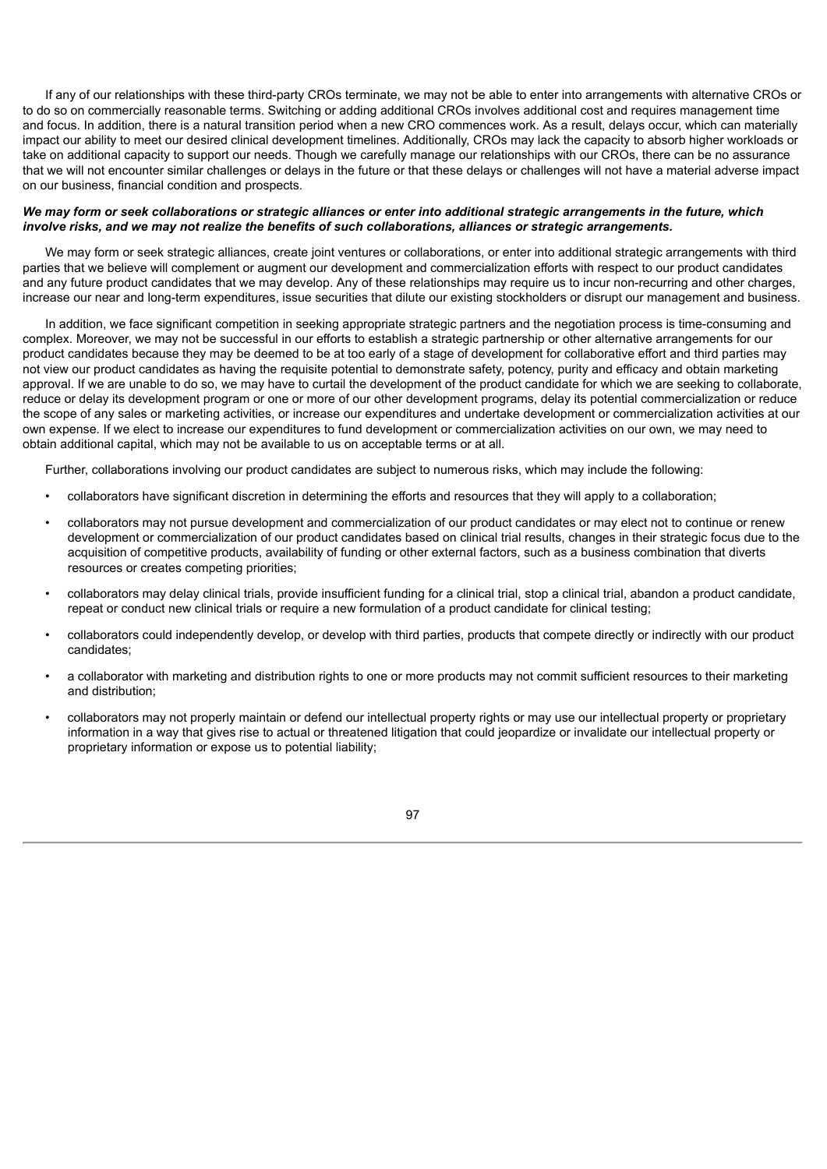If any of our relationships with these third-party CROs terminate, we may not be able to enter into arrangements with alternative CROs or to do so on commercially reasonable terms. Switching or adding additional CROs involves additional cost and requires management time and focus. In addition, there is a natural transition period when a new CRO commences work. As a result, delays occur, which can materially impact our ability to meet our desired clinical development timelines. Additionally, CROs may lack the capacity to absorb higher workloads or take on additional capacity to support our needs. Though we carefully manage our relationships with our CROs, there can be no assurance that we will not encounter similar challenges or delays in the future or that these delays or challenges will not have a material adverse impact on our business, financial condition and prospects.

## We may form or seek collaborations or strategic alliances or enter into additional strategic arrangements in the future, which *involve risks, and we may not realize the benefits of such collaborations, alliances or strategic arrangements.*

We may form or seek strategic alliances, create joint ventures or collaborations, or enter into additional strategic arrangements with third parties that we believe will complement or augment our development and commercialization efforts with respect to our product candidates and any future product candidates that we may develop. Any of these relationships may require us to incur non-recurring and other charges, increase our near and long-term expenditures, issue securities that dilute our existing stockholders or disrupt our management and business.

In addition, we face significant competition in seeking appropriate strategic partners and the negotiation process is time-consuming and complex. Moreover, we may not be successful in our efforts to establish a strategic partnership or other alternative arrangements for our product candidates because they may be deemed to be at too early of a stage of development for collaborative effort and third parties may not view our product candidates as having the requisite potential to demonstrate safety, potency, purity and efficacy and obtain marketing approval. If we are unable to do so, we may have to curtail the development of the product candidate for which we are seeking to collaborate, reduce or delay its development program or one or more of our other development programs, delay its potential commercialization or reduce the scope of any sales or marketing activities, or increase our expenditures and undertake development or commercialization activities at our own expense. If we elect to increase our expenditures to fund development or commercialization activities on our own, we may need to obtain additional capital, which may not be available to us on acceptable terms or at all.

Further, collaborations involving our product candidates are subject to numerous risks, which may include the following:

- collaborators have significant discretion in determining the efforts and resources that they will apply to a collaboration;
- collaborators may not pursue development and commercialization of our product candidates or may elect not to continue or renew development or commercialization of our product candidates based on clinical trial results, changes in their strategic focus due to the acquisition of competitive products, availability of funding or other external factors, such as a business combination that diverts resources or creates competing priorities;
- collaborators may delay clinical trials, provide insufficient funding for a clinical trial, stop a clinical trial, abandon a product candidate, repeat or conduct new clinical trials or require a new formulation of a product candidate for clinical testing;
- collaborators could independently develop, or develop with third parties, products that compete directly or indirectly with our product candidates;
- a collaborator with marketing and distribution rights to one or more products may not commit sufficient resources to their marketing and distribution;
- collaborators may not properly maintain or defend our intellectual property rights or may use our intellectual property or proprietary information in a way that gives rise to actual or threatened litigation that could jeopardize or invalidate our intellectual property or proprietary information or expose us to potential liability;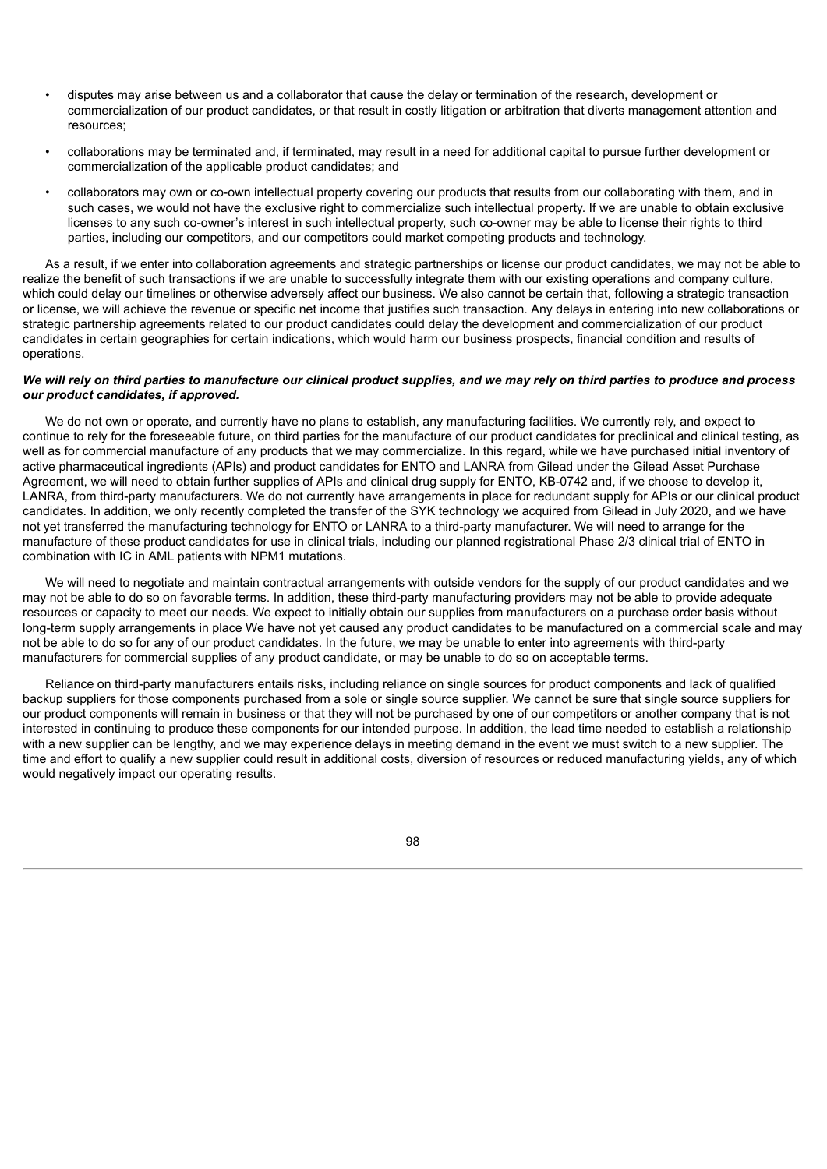- disputes may arise between us and a collaborator that cause the delay or termination of the research, development or commercialization of our product candidates, or that result in costly litigation or arbitration that diverts management attention and resources;
- collaborations may be terminated and, if terminated, may result in a need for additional capital to pursue further development or commercialization of the applicable product candidates; and
- collaborators may own or co-own intellectual property covering our products that results from our collaborating with them, and in such cases, we would not have the exclusive right to commercialize such intellectual property. If we are unable to obtain exclusive licenses to any such co-owner's interest in such intellectual property, such co-owner may be able to license their rights to third parties, including our competitors, and our competitors could market competing products and technology.

As a result, if we enter into collaboration agreements and strategic partnerships or license our product candidates, we may not be able to realize the benefit of such transactions if we are unable to successfully integrate them with our existing operations and company culture, which could delay our timelines or otherwise adversely affect our business. We also cannot be certain that, following a strategic transaction or license, we will achieve the revenue or specific net income that justifies such transaction. Any delays in entering into new collaborations or strategic partnership agreements related to our product candidates could delay the development and commercialization of our product candidates in certain geographies for certain indications, which would harm our business prospects, financial condition and results of operations.

# We will rely on third parties to manufacture our clinical product supplies, and we may rely on third parties to produce and process *our product candidates, if approved.*

We do not own or operate, and currently have no plans to establish, any manufacturing facilities. We currently rely, and expect to continue to rely for the foreseeable future, on third parties for the manufacture of our product candidates for preclinical and clinical testing, as well as for commercial manufacture of any products that we may commercialize. In this regard, while we have purchased initial inventory of active pharmaceutical ingredients (APIs) and product candidates for ENTO and LANRA from Gilead under the Gilead Asset Purchase Agreement, we will need to obtain further supplies of APIs and clinical drug supply for ENTO, KB-0742 and, if we choose to develop it, LANRA, from third-party manufacturers. We do not currently have arrangements in place for redundant supply for APIs or our clinical product candidates. In addition, we only recently completed the transfer of the SYK technology we acquired from Gilead in July 2020, and we have not yet transferred the manufacturing technology for ENTO or LANRA to a third-party manufacturer. We will need to arrange for the manufacture of these product candidates for use in clinical trials, including our planned registrational Phase 2/3 clinical trial of ENTO in combination with IC in AML patients with NPM1 mutations.

We will need to negotiate and maintain contractual arrangements with outside vendors for the supply of our product candidates and we may not be able to do so on favorable terms. In addition, these third-party manufacturing providers may not be able to provide adequate resources or capacity to meet our needs. We expect to initially obtain our supplies from manufacturers on a purchase order basis without long-term supply arrangements in place We have not yet caused any product candidates to be manufactured on a commercial scale and may not be able to do so for any of our product candidates. In the future, we may be unable to enter into agreements with third-party manufacturers for commercial supplies of any product candidate, or may be unable to do so on acceptable terms.

Reliance on third-party manufacturers entails risks, including reliance on single sources for product components and lack of qualified backup suppliers for those components purchased from a sole or single source supplier. We cannot be sure that single source suppliers for our product components will remain in business or that they will not be purchased by one of our competitors or another company that is not interested in continuing to produce these components for our intended purpose. In addition, the lead time needed to establish a relationship with a new supplier can be lengthy, and we may experience delays in meeting demand in the event we must switch to a new supplier. The time and effort to qualify a new supplier could result in additional costs, diversion of resources or reduced manufacturing yields, any of which would negatively impact our operating results.

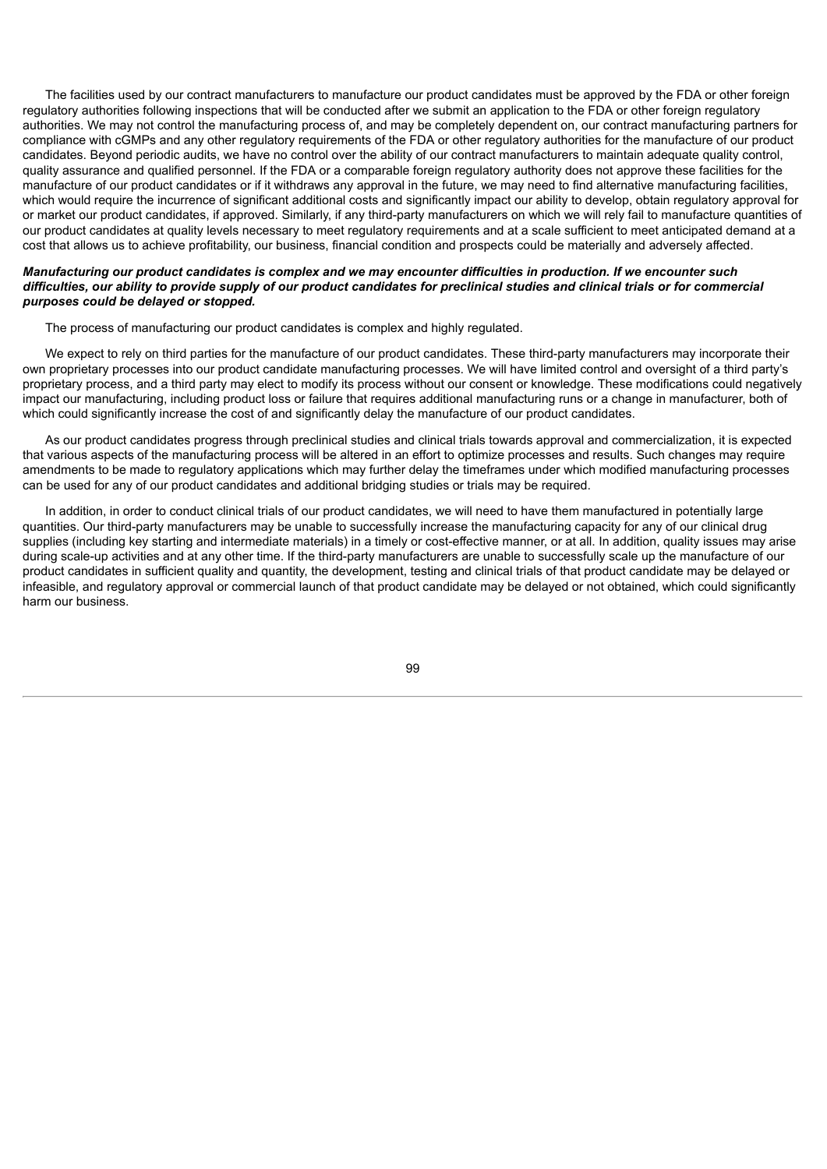The facilities used by our contract manufacturers to manufacture our product candidates must be approved by the FDA or other foreign regulatory authorities following inspections that will be conducted after we submit an application to the FDA or other foreign regulatory authorities. We may not control the manufacturing process of, and may be completely dependent on, our contract manufacturing partners for compliance with cGMPs and any other regulatory requirements of the FDA or other regulatory authorities for the manufacture of our product candidates. Beyond periodic audits, we have no control over the ability of our contract manufacturers to maintain adequate quality control, quality assurance and qualified personnel. If the FDA or a comparable foreign regulatory authority does not approve these facilities for the manufacture of our product candidates or if it withdraws any approval in the future, we may need to find alternative manufacturing facilities, which would require the incurrence of significant additional costs and significantly impact our ability to develop, obtain regulatory approval for or market our product candidates, if approved. Similarly, if any third-party manufacturers on which we will rely fail to manufacture quantities of our product candidates at quality levels necessary to meet regulatory requirements and at a scale sufficient to meet anticipated demand at a cost that allows us to achieve profitability, our business, financial condition and prospects could be materially and adversely affected.

## Manufacturing our product candidates is complex and we may encounter difficulties in production. If we encounter such difficulties, our ability to provide supply of our product candidates for preclinical studies and clinical trials or for commercial *purposes could be delayed or stopped.*

The process of manufacturing our product candidates is complex and highly regulated.

We expect to rely on third parties for the manufacture of our product candidates. These third-party manufacturers may incorporate their own proprietary processes into our product candidate manufacturing processes. We will have limited control and oversight of a third party's proprietary process, and a third party may elect to modify its process without our consent or knowledge. These modifications could negatively impact our manufacturing, including product loss or failure that requires additional manufacturing runs or a change in manufacturer, both of which could significantly increase the cost of and significantly delay the manufacture of our product candidates.

As our product candidates progress through preclinical studies and clinical trials towards approval and commercialization, it is expected that various aspects of the manufacturing process will be altered in an effort to optimize processes and results. Such changes may require amendments to be made to regulatory applications which may further delay the timeframes under which modified manufacturing processes can be used for any of our product candidates and additional bridging studies or trials may be required.

In addition, in order to conduct clinical trials of our product candidates, we will need to have them manufactured in potentially large quantities. Our third-party manufacturers may be unable to successfully increase the manufacturing capacity for any of our clinical drug supplies (including key starting and intermediate materials) in a timely or cost-effective manner, or at all. In addition, quality issues may arise during scale-up activities and at any other time. If the third-party manufacturers are unable to successfully scale up the manufacture of our product candidates in sufficient quality and quantity, the development, testing and clinical trials of that product candidate may be delayed or infeasible, and regulatory approval or commercial launch of that product candidate may be delayed or not obtained, which could significantly harm our business.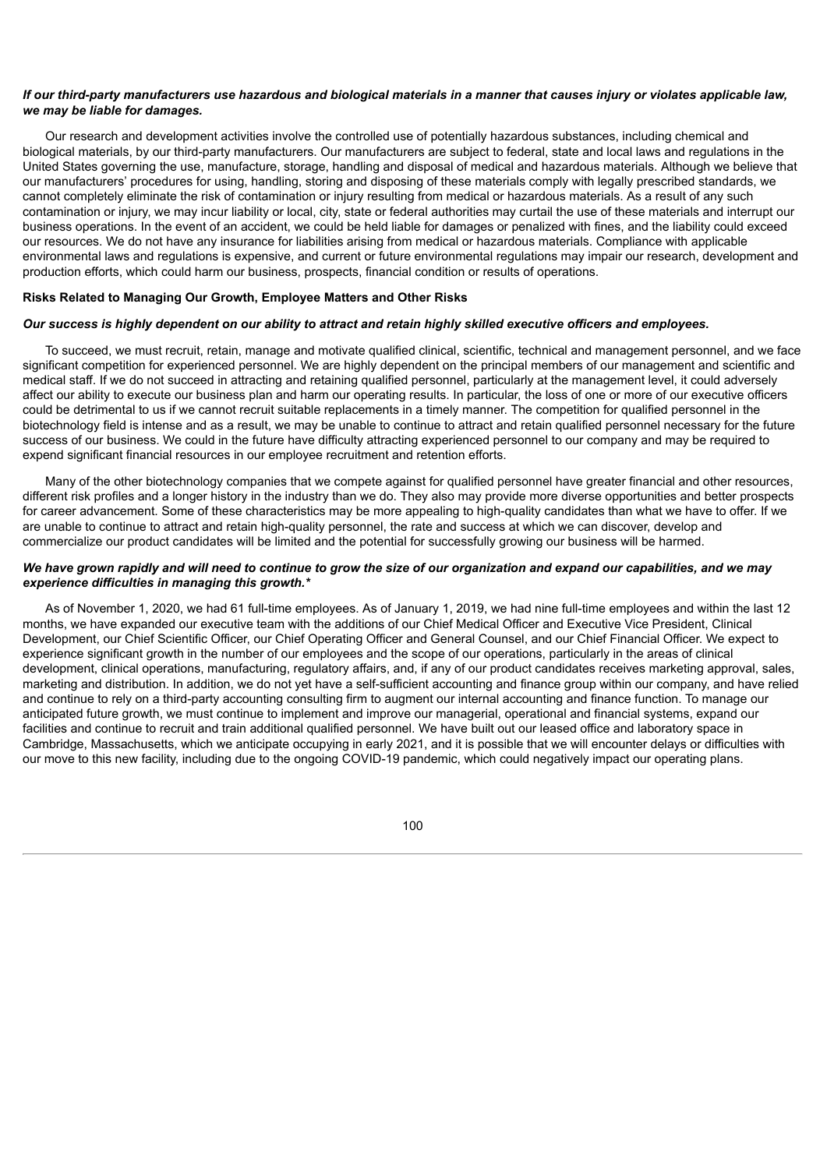## If our third-party manufacturers use hazardous and biological materials in a manner that causes injury or violates applicable law, *we may be liable for damages.*

Our research and development activities involve the controlled use of potentially hazardous substances, including chemical and biological materials, by our third-party manufacturers. Our manufacturers are subject to federal, state and local laws and regulations in the United States governing the use, manufacture, storage, handling and disposal of medical and hazardous materials. Although we believe that our manufacturers' procedures for using, handling, storing and disposing of these materials comply with legally prescribed standards, we cannot completely eliminate the risk of contamination or injury resulting from medical or hazardous materials. As a result of any such contamination or injury, we may incur liability or local, city, state or federal authorities may curtail the use of these materials and interrupt our business operations. In the event of an accident, we could be held liable for damages or penalized with fines, and the liability could exceed our resources. We do not have any insurance for liabilities arising from medical or hazardous materials. Compliance with applicable environmental laws and regulations is expensive, and current or future environmental regulations may impair our research, development and production efforts, which could harm our business, prospects, financial condition or results of operations.

## **Risks Related to Managing Our Growth, Employee Matters and Other Risks**

## Our success is highly dependent on our ability to attract and retain highly skilled executive officers and employees.

To succeed, we must recruit, retain, manage and motivate qualified clinical, scientific, technical and management personnel, and we face significant competition for experienced personnel. We are highly dependent on the principal members of our management and scientific and medical staff. If we do not succeed in attracting and retaining qualified personnel, particularly at the management level, it could adversely affect our ability to execute our business plan and harm our operating results. In particular, the loss of one or more of our executive officers could be detrimental to us if we cannot recruit suitable replacements in a timely manner. The competition for qualified personnel in the biotechnology field is intense and as a result, we may be unable to continue to attract and retain qualified personnel necessary for the future success of our business. We could in the future have difficulty attracting experienced personnel to our company and may be required to expend significant financial resources in our employee recruitment and retention efforts.

Many of the other biotechnology companies that we compete against for qualified personnel have greater financial and other resources, different risk profiles and a longer history in the industry than we do. They also may provide more diverse opportunities and better prospects for career advancement. Some of these characteristics may be more appealing to high-quality candidates than what we have to offer. If we are unable to continue to attract and retain high-quality personnel, the rate and success at which we can discover, develop and commercialize our product candidates will be limited and the potential for successfully growing our business will be harmed.

# We have grown rapidly and will need to continue to grow the size of our organization and expand our capabilities, and we may *experience difficulties in managing this growth.\**

As of November 1, 2020, we had 61 full-time employees. As of January 1, 2019, we had nine full-time employees and within the last 12 months, we have expanded our executive team with the additions of our Chief Medical Officer and Executive Vice President, Clinical Development, our Chief Scientific Officer, our Chief Operating Officer and General Counsel, and our Chief Financial Officer. We expect to experience significant growth in the number of our employees and the scope of our operations, particularly in the areas of clinical development, clinical operations, manufacturing, regulatory affairs, and, if any of our product candidates receives marketing approval, sales, marketing and distribution. In addition, we do not yet have a self-sufficient accounting and finance group within our company, and have relied and continue to rely on a third-party accounting consulting firm to augment our internal accounting and finance function. To manage our anticipated future growth, we must continue to implement and improve our managerial, operational and financial systems, expand our facilities and continue to recruit and train additional qualified personnel. We have built out our leased office and laboratory space in Cambridge, Massachusetts, which we anticipate occupying in early 2021, and it is possible that we will encounter delays or difficulties with our move to this new facility, including due to the ongoing COVID-19 pandemic, which could negatively impact our operating plans.

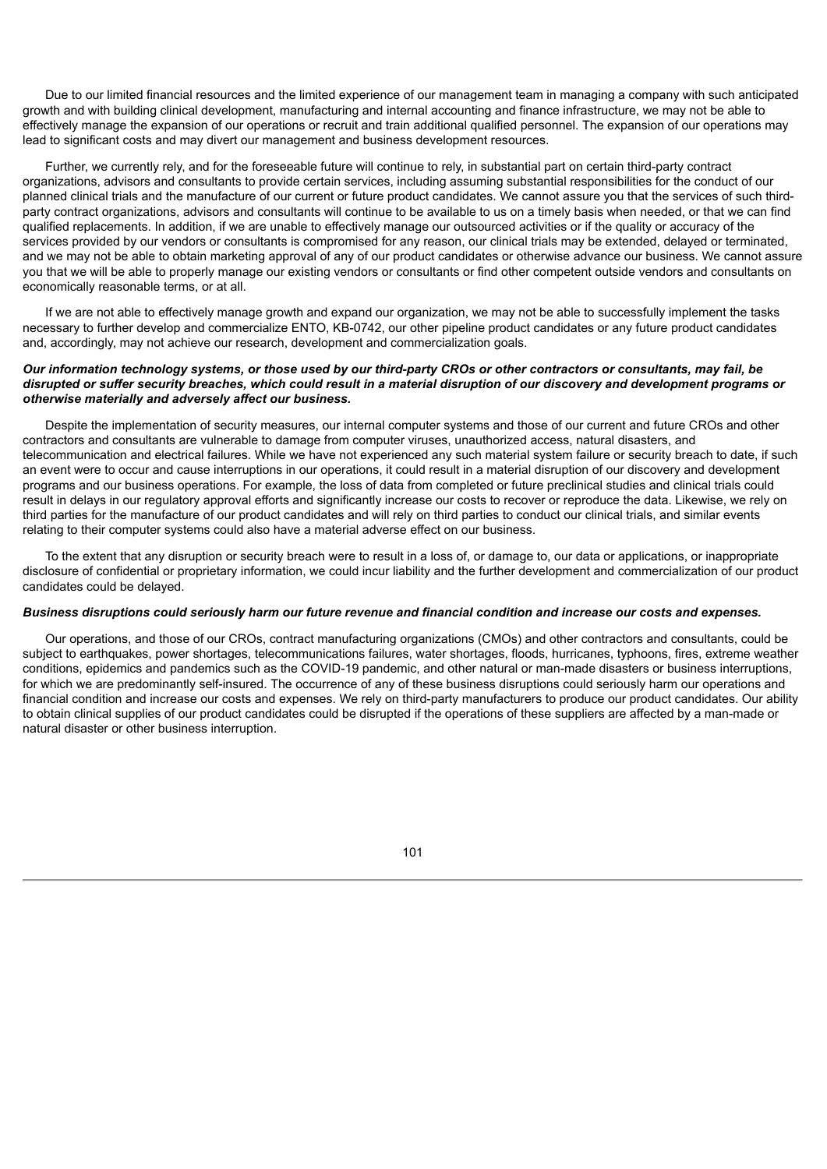Due to our limited financial resources and the limited experience of our management team in managing a company with such anticipated growth and with building clinical development, manufacturing and internal accounting and finance infrastructure, we may not be able to effectively manage the expansion of our operations or recruit and train additional qualified personnel. The expansion of our operations may lead to significant costs and may divert our management and business development resources.

Further, we currently rely, and for the foreseeable future will continue to rely, in substantial part on certain third-party contract organizations, advisors and consultants to provide certain services, including assuming substantial responsibilities for the conduct of our planned clinical trials and the manufacture of our current or future product candidates. We cannot assure you that the services of such thirdparty contract organizations, advisors and consultants will continue to be available to us on a timely basis when needed, or that we can find qualified replacements. In addition, if we are unable to effectively manage our outsourced activities or if the quality or accuracy of the services provided by our vendors or consultants is compromised for any reason, our clinical trials may be extended, delayed or terminated, and we may not be able to obtain marketing approval of any of our product candidates or otherwise advance our business. We cannot assure you that we will be able to properly manage our existing vendors or consultants or find other competent outside vendors and consultants on economically reasonable terms, or at all.

If we are not able to effectively manage growth and expand our organization, we may not be able to successfully implement the tasks necessary to further develop and commercialize ENTO, KB-0742, our other pipeline product candidates or any future product candidates and, accordingly, may not achieve our research, development and commercialization goals.

## Our information technology systems, or those used by our third-party CROs or other contractors or consultants, may fail, be disrupted or suffer security breaches, which could result in a material disruption of our discovery and development programs or *otherwise materially and adversely affect our business.*

Despite the implementation of security measures, our internal computer systems and those of our current and future CROs and other contractors and consultants are vulnerable to damage from computer viruses, unauthorized access, natural disasters, and telecommunication and electrical failures. While we have not experienced any such material system failure or security breach to date, if such an event were to occur and cause interruptions in our operations, it could result in a material disruption of our discovery and development programs and our business operations. For example, the loss of data from completed or future preclinical studies and clinical trials could result in delays in our regulatory approval efforts and significantly increase our costs to recover or reproduce the data. Likewise, we rely on third parties for the manufacture of our product candidates and will rely on third parties to conduct our clinical trials, and similar events relating to their computer systems could also have a material adverse effect on our business.

To the extent that any disruption or security breach were to result in a loss of, or damage to, our data or applications, or inappropriate disclosure of confidential or proprietary information, we could incur liability and the further development and commercialization of our product candidates could be delayed.

## Business disruptions could seriously harm our future revenue and financial condition and increase our costs and expenses.

Our operations, and those of our CROs, contract manufacturing organizations (CMOs) and other contractors and consultants, could be subject to earthquakes, power shortages, telecommunications failures, water shortages, floods, hurricanes, typhoons, fires, extreme weather conditions, epidemics and pandemics such as the COVID-19 pandemic, and other natural or man-made disasters or business interruptions, for which we are predominantly self-insured. The occurrence of any of these business disruptions could seriously harm our operations and financial condition and increase our costs and expenses. We rely on third-party manufacturers to produce our product candidates. Our ability to obtain clinical supplies of our product candidates could be disrupted if the operations of these suppliers are affected by a man-made or natural disaster or other business interruption.

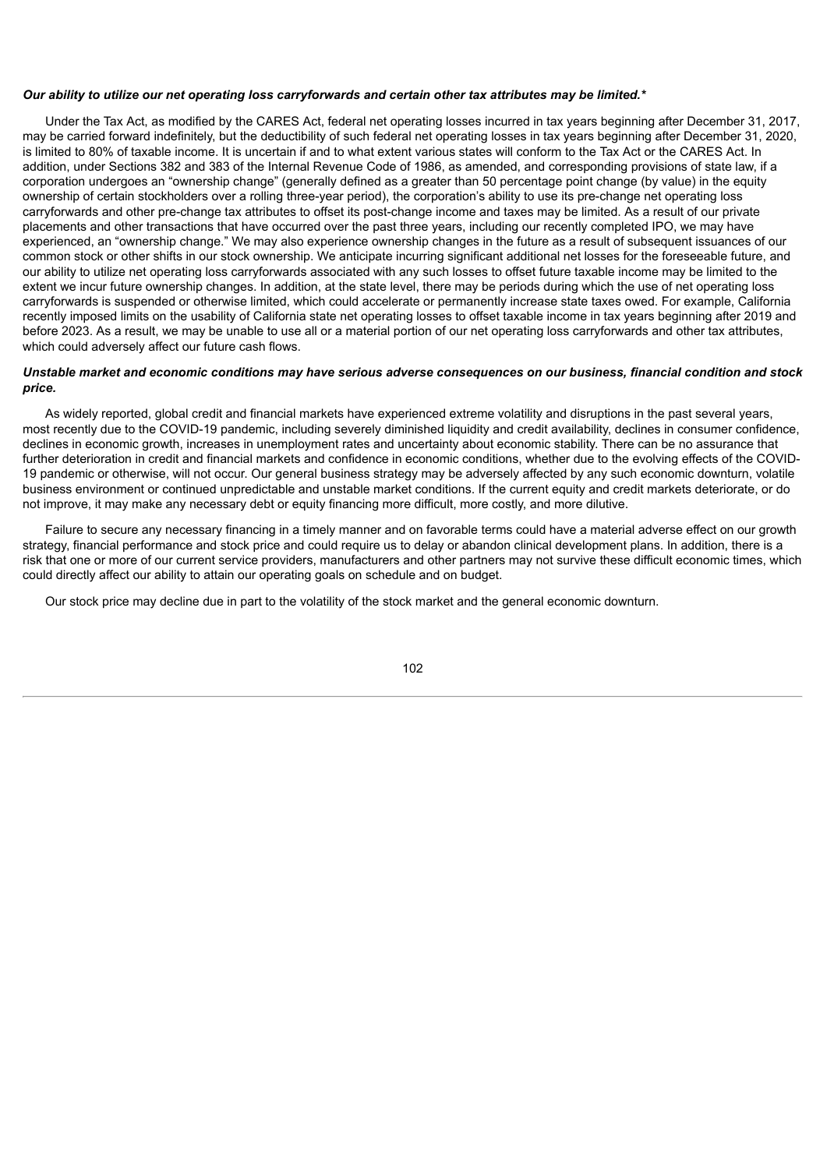#### Our ability to utilize our net operating loss carryforwards and certain other tax attributes may be limited.\*

Under the Tax Act, as modified by the CARES Act, federal net operating losses incurred in tax years beginning after December 31, 2017, may be carried forward indefinitely, but the deductibility of such federal net operating losses in tax years beginning after December 31, 2020, is limited to 80% of taxable income. It is uncertain if and to what extent various states will conform to the Tax Act or the CARES Act. In addition, under Sections 382 and 383 of the Internal Revenue Code of 1986, as amended, and corresponding provisions of state law, if a corporation undergoes an "ownership change" (generally defined as a greater than 50 percentage point change (by value) in the equity ownership of certain stockholders over a rolling three-year period), the corporation's ability to use its pre-change net operating loss carryforwards and other pre-change tax attributes to offset its post-change income and taxes may be limited. As a result of our private placements and other transactions that have occurred over the past three years, including our recently completed IPO, we may have experienced, an "ownership change." We may also experience ownership changes in the future as a result of subsequent issuances of our common stock or other shifts in our stock ownership. We anticipate incurring significant additional net losses for the foreseeable future, and our ability to utilize net operating loss carryforwards associated with any such losses to offset future taxable income may be limited to the extent we incur future ownership changes. In addition, at the state level, there may be periods during which the use of net operating loss carryforwards is suspended or otherwise limited, which could accelerate or permanently increase state taxes owed. For example, California recently imposed limits on the usability of California state net operating losses to offset taxable income in tax years beginning after 2019 and before 2023. As a result, we may be unable to use all or a material portion of our net operating loss carryforwards and other tax attributes, which could adversely affect our future cash flows.

## Unstable market and economic conditions may have serious adverse consequences on our business, financial condition and stock *price.*

As widely reported, global credit and financial markets have experienced extreme volatility and disruptions in the past several years, most recently due to the COVID-19 pandemic, including severely diminished liquidity and credit availability, declines in consumer confidence, declines in economic growth, increases in unemployment rates and uncertainty about economic stability. There can be no assurance that further deterioration in credit and financial markets and confidence in economic conditions, whether due to the evolving effects of the COVID-19 pandemic or otherwise, will not occur. Our general business strategy may be adversely affected by any such economic downturn, volatile business environment or continued unpredictable and unstable market conditions. If the current equity and credit markets deteriorate, or do not improve, it may make any necessary debt or equity financing more difficult, more costly, and more dilutive.

Failure to secure any necessary financing in a timely manner and on favorable terms could have a material adverse effect on our growth strategy, financial performance and stock price and could require us to delay or abandon clinical development plans. In addition, there is a risk that one or more of our current service providers, manufacturers and other partners may not survive these difficult economic times, which could directly affect our ability to attain our operating goals on schedule and on budget.

Our stock price may decline due in part to the volatility of the stock market and the general economic downturn.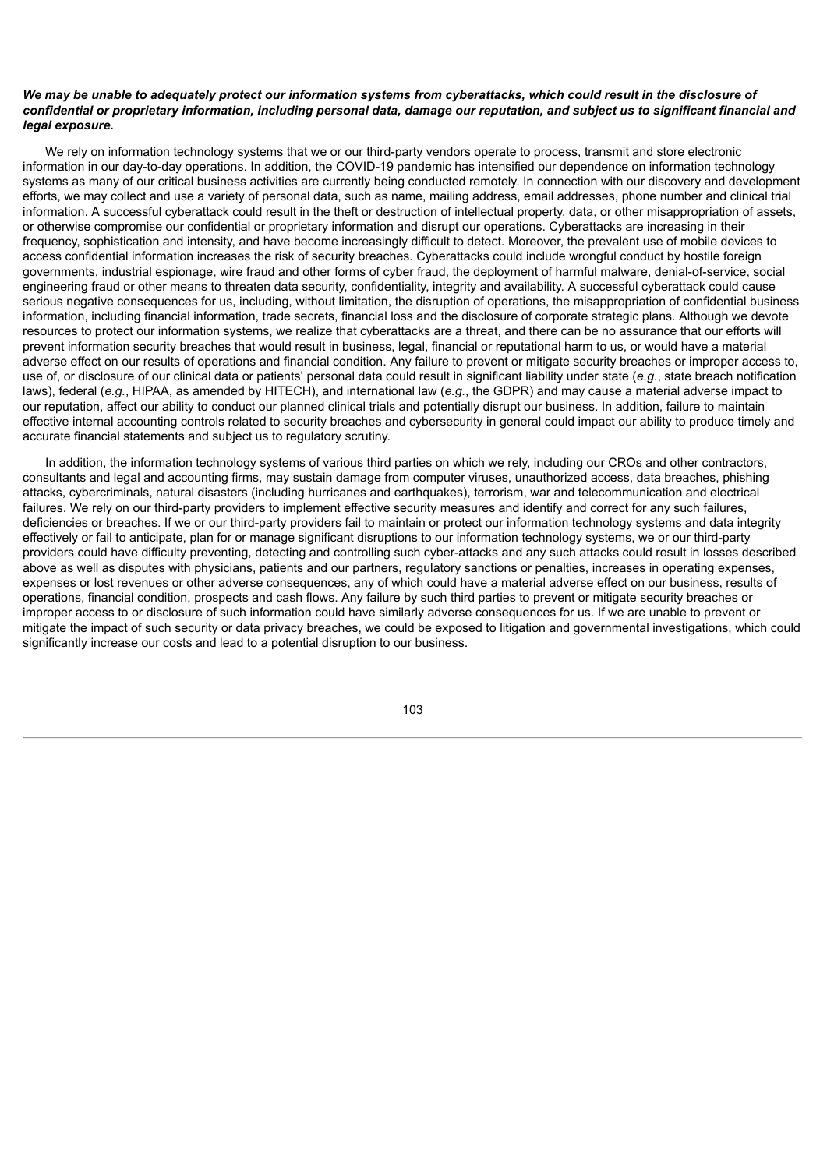### We may be unable to adequately protect our information systems from cyberattacks, which could result in the disclosure of confidential or proprietary information, including personal data, damage our reputation, and subject us to significant financial and *legal exposure.*

We rely on information technology systems that we or our third-party vendors operate to process, transmit and store electronic information in our day-to-day operations. In addition, the COVID-19 pandemic has intensified our dependence on information technology systems as many of our critical business activities are currently being conducted remotely. In connection with our discovery and development efforts, we may collect and use a variety of personal data, such as name, mailing address, email addresses, phone number and clinical trial information. A successful cyberattack could result in the theft or destruction of intellectual property, data, or other misappropriation of assets, or otherwise compromise our confidential or proprietary information and disrupt our operations. Cyberattacks are increasing in their frequency, sophistication and intensity, and have become increasingly difficult to detect. Moreover, the prevalent use of mobile devices to access confidential information increases the risk of security breaches. Cyberattacks could include wrongful conduct by hostile foreign governments, industrial espionage, wire fraud and other forms of cyber fraud, the deployment of harmful malware, denial-of-service, social engineering fraud or other means to threaten data security, confidentiality, integrity and availability. A successful cyberattack could cause serious negative consequences for us, including, without limitation, the disruption of operations, the misappropriation of confidential business information, including financial information, trade secrets, financial loss and the disclosure of corporate strategic plans. Although we devote resources to protect our information systems, we realize that cyberattacks are a threat, and there can be no assurance that our efforts will prevent information security breaches that would result in business, legal, financial or reputational harm to us, or would have a material adverse effect on our results of operations and financial condition. Any failure to prevent or mitigate security breaches or improper access to, use of, or disclosure of our clinical data or patients' personal data could result in significant liability under state (*e.g.*, state breach notification laws), federal (*e.g.*, HIPAA, as amended by HITECH), and international law (*e.g.*, the GDPR) and may cause a material adverse impact to our reputation, affect our ability to conduct our planned clinical trials and potentially disrupt our business. In addition, failure to maintain effective internal accounting controls related to security breaches and cybersecurity in general could impact our ability to produce timely and accurate financial statements and subject us to regulatory scrutiny.

In addition, the information technology systems of various third parties on which we rely, including our CROs and other contractors, consultants and legal and accounting firms, may sustain damage from computer viruses, unauthorized access, data breaches, phishing attacks, cybercriminals, natural disasters (including hurricanes and earthquakes), terrorism, war and telecommunication and electrical failures. We rely on our third-party providers to implement effective security measures and identify and correct for any such failures, deficiencies or breaches. If we or our third-party providers fail to maintain or protect our information technology systems and data integrity effectively or fail to anticipate, plan for or manage significant disruptions to our information technology systems, we or our third-party providers could have difficulty preventing, detecting and controlling such cyber-attacks and any such attacks could result in losses described above as well as disputes with physicians, patients and our partners, regulatory sanctions or penalties, increases in operating expenses, expenses or lost revenues or other adverse consequences, any of which could have a material adverse effect on our business, results of operations, financial condition, prospects and cash flows. Any failure by such third parties to prevent or mitigate security breaches or improper access to or disclosure of such information could have similarly adverse consequences for us. If we are unable to prevent or mitigate the impact of such security or data privacy breaches, we could be exposed to litigation and governmental investigations, which could significantly increase our costs and lead to a potential disruption to our business.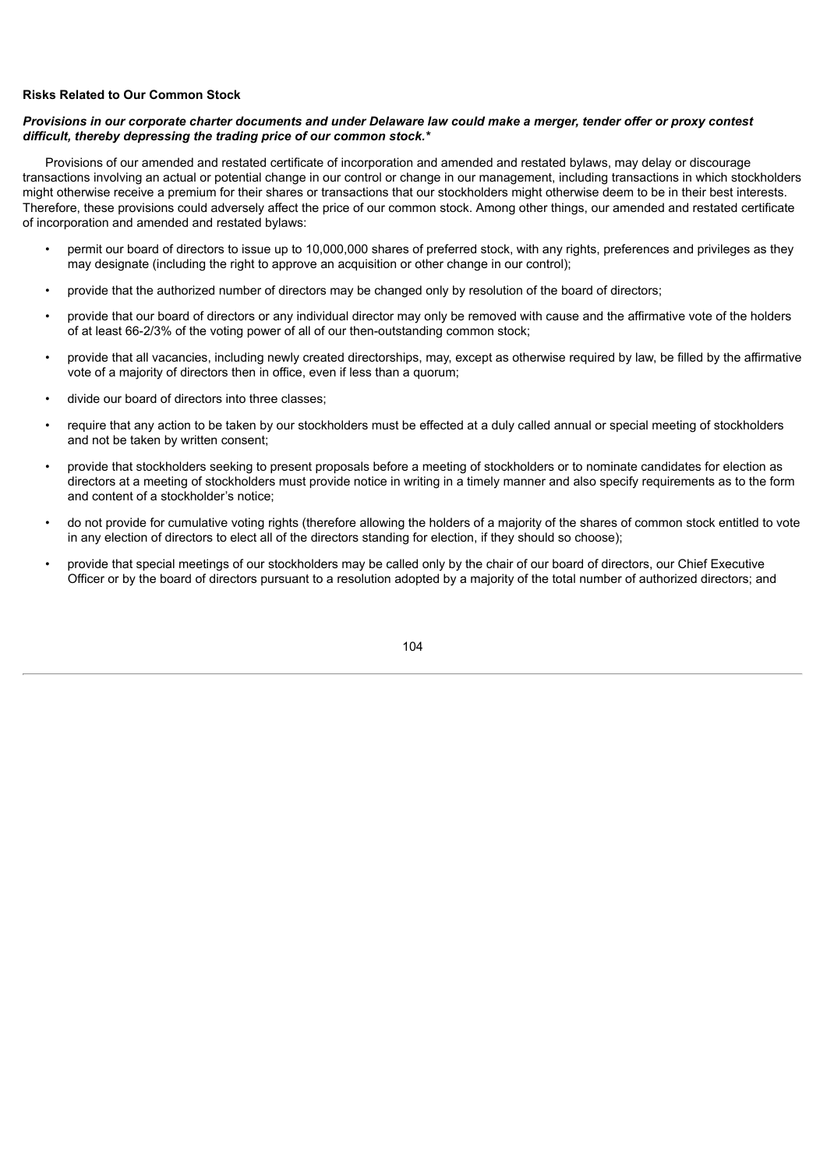## **Risks Related to Our Common Stock**

## Provisions in our corporate charter documents and under Delaware law could make a merger, tender offer or proxy contest *difficult, thereby depressing the trading price of our common stock.\**

Provisions of our amended and restated certificate of incorporation and amended and restated bylaws, may delay or discourage transactions involving an actual or potential change in our control or change in our management, including transactions in which stockholders might otherwise receive a premium for their shares or transactions that our stockholders might otherwise deem to be in their best interests. Therefore, these provisions could adversely affect the price of our common stock. Among other things, our amended and restated certificate of incorporation and amended and restated bylaws:

- permit our board of directors to issue up to 10,000,000 shares of preferred stock, with any rights, preferences and privileges as they may designate (including the right to approve an acquisition or other change in our control);
- provide that the authorized number of directors may be changed only by resolution of the board of directors;
- provide that our board of directors or any individual director may only be removed with cause and the affirmative vote of the holders of at least 66-2/3% of the voting power of all of our then-outstanding common stock;
- provide that all vacancies, including newly created directorships, may, except as otherwise required by law, be filled by the affirmative vote of a majority of directors then in office, even if less than a quorum;
- divide our board of directors into three classes;
- require that any action to be taken by our stockholders must be effected at a duly called annual or special meeting of stockholders and not be taken by written consent;
- provide that stockholders seeking to present proposals before a meeting of stockholders or to nominate candidates for election as directors at a meeting of stockholders must provide notice in writing in a timely manner and also specify requirements as to the form and content of a stockholder's notice;
- do not provide for cumulative voting rights (therefore allowing the holders of a majority of the shares of common stock entitled to vote in any election of directors to elect all of the directors standing for election, if they should so choose);
- provide that special meetings of our stockholders may be called only by the chair of our board of directors, our Chief Executive Officer or by the board of directors pursuant to a resolution adopted by a majority of the total number of authorized directors; and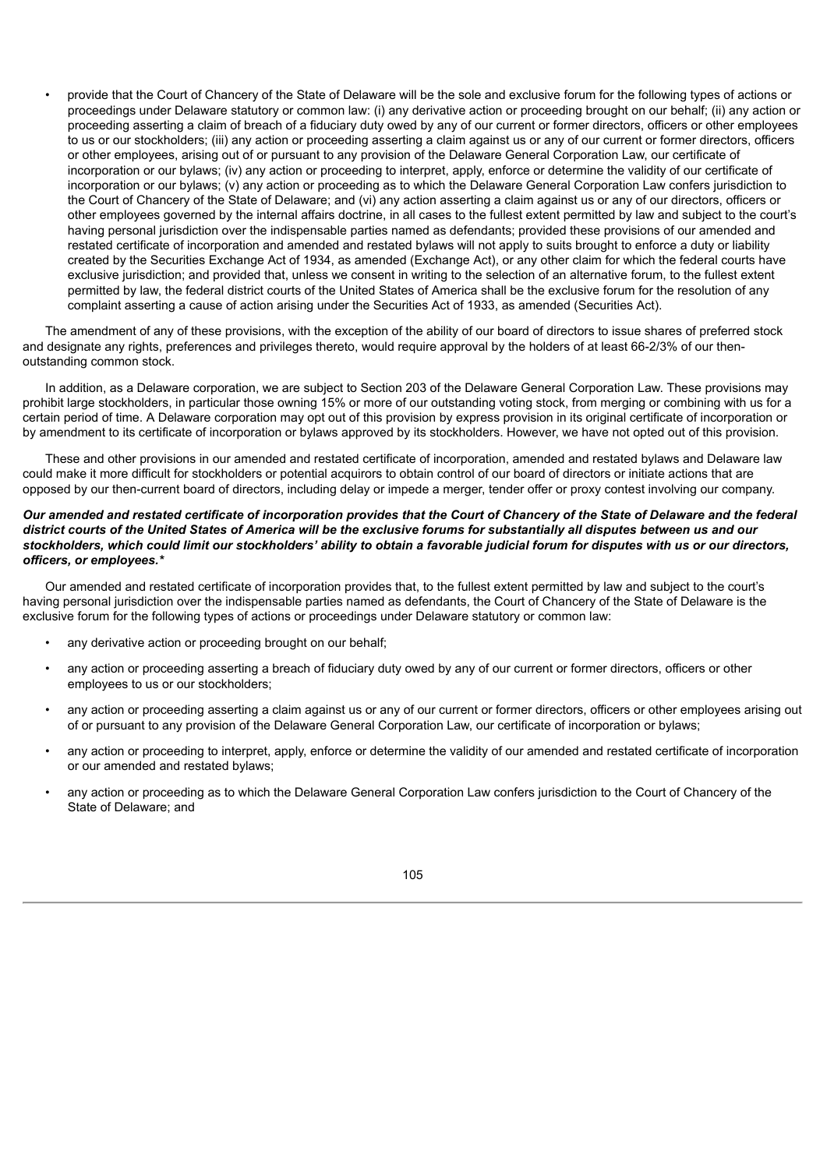• provide that the Court of Chancery of the State of Delaware will be the sole and exclusive forum for the following types of actions or proceedings under Delaware statutory or common law: (i) any derivative action or proceeding brought on our behalf; (ii) any action or proceeding asserting a claim of breach of a fiduciary duty owed by any of our current or former directors, officers or other employees to us or our stockholders; (iii) any action or proceeding asserting a claim against us or any of our current or former directors, officers or other employees, arising out of or pursuant to any provision of the Delaware General Corporation Law, our certificate of incorporation or our bylaws; (iv) any action or proceeding to interpret, apply, enforce or determine the validity of our certificate of incorporation or our bylaws; (v) any action or proceeding as to which the Delaware General Corporation Law confers jurisdiction to the Court of Chancery of the State of Delaware; and (vi) any action asserting a claim against us or any of our directors, officers or other employees governed by the internal affairs doctrine, in all cases to the fullest extent permitted by law and subject to the court's having personal jurisdiction over the indispensable parties named as defendants; provided these provisions of our amended and restated certificate of incorporation and amended and restated bylaws will not apply to suits brought to enforce a duty or liability created by the Securities Exchange Act of 1934, as amended (Exchange Act), or any other claim for which the federal courts have exclusive jurisdiction; and provided that, unless we consent in writing to the selection of an alternative forum, to the fullest extent permitted by law, the federal district courts of the United States of America shall be the exclusive forum for the resolution of any complaint asserting a cause of action arising under the Securities Act of 1933, as amended (Securities Act).

The amendment of any of these provisions, with the exception of the ability of our board of directors to issue shares of preferred stock and designate any rights, preferences and privileges thereto, would require approval by the holders of at least 66-2/3% of our thenoutstanding common stock.

In addition, as a Delaware corporation, we are subject to Section 203 of the Delaware General Corporation Law. These provisions may prohibit large stockholders, in particular those owning 15% or more of our outstanding voting stock, from merging or combining with us for a certain period of time. A Delaware corporation may opt out of this provision by express provision in its original certificate of incorporation or by amendment to its certificate of incorporation or bylaws approved by its stockholders. However, we have not opted out of this provision.

These and other provisions in our amended and restated certificate of incorporation, amended and restated bylaws and Delaware law could make it more difficult for stockholders or potential acquirors to obtain control of our board of directors or initiate actions that are opposed by our then-current board of directors, including delay or impede a merger, tender offer or proxy contest involving our company.

## Our amended and restated certificate of incorporation provides that the Court of Chancery of the State of Delaware and the federal district courts of the United States of America will be the exclusive forums for substantially all disputes between us and our stockholders, which could limit our stockholders' ability to obtain a favorable judicial forum for disputes with us or our directors, *officers, or employees.\**

Our amended and restated certificate of incorporation provides that, to the fullest extent permitted by law and subject to the court's having personal jurisdiction over the indispensable parties named as defendants, the Court of Chancery of the State of Delaware is the exclusive forum for the following types of actions or proceedings under Delaware statutory or common law:

- any derivative action or proceeding brought on our behalf;
- any action or proceeding asserting a breach of fiduciary duty owed by any of our current or former directors, officers or other employees to us or our stockholders;
- any action or proceeding asserting a claim against us or any of our current or former directors, officers or other employees arising out of or pursuant to any provision of the Delaware General Corporation Law, our certificate of incorporation or bylaws;
- any action or proceeding to interpret, apply, enforce or determine the validity of our amended and restated certificate of incorporation or our amended and restated bylaws;
- any action or proceeding as to which the Delaware General Corporation Law confers jurisdiction to the Court of Chancery of the State of Delaware; and

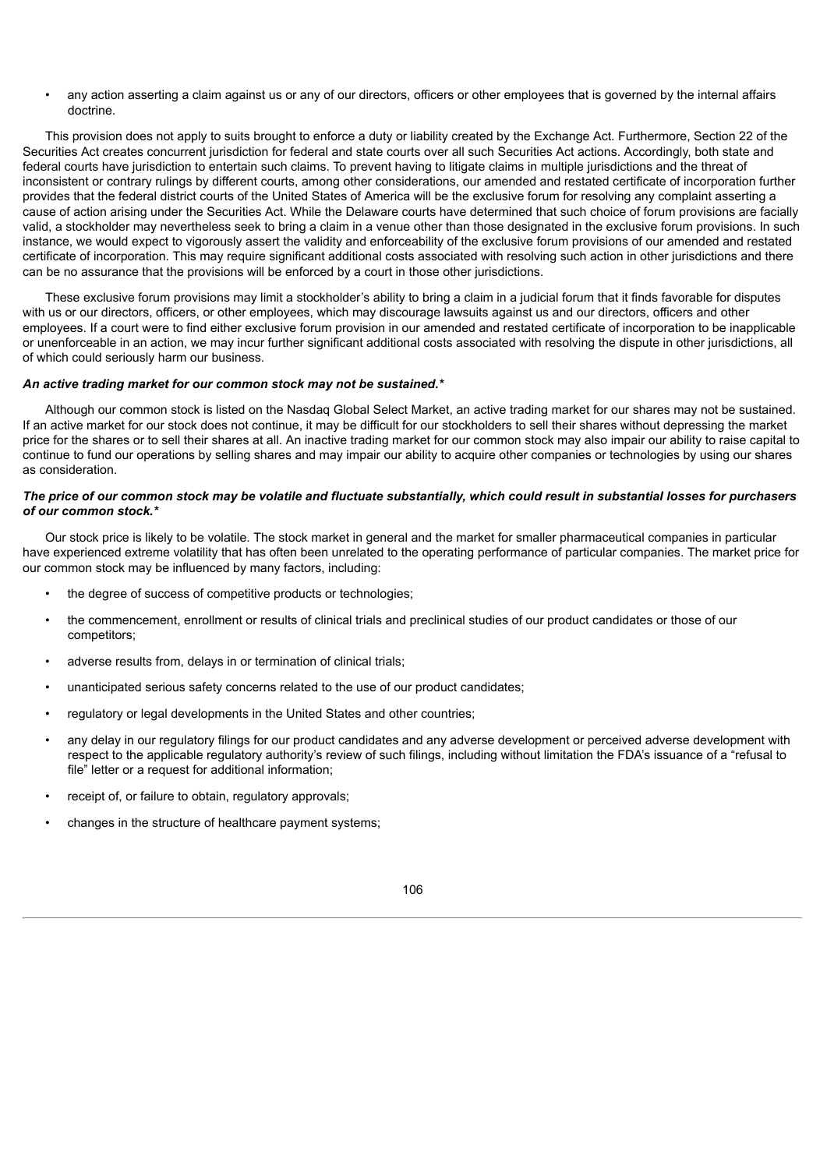• any action asserting a claim against us or any of our directors, officers or other employees that is governed by the internal affairs doctrine.

This provision does not apply to suits brought to enforce a duty or liability created by the Exchange Act. Furthermore, Section 22 of the Securities Act creates concurrent jurisdiction for federal and state courts over all such Securities Act actions. Accordingly, both state and federal courts have jurisdiction to entertain such claims. To prevent having to litigate claims in multiple jurisdictions and the threat of inconsistent or contrary rulings by different courts, among other considerations, our amended and restated certificate of incorporation further provides that the federal district courts of the United States of America will be the exclusive forum for resolving any complaint asserting a cause of action arising under the Securities Act. While the Delaware courts have determined that such choice of forum provisions are facially valid, a stockholder may nevertheless seek to bring a claim in a venue other than those designated in the exclusive forum provisions. In such instance, we would expect to vigorously assert the validity and enforceability of the exclusive forum provisions of our amended and restated certificate of incorporation. This may require significant additional costs associated with resolving such action in other jurisdictions and there can be no assurance that the provisions will be enforced by a court in those other jurisdictions.

These exclusive forum provisions may limit a stockholder's ability to bring a claim in a judicial forum that it finds favorable for disputes with us or our directors, officers, or other employees, which may discourage lawsuits against us and our directors, officers and other employees. If a court were to find either exclusive forum provision in our amended and restated certificate of incorporation to be inapplicable or unenforceable in an action, we may incur further significant additional costs associated with resolving the dispute in other jurisdictions, all of which could seriously harm our business.

## *An active trading market for our common stock may not be sustained.\**

Although our common stock is listed on the Nasdaq Global Select Market, an active trading market for our shares may not be sustained. If an active market for our stock does not continue, it may be difficult for our stockholders to sell their shares without depressing the market price for the shares or to sell their shares at all. An inactive trading market for our common stock may also impair our ability to raise capital to continue to fund our operations by selling shares and may impair our ability to acquire other companies or technologies by using our shares as consideration.

# The price of our common stock may be volatile and fluctuate substantially, which could result in substantial losses for purchasers *of our common stock.\**

Our stock price is likely to be volatile. The stock market in general and the market for smaller pharmaceutical companies in particular have experienced extreme volatility that has often been unrelated to the operating performance of particular companies. The market price for our common stock may be influenced by many factors, including:

- the degree of success of competitive products or technologies;
- the commencement, enrollment or results of clinical trials and preclinical studies of our product candidates or those of our competitors;
- adverse results from, delays in or termination of clinical trials;
- unanticipated serious safety concerns related to the use of our product candidates;
- regulatory or legal developments in the United States and other countries;
- any delay in our regulatory filings for our product candidates and any adverse development or perceived adverse development with respect to the applicable regulatory authority's review of such filings, including without limitation the FDA's issuance of a "refusal to file" letter or a request for additional information;
- receipt of, or failure to obtain, regulatory approvals;
- changes in the structure of healthcare payment systems;

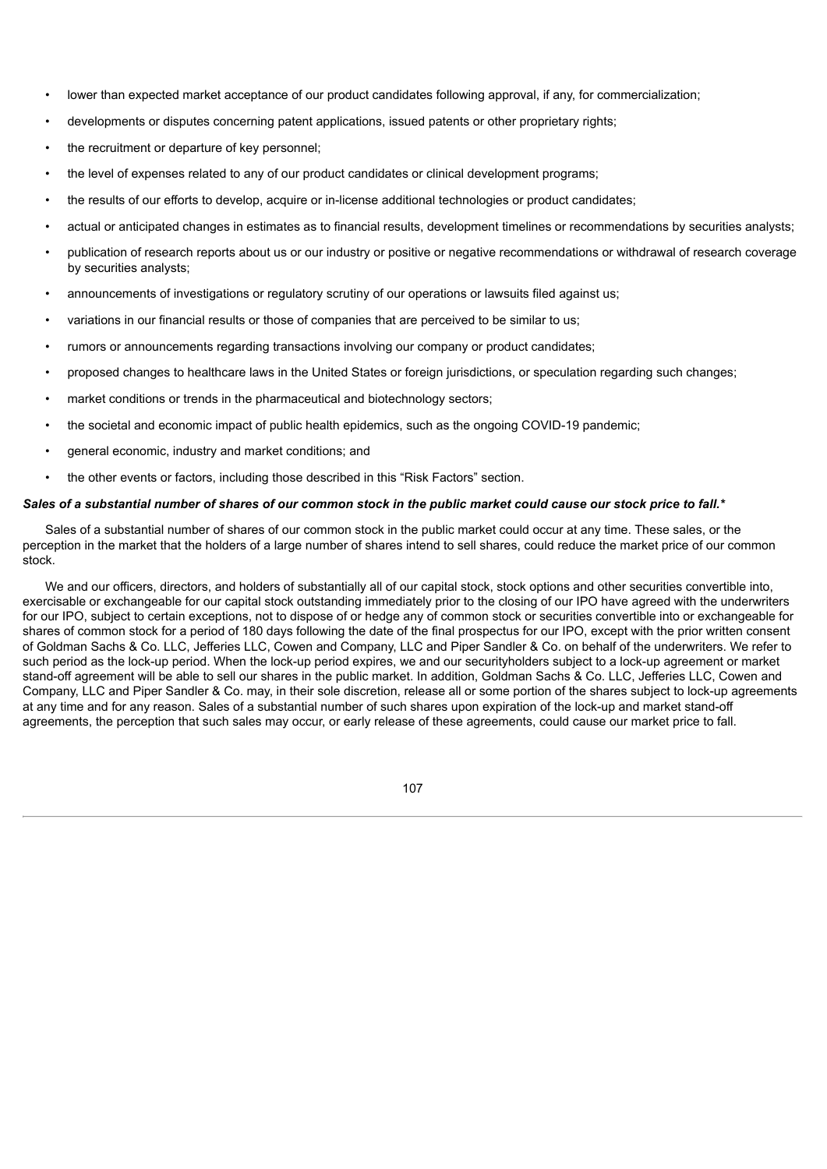- lower than expected market acceptance of our product candidates following approval, if any, for commercialization;
- developments or disputes concerning patent applications, issued patents or other proprietary rights;
- the recruitment or departure of key personnel;
- the level of expenses related to any of our product candidates or clinical development programs;
- the results of our efforts to develop, acquire or in-license additional technologies or product candidates;
- actual or anticipated changes in estimates as to financial results, development timelines or recommendations by securities analysts;
- publication of research reports about us or our industry or positive or negative recommendations or withdrawal of research coverage by securities analysts;
- announcements of investigations or regulatory scrutiny of our operations or lawsuits filed against us;
- variations in our financial results or those of companies that are perceived to be similar to us;
- rumors or announcements regarding transactions involving our company or product candidates;
- proposed changes to healthcare laws in the United States or foreign jurisdictions, or speculation regarding such changes;
- market conditions or trends in the pharmaceutical and biotechnology sectors;
- the societal and economic impact of public health epidemics, such as the ongoing COVID-19 pandemic;
- general economic, industry and market conditions; and
- the other events or factors, including those described in this "Risk Factors" section.

## Sales of a substantial number of shares of our common stock in the public market could cause our stock price to fall.\*

Sales of a substantial number of shares of our common stock in the public market could occur at any time. These sales, or the perception in the market that the holders of a large number of shares intend to sell shares, could reduce the market price of our common stock.

We and our officers, directors, and holders of substantially all of our capital stock, stock options and other securities convertible into, exercisable or exchangeable for our capital stock outstanding immediately prior to the closing of our IPO have agreed with the underwriters for our IPO, subject to certain exceptions, not to dispose of or hedge any of common stock or securities convertible into or exchangeable for shares of common stock for a period of 180 days following the date of the final prospectus for our IPO, except with the prior written consent of Goldman Sachs & Co. LLC, Jefferies LLC, Cowen and Company, LLC and Piper Sandler & Co. on behalf of the underwriters. We refer to such period as the lock-up period. When the lock-up period expires, we and our securityholders subject to a lock-up agreement or market stand-off agreement will be able to sell our shares in the public market. In addition, Goldman Sachs & Co. LLC, Jefferies LLC, Cowen and Company, LLC and Piper Sandler & Co. may, in their sole discretion, release all or some portion of the shares subject to lock-up agreements at any time and for any reason. Sales of a substantial number of such shares upon expiration of the lock-up and market stand-off agreements, the perception that such sales may occur, or early release of these agreements, could cause our market price to fall.

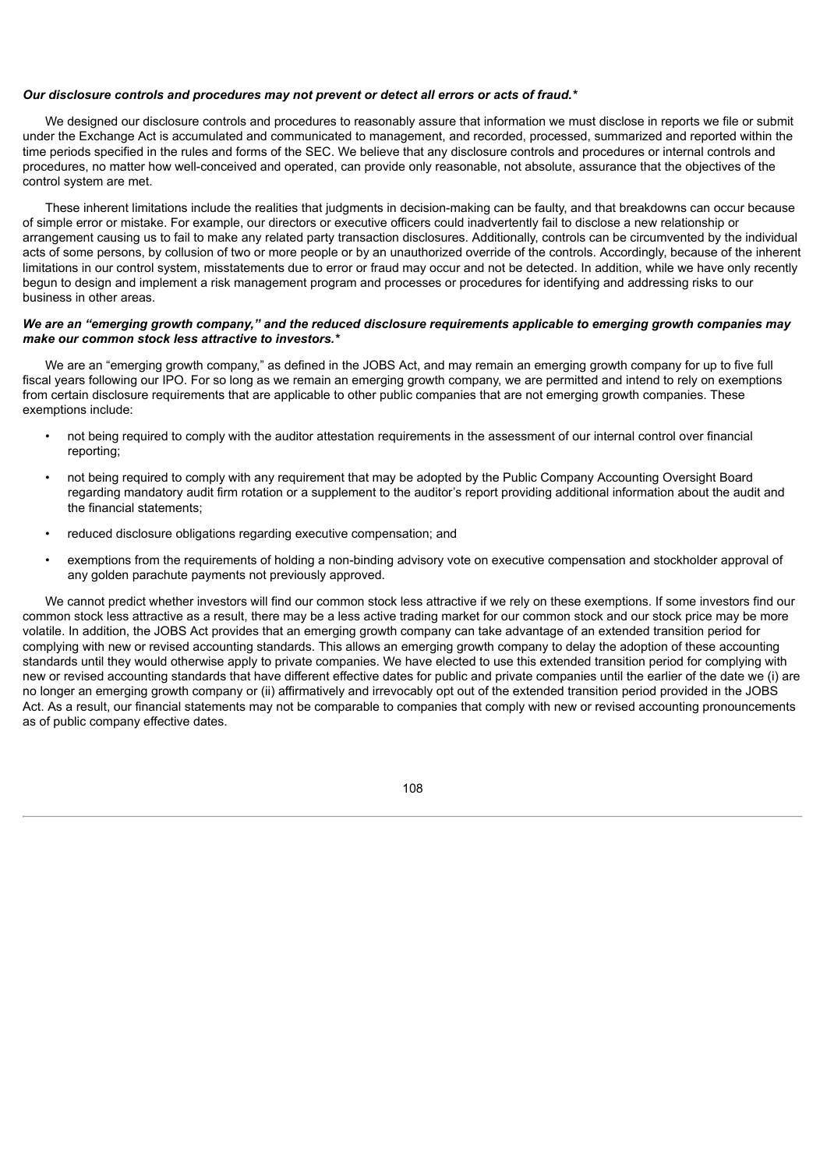## *Our disclosure controls and procedures may not prevent or detect all errors or acts of fraud.\**

We designed our disclosure controls and procedures to reasonably assure that information we must disclose in reports we file or submit under the Exchange Act is accumulated and communicated to management, and recorded, processed, summarized and reported within the time periods specified in the rules and forms of the SEC. We believe that any disclosure controls and procedures or internal controls and procedures, no matter how well-conceived and operated, can provide only reasonable, not absolute, assurance that the objectives of the control system are met.

These inherent limitations include the realities that judgments in decision-making can be faulty, and that breakdowns can occur because of simple error or mistake. For example, our directors or executive officers could inadvertently fail to disclose a new relationship or arrangement causing us to fail to make any related party transaction disclosures. Additionally, controls can be circumvented by the individual acts of some persons, by collusion of two or more people or by an unauthorized override of the controls. Accordingly, because of the inherent limitations in our control system, misstatements due to error or fraud may occur and not be detected. In addition, while we have only recently begun to design and implement a risk management program and processes or procedures for identifying and addressing risks to our business in other areas.

## We are an "emerging growth company," and the reduced disclosure requirements applicable to emerging growth companies may *make our common stock less attractive to investors.\**

We are an "emerging growth company," as defined in the JOBS Act, and may remain an emerging growth company for up to five full fiscal years following our IPO. For so long as we remain an emerging growth company, we are permitted and intend to rely on exemptions from certain disclosure requirements that are applicable to other public companies that are not emerging growth companies. These exemptions include:

- not being required to comply with the auditor attestation requirements in the assessment of our internal control over financial reporting;
- not being required to comply with any requirement that may be adopted by the Public Company Accounting Oversight Board regarding mandatory audit firm rotation or a supplement to the auditor's report providing additional information about the audit and the financial statements;
- reduced disclosure obligations regarding executive compensation; and
- exemptions from the requirements of holding a non-binding advisory vote on executive compensation and stockholder approval of any golden parachute payments not previously approved.

We cannot predict whether investors will find our common stock less attractive if we rely on these exemptions. If some investors find our common stock less attractive as a result, there may be a less active trading market for our common stock and our stock price may be more volatile. In addition, the JOBS Act provides that an emerging growth company can take advantage of an extended transition period for complying with new or revised accounting standards. This allows an emerging growth company to delay the adoption of these accounting standards until they would otherwise apply to private companies. We have elected to use this extended transition period for complying with new or revised accounting standards that have different effective dates for public and private companies until the earlier of the date we (i) are no longer an emerging growth company or (ii) affirmatively and irrevocably opt out of the extended transition period provided in the JOBS Act. As a result, our financial statements may not be comparable to companies that comply with new or revised accounting pronouncements as of public company effective dates.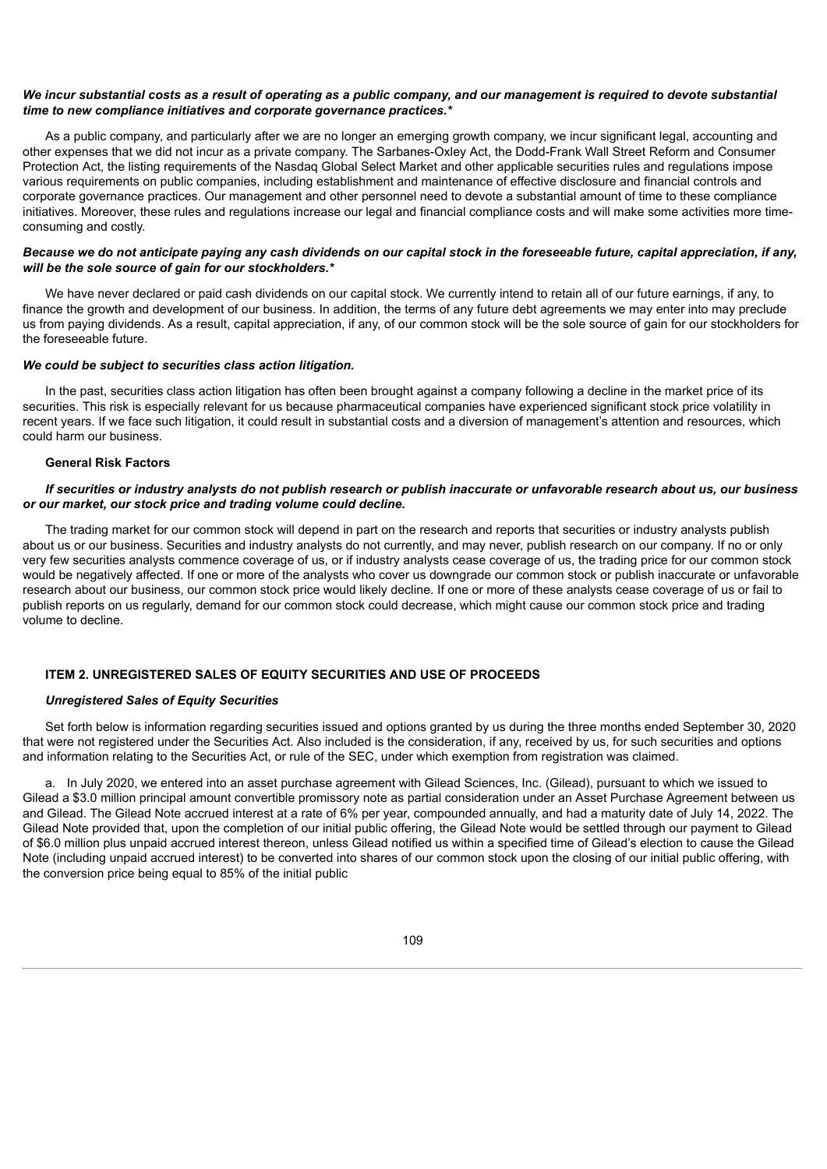## We incur substantial costs as a result of operating as a public company, and our management is required to devote substantial *time to new compliance initiatives and corporate governance practices.\**

As a public company, and particularly after we are no longer an emerging growth company, we incur significant legal, accounting and other expenses that we did not incur as a private company. The Sarbanes-Oxley Act, the Dodd-Frank Wall Street Reform and Consumer Protection Act, the listing requirements of the Nasdaq Global Select Market and other applicable securities rules and regulations impose various requirements on public companies, including establishment and maintenance of effective disclosure and financial controls and corporate governance practices. Our management and other personnel need to devote a substantial amount of time to these compliance initiatives. Moreover, these rules and regulations increase our legal and financial compliance costs and will make some activities more timeconsuming and costly.

## Because we do not anticipate paying any cash dividends on our capital stock in the foreseeable future, capital appreciation, if any, *will be the sole source of gain for our stockholders.\**

We have never declared or paid cash dividends on our capital stock. We currently intend to retain all of our future earnings, if any, to finance the growth and development of our business. In addition, the terms of any future debt agreements we may enter into may preclude us from paying dividends. As a result, capital appreciation, if any, of our common stock will be the sole source of gain for our stockholders for the foreseeable future.

#### *We could be subject to securities class action litigation.*

In the past, securities class action litigation has often been brought against a company following a decline in the market price of its securities. This risk is especially relevant for us because pharmaceutical companies have experienced significant stock price volatility in recent years. If we face such litigation, it could result in substantial costs and a diversion of management's attention and resources, which could harm our business.

## **General Risk Factors**

## If securities or industry analysts do not publish research or publish inaccurate or unfavorable research about us, our business *or our market, our stock price and trading volume could decline.*

The trading market for our common stock will depend in part on the research and reports that securities or industry analysts publish about us or our business. Securities and industry analysts do not currently, and may never, publish research on our company. If no or only very few securities analysts commence coverage of us, or if industry analysts cease coverage of us, the trading price for our common stock would be negatively affected. If one or more of the analysts who cover us downgrade our common stock or publish inaccurate or unfavorable research about our business, our common stock price would likely decline. If one or more of these analysts cease coverage of us or fail to publish reports on us regularly, demand for our common stock could decrease, which might cause our common stock price and trading volume to decline.

# **ITEM 2. UNREGISTERED SALES OF EQUITY SECURITIES AND USE OF PROCEEDS**

#### *Unregistered Sales of Equity Securities*

Set forth below is information regarding securities issued and options granted by us during the three months ended September 30, 2020 that were not registered under the Securities Act. Also included is the consideration, if any, received by us, for such securities and options and information relating to the Securities Act, or rule of the SEC, under which exemption from registration was claimed.

a. In July 2020, we entered into an asset purchase agreement with Gilead Sciences, Inc. (Gilead), pursuant to which we issued to Gilead a \$3.0 million principal amount convertible promissory note as partial consideration under an Asset Purchase Agreement between us and Gilead. The Gilead Note accrued interest at a rate of 6% per year, compounded annually, and had a maturity date of July 14, 2022. The Gilead Note provided that, upon the completion of our initial public offering, the Gilead Note would be settled through our payment to Gilead of \$6.0 million plus unpaid accrued interest thereon, unless Gilead notified us within a specified time of Gilead's election to cause the Gilead Note (including unpaid accrued interest) to be converted into shares of our common stock upon the closing of our initial public offering, with the conversion price being equal to 85% of the initial public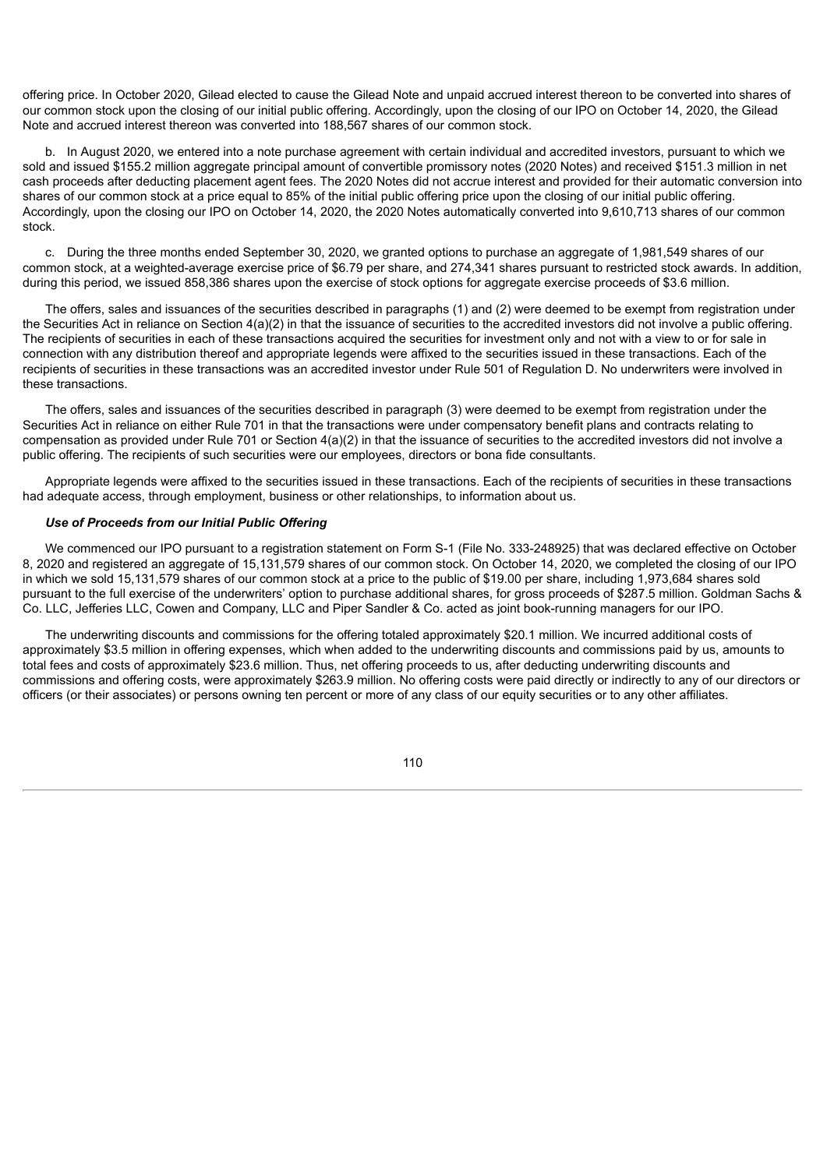offering price. In October 2020, Gilead elected to cause the Gilead Note and unpaid accrued interest thereon to be converted into shares of our common stock upon the closing of our initial public offering. Accordingly, upon the closing of our IPO on October 14, 2020, the Gilead Note and accrued interest thereon was converted into 188,567 shares of our common stock.

b. In August 2020, we entered into a note purchase agreement with certain individual and accredited investors, pursuant to which we sold and issued \$155.2 million aggregate principal amount of convertible promissory notes (2020 Notes) and received \$151.3 million in net cash proceeds after deducting placement agent fees. The 2020 Notes did not accrue interest and provided for their automatic conversion into shares of our common stock at a price equal to 85% of the initial public offering price upon the closing of our initial public offering. Accordingly, upon the closing our IPO on October 14, 2020, the 2020 Notes automatically converted into 9,610,713 shares of our common stock.

c. During the three months ended September 30, 2020, we granted options to purchase an aggregate of 1,981,549 shares of our common stock, at a weighted-average exercise price of \$6.79 per share, and 274,341 shares pursuant to restricted stock awards. In addition, during this period, we issued 858,386 shares upon the exercise of stock options for aggregate exercise proceeds of \$3.6 million.

The offers, sales and issuances of the securities described in paragraphs (1) and (2) were deemed to be exempt from registration under the Securities Act in reliance on Section 4(a)(2) in that the issuance of securities to the accredited investors did not involve a public offering. The recipients of securities in each of these transactions acquired the securities for investment only and not with a view to or for sale in connection with any distribution thereof and appropriate legends were affixed to the securities issued in these transactions. Each of the recipients of securities in these transactions was an accredited investor under Rule 501 of Regulation D. No underwriters were involved in these transactions.

The offers, sales and issuances of the securities described in paragraph (3) were deemed to be exempt from registration under the Securities Act in reliance on either Rule 701 in that the transactions were under compensatory benefit plans and contracts relating to compensation as provided under Rule 701 or Section 4(a)(2) in that the issuance of securities to the accredited investors did not involve a public offering. The recipients of such securities were our employees, directors or bona fide consultants.

Appropriate legends were affixed to the securities issued in these transactions. Each of the recipients of securities in these transactions had adequate access, through employment, business or other relationships, to information about us.

# *Use of Proceeds from our Initial Public Offering*

We commenced our IPO pursuant to a registration statement on Form S-1 (File No. 333-248925) that was declared effective on October 8, 2020 and registered an aggregate of 15,131,579 shares of our common stock. On October 14, 2020, we completed the closing of our IPO in which we sold 15,131,579 shares of our common stock at a price to the public of \$19.00 per share, including 1,973,684 shares sold pursuant to the full exercise of the underwriters' option to purchase additional shares, for gross proceeds of \$287.5 million. Goldman Sachs & Co. LLC, Jefferies LLC, Cowen and Company, LLC and Piper Sandler & Co. acted as joint book-running managers for our IPO.

The underwriting discounts and commissions for the offering totaled approximately \$20.1 million. We incurred additional costs of approximately \$3.5 million in offering expenses, which when added to the underwriting discounts and commissions paid by us, amounts to total fees and costs of approximately \$23.6 million. Thus, net offering proceeds to us, after deducting underwriting discounts and commissions and offering costs, were approximately \$263.9 million. No offering costs were paid directly or indirectly to any of our directors or officers (or their associates) or persons owning ten percent or more of any class of our equity securities or to any other affiliates.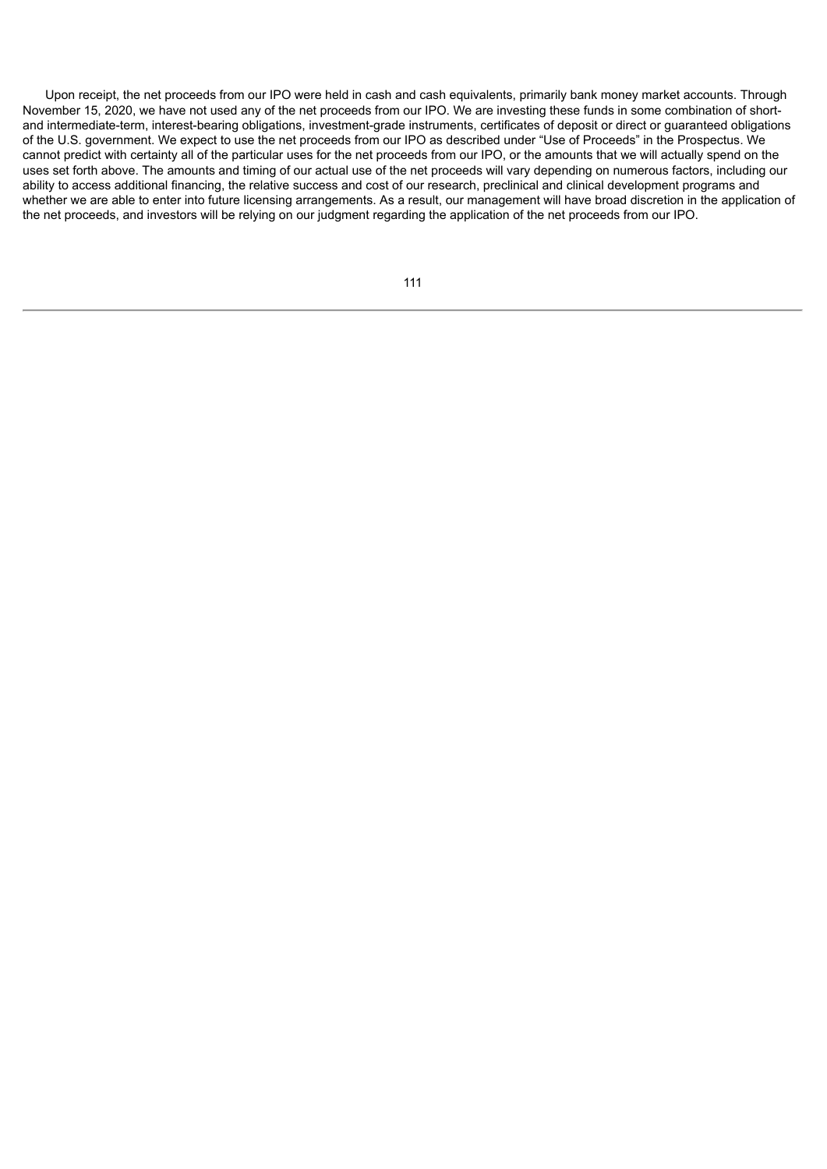Upon receipt, the net proceeds from our IPO were held in cash and cash equivalents, primarily bank money market accounts. Through November 15, 2020, we have not used any of the net proceeds from our IPO. We are investing these funds in some combination of shortand intermediate-term, interest-bearing obligations, investment-grade instruments, certificates of deposit or direct or guaranteed obligations of the U.S. government. We expect to use the net proceeds from our IPO as described under "Use of Proceeds" in the Prospectus. We cannot predict with certainty all of the particular uses for the net proceeds from our IPO, or the amounts that we will actually spend on the uses set forth above. The amounts and timing of our actual use of the net proceeds will vary depending on numerous factors, including our ability to access additional financing, the relative success and cost of our research, preclinical and clinical development programs and whether we are able to enter into future licensing arrangements. As a result, our management will have broad discretion in the application of the net proceeds, and investors will be relying on our judgment regarding the application of the net proceeds from our IPO.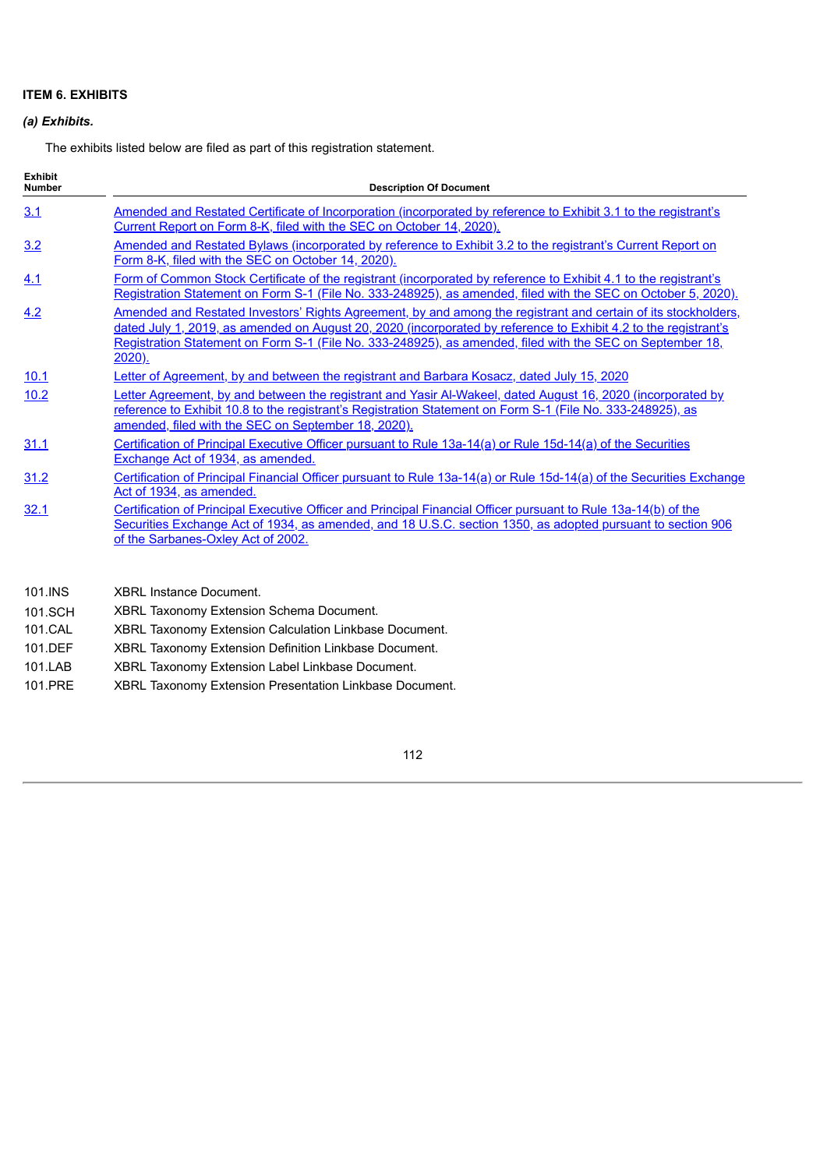# **ITEM 6. EXHIBITS**

# *(a) Exhibits.*

The exhibits listed below are filed as part of this registration statement.

| <b>Exhibit</b><br><b>Number</b>                             | <b>Description Of Document</b>                                                                                                                                                                                                                                                                                                                                  |  |  |  |  |
|-------------------------------------------------------------|-----------------------------------------------------------------------------------------------------------------------------------------------------------------------------------------------------------------------------------------------------------------------------------------------------------------------------------------------------------------|--|--|--|--|
| 3.1                                                         | Amended and Restated Certificate of Incorporation (incorporated by reference to Exhibit 3.1 to the registrant's<br>Current Report on Form 8-K, filed with the SEC on October 14, 2020).                                                                                                                                                                         |  |  |  |  |
| 3.2                                                         | Amended and Restated Bylaws (incorporated by reference to Exhibit 3.2 to the registrant's Current Report on<br>Form 8-K, filed with the SEC on October 14, 2020).                                                                                                                                                                                               |  |  |  |  |
| 4.1                                                         | Form of Common Stock Certificate of the registrant (incorporated by reference to Exhibit 4.1 to the registrant's<br>Registration Statement on Form S-1 (File No. 333-248925), as amended, filed with the SEC on October 5, 2020).                                                                                                                               |  |  |  |  |
| 4.2                                                         | Amended and Restated Investors' Rights Agreement, by and among the registrant and certain of its stockholders,<br>dated July 1, 2019, as amended on August 20, 2020 (incorporated by reference to Exhibit 4.2 to the registrant's<br>Registration Statement on Form S-1 (File No. 333-248925), as amended, filed with the SEC on September 18,<br><u>2020).</u> |  |  |  |  |
| <u>10.1</u>                                                 | <b>Letter of Agreement, by and between the registrant and Barbara Kosacz, dated July 15, 2020</b>                                                                                                                                                                                                                                                               |  |  |  |  |
| 10.2                                                        | Letter Agreement, by and between the registrant and Yasir Al-Wakeel, dated August 16, 2020 (incorporated by<br>reference to Exhibit 10.8 to the registrant's Registration Statement on Form S-1 (File No. 333-248925), as<br>amended, filed with the SEC on September 18, 2020).                                                                                |  |  |  |  |
| <u>31.1</u>                                                 | Certification of Principal Executive Officer pursuant to Rule 13a-14(a) or Rule 15d-14(a) of the Securities<br>Exchange Act of 1934, as amended.                                                                                                                                                                                                                |  |  |  |  |
| 31.2                                                        | Certification of Principal Financial Officer pursuant to Rule 13a-14(a) or Rule 15d-14(a) of the Securities Exchange<br>Act of 1934, as amended.                                                                                                                                                                                                                |  |  |  |  |
| 32.1                                                        | Certification of Principal Executive Officer and Principal Financial Officer pursuant to Rule 13a-14(b) of the<br>Securities Exchange Act of 1934, as amended, and 18 U.S.C. section 1350, as adopted pursuant to section 906<br>of the Sarbanes-Oxley Act of 2002.                                                                                             |  |  |  |  |
| $\overline{A}$ $\overline{A}$ $\overline{A}$ $\overline{A}$ | $VDDL$ $L = L = L = L$                                                                                                                                                                                                                                                                                                                                          |  |  |  |  |

- 101.INS XBRL Instance Document.
- 101.SCH XBRL Taxonomy Extension Schema Document.
- 101.CAL XBRL Taxonomy Extension Calculation Linkbase Document.
- 101.DEF XBRL Taxonomy Extension Definition Linkbase Document.
- 101.LAB XBRL Taxonomy Extension Label Linkbase Document.
- 101.PRE XBRL Taxonomy Extension Presentation Linkbase Document.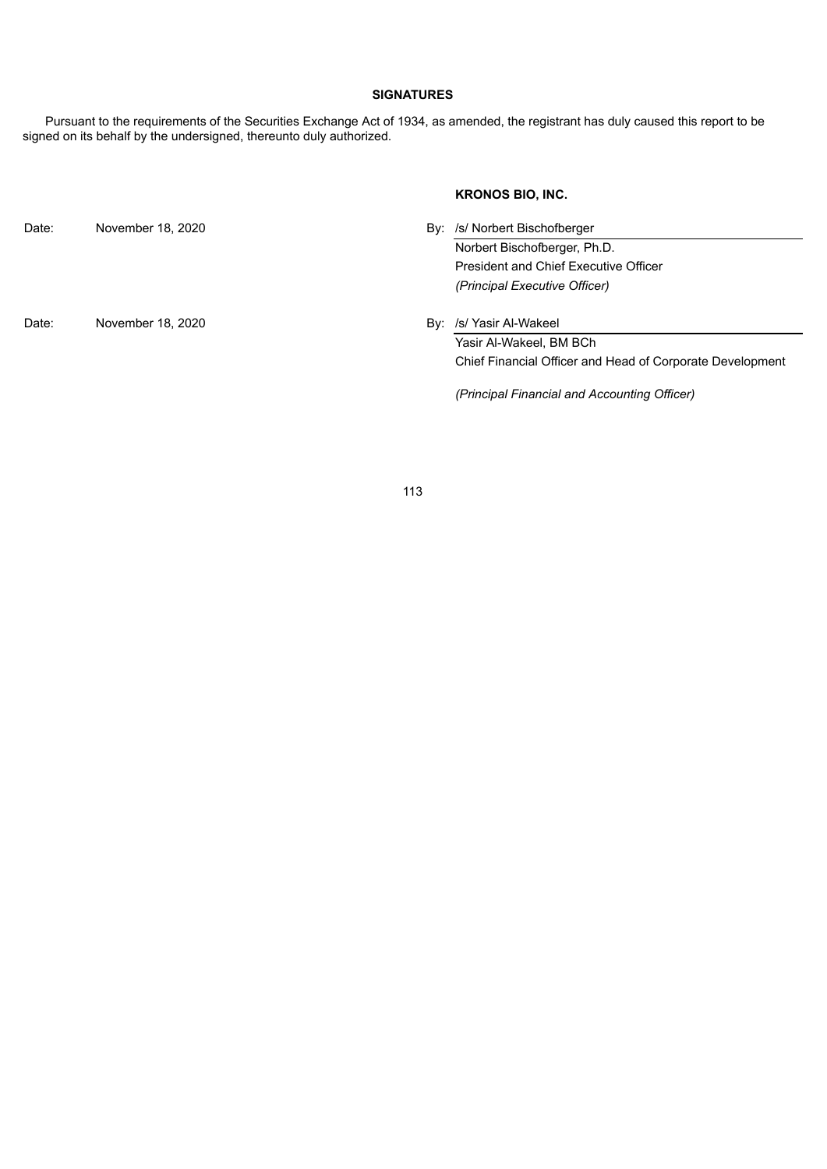# **SIGNATURES**

Pursuant to the requirements of the Securities Exchange Act of 1934, as amended, the registrant has duly caused this report to be signed on its behalf by the undersigned, thereunto duly authorized.

# **KRONOS BIO, INC.**

| Date: | November 18, 2020 | By: /s/ Norbert Bischofberger                             |  |
|-------|-------------------|-----------------------------------------------------------|--|
|       |                   | Norbert Bischofberger, Ph.D.                              |  |
|       |                   | <b>President and Chief Executive Officer</b>              |  |
|       |                   | (Principal Executive Officer)                             |  |
| Date: | November 18, 2020 | By: /s/ Yasir Al-Wakeel                                   |  |
|       |                   | Yasir Al-Wakeel, BM BCh                                   |  |
|       |                   | Chief Financial Officer and Head of Corporate Development |  |
|       |                   |                                                           |  |

*(Principal Financial and Accounting Officer)*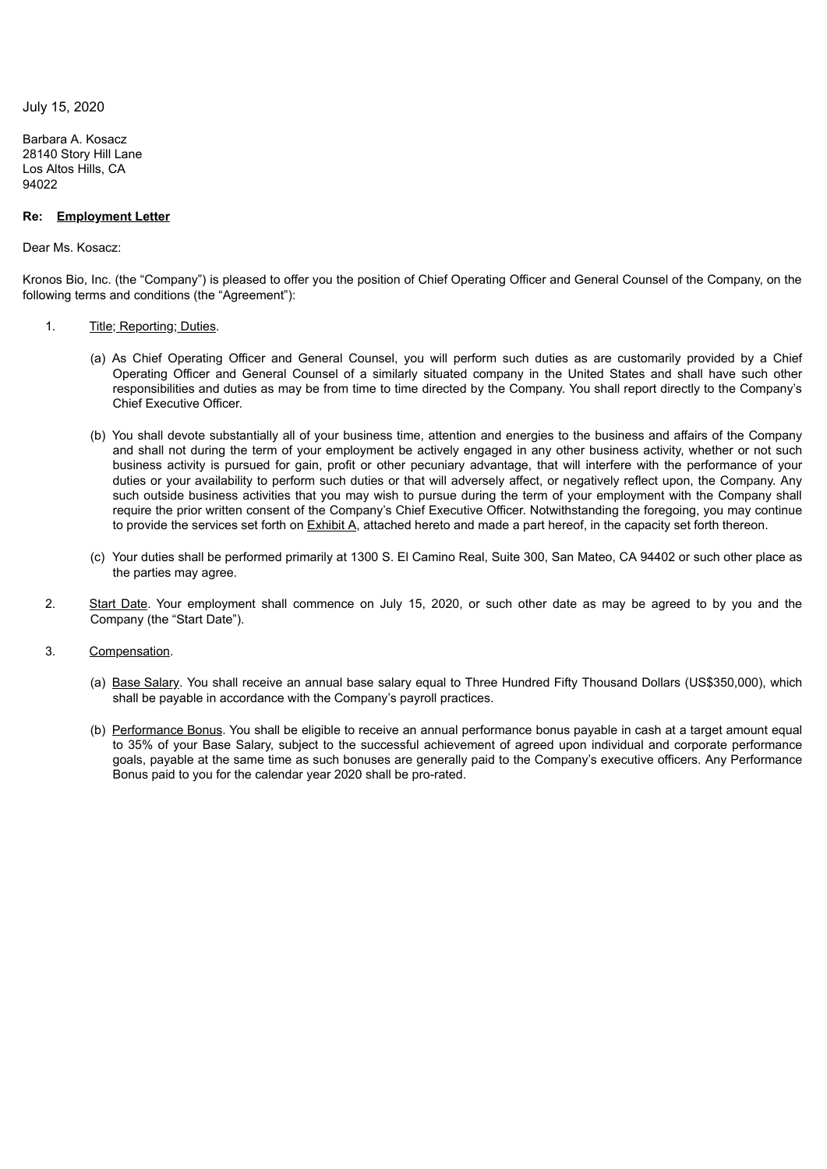<span id="page-113-0"></span>July 15, 2020

Barbara A. Kosacz 28140 Story Hill Lane Los Altos Hills, CA 94022

## **Re: Employment Letter**

## Dear Ms. Kosacz:

Kronos Bio, Inc. (the "Company") is pleased to offer you the position of Chief Operating Officer and General Counsel of the Company, on the following terms and conditions (the "Agreement"):

- 1. Title; Reporting; Duties.
	- (a) As Chief Operating Officer and General Counsel, you will perform such duties as are customarily provided by a Chief Operating Officer and General Counsel of a similarly situated company in the United States and shall have such other responsibilities and duties as may be from time to time directed by the Company. You shall report directly to the Company's Chief Executive Officer.
	- (b) You shall devote substantially all of your business time, attention and energies to the business and affairs of the Company and shall not during the term of your employment be actively engaged in any other business activity, whether or not such business activity is pursued for gain, profit or other pecuniary advantage, that will interfere with the performance of your duties or your availability to perform such duties or that will adversely affect, or negatively reflect upon, the Company. Any such outside business activities that you may wish to pursue during the term of your employment with the Company shall require the prior written consent of the Company's Chief Executive Officer. Notwithstanding the foregoing, you may continue to provide the services set forth on Exhibit A, attached hereto and made a part hereof, in the capacity set forth thereon.
	- (c) Your duties shall be performed primarily at 1300 S. El Camino Real, Suite 300, San Mateo, CA 94402 or such other place as the parties may agree.
- 2. Start Date. Your employment shall commence on July 15, 2020, or such other date as may be agreed to by you and the Company (the "Start Date").
- 3. Compensation.
	- (a) Base Salary. You shall receive an annual base salary equal to Three Hundred Fifty Thousand Dollars (US\$350,000), which shall be payable in accordance with the Company's payroll practices.
	- (b) Performance Bonus. You shall be eligible to receive an annual performance bonus payable in cash at a target amount equal to 35% of your Base Salary, subject to the successful achievement of agreed upon individual and corporate performance goals, payable at the same time as such bonuses are generally paid to the Company's executive officers. Any Performance Bonus paid to you for the calendar year 2020 shall be pro-rated.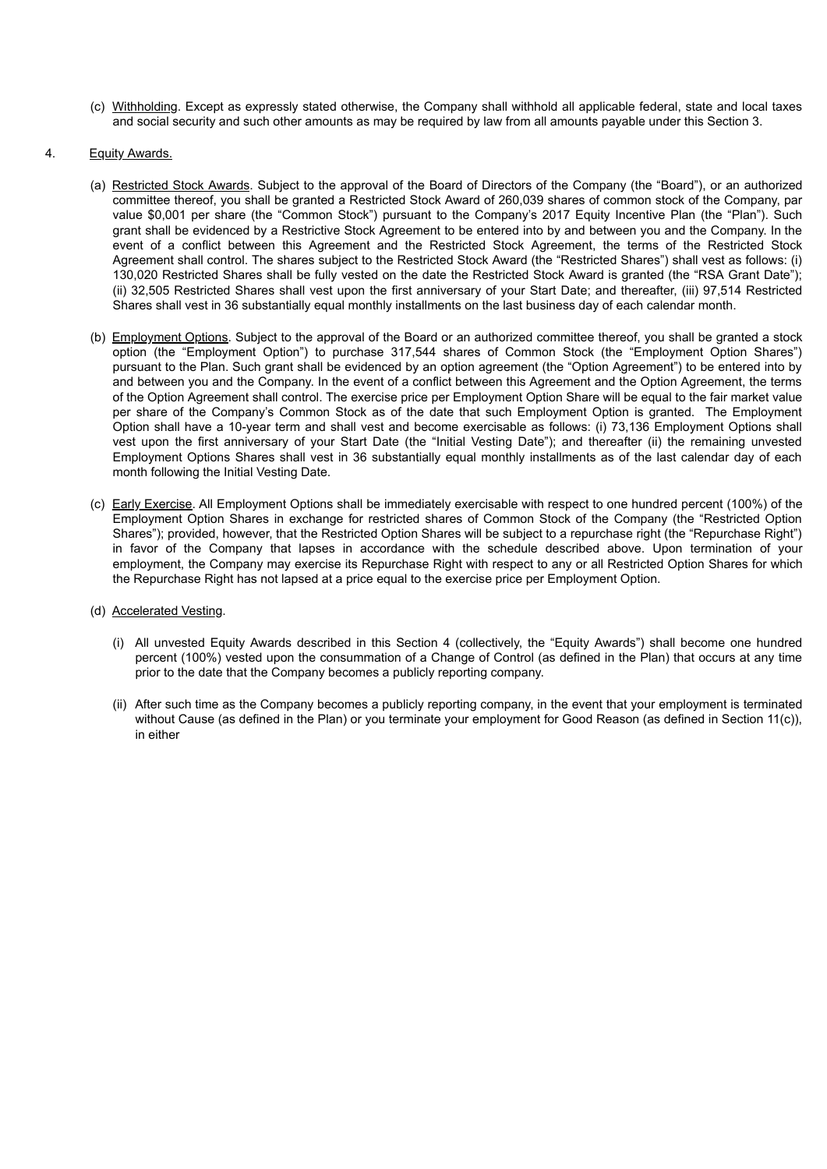- (c) Withholding. Except as expressly stated otherwise, the Company shall withhold all applicable federal, state and local taxes and social security and such other amounts as may be required by law from all amounts payable under this Section 3.
- 4. Equity Awards.
	- (a) Restricted Stock Awards. Subject to the approval of the Board of Directors of the Company (the "Board"), or an authorized committee thereof, you shall be granted a Restricted Stock Award of 260,039 shares of common stock of the Company, par value \$0,001 per share (the "Common Stock") pursuant to the Company's 2017 Equity Incentive Plan (the "Plan"). Such grant shall be evidenced by a Restrictive Stock Agreement to be entered into by and between you and the Company. In the event of a conflict between this Agreement and the Restricted Stock Agreement, the terms of the Restricted Stock Agreement shall control. The shares subject to the Restricted Stock Award (the "Restricted Shares") shall vest as follows: (i) 130,020 Restricted Shares shall be fully vested on the date the Restricted Stock Award is granted (the "RSA Grant Date"); (ii) 32,505 Restricted Shares shall vest upon the first anniversary of your Start Date; and thereafter, (iii) 97,514 Restricted Shares shall vest in 36 substantially equal monthly installments on the last business day of each calendar month.
	- (b) Employment Options. Subject to the approval of the Board or an authorized committee thereof, you shall be granted a stock option (the "Employment Option") to purchase 317,544 shares of Common Stock (the "Employment Option Shares") pursuant to the Plan. Such grant shall be evidenced by an option agreement (the "Option Agreement") to be entered into by and between you and the Company. In the event of a conflict between this Agreement and the Option Agreement, the terms of the Option Agreement shall control. The exercise price per Employment Option Share will be equal to the fair market value per share of the Company's Common Stock as of the date that such Employment Option is granted. The Employment Option shall have a 10-year term and shall vest and become exercisable as follows: (i) 73,136 Employment Options shall vest upon the first anniversary of your Start Date (the "Initial Vesting Date"); and thereafter (ii) the remaining unvested Employment Options Shares shall vest in 36 substantially equal monthly installments as of the last calendar day of each month following the Initial Vesting Date.
	- (c) Early Exercise. All Employment Options shall be immediately exercisable with respect to one hundred percent (100%) of the Employment Option Shares in exchange for restricted shares of Common Stock of the Company (the "Restricted Option Shares"); provided, however, that the Restricted Option Shares will be subject to a repurchase right (the "Repurchase Right") in favor of the Company that lapses in accordance with the schedule described above. Upon termination of your employment, the Company may exercise its Repurchase Right with respect to any or all Restricted Option Shares for which the Repurchase Right has not lapsed at a price equal to the exercise price per Employment Option.
	- (d) Accelerated Vesting.
		- (i) All unvested Equity Awards described in this Section 4 (collectively, the "Equity Awards") shall become one hundred percent (100%) vested upon the consummation of a Change of Control (as defined in the Plan) that occurs at any time prior to the date that the Company becomes a publicly reporting company.
		- (ii) After such time as the Company becomes a publicly reporting company, in the event that your employment is terminated without Cause (as defined in the Plan) or you terminate your employment for Good Reason (as defined in Section 11(c)), in either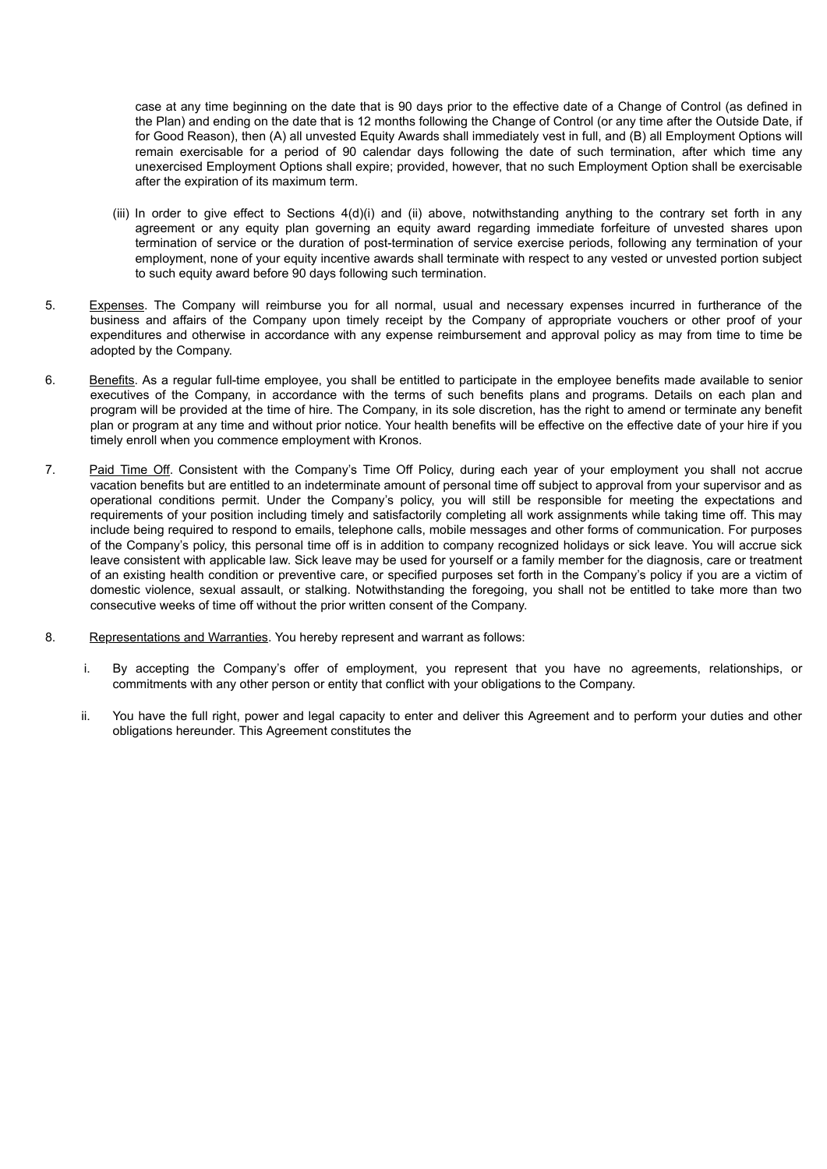case at any time beginning on the date that is 90 days prior to the effective date of a Change of Control (as defined in the Plan) and ending on the date that is 12 months following the Change of Control (or any time after the Outside Date, if for Good Reason), then (A) all unvested Equity Awards shall immediately vest in full, and (B) all Employment Options will remain exercisable for a period of 90 calendar days following the date of such termination, after which time any unexercised Employment Options shall expire; provided, however, that no such Employment Option shall be exercisable after the expiration of its maximum term.

- (iii) In order to give effect to Sections 4(d)(i) and (ii) above, notwithstanding anything to the contrary set forth in any agreement or any equity plan governing an equity award regarding immediate forfeiture of unvested shares upon termination of service or the duration of post-termination of service exercise periods, following any termination of your employment, none of your equity incentive awards shall terminate with respect to any vested or unvested portion subject to such equity award before 90 days following such termination.
- 5. Expenses. The Company will reimburse you for all normal, usual and necessary expenses incurred in furtherance of the business and affairs of the Company upon timely receipt by the Company of appropriate vouchers or other proof of your expenditures and otherwise in accordance with any expense reimbursement and approval policy as may from time to time be adopted by the Company.
- 6. Benefits. As a regular full-time employee, you shall be entitled to participate in the employee benefits made available to senior executives of the Company, in accordance with the terms of such benefits plans and programs. Details on each plan and program will be provided at the time of hire. The Company, in its sole discretion, has the right to amend or terminate any benefit plan or program at any time and without prior notice. Your health benefits will be effective on the effective date of your hire if you timely enroll when you commence employment with Kronos.
- 7. Paid Time Off. Consistent with the Company's Time Off Policy, during each year of your employment you shall not accrue vacation benefits but are entitled to an indeterminate amount of personal time off subject to approval from your supervisor and as operational conditions permit. Under the Company's policy, you will still be responsible for meeting the expectations and requirements of your position including timely and satisfactorily completing all work assignments while taking time off. This may include being required to respond to emails, telephone calls, mobile messages and other forms of communication. For purposes of the Company's policy, this personal time off is in addition to company recognized holidays or sick leave. You will accrue sick leave consistent with applicable law. Sick leave may be used for yourself or a family member for the diagnosis, care or treatment of an existing health condition or preventive care, or specified purposes set forth in the Company's policy if you are a victim of domestic violence, sexual assault, or stalking. Notwithstanding the foregoing, you shall not be entitled to take more than two consecutive weeks of time off without the prior written consent of the Company.
- 8. Representations and Warranties. You hereby represent and warrant as follows:
	- i. By accepting the Company's offer of employment, you represent that you have no agreements, relationships, or commitments with any other person or entity that conflict with your obligations to the Company.
	- ii. You have the full right, power and legal capacity to enter and deliver this Agreement and to perform your duties and other obligations hereunder. This Agreement constitutes the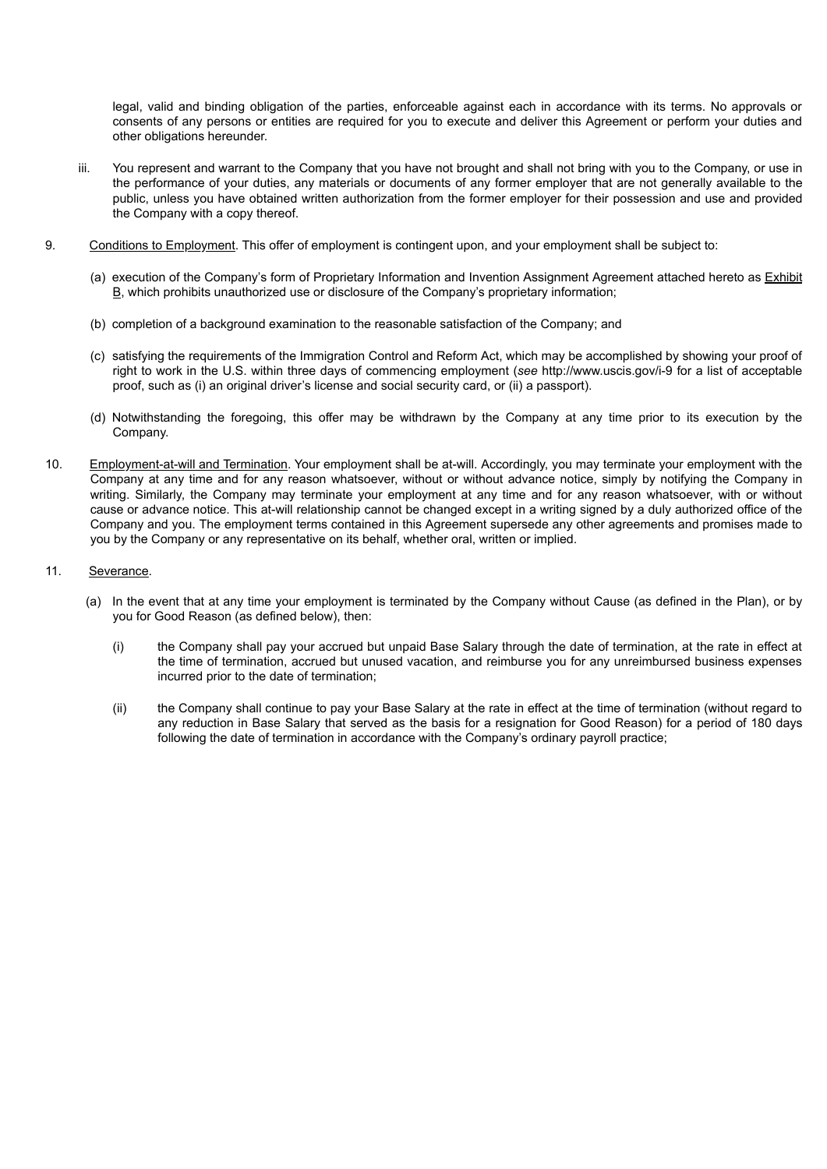legal, valid and binding obligation of the parties, enforceable against each in accordance with its terms. No approvals or consents of any persons or entities are required for you to execute and deliver this Agreement or perform your duties and other obligations hereunder.

- iii. You represent and warrant to the Company that you have not brought and shall not bring with you to the Company, or use in the performance of your duties, any materials or documents of any former employer that are not generally available to the public, unless you have obtained written authorization from the former employer for their possession and use and provided the Company with a copy thereof.
- 9. Conditions to Employment. This offer of employment is contingent upon, and your employment shall be subject to:
	- (a) execution of the Company's form of Proprietary Information and Invention Assignment Agreement attached hereto as Exhibit B, which prohibits unauthorized use or disclosure of the Company's proprietary information;
	- (b) completion of a background examination to the reasonable satisfaction of the Company; and
	- (c) satisfying the requirements of the Immigration Control and Reform Act, which may be accomplished by showing your proof of right to work in the U.S. within three days of commencing employment (*see* http://www.uscis.gov/i-9 for a list of acceptable proof, such as (i) an original driver's license and social security card, or (ii) a passport).
	- (d) Notwithstanding the foregoing, this offer may be withdrawn by the Company at any time prior to its execution by the Company.
- 10. Employment-at-will and Termination. Your employment shall be at-will. Accordingly, you may terminate your employment with the Company at any time and for any reason whatsoever, without or without advance notice, simply by notifying the Company in writing. Similarly, the Company may terminate your employment at any time and for any reason whatsoever, with or without cause or advance notice. This at-will relationship cannot be changed except in a writing signed by a duly authorized office of the Company and you. The employment terms contained in this Agreement supersede any other agreements and promises made to you by the Company or any representative on its behalf, whether oral, written or implied.

# 11. Severance.

- (a) In the event that at any time your employment is terminated by the Company without Cause (as defined in the Plan), or by you for Good Reason (as defined below), then:
	- (i) the Company shall pay your accrued but unpaid Base Salary through the date of termination, at the rate in effect at the time of termination, accrued but unused vacation, and reimburse you for any unreimbursed business expenses incurred prior to the date of termination;
	- (ii) the Company shall continue to pay your Base Salary at the rate in effect at the time of termination (without regard to any reduction in Base Salary that served as the basis for a resignation for Good Reason) for a period of 180 days following the date of termination in accordance with the Company's ordinary payroll practice;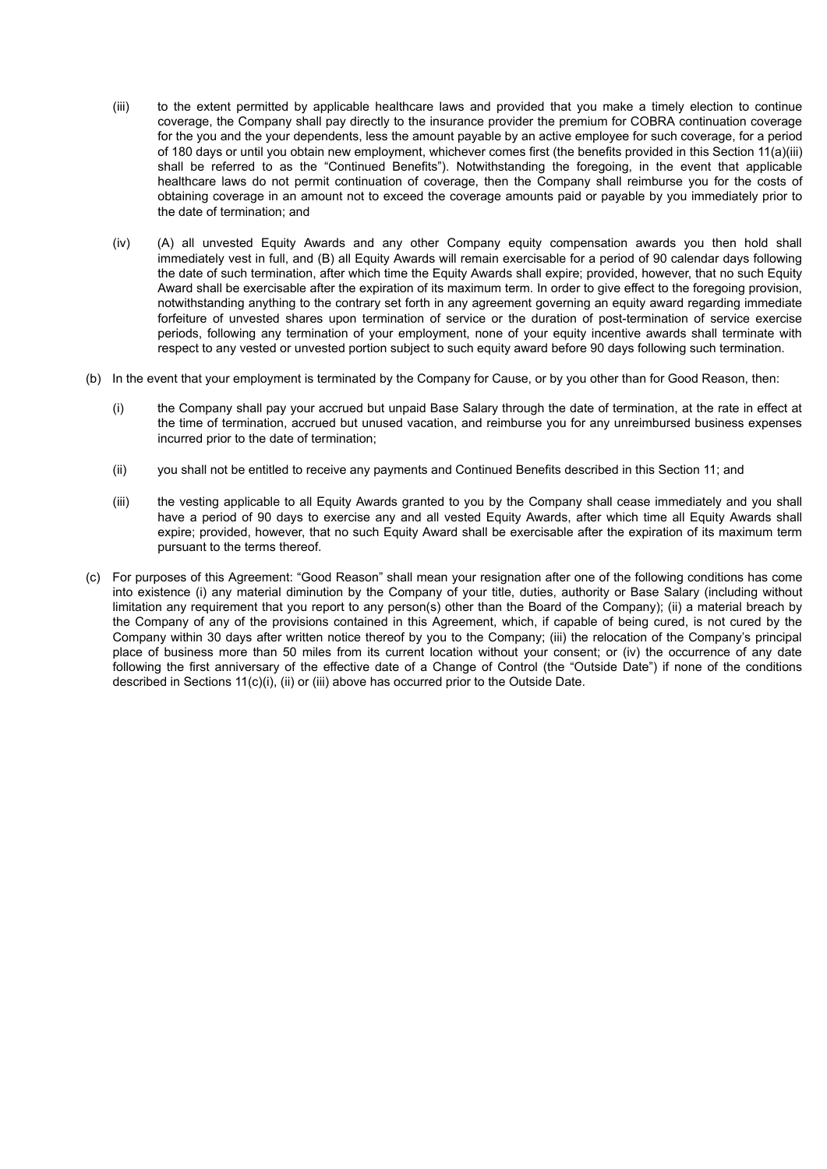- (iii) to the extent permitted by applicable healthcare laws and provided that you make a timely election to continue coverage, the Company shall pay directly to the insurance provider the premium for COBRA continuation coverage for the you and the your dependents, less the amount payable by an active employee for such coverage, for a period of 180 days or until you obtain new employment, whichever comes first (the benefits provided in this Section 11(a)(iii) shall be referred to as the "Continued Benefits"). Notwithstanding the foregoing, in the event that applicable healthcare laws do not permit continuation of coverage, then the Company shall reimburse you for the costs of obtaining coverage in an amount not to exceed the coverage amounts paid or payable by you immediately prior to the date of termination; and
- (iv) (A) all unvested Equity Awards and any other Company equity compensation awards you then hold shall immediately vest in full, and (B) all Equity Awards will remain exercisable for a period of 90 calendar days following the date of such termination, after which time the Equity Awards shall expire; provided, however, that no such Equity Award shall be exercisable after the expiration of its maximum term. In order to give effect to the foregoing provision, notwithstanding anything to the contrary set forth in any agreement governing an equity award regarding immediate forfeiture of unvested shares upon termination of service or the duration of post-termination of service exercise periods, following any termination of your employment, none of your equity incentive awards shall terminate with respect to any vested or unvested portion subject to such equity award before 90 days following such termination.
- (b) In the event that your employment is terminated by the Company for Cause, or by you other than for Good Reason, then:
	- (i) the Company shall pay your accrued but unpaid Base Salary through the date of termination, at the rate in effect at the time of termination, accrued but unused vacation, and reimburse you for any unreimbursed business expenses incurred prior to the date of termination;
	- (ii) you shall not be entitled to receive any payments and Continued Benefits described in this Section 11; and
	- (iii) the vesting applicable to all Equity Awards granted to you by the Company shall cease immediately and you shall have a period of 90 days to exercise any and all vested Equity Awards, after which time all Equity Awards shall expire; provided, however, that no such Equity Award shall be exercisable after the expiration of its maximum term pursuant to the terms thereof.
- (c) For purposes of this Agreement: "Good Reason" shall mean your resignation after one of the following conditions has come into existence (i) any material diminution by the Company of your title, duties, authority or Base Salary (including without limitation any requirement that you report to any person(s) other than the Board of the Company); (ii) a material breach by the Company of any of the provisions contained in this Agreement, which, if capable of being cured, is not cured by the Company within 30 days after written notice thereof by you to the Company; (iii) the relocation of the Company's principal place of business more than 50 miles from its current location without your consent; or (iv) the occurrence of any date following the first anniversary of the effective date of a Change of Control (the "Outside Date") if none of the conditions described in Sections 11(c)(i), (ii) or (iii) above has occurred prior to the Outside Date.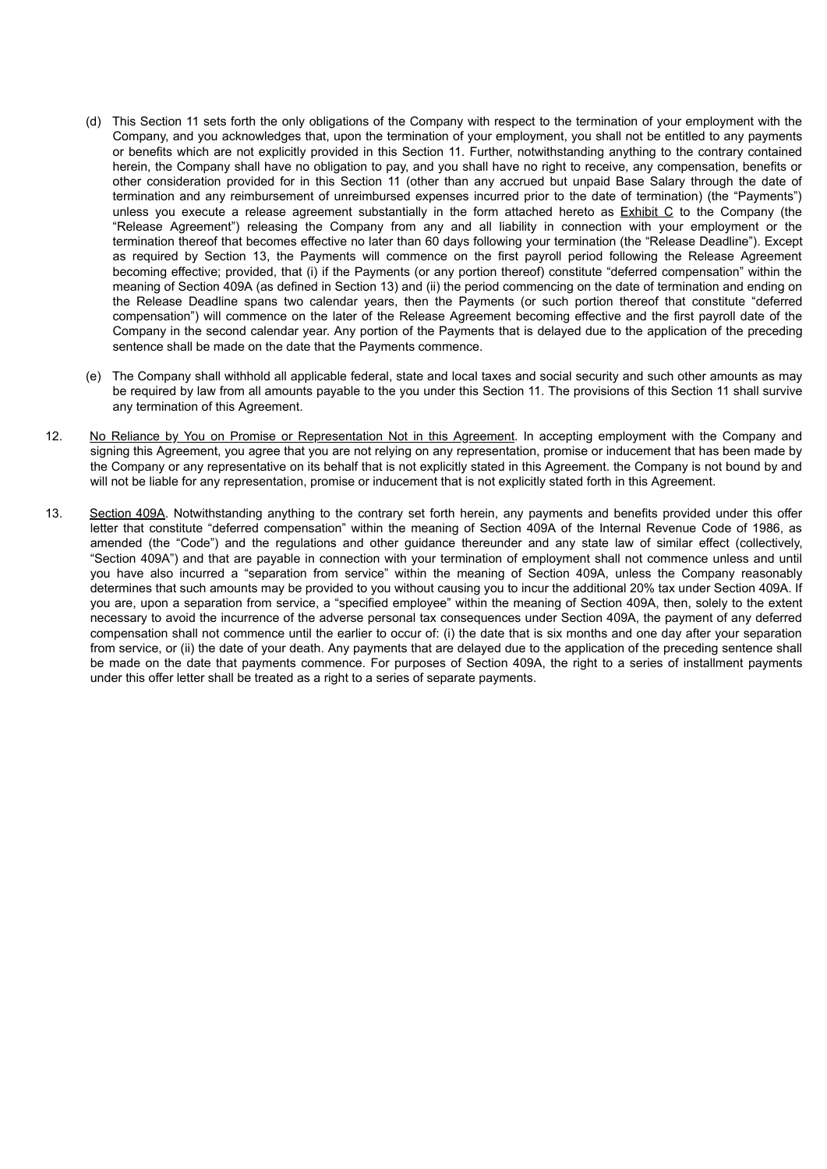- (d) This Section 11 sets forth the only obligations of the Company with respect to the termination of your employment with the Company, and you acknowledges that, upon the termination of your employment, you shall not be entitled to any payments or benefits which are not explicitly provided in this Section 11. Further, notwithstanding anything to the contrary contained herein, the Company shall have no obligation to pay, and you shall have no right to receive, any compensation, benefits or other consideration provided for in this Section 11 (other than any accrued but unpaid Base Salary through the date of termination and any reimbursement of unreimbursed expenses incurred prior to the date of termination) (the "Payments") unless you execute a release agreement substantially in the form attached hereto as Exhibit C to the Company (the "Release Agreement") releasing the Company from any and all liability in connection with your employment or the termination thereof that becomes effective no later than 60 days following your termination (the "Release Deadline"). Except as required by Section 13, the Payments will commence on the first payroll period following the Release Agreement becoming effective; provided, that (i) if the Payments (or any portion thereof) constitute "deferred compensation" within the meaning of Section 409A (as defined in Section 13) and (ii) the period commencing on the date of termination and ending on the Release Deadline spans two calendar years, then the Payments (or such portion thereof that constitute "deferred compensation") will commence on the later of the Release Agreement becoming effective and the first payroll date of the Company in the second calendar year. Any portion of the Payments that is delayed due to the application of the preceding sentence shall be made on the date that the Payments commence.
- (e) The Company shall withhold all applicable federal, state and local taxes and social security and such other amounts as may be required by law from all amounts payable to the you under this Section 11. The provisions of this Section 11 shall survive any termination of this Agreement.
- 12. No Reliance by You on Promise or Representation Not in this Agreement. In accepting employment with the Company and signing this Agreement, you agree that you are not relying on any representation, promise or inducement that has been made by the Company or any representative on its behalf that is not explicitly stated in this Agreement. the Company is not bound by and will not be liable for any representation, promise or inducement that is not explicitly stated forth in this Agreement.
- 13. Section 409A. Notwithstanding anything to the contrary set forth herein, any payments and benefits provided under this offer letter that constitute "deferred compensation" within the meaning of Section 409A of the Internal Revenue Code of 1986, as amended (the "Code") and the regulations and other guidance thereunder and any state law of similar effect (collectively, "Section 409A") and that are payable in connection with your termination of employment shall not commence unless and until you have also incurred a "separation from service" within the meaning of Section 409A, unless the Company reasonably determines that such amounts may be provided to you without causing you to incur the additional 20% tax under Section 409A. If you are, upon a separation from service, a "specified employee" within the meaning of Section 409A, then, solely to the extent necessary to avoid the incurrence of the adverse personal tax consequences under Section 409A, the payment of any deferred compensation shall not commence until the earlier to occur of: (i) the date that is six months and one day after your separation from service, or (ii) the date of your death. Any payments that are delayed due to the application of the preceding sentence shall be made on the date that payments commence. For purposes of Section 409A, the right to a series of installment payments under this offer letter shall be treated as a right to a series of separate payments.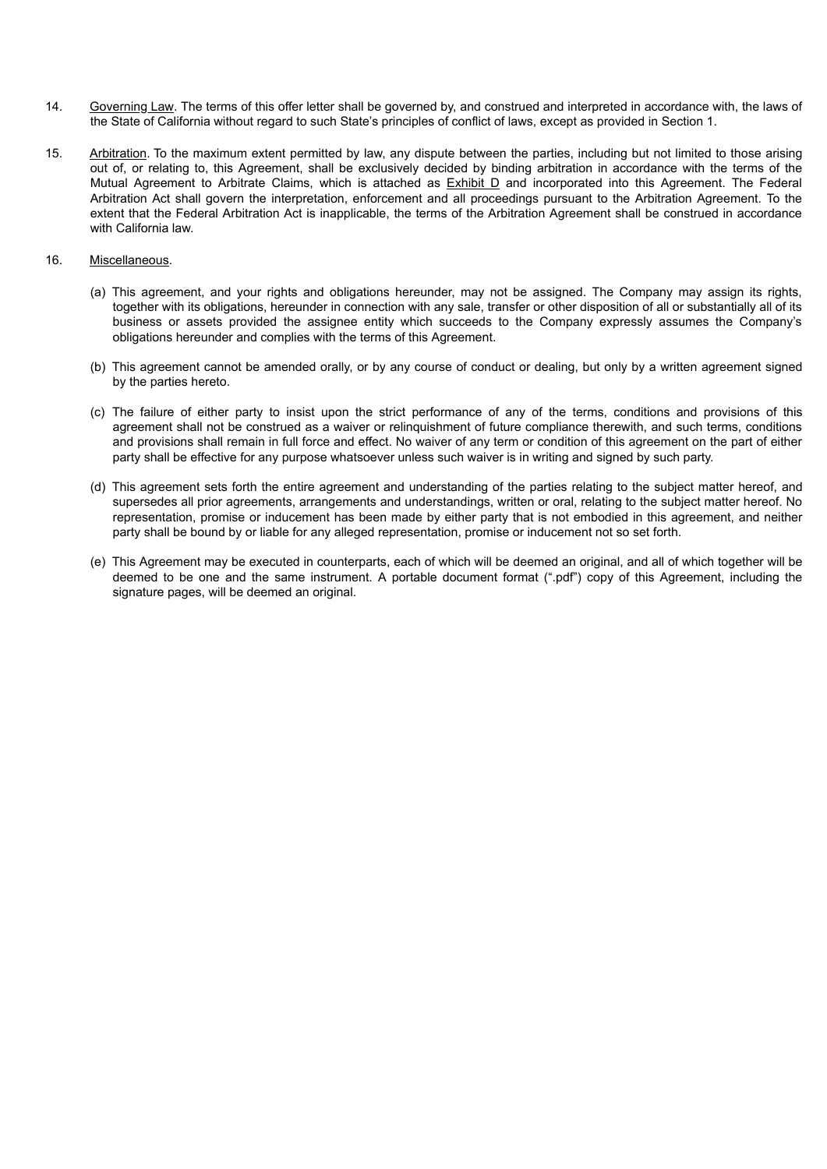- 14. Governing Law. The terms of this offer letter shall be governed by, and construed and interpreted in accordance with, the laws of the State of California without regard to such State's principles of conflict of laws, except as provided in Section 1.
- 15. Arbitration. To the maximum extent permitted by law, any dispute between the parties, including but not limited to those arising out of, or relating to, this Agreement, shall be exclusively decided by binding arbitration in accordance with the terms of the Mutual Agreement to Arbitrate Claims, which is attached as Exhibit D and incorporated into this Agreement. The Federal Arbitration Act shall govern the interpretation, enforcement and all proceedings pursuant to the Arbitration Agreement. To the extent that the Federal Arbitration Act is inapplicable, the terms of the Arbitration Agreement shall be construed in accordance with California law.

# 16. Miscellaneous.

- (a) This agreement, and your rights and obligations hereunder, may not be assigned. The Company may assign its rights, together with its obligations, hereunder in connection with any sale, transfer or other disposition of all or substantially all of its business or assets provided the assignee entity which succeeds to the Company expressly assumes the Company's obligations hereunder and complies with the terms of this Agreement.
- (b) This agreement cannot be amended orally, or by any course of conduct or dealing, but only by a written agreement signed by the parties hereto.
- (c) The failure of either party to insist upon the strict performance of any of the terms, conditions and provisions of this agreement shall not be construed as a waiver or relinquishment of future compliance therewith, and such terms, conditions and provisions shall remain in full force and effect. No waiver of any term or condition of this agreement on the part of either party shall be effective for any purpose whatsoever unless such waiver is in writing and signed by such party.
- (d) This agreement sets forth the entire agreement and understanding of the parties relating to the subject matter hereof, and supersedes all prior agreements, arrangements and understandings, written or oral, relating to the subject matter hereof. No representation, promise or inducement has been made by either party that is not embodied in this agreement, and neither party shall be bound by or liable for any alleged representation, promise or inducement not so set forth.
- (e) This Agreement may be executed in counterparts, each of which will be deemed an original, and all of which together will be deemed to be one and the same instrument. A portable document format (".pdf") copy of this Agreement, including the signature pages, will be deemed an original.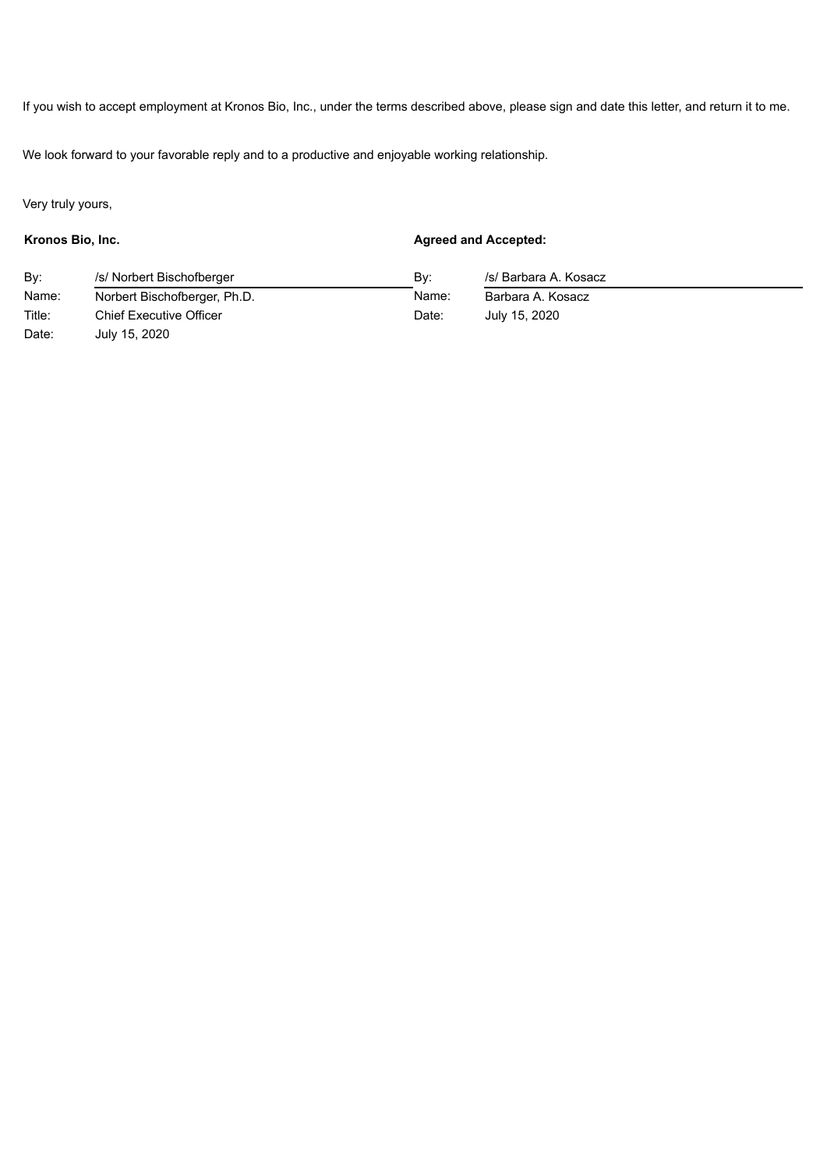If you wish to accept employment at Kronos Bio, Inc., under the terms described above, please sign and date this letter, and return it to me.

We look forward to your favorable reply and to a productive and enjoyable working relationship.

Very truly yours,

**Kronos Bio, Inc. Agreed and Accepted:**

| Bv:    | /s/ Norbert Bischofberger      | Bv:   | /s/ Barbara A. Kosacz |  |
|--------|--------------------------------|-------|-----------------------|--|
| Name:  | Norbert Bischofberger, Ph.D.   | Name: | Barbara A. Kosacz     |  |
| Title: | <b>Chief Executive Officer</b> | Date: | July 15, 2020         |  |
| Date:  | July 15, 2020                  |       |                       |  |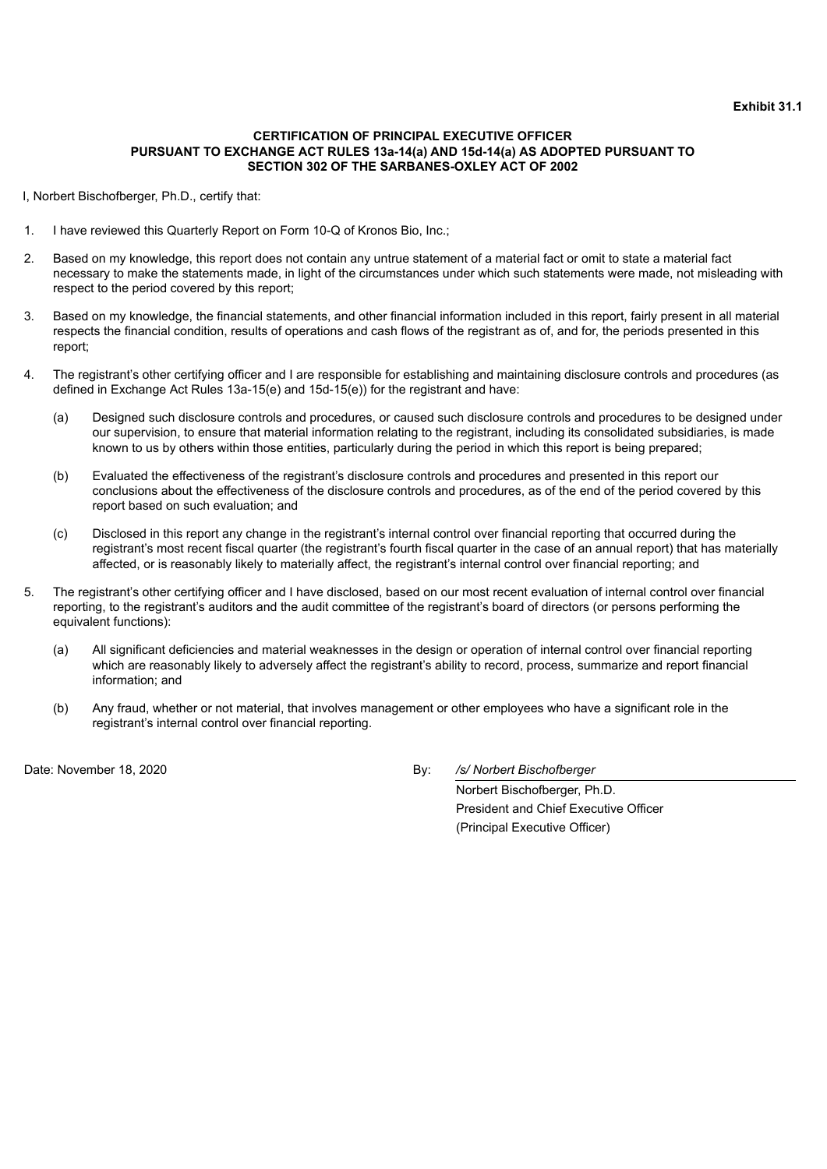# <span id="page-121-0"></span>**CERTIFICATION OF PRINCIPAL EXECUTIVE OFFICER PURSUANT TO EXCHANGE ACT RULES 13a-14(a) AND 15d-14(a) AS ADOPTED PURSUANT TO SECTION 302 OF THE SARBANES-OXLEY ACT OF 2002**

I, Norbert Bischofberger, Ph.D., certify that:

- 1. I have reviewed this Quarterly Report on Form 10-Q of Kronos Bio, Inc.;
- 2. Based on my knowledge, this report does not contain any untrue statement of a material fact or omit to state a material fact necessary to make the statements made, in light of the circumstances under which such statements were made, not misleading with respect to the period covered by this report;
- 3. Based on my knowledge, the financial statements, and other financial information included in this report, fairly present in all material respects the financial condition, results of operations and cash flows of the registrant as of, and for, the periods presented in this report;
- 4. The registrant's other certifying officer and I are responsible for establishing and maintaining disclosure controls and procedures (as defined in Exchange Act Rules 13a-15(e) and 15d-15(e)) for the registrant and have:
	- (a) Designed such disclosure controls and procedures, or caused such disclosure controls and procedures to be designed under our supervision, to ensure that material information relating to the registrant, including its consolidated subsidiaries, is made known to us by others within those entities, particularly during the period in which this report is being prepared;
	- (b) Evaluated the effectiveness of the registrant's disclosure controls and procedures and presented in this report our conclusions about the effectiveness of the disclosure controls and procedures, as of the end of the period covered by this report based on such evaluation; and
	- (c) Disclosed in this report any change in the registrant's internal control over financial reporting that occurred during the registrant's most recent fiscal quarter (the registrant's fourth fiscal quarter in the case of an annual report) that has materially affected, or is reasonably likely to materially affect, the registrant's internal control over financial reporting; and
- 5. The registrant's other certifying officer and I have disclosed, based on our most recent evaluation of internal control over financial reporting, to the registrant's auditors and the audit committee of the registrant's board of directors (or persons performing the equivalent functions):
	- (a) All significant deficiencies and material weaknesses in the design or operation of internal control over financial reporting which are reasonably likely to adversely affect the registrant's ability to record, process, summarize and report financial information; and
	- (b) Any fraud, whether or not material, that involves management or other employees who have a significant role in the registrant's internal control over financial reporting.

Date: November 18, 2020 By: */s/ Norbert Bischofberger*

Norbert Bischofberger, Ph.D. President and Chief Executive Officer (Principal Executive Officer)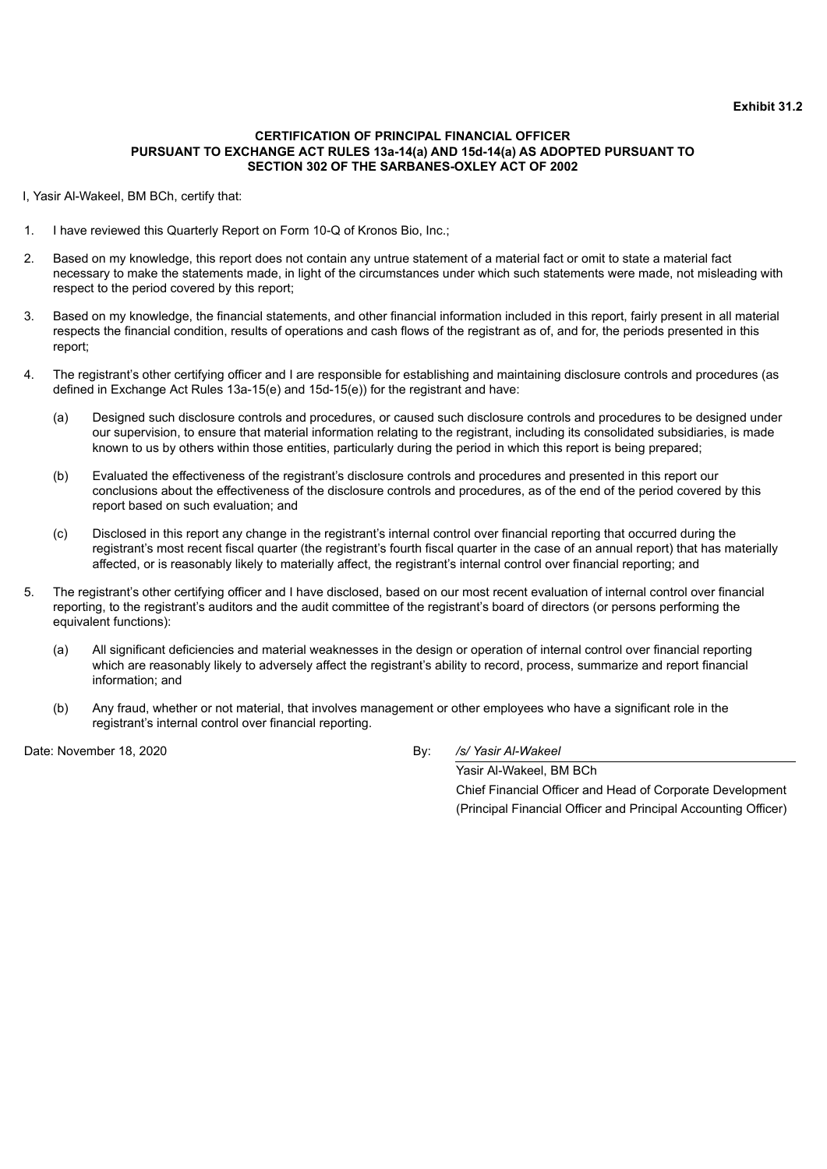# <span id="page-122-0"></span>**CERTIFICATION OF PRINCIPAL FINANCIAL OFFICER PURSUANT TO EXCHANGE ACT RULES 13a-14(a) AND 15d-14(a) AS ADOPTED PURSUANT TO SECTION 302 OF THE SARBANES-OXLEY ACT OF 2002**

I, Yasir Al-Wakeel, BM BCh, certify that:

- 1. I have reviewed this Quarterly Report on Form 10-Q of Kronos Bio, Inc.;
- 2. Based on my knowledge, this report does not contain any untrue statement of a material fact or omit to state a material fact necessary to make the statements made, in light of the circumstances under which such statements were made, not misleading with respect to the period covered by this report;
- 3. Based on my knowledge, the financial statements, and other financial information included in this report, fairly present in all material respects the financial condition, results of operations and cash flows of the registrant as of, and for, the periods presented in this report;
- 4. The registrant's other certifying officer and I are responsible for establishing and maintaining disclosure controls and procedures (as defined in Exchange Act Rules 13a-15(e) and 15d-15(e)) for the registrant and have:
	- (a) Designed such disclosure controls and procedures, or caused such disclosure controls and procedures to be designed under our supervision, to ensure that material information relating to the registrant, including its consolidated subsidiaries, is made known to us by others within those entities, particularly during the period in which this report is being prepared;
	- (b) Evaluated the effectiveness of the registrant's disclosure controls and procedures and presented in this report our conclusions about the effectiveness of the disclosure controls and procedures, as of the end of the period covered by this report based on such evaluation; and
	- (c) Disclosed in this report any change in the registrant's internal control over financial reporting that occurred during the registrant's most recent fiscal quarter (the registrant's fourth fiscal quarter in the case of an annual report) that has materially affected, or is reasonably likely to materially affect, the registrant's internal control over financial reporting; and
- 5. The registrant's other certifying officer and I have disclosed, based on our most recent evaluation of internal control over financial reporting, to the registrant's auditors and the audit committee of the registrant's board of directors (or persons performing the equivalent functions):
	- (a) All significant deficiencies and material weaknesses in the design or operation of internal control over financial reporting which are reasonably likely to adversely affect the registrant's ability to record, process, summarize and report financial information; and
	- (b) Any fraud, whether or not material, that involves management or other employees who have a significant role in the registrant's internal control over financial reporting.

Date: November 18, 2020 By: */s/ Yasir Al-Wakeel*

Yasir Al-Wakeel, BM BCh Chief Financial Officer and Head of Corporate Development (Principal Financial Officer and Principal Accounting Officer)